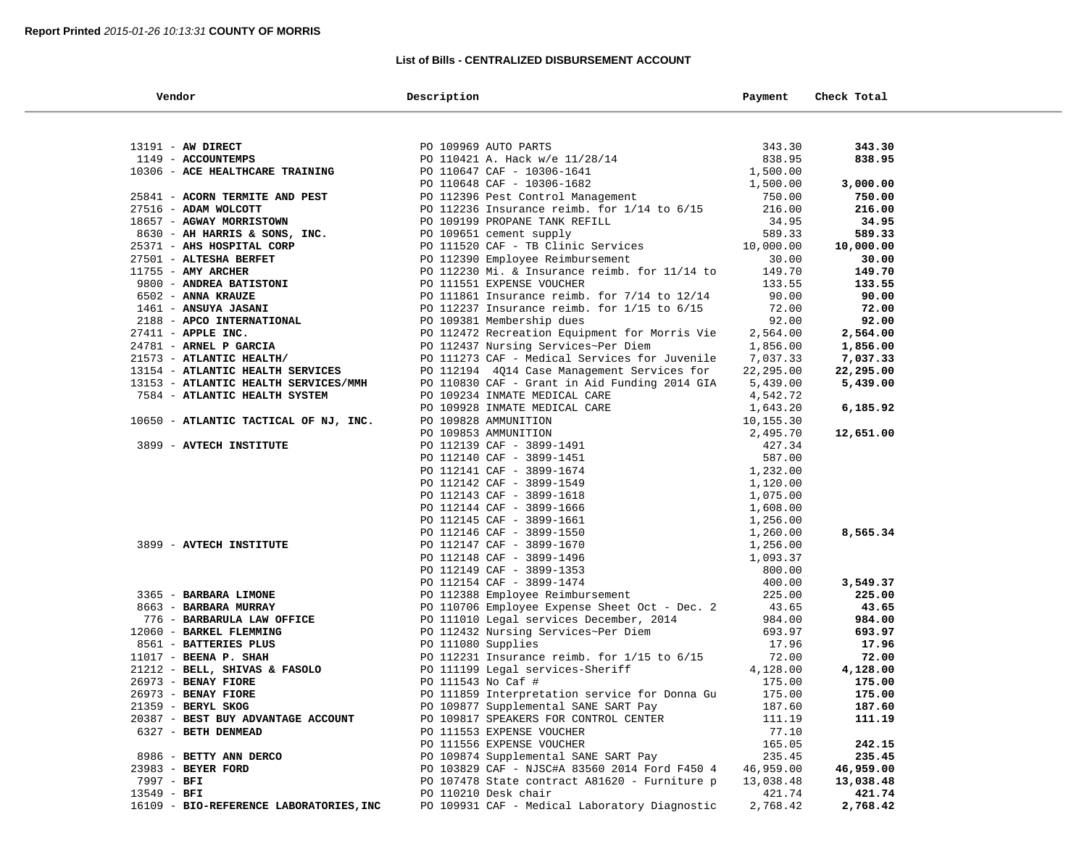#### **List of Bills - CENTRALIZED DISBURSEMENT ACCOUNT**

|             | Vendor                                                                | Description                                            | Payment               | Check Total |  |
|-------------|-----------------------------------------------------------------------|--------------------------------------------------------|-----------------------|-------------|--|
|             |                                                                       |                                                        |                       |             |  |
|             | 13191 - AW DIRECT                                                     | PO 109969 AUTO PARTS                                   | 343.30                | 343.30      |  |
|             | 1149 - ACCOUNTEMPS                                                    | PO 110421 A. Hack w/e 11/28/14                         | 838.95                | 838.95      |  |
|             | 10306 - ACE HEALTHCARE TRAINING                                       | PO 110647 CAF - 10306-1641                             | 1,500.00              |             |  |
|             |                                                                       | PO 110648 CAF - 10306-1682                             | 1,500.00              | 3,000.00    |  |
|             | 25841 - ACORN TERMITE AND PEST                                        | PO 112396 Pest Control Management                      | 750.00                | 750.00      |  |
|             | 27516 - ADAM WOLCOTT                                                  | PO 112236 Insurance reimb. for $1/14$ to $6/15$        | 216.00                | 216.00      |  |
|             | 18657 - AGWAY MORRISTOWN                                              | PO 109199 PROPANE TANK REFILL                          | 34.95                 | 34.95       |  |
|             | 8630 - AH HARRIS & SONS, INC.                                         | PO 109651 cement supply                                | 589.33                | 589.33      |  |
|             | 25371 - AHS HOSPITAL CORP                                             | PO 111520 CAF - TB Clinic Services                     | 10,000.00             | 10,000.00   |  |
|             | 27501 - ALTESHA BERFET                                                | PO 112390 Employee Reimbursement                       | 30.00                 | 30.00       |  |
|             | 11755 - AMY ARCHER                                                    | PO 112230 Mi. & Insurance reimb. for 11/14 to          | 149.70                | 149.70      |  |
|             | 9800 - ANDREA BATISTONI                                               | PO 111551 EXPENSE VOUCHER                              | 133.55                | 133.55      |  |
|             | 6502 - ANNA KRAUZE                                                    | PO 111861 Insurance reimb. for $7/14$ to $12/14$       | 90.00                 | 90.00       |  |
|             | 1461 - ANSUYA JASANI                                                  | PO 112237 Insurance reimb. for $1/15$ to $6/15$        | 72.00                 | 72.00       |  |
|             | 2188 - APCO INTERNATIONAL                                             | PO 109381 Membership dues                              | 92.00                 | 92.00       |  |
|             |                                                                       |                                                        |                       |             |  |
|             | $27411$ - APPLE INC.                                                  | PO 112472 Recreation Equipment for Morris Vie          | 2,564.00              | 2,564.00    |  |
|             | 24781 - ARNEL P GARCIA<br>21573 - ATLANTIC HEALTH/                    | PO 112437 Nursing Services~Per Diem                    | 1,856.00              | 1,856.00    |  |
|             |                                                                       | PO 111273 CAF - Medical Services for Juvenile          | 7,037.33              | 7,037.33    |  |
|             | 13154 - ATLANTIC HEALTH SERVICES                                      | PO 112194 4Q14 Case Management Services for            | 22,295.00             | 22,295.00   |  |
|             | 13153 - ATLANTIC HEALTH SERVICES/MMH<br>7584 - ATLANTIC HEALTH SYSTEM | PO 110830 CAF - Grant in Aid Funding 2014 GIA          | 5,439.00              | 5,439.00    |  |
|             |                                                                       | PO 109234 INMATE MEDICAL CARE                          | 4,542.72              |             |  |
|             | 10650 - ATLANTIC TACTICAL OF NJ, INC.                                 | PO 109928 INMATE MEDICAL CARE                          | 1,643.20              | 6,185.92    |  |
|             |                                                                       | PO 109828 AMMUNITION                                   | 10,155.30<br>2,495.70 |             |  |
|             | 3899 - AVTECH INSTITUTE                                               | PO 109853 AMMUNITION                                   | 427.34                | 12,651.00   |  |
|             |                                                                       | PO 112139 CAF - 3899-1491                              | 587.00                |             |  |
|             |                                                                       | PO 112140 CAF - 3899-1451                              |                       |             |  |
|             |                                                                       | PO 112141 CAF - 3899-1674                              | 1,232.00              |             |  |
|             |                                                                       | PO 112142 CAF - 3899-1549                              | 1,120.00              |             |  |
|             |                                                                       | PO 112143 CAF - 3899-1618                              | 1,075.00              |             |  |
|             |                                                                       | PO 112144 CAF - 3899-1666                              | 1,608.00              |             |  |
|             |                                                                       | PO 112145 CAF - 3899-1661                              | 1,256.00              | 8,565.34    |  |
|             | 3899 - AVTECH INSTITUTE                                               | PO 112146 CAF - 3899-1550                              | 1,260.00              |             |  |
|             |                                                                       | PO 112147 CAF - 3899-1670                              | 1,256.00              |             |  |
|             |                                                                       | PO 112148 CAF - 3899-1496<br>PO 112149 CAF - 3899-1353 | 1,093.37<br>800.00    |             |  |
|             |                                                                       | PO 112154 CAF - 3899-1474                              | 400.00                | 3,549.37    |  |
|             | 3365 - BARBARA LIMONE                                                 | PO 112388 Employee Reimbursement                       | 225.00                | 225.00      |  |
|             | 8663 - BARBARA MURRAY                                                 | PO 110706 Employee Expense Sheet Oct - Dec. 2          | 43.65                 | 43.65       |  |
|             | 776 - BARBARULA LAW OFFICE                                            | PO 111010 Legal services December, 2014                | 984.00                | 984.00      |  |
|             | 12060 - BARKEL FLEMMING                                               | PO 112432 Nursing Services~Per Diem                    | 693.97                | 693.97      |  |
|             | 8561 - BATTERIES PLUS                                                 | PO 111080 Supplies                                     | 17.96                 | 17.96       |  |
|             | $11017$ - BEENA P. SHAH                                               | PO 112231 Insurance reimb. for $1/15$ to $6/15$        | 72.00                 | 72.00       |  |
|             | 21212 - BELL, SHIVAS & FASOLO                                         | PO 111199 Legal services-Sheriff                       | 4,128.00              | 4,128.00    |  |
|             | 26973 - BENAY FIORE                                                   | PO 111543 No Caf #                                     | 175.00                | 175.00      |  |
|             | 26973 - BENAY FIORE                                                   | PO 111859 Interpretation service for Donna Gu          | 175.00                | 175.00      |  |
|             | 21359 - BERYL SKOG                                                    | PO 109877 Supplemental SANE SART Pay                   | 187.60                | 187.60      |  |
|             | 20387 - BEST BUY ADVANTAGE ACCOUNT                                    | PO 109817 SPEAKERS FOR CONTROL CENTER                  | 111.19                | 111.19      |  |
|             | 6327 - BETH DENMEAD                                                   | PO 111553 EXPENSE VOUCHER                              | 77.10                 |             |  |
|             |                                                                       | PO 111556 EXPENSE VOUCHER                              | 165.05                | 242.15      |  |
|             | 8986 - BETTY ANN DERCO                                                | PO 109874 Supplemental SANE SART Pay                   | 235.45                | 235.45      |  |
|             | 23983 - BEYER FORD                                                    | PO 103829 CAF - NJSC#A 83560 2014 Ford F450 4          | 46,959.00             | 46,959.00   |  |
| 7997 - BFI  |                                                                       | PO 107478 State contract A81620 - Furniture p          | 13,038.48             | 13,038.48   |  |
| 13549 - BFI |                                                                       | PO 110210 Desk chair                                   | 421.74                | 421.74      |  |
|             | 16109 - BIO-REFERENCE LABORATORIES, INC                               | PO 109931 CAF - Medical Laboratory Diagnostic          | 2,768.42              | 2,768.42    |  |
|             |                                                                       |                                                        |                       |             |  |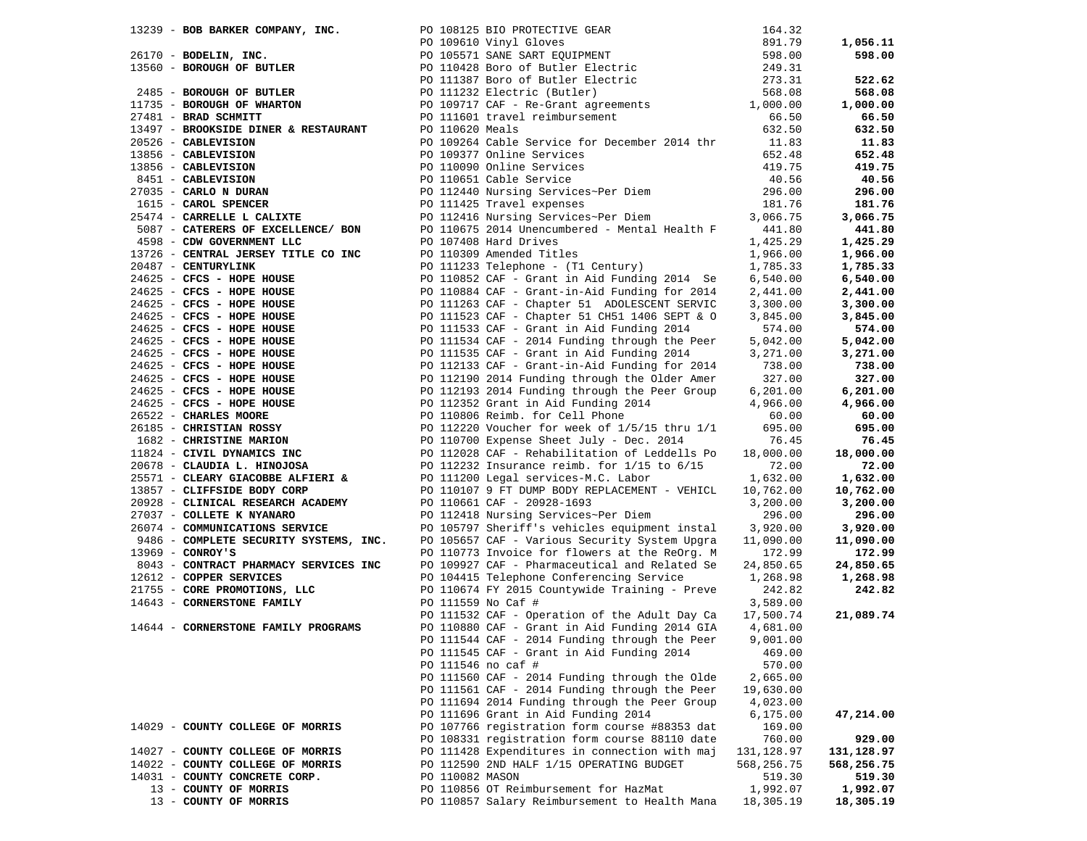|                                                                                                                                                                       |                 | 13239 - <b>BOB BARKER COMPANY, INC.</b><br>26170 - <b>BODELIN, INC.</b><br>26170 - <b>BODELIN, INC.</b><br>26170 - <b>BODELIN, INC.</b><br>298.00<br>298.00<br>299.31<br>299.31<br>299.31<br>299.31<br>2011387 Boro of Butler Electric<br>273.31<br>273.31 |                       | 1,056.11           |
|-----------------------------------------------------------------------------------------------------------------------------------------------------------------------|-----------------|------------------------------------------------------------------------------------------------------------------------------------------------------------------------------------------------------------------------------------------------------------|-----------------------|--------------------|
|                                                                                                                                                                       |                 |                                                                                                                                                                                                                                                            |                       | 598.00             |
|                                                                                                                                                                       |                 |                                                                                                                                                                                                                                                            |                       |                    |
|                                                                                                                                                                       |                 |                                                                                                                                                                                                                                                            |                       | 522.62             |
| 2485 - BOROUGH OF BUTLER                                                                                                                                              |                 |                                                                                                                                                                                                                                                            |                       | 568.08             |
| 11735 - BOROUGH OF WHARTON                                                                                                                                            |                 |                                                                                                                                                                                                                                                            |                       | 1,000.00           |
|                                                                                                                                                                       |                 |                                                                                                                                                                                                                                                            |                       | 66.50              |
| 13497 - BROOKSIDE DINER & RESTAURANT                                                                                                                                  |                 |                                                                                                                                                                                                                                                            |                       | 632.50             |
|                                                                                                                                                                       |                 | PO 109264 Cable Service for December 2014 thr 11.83                                                                                                                                                                                                        |                       | 11.83              |
|                                                                                                                                                                       |                 |                                                                                                                                                                                                                                                            | 652.48                | 652.48             |
| 20526 - CABLEVISION<br>13856 - CABLEVISION<br>13856 - CABLEVISION<br>8451 - CABLEVISION<br>27035 - CARLO N DURAN<br>1615 - CAROL SPENCER<br>25474 - CABDELLE L. CALLY |                 | PO 109377 Online Services<br>PO 110090 Online Services<br>PO 110651 Cable Service<br>PO 112440 Nursing Services~Per Diem                                                                                                                                   | 419.75                | 419.75             |
|                                                                                                                                                                       |                 |                                                                                                                                                                                                                                                            | 40.56                 | 40.56              |
|                                                                                                                                                                       |                 |                                                                                                                                                                                                                                                            | 296.00                | 296.00             |
|                                                                                                                                                                       |                 | PO 111425 Travel expenses                                                                                                                                                                                                                                  | 181.76                | 181.76             |
| 25474 - CARRELLE L CALIXTE                                                                                                                                            |                 | PO 112416 Nursing Services~Per Diem                                                                                                                                                                                                                        | 3,066.75              | 3,066.75           |
| 5087 - CATERERS OF EXCELLENCE/ BON                                                                                                                                    |                 | PO 110675 2014 Unencumbered - Mental Health F 441.80                                                                                                                                                                                                       |                       | 441.80             |
| 4598 - CDW GOVERNMENT LLC                                                                                                                                             |                 |                                                                                                                                                                                                                                                            | 1,425.29              | 1,425.29           |
| 13726 - CENTRAL JERSEY TITLE CO INC                                                                                                                                   |                 | PO 107408 Hard Drives<br>PO 110309 Amended Titles                                                                                                                                                                                                          | 1,966.00              | 1,966.00           |
| 20487 - CENTURYLINK                                                                                                                                                   |                 | PO 111233 Telephone - (T1 Century)                                                                                                                                                                                                                         | 1,785.33              | 1,785.33           |
| 24625 - CFCS - HOPE HOUSE                                                                                                                                             |                 | PO 110852 CAF - Grant in Aid Funding 2014 Se                                                                                                                                                                                                               | 6,540.00              | 6,540.00           |
| 24625 - CFCS - HOPE HOUSE                                                                                                                                             |                 | PO 110884 CAF - Grant-in-Aid Funding for 2014                                                                                                                                                                                                              | 2,441.00              | 2,441.00           |
| 24625 - CFCS - HOPE HOUSE                                                                                                                                             |                 |                                                                                                                                                                                                                                                            | 3,300.00              | 3,300.00           |
|                                                                                                                                                                       |                 | PO 111263 CAF - Chapter 51 ADOLESCENT SERVIC<br>PO 111523 CAF - Chapter 51 CH51 1406 SEPT & O                                                                                                                                                              | 3,845.00              | 3,845.00           |
| 24625 - CFCS - HOPE HOUSE<br>24625 - CFCS - HOPE HOUSE                                                                                                                |                 | PO 111533 CAF - Grant in Aid Funding 2014                                                                                                                                                                                                                  | 574.00                | 574.00             |
|                                                                                                                                                                       |                 | PO 111534 CAF - 2014 Funding through the Peer                                                                                                                                                                                                              |                       |                    |
| 24625 - CFCS - HOPE HOUSE<br>24625 - CFCS - HOPE HOUSE<br>24625 - CFCS - HOPE HOUSE                                                                                   |                 | PO 111535 CAF - Grant in Aid Funding 2014                                                                                                                                                                                                                  | 5,042.00              | 5,042.00           |
|                                                                                                                                                                       |                 |                                                                                                                                                                                                                                                            | 3,271.00              | 3,271.00           |
|                                                                                                                                                                       |                 | PO 112133 CAF - Grant-in-Aid Funding for 2014<br>PO 112190 2014 Funding through the Older Amer                                                                                                                                                             | 738.00<br>327.00      | 738.00<br>327.00   |
| 24625 - CFCS - HOPE HOUSE<br>24625 - CFCS - HOPE HOUSE<br>24625 - CFCS - HOPE HOUSE<br>24625 - CFCS - HOPE HOUSE<br>24625 - CFCS - HOPE HOUSE                         |                 | PO 112193 2014 Funding through the Peer Group                                                                                                                                                                                                              |                       |                    |
| 24625 - CFCS - HOPE HOUSE<br>24625 - CFCS - HOPE HOUSE<br>22500 - CHARLES MOORE                                                                                       |                 |                                                                                                                                                                                                                                                            | 6, 201.00             | 6,201.00           |
|                                                                                                                                                                       |                 | PO 112352 Grant in Aid Funding 2014                                                                                                                                                                                                                        | 4,966.00              | 4,966.00           |
|                                                                                                                                                                       |                 | PO 110806 Reimb. for Cell Phone                                                                                                                                                                                                                            | 60.00                 | 60.00              |
| 26185 - CHRISTIAN ROSSY<br>1682 - CHRISTINE MARION                                                                                                                    |                 | PO 112220 Voucher for week of 1/5/15 thru 1/1                                                                                                                                                                                                              | 695.00                | 695.00             |
|                                                                                                                                                                       |                 | PO 110700 Expense Sheet July - Dec. 2014                                                                                                                                                                                                                   | 76.45<br>18,000.00    | 76.45              |
| 11824 - CIVIL DYNAMICS INC                                                                                                                                            |                 | PO 112028 CAF - Rehabilitation of Leddells Po                                                                                                                                                                                                              | 72.00                 | 18,000.00<br>72.00 |
|                                                                                                                                                                       |                 | PO 111200 Legal services-M.C. Labor                                                                                                                                                                                                                        | 1,632.00              | 1,632.00           |
| 25571 - CLEARY GIACOBBE ALFIERI &<br>13857 - CLIFFSIDE BODY CORP                                                                                                      |                 | PO 110107 9 FT DUMP BODY REPLACEMENT - VEHICL                                                                                                                                                                                                              | 10,762.00             | 10,762.00          |
| 20928 - CLINICAL RESEARCH ACADEMY                                                                                                                                     |                 | PO 110661 CAF - 20928-1693                                                                                                                                                                                                                                 | 3,200.00              | 3,200.00           |
| 27037 - COLLETE K NYANARO                                                                                                                                             |                 | PO 112418 Nursing Services~Per Diem                                                                                                                                                                                                                        | 296.00                | 296.00             |
| 26074 - COMMUNICATIONS SERVICE                                                                                                                                        |                 | PO 105797 Sheriff's vehicles equipment instal                                                                                                                                                                                                              | 3,920.00              | 3,920.00           |
| 9486 - COMPLETE SECURITY SYSTEMS, INC.                                                                                                                                |                 | PO 105657 CAF - Various Security System Upgra                                                                                                                                                                                                              | 11,090.00             | 11,090.00          |
| $13969$ - CONROY'S                                                                                                                                                    |                 | PO 110773 Invoice for flowers at the ReOrg. M                                                                                                                                                                                                              | 172.99                | 172.99             |
| 8043 - CONTRACT PHARMACY SERVICES INC                                                                                                                                 |                 | PO 109927 CAF - Pharmaceutical and Related Se                                                                                                                                                                                                              | 24,850.65             | 24,850.65          |
| 12612 - COPPER SERVICES                                                                                                                                               |                 | PO 104415 Telephone Conferencing Service                                                                                                                                                                                                                   | 1,268.98              | 1,268.98           |
| 21755 - CORE PROMOTIONS, LLC                                                                                                                                          |                 | PO 110674 FY 2015 Countywide Training - Preve                                                                                                                                                                                                              | 242.82                | 242.82             |
| 14643 - CORNERSTONE FAMILY                                                                                                                                            |                 | PO 111559 No Caf #                                                                                                                                                                                                                                         | 3,589.00              |                    |
|                                                                                                                                                                       |                 | PO 111532 CAF - Operation of the Adult Day Ca 17,500.74                                                                                                                                                                                                    |                       | 21,089.74          |
| 14644 - CORNERSTONE FAMILY PROGRAMS                                                                                                                                   |                 | PO 110880 CAF - Grant in Aid Funding 2014 GIA                                                                                                                                                                                                              | 4,681.00              |                    |
|                                                                                                                                                                       |                 | PO 111544 CAF - 2014 Funding through the Peer                                                                                                                                                                                                              | 9,001.00              |                    |
|                                                                                                                                                                       |                 | PO 111545 CAF - Grant in Aid Funding 2014                                                                                                                                                                                                                  | 469.00                |                    |
|                                                                                                                                                                       |                 | PO 111546 no caf #                                                                                                                                                                                                                                         | 570.00                |                    |
|                                                                                                                                                                       |                 | PO 111560 CAF - 2014 Funding through the Olde                                                                                                                                                                                                              | 2,665.00              |                    |
|                                                                                                                                                                       |                 | PO 111561 CAF - 2014 Funding through the Peer                                                                                                                                                                                                              |                       |                    |
|                                                                                                                                                                       |                 | PO 111694 2014 Funding through the Peer Group                                                                                                                                                                                                              | 19,630.00<br>4,023.00 |                    |
|                                                                                                                                                                       |                 | PO 111696 Grant in Aid Funding 2014                                                                                                                                                                                                                        | 6, 175.00             | 47,214.00          |
| 14029 - COUNTY COLLEGE OF MORRIS                                                                                                                                      |                 | PO 107766 registration form course #88353 dat                                                                                                                                                                                                              | 169.00                |                    |
|                                                                                                                                                                       |                 | PO 108331 registration form course 88110 date                                                                                                                                                                                                              | 760.00                | 929.00             |
| 14027 - COUNTY COLLEGE OF MORRIS                                                                                                                                      |                 | PO 111428 Expenditures in connection with maj                                                                                                                                                                                                              | 131,128.97            | 131,128.97         |
| 14022 - COUNTY COLLEGE OF MORRIS                                                                                                                                      |                 | PO 112590 2ND HALF 1/15 OPERATING BUDGET                                                                                                                                                                                                                   | 568,256.75            | 568,256.75         |
| 14031 - COUNTY CONCRETE CORP.                                                                                                                                         | PO 110082 MASON |                                                                                                                                                                                                                                                            | 519.30                | 519.30             |
| 13 - COUNTY OF MORRIS                                                                                                                                                 |                 | PO 110856 OT Reimbursement for HazMat                                                                                                                                                                                                                      | 1,992.07              | 1,992.07           |
| 13 - COUNTY OF MORRIS                                                                                                                                                 |                 | PO 110857 Salary Reimbursement to Health Mana                                                                                                                                                                                                              | 18,305.19             | 18,305.19          |
|                                                                                                                                                                       |                 |                                                                                                                                                                                                                                                            |                       |                    |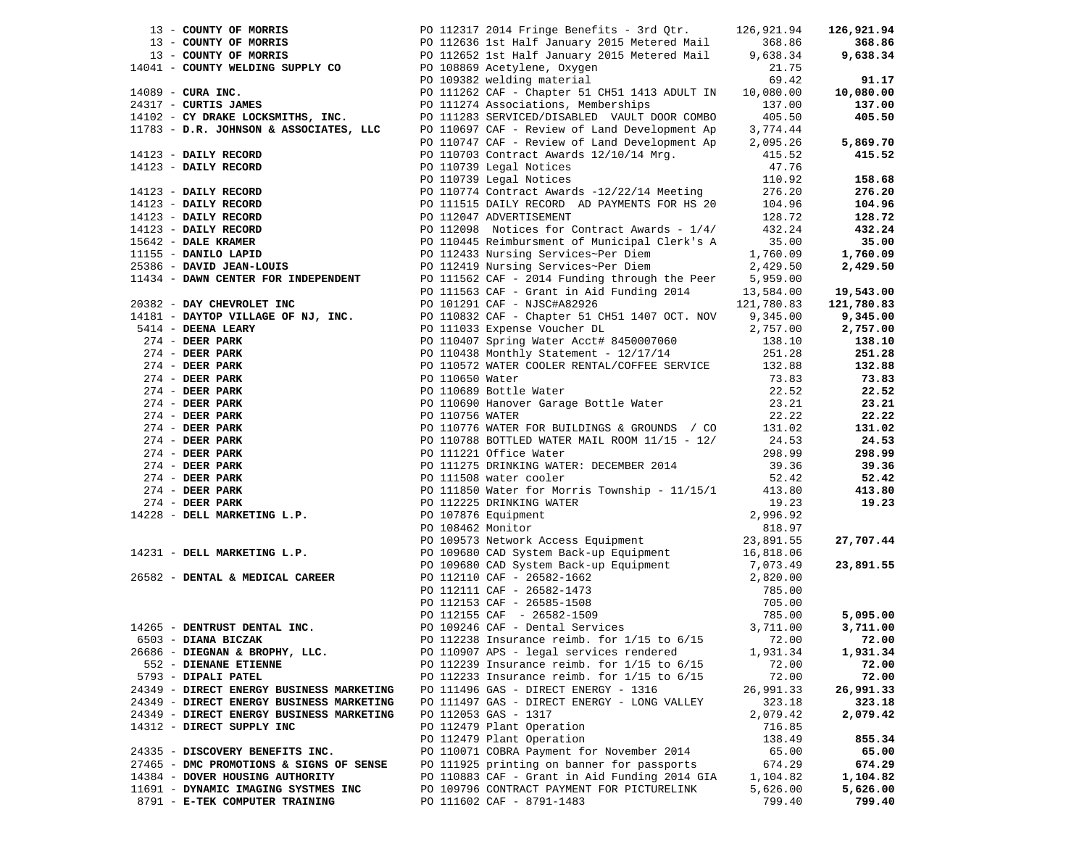|                                                                       | 13 - COUNTY OF MORRIS<br>13 - COUNTY OF MORRIS<br>13 - COUNTY OF MORRIS<br>13 - COUNTY OF MORRIS<br>13 - COUNTY OF MORRIS<br>14041 - COUNTY WELDING SUPPLY CO<br>14041 - COUNTY WELDING SUPPLY CO<br>24317 - CURR INC.<br>24317 - CURTIS JAME |                    | 126,921.94         |
|-----------------------------------------------------------------------|-----------------------------------------------------------------------------------------------------------------------------------------------------------------------------------------------------------------------------------------------|--------------------|--------------------|
|                                                                       |                                                                                                                                                                                                                                               |                    | 368.86             |
|                                                                       |                                                                                                                                                                                                                                               |                    | 9,638.34           |
|                                                                       |                                                                                                                                                                                                                                               |                    |                    |
|                                                                       |                                                                                                                                                                                                                                               |                    | 91.17              |
|                                                                       |                                                                                                                                                                                                                                               |                    | 10,080.00          |
|                                                                       |                                                                                                                                                                                                                                               |                    | 137.00             |
|                                                                       |                                                                                                                                                                                                                                               |                    | 405.50             |
|                                                                       |                                                                                                                                                                                                                                               |                    |                    |
|                                                                       |                                                                                                                                                                                                                                               |                    |                    |
|                                                                       |                                                                                                                                                                                                                                               |                    |                    |
|                                                                       |                                                                                                                                                                                                                                               |                    |                    |
|                                                                       |                                                                                                                                                                                                                                               |                    |                    |
|                                                                       |                                                                                                                                                                                                                                               |                    |                    |
|                                                                       |                                                                                                                                                                                                                                               |                    |                    |
|                                                                       |                                                                                                                                                                                                                                               |                    |                    |
|                                                                       |                                                                                                                                                                                                                                               |                    |                    |
|                                                                       |                                                                                                                                                                                                                                               |                    |                    |
|                                                                       |                                                                                                                                                                                                                                               |                    |                    |
|                                                                       |                                                                                                                                                                                                                                               |                    |                    |
|                                                                       |                                                                                                                                                                                                                                               |                    |                    |
|                                                                       |                                                                                                                                                                                                                                               |                    |                    |
|                                                                       | 141/23 - DAILY RECORD (110703 Contract Awarus 44.)<br>14123 - DAILY RECORD (110703 Contract Awarus 44.)<br>14123 - DAILY RECORD (110703 Legal Notices 110.92 459+32<br>14123 - DAILY RECORD (110703 Legal Notices 12/2/14 Meeting 1           |                    |                    |
|                                                                       |                                                                                                                                                                                                                                               |                    |                    |
|                                                                       |                                                                                                                                                                                                                                               |                    |                    |
|                                                                       |                                                                                                                                                                                                                                               |                    |                    |
|                                                                       |                                                                                                                                                                                                                                               |                    |                    |
|                                                                       |                                                                                                                                                                                                                                               |                    |                    |
|                                                                       | 20382 - DAY CHEWROLMF INC PO 111539 CAF - Grant in Aid Funding 2014 - 121,788.80 123,884.00<br>1911/112 - DAYCOF VILLAGES OF NUT, INC. PO 111633 CAF - NUSCHAR2326<br>2011/12 - DEER ABANK PO 111633 Reperine Woodler- In CHEC 10             |                    |                    |
|                                                                       |                                                                                                                                                                                                                                               |                    |                    |
|                                                                       |                                                                                                                                                                                                                                               |                    |                    |
|                                                                       |                                                                                                                                                                                                                                               |                    |                    |
|                                                                       |                                                                                                                                                                                                                                               |                    |                    |
|                                                                       |                                                                                                                                                                                                                                               |                    |                    |
|                                                                       |                                                                                                                                                                                                                                               |                    |                    |
|                                                                       |                                                                                                                                                                                                                                               |                    |                    |
|                                                                       |                                                                                                                                                                                                                                               |                    |                    |
|                                                                       |                                                                                                                                                                                                                                               |                    |                    |
|                                                                       |                                                                                                                                                                                                                                               |                    |                    |
|                                                                       |                                                                                                                                                                                                                                               |                    |                    |
|                                                                       |                                                                                                                                                                                                                                               |                    |                    |
|                                                                       |                                                                                                                                                                                                                                               |                    |                    |
|                                                                       |                                                                                                                                                                                                                                               |                    |                    |
|                                                                       |                                                                                                                                                                                                                                               |                    |                    |
|                                                                       |                                                                                                                                                                                                                                               |                    |                    |
|                                                                       |                                                                                                                                                                                                                                               |                    |                    |
|                                                                       |                                                                                                                                                                                                                                               |                    |                    |
|                                                                       |                                                                                                                                                                                                                                               |                    |                    |
|                                                                       |                                                                                                                                                                                                                                               |                    |                    |
|                                                                       | 6503 - DIANA BICZAK <b>DEPART 1989</b> PO 112238 Insurance reimb. for 1/15 to 6/15 72.00                                                                                                                                                      |                    | 72.00              |
| 26686 - DIEGNAN & BROPHY, LLC.                                        | PO 110907 APS - legal services rendered                                                                                                                                                                                                       | 1,931.34           | 1,931.34           |
| 552 - DIENANE ETIENNE                                                 | PO 112239 Insurance reimb. for 1/15 to 6/15                                                                                                                                                                                                   | 72.00              | 72.00              |
| 5793 - DIPALI PATEL                                                   | PO 112233 Insurance reimb. for $1/15$ to $6/15$                                                                                                                                                                                               | 72.00              | 72.00              |
| 24349 - DIRECT ENERGY BUSINESS MARKETING                              | PO 111496 GAS - DIRECT ENERGY - 1316                                                                                                                                                                                                          | 26,991.33          | 26,991.33          |
| 24349 - DIRECT ENERGY BUSINESS MARKETING                              | PO 111497 GAS - DIRECT ENERGY - LONG VALLEY                                                                                                                                                                                                   | 323.18             | 323.18             |
| 24349 - DIRECT ENERGY BUSINESS MARKETING                              | PO 112053 GAS - 1317                                                                                                                                                                                                                          | 2,079.42           | 2,079.42           |
| 14312 - DIRECT SUPPLY INC                                             | PO 112479 Plant Operation                                                                                                                                                                                                                     | 716.85             |                    |
|                                                                       | PO 112479 Plant Operation                                                                                                                                                                                                                     | 138.49             | 855.34             |
| 24335 - DISCOVERY BENEFITS INC.                                       | PO 110071 COBRA Payment for November 2014                                                                                                                                                                                                     | 65.00              | 65.00              |
| 27465 - DMC PROMOTIONS & SIGNS OF SENSE                               | PO 111925 printing on banner for passports                                                                                                                                                                                                    | 674.29             | 674.29             |
| 14384 - DOVER HOUSING AUTHORITY                                       | PO 110883 CAF - Grant in Aid Funding 2014 GIA                                                                                                                                                                                                 | 1,104.82           | 1,104.82           |
| 11691 - DYNAMIC IMAGING SYSTMES INC<br>8791 - R-TRK COMPUTER TRAINING | PO 109796 CONTRACT PAYMENT FOR PICTURELINK<br>PO 111602 CAF - 8791-1483                                                                                                                                                                       | 5,626.00<br>799.40 | 5,626.00<br>799.40 |
|                                                                       |                                                                                                                                                                                                                                               |                    |                    |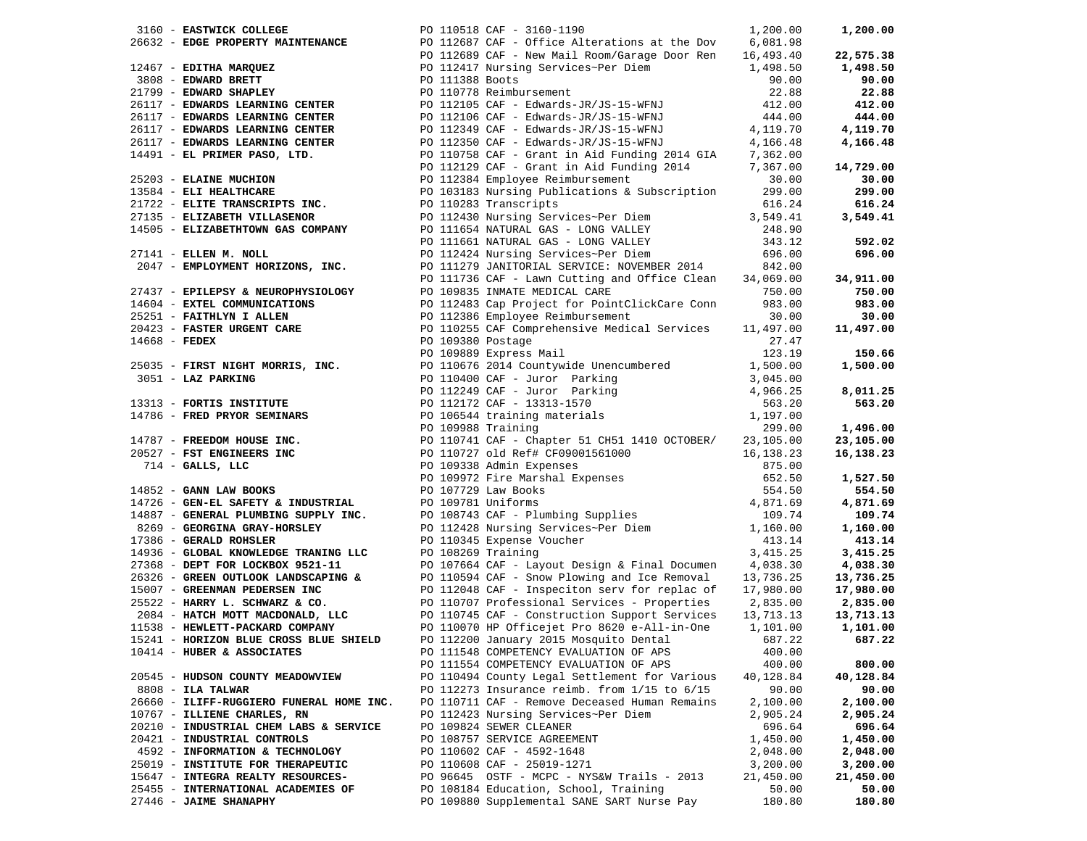| 3160 - EASTWICK COLLEGE                  | PO 110518 CAF - 3160-1190<br>1,200.00                                                                                                                                                                                                                                  |                  | 1,200.00  |
|------------------------------------------|------------------------------------------------------------------------------------------------------------------------------------------------------------------------------------------------------------------------------------------------------------------------|------------------|-----------|
|                                          | 3160 - <b>EASTWICK COLLEGE</b><br>20110518 CAF - 1160-1190 CAP - 3160-1190<br>20112689 CAF - Office Alterations at the Dov<br>2011388<br>20117 <b>FIX MARQUEZ</b><br>2011279 - <b>EDWARD BRETT</b><br>20117 - <b>EDWARD SLEARNING CENTER</b><br>20117 - <b>EDWARD </b> |                  |           |
|                                          |                                                                                                                                                                                                                                                                        |                  | 22,575.38 |
|                                          |                                                                                                                                                                                                                                                                        |                  | 1,498.50  |
|                                          |                                                                                                                                                                                                                                                                        |                  | 90.00     |
|                                          |                                                                                                                                                                                                                                                                        |                  | 22.88     |
|                                          |                                                                                                                                                                                                                                                                        |                  |           |
|                                          |                                                                                                                                                                                                                                                                        |                  | 412.00    |
|                                          |                                                                                                                                                                                                                                                                        |                  | 444.00    |
|                                          |                                                                                                                                                                                                                                                                        |                  | 4,119.70  |
|                                          |                                                                                                                                                                                                                                                                        |                  | 4,166.48  |
|                                          |                                                                                                                                                                                                                                                                        |                  |           |
|                                          |                                                                                                                                                                                                                                                                        |                  | 14,729.00 |
|                                          |                                                                                                                                                                                                                                                                        |                  | 30.00     |
|                                          |                                                                                                                                                                                                                                                                        |                  |           |
|                                          |                                                                                                                                                                                                                                                                        |                  | 299.00    |
|                                          |                                                                                                                                                                                                                                                                        |                  | 616.24    |
|                                          |                                                                                                                                                                                                                                                                        |                  | 3,549.41  |
|                                          |                                                                                                                                                                                                                                                                        |                  |           |
|                                          | PO 111661 NATURAL GAS - LONG VALLEY<br>PO 112424 Nursing Services~Per Diem                                                                                                                                                                                             | 343.12<br>696.00 | 592.02    |
| 27141 - ELLEN M. NOLL                    |                                                                                                                                                                                                                                                                        |                  | 696.00    |
| 2047 - EMPLOYMENT HORIZONS, INC.         |                                                                                                                                                                                                                                                                        |                  |           |
|                                          | PO 111279 JANITORIAL SERVICE: NOVEMBER 2014 842.00<br>PO 111736 CAF - Lawn Cutting and Office Clean 34,069.00                                                                                                                                                          |                  | 34,911.00 |
|                                          |                                                                                                                                                                                                                                                                        |                  | 750.00    |
|                                          |                                                                                                                                                                                                                                                                        |                  |           |
|                                          |                                                                                                                                                                                                                                                                        |                  | 983.00    |
|                                          |                                                                                                                                                                                                                                                                        |                  | 30.00     |
|                                          |                                                                                                                                                                                                                                                                        |                  | 11,497.00 |
|                                          |                                                                                                                                                                                                                                                                        |                  |           |
|                                          |                                                                                                                                                                                                                                                                        |                  | 150.66    |
|                                          |                                                                                                                                                                                                                                                                        |                  | 1,500.00  |
|                                          |                                                                                                                                                                                                                                                                        |                  |           |
|                                          |                                                                                                                                                                                                                                                                        |                  | 8,011.25  |
|                                          |                                                                                                                                                                                                                                                                        |                  | 563.20    |
|                                          |                                                                                                                                                                                                                                                                        |                  |           |
|                                          | 2047 - <b>ENFLORENT HORIZONS, INC.</b><br>2011/275 JAMITORIAL ESPICIES INTEGRAL ESPICIES (1918) 2012/276 JAMITORIAL ESPICIES (1918) 2012/276 JAMITORIAL 2013-01<br>2011/275 CAP - Law Cutting and Office Clean 34,069.00<br>2012/27 - <b>E</b>                         |                  |           |
|                                          |                                                                                                                                                                                                                                                                        |                  | 1,496.00  |
|                                          |                                                                                                                                                                                                                                                                        |                  | 23,105.00 |
|                                          |                                                                                                                                                                                                                                                                        |                  | 16,138.23 |
|                                          |                                                                                                                                                                                                                                                                        |                  |           |
|                                          |                                                                                                                                                                                                                                                                        |                  | 1,527.50  |
|                                          |                                                                                                                                                                                                                                                                        |                  | 554.50    |
|                                          |                                                                                                                                                                                                                                                                        |                  | 4,871.69  |
|                                          |                                                                                                                                                                                                                                                                        |                  | 109.74    |
|                                          |                                                                                                                                                                                                                                                                        |                  |           |
|                                          |                                                                                                                                                                                                                                                                        |                  | 1,160.00  |
|                                          |                                                                                                                                                                                                                                                                        |                  | 413.14    |
|                                          |                                                                                                                                                                                                                                                                        |                  | 3,415.25  |
|                                          |                                                                                                                                                                                                                                                                        |                  | 4,038.30  |
|                                          |                                                                                                                                                                                                                                                                        |                  | 13,736.25 |
|                                          |                                                                                                                                                                                                                                                                        |                  | 17,980.00 |
|                                          |                                                                                                                                                                                                                                                                        |                  | 2,835.00  |
|                                          |                                                                                                                                                                                                                                                                        | 13,713.13        | 13,713.13 |
|                                          |                                                                                                                                                                                                                                                                        |                  | 1,101.00  |
| 15241 - HORIZON BLUE CROSS BLUE SHIELD   | PO 112200 January 2015 Mosquito Dental                                                                                                                                                                                                                                 | 687.22           | 687.22    |
| 10414 - HUBER & ASSOCIATES               |                                                                                                                                                                                                                                                                        |                  |           |
|                                          | PO 111548 COMPETENCY EVALUATION OF APS                                                                                                                                                                                                                                 | 400.00           |           |
|                                          | PO 111554 COMPETENCY EVALUATION OF APS                                                                                                                                                                                                                                 | 400.00           | 800.00    |
| 20545 - HUDSON COUNTY MEADOWVIEW         | PO 110494 County Legal Settlement for Various                                                                                                                                                                                                                          | 40,128.84        | 40,128.84 |
| $8808$ - ILA TALWAR                      | PO 112273 Insurance reimb. from $1/15$ to $6/15$                                                                                                                                                                                                                       | 90.00            | 90.00     |
| 26660 - ILIFF-RUGGIERO FUNERAL HOME INC. | PO 110711 CAF - Remove Deceased Human Remains                                                                                                                                                                                                                          | 2,100.00         | 2,100.00  |
| 10767 - ILLIENE CHARLES, RN              | PO 112423 Nursing Services~Per Diem                                                                                                                                                                                                                                    | 2,905.24         | 2,905.24  |
| 20210 - INDUSTRIAL CHEM LABS & SERVICE   | PO 109824 SEWER CLEANER                                                                                                                                                                                                                                                | 696.64           | 696.64    |
| 20421 - INDUSTRIAL CONTROLS              | PO 108757 SERVICE AGREEMENT                                                                                                                                                                                                                                            | 1,450.00         | 1,450.00  |
| 4592 - INFORMATION & TECHNOLOGY          | PO 110602 CAF - 4592-1648                                                                                                                                                                                                                                              | 2,048.00         | 2,048.00  |
|                                          | PO 110608 CAF - 25019-1271                                                                                                                                                                                                                                             |                  |           |
| 25019 - INSTITUTE FOR THERAPEUTIC        |                                                                                                                                                                                                                                                                        | 3,200.00         | 3,200.00  |
| 15647 - INTEGRA REALTY RESOURCES-        | PO 96645 OSTF - MCPC - NYS&W Trails - 2013                                                                                                                                                                                                                             | 21,450.00        | 21,450.00 |
| 25455 - INTERNATIONAL ACADEMIES OF       | PO 108184 Education, School, Training                                                                                                                                                                                                                                  | 50.00            | 50.00     |
| 27446 - JAIME SHANAPHY                   | PO 109880 Supplemental SANE SART Nurse Pay                                                                                                                                                                                                                             | 180.80           | 180.80    |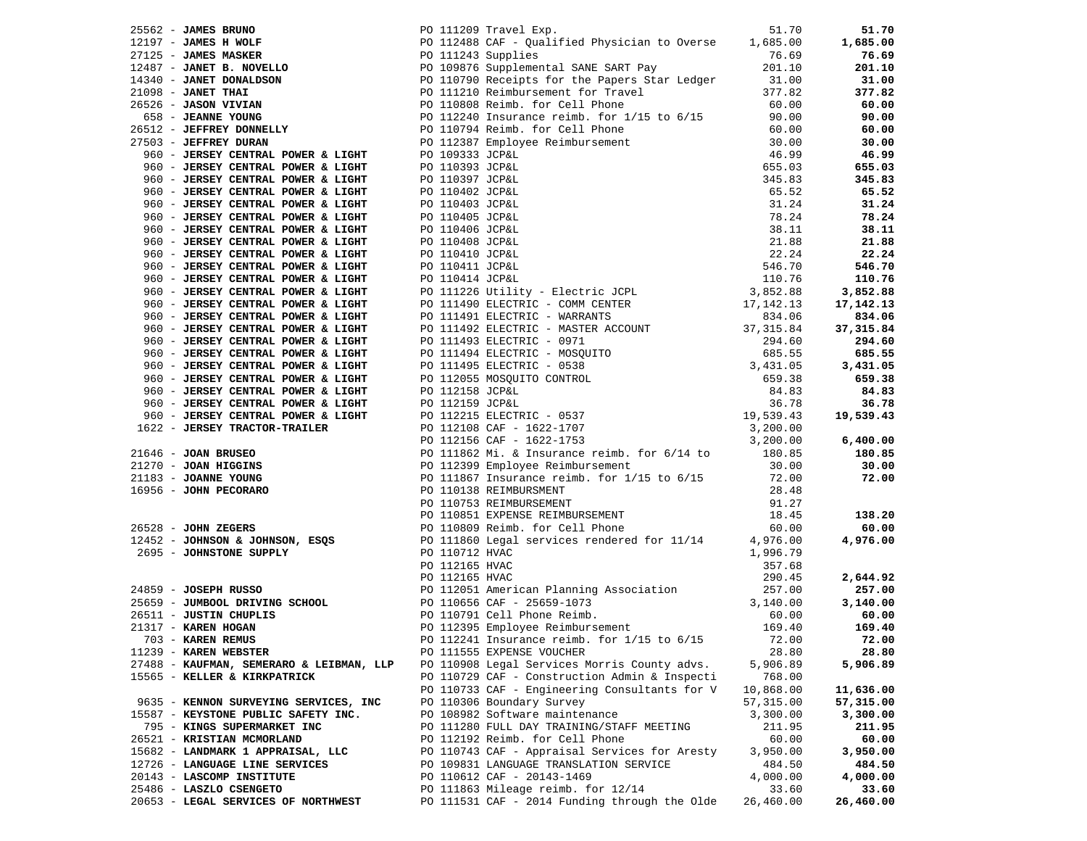|                                                                                                                | 1916-62 - JAMES BRIWSON 1920 THE 20111209 Travel Experimental SANE SAT PO 112488 CAF - Qualified Physician to Overse 1,685.00 1<br>1912497 - JAMES MAGERE 1920 112488 CAF - Qualified Physician to Overse 1,685.00 1<br>192497 -  |           | 51.70             |
|----------------------------------------------------------------------------------------------------------------|-----------------------------------------------------------------------------------------------------------------------------------------------------------------------------------------------------------------------------------|-----------|-------------------|
|                                                                                                                |                                                                                                                                                                                                                                   |           | 1,685.00          |
|                                                                                                                |                                                                                                                                                                                                                                   |           | 76.69             |
|                                                                                                                |                                                                                                                                                                                                                                   |           |                   |
|                                                                                                                |                                                                                                                                                                                                                                   |           | $201.00$<br>31.00 |
|                                                                                                                |                                                                                                                                                                                                                                   |           | 377.82            |
|                                                                                                                |                                                                                                                                                                                                                                   |           | 60.00             |
|                                                                                                                |                                                                                                                                                                                                                                   |           | 90.00             |
|                                                                                                                |                                                                                                                                                                                                                                   |           | 60.00             |
|                                                                                                                |                                                                                                                                                                                                                                   |           | 30.00             |
|                                                                                                                |                                                                                                                                                                                                                                   |           | 46.99             |
|                                                                                                                |                                                                                                                                                                                                                                   |           | 655.03            |
|                                                                                                                |                                                                                                                                                                                                                                   |           |                   |
|                                                                                                                |                                                                                                                                                                                                                                   |           | 345.83            |
|                                                                                                                |                                                                                                                                                                                                                                   |           | 65.52             |
|                                                                                                                |                                                                                                                                                                                                                                   |           | 31.24             |
|                                                                                                                |                                                                                                                                                                                                                                   |           | 78.24             |
|                                                                                                                |                                                                                                                                                                                                                                   |           | 38.11             |
|                                                                                                                |                                                                                                                                                                                                                                   |           | 21.88             |
|                                                                                                                |                                                                                                                                                                                                                                   |           | 22.24             |
|                                                                                                                |                                                                                                                                                                                                                                   |           | 546.70            |
|                                                                                                                |                                                                                                                                                                                                                                   |           | 110.76            |
|                                                                                                                |                                                                                                                                                                                                                                   |           | 3,852.88          |
|                                                                                                                |                                                                                                                                                                                                                                   |           | 17,142.13         |
|                                                                                                                |                                                                                                                                                                                                                                   |           | 834.06            |
| 960 - JERSEY CENTRAL POWER & LIGHT<br>960 - JERSEY CENTRAL POWER & LIGHT<br>960 - JERSEY CENTRAL POWER & LIGHT |                                                                                                                                                                                                                                   |           | 37,315.84         |
|                                                                                                                |                                                                                                                                                                                                                                   |           | 294.60            |
|                                                                                                                |                                                                                                                                                                                                                                   |           | 685.55            |
|                                                                                                                |                                                                                                                                                                                                                                   |           | 3,431.05          |
|                                                                                                                |                                                                                                                                                                                                                                   |           | 659.38            |
|                                                                                                                |                                                                                                                                                                                                                                   |           | 84.83             |
|                                                                                                                |                                                                                                                                                                                                                                   |           | 36.78             |
|                                                                                                                |                                                                                                                                                                                                                                   |           | 19,539.43         |
|                                                                                                                |                                                                                                                                                                                                                                   |           |                   |
|                                                                                                                |                                                                                                                                                                                                                                   |           | 6,400.00          |
|                                                                                                                |                                                                                                                                                                                                                                   |           |                   |
|                                                                                                                |                                                                                                                                                                                                                                   |           | 180.85<br>30.00   |
|                                                                                                                |                                                                                                                                                                                                                                   |           |                   |
|                                                                                                                |                                                                                                                                                                                                                                   |           | 72.00             |
|                                                                                                                |                                                                                                                                                                                                                                   |           |                   |
|                                                                                                                |                                                                                                                                                                                                                                   |           |                   |
|                                                                                                                |                                                                                                                                                                                                                                   |           | 138.20            |
|                                                                                                                |                                                                                                                                                                                                                                   |           | 60.00             |
|                                                                                                                |                                                                                                                                                                                                                                   |           | 4,976.00          |
|                                                                                                                |                                                                                                                                                                                                                                   |           |                   |
|                                                                                                                |                                                                                                                                                                                                                                   |           |                   |
|                                                                                                                | 960 - JERSEY CENTRAL POWER & LIGHT PO 111490 ELECTRIC - COMP CENTRE 17.142.13<br>960 - JERSEY CENTRAL POWER & LIGHT PO 111491 ELECTRIC - MAREANTS 17.142.13<br>960 - JERSEY CENTRAL POWER & LIGHT PO 111493 ELECTRIC - MAREANTS 2 |           | 2,644.92          |
|                                                                                                                |                                                                                                                                                                                                                                   |           | 257.00            |
|                                                                                                                |                                                                                                                                                                                                                                   |           | 3,140.00          |
|                                                                                                                |                                                                                                                                                                                                                                   |           | 60.00             |
|                                                                                                                |                                                                                                                                                                                                                                   |           | 169.40            |
|                                                                                                                | PO 112241 Insurance reimb. for 1/15 to 6/15 72.00 72.00                                                                                                                                                                           |           |                   |
| 11239 - KAREN WEBSTER                                                                                          | PO 111555 EXPENSE VOUCHER                                                                                                                                                                                                         | 28.80     | 28.80             |
| 27488 - KAUFMAN, SEMERARO & LEIBMAN, LLP                                                                       | PO 110908 Legal Services Morris County advs.                                                                                                                                                                                      | 5,906.89  | 5,906.89          |
| 15565 - KELLER & KIRKPATRICK                                                                                   | PO 110729 CAF - Construction Admin & Inspecti                                                                                                                                                                                     | 768.00    |                   |
|                                                                                                                | PO 110733 CAF - Engineering Consultants for V                                                                                                                                                                                     | 10,868.00 | 11,636.00         |
| 9635 - KENNON SURVEYING SERVICES, INC                                                                          | PO 110306 Boundary Survey                                                                                                                                                                                                         | 57,315.00 | 57,315.00         |
| 15587 - KEYSTONE PUBLIC SAFETY INC.                                                                            | PO 108982 Software maintenance                                                                                                                                                                                                    | 3,300.00  | 3,300.00          |
| 795 - KINGS SUPERMARKET INC                                                                                    | PO 111280 FULL DAY TRAINING/STAFF MEETING                                                                                                                                                                                         | 211.95    | 211.95            |
| 26521 - KRISTIAN MCMORLAND                                                                                     | PO 112192 Reimb. for Cell Phone                                                                                                                                                                                                   | 60.00     | 60.00             |
| 15682 - LANDMARK 1 APPRAISAL, LLC                                                                              | PO 110743 CAF - Appraisal Services for Aresty                                                                                                                                                                                     | 3,950.00  | 3,950.00          |
| 12726 - LANGUAGE LINE SERVICES                                                                                 | PO 109831 LANGUAGE TRANSLATION SERVICE                                                                                                                                                                                            | 484.50    | 484.50            |
| 20143 - LASCOMP INSTITUTE                                                                                      | PO 110612 CAF - 20143-1469                                                                                                                                                                                                        | 4,000.00  | 4,000.00          |
| 25486 - LASZLO CSENGETO                                                                                        | PO 111863 Mileage reimb. for 12/14                                                                                                                                                                                                | 33.60     | 33.60             |
|                                                                                                                |                                                                                                                                                                                                                                   |           |                   |
| 20653 - LEGAL SERVICES OF NORTHWEST                                                                            | PO 111531 CAF - 2014 Funding through the Olde                                                                                                                                                                                     | 26,460.00 | 26,460.00         |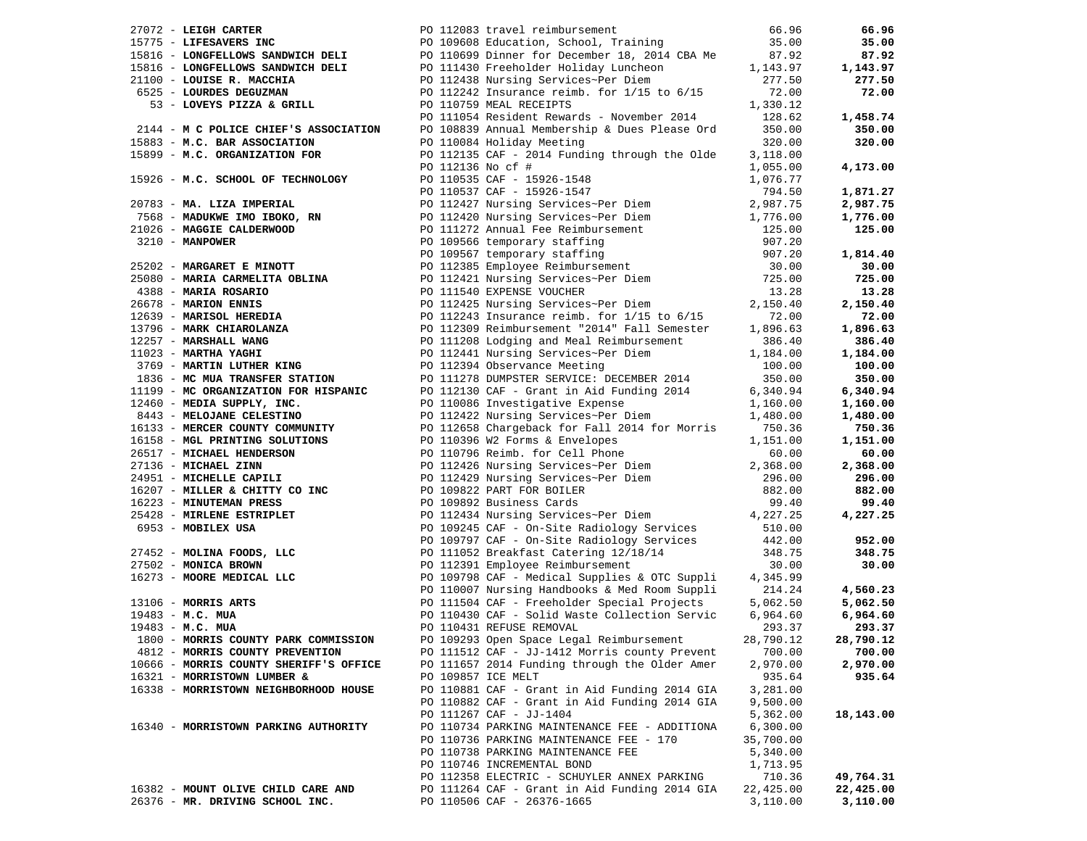| $27072$ - LEIGH CARTER                                      | PO 112083 travel reimbursement                                                                                                                                                                                                                   | 66.96            | 66.96     |
|-------------------------------------------------------------|--------------------------------------------------------------------------------------------------------------------------------------------------------------------------------------------------------------------------------------------------|------------------|-----------|
| 15775 - LIFESAVERS INC                                      | PO 109608 Education, School, Training                                                                                                                                                                                                            | 35.00            | 35.00     |
|                                                             | 15816 - LONGFELLOWS SANDWICH DELI PO 110699 Dinner for December 18, 2014 CBA Me                                                                                                                                                                  | 87.92            | 87.92     |
| 15816 - LONGFELLOWS SANDWICH DELI                           |                                                                                                                                                                                                                                                  | 1,143.97         | 1,143.97  |
| 21100 - LOUISE R. MACCHIA                                   | PO 112438 Nursing Services~Per Diem<br>PO 112439 Nursing Services~Per Diem                                                                                                                                                                       | 277.50           | 277.50    |
| 6525 - LOURDES DEGUZMAN                                     | PO 112242 Insurance reimb. for $1/15$ to $6/15$                                                                                                                                                                                                  | 72.00            | 72.00     |
| 53 - LOVEYS PIZZA & GRILL                                   | PO 110759 MEAL RECEIPTS                                                                                                                                                                                                                          | 1,330.12         |           |
|                                                             | PO 111054 Resident Rewards - November 2014                                                                                                                                                                                                       | 128.62           | 1,458.74  |
| 2144 - M C POLICE CHIEF'S ASSOCIATION                       | PO 108839 Annual Membership & Dues Please Ord                                                                                                                                                                                                    | 350.00           | 350.00    |
| 15883 - M.C. BAR ASSOCIATION                                | PO 110084 Holiday Meeting                                                                                                                                                                                                                        | 320.00           | 320.00    |
| 15899 - M.C. ORGANIZATION FOR                               | PO 112135 CAF - 2014 Funding through the Olde                                                                                                                                                                                                    | 3,118.00         |           |
|                                                             | PO 112136 No cf #                                                                                                                                                                                                                                | 1,055.00         | 4,173.00  |
| 15926 - M.C. SCHOOL OF TECHNOLOGY                           |                                                                                                                                                                                                                                                  | 1,076.77         |           |
|                                                             | PO 110535 CAF - 15926-1548<br>PO 110537 CAF - 15926-1547<br>PO 112427 Nursing Services~Per Diem                                                                                                                                                  | 794.50           | 1,871.27  |
| 20783 - MA. LIZA IMPERIAL                                   |                                                                                                                                                                                                                                                  | 2,987.75         | 2,987.75  |
|                                                             |                                                                                                                                                                                                                                                  |                  |           |
| 7568 - MADUKWE IMO IBOKO, RN                                |                                                                                                                                                                                                                                                  | 1,776.00         | 1,776.00  |
| 21026 - MAGGIE CALDERWOOD                                   |                                                                                                                                                                                                                                                  | 125.00           | 125.00    |
| 3210 - MANPOWER                                             | PO 112420 Nursing Services-Per Diem<br>PO 112420 Nursing Services-Per Diem<br>PO 11272 Annual Fee Reimbursement<br>PO 109566 temporary staffing<br>PO 109567 temporary staffing<br>PO 112385 Employee Reimbursement<br>PO 112421 Nursing Service | 907.20<br>907.20 |           |
|                                                             |                                                                                                                                                                                                                                                  |                  | 1,814.40  |
| 25202 - MARGARET E MINOTT                                   |                                                                                                                                                                                                                                                  | 30.00<br>725.00  | 30.00     |
|                                                             |                                                                                                                                                                                                                                                  |                  | 725.00    |
|                                                             |                                                                                                                                                                                                                                                  | 13.28            | 13.28     |
|                                                             |                                                                                                                                                                                                                                                  | 2,150.40         | 2,150.40  |
|                                                             | PO 112243 Insurance reimb. for $1/15$ to $6/15$                                                                                                                                                                                                  | 72.00            | 72.00     |
|                                                             |                                                                                                                                                                                                                                                  | 1,896.63         | 1,896.63  |
|                                                             | 25202 - MARGARET E MINOTT<br>25080 - MARIA CARMELITA OBLINA<br>4388 - MARIA ROSARIO<br>26678 - MARION ENNIS<br>2639 - MARISOL HEREDIA<br>2639 - MARISOL HEREDIA<br>20112425 Nursing Services~Per Diem<br>20112425 Nursing Services~Per Diem<br>  | 386.40           | 386.40    |
| 11023 - MARTHA YAGHI                                        | PO 112441 Nursing Services~Per Diem                                                                                                                                                                                                              | 1,184.00         | 1,184.00  |
| 3769 - MARTIN LUTHER KING                                   | PO 112394 Observance Meeting                                                                                                                                                                                                                     | 100.00           | 100.00    |
| 1836 - MC MUA TRANSFER STATION                              | PO 111278 DUMPSTER SERVICE: DECEMBER 2014                                                                                                                                                                                                        | 350.00           | 350.00    |
| 11199 - MC ORGANIZATION FOR HISPANIC                        | PO 112130 CAF - Grant in Aid Funding 2014                                                                                                                                                                                                        | 6,340.94         | 6,340.94  |
| 12460 - MEDIA SUPPLY, INC.                                  | PO 110086 Investigative Expense                                                                                                                                                                                                                  | 1,160.00         | 1,160.00  |
| 8443 - MELOJANE CELESTINO                                   | PO 112422 Nursing Services~Per Diem                                                                                                                                                                                                              | 1,480.00         | 1,480.00  |
| 16133 - MERCER COUNTY COMMUNITY                             | PO 112658 Chargeback for Fall 2014 for Morris                                                                                                                                                                                                    | 750.36           | 750.36    |
| 16158 - MGL PRINTING SOLUTIONS                              | PO 110396 W2 Forms & Envelopes                                                                                                                                                                                                                   | 1,151.00         | 1,151.00  |
| 26517 - MICHAEL HENDERSON                                   | PO 110796 Reimb. for Cell Phone<br>PO 112426 Nursing Services~Per Diem                                                                                                                                                                           | 60.00            | 60.00     |
| 27136 - MICHAEL ZINN                                        |                                                                                                                                                                                                                                                  | 2,368.00         | 2,368.00  |
| 24951 - MICHELLE CAPILI                                     | PO 112429 Nursing Services~Per Diem<br>PO 109822 PART FOR BOILER<br>PO 109892 Business Cards                                                                                                                                                     | 296.00           | 296.00    |
| 16207 - MILLER & CHITTY CO INC                              |                                                                                                                                                                                                                                                  | 882.00           | 882.00    |
| 16223 - MINUTEMAN PRESS                                     |                                                                                                                                                                                                                                                  | 99.40            | 99.40     |
| 25428 - MIRLENE ESTRIPLET                                   | PO 112434 Nursing Services~Per Diem                                                                                                                                                                                                              | 4,227.25         | 4,227.25  |
| 6953 - MOBILEX USA                                          | PO 109245 CAF - On-Site Radiology Services                                                                                                                                                                                                       | 510.00           |           |
|                                                             | PO 109797 CAF - On-Site Radiology Services                                                                                                                                                                                                       | 442.00           | 952.00    |
| $27452$ - MOLINA FOODS, LLC                                 | PO 111052 Breakfast Catering 12/18/14                                                                                                                                                                                                            | 348.75           | 348.75    |
| 27502 - MONICA BROWN                                        | PO 112391 Employee Reimbursement                                                                                                                                                                                                                 | 30.00            | 30.00     |
| 16273 - MOORE MEDICAL LLC                                   | PO 109798 CAF - Medical Supplies & OTC Suppli                                                                                                                                                                                                    | 4,345.99         |           |
|                                                             | PO 110007 Nursing Handbooks & Med Room Suppli                                                                                                                                                                                                    | 214.24           | 4,560.23  |
|                                                             | PO 111504 CAF - Freeholder Special Projects                                                                                                                                                                                                      | 5,062.50         | 5,062.50  |
| 13106 - MORRIS ARTS<br>19483 - M.C. MUA<br>19482 - M.C. MUA | PO 110430 CAF - Solid Waste Collection Servic                                                                                                                                                                                                    | 6,964.60         | 6,964.60  |
| 19483 - M.C. MUA                                            | PO 110431 REFUSE REMOVAL                                                                                                                                                                                                                         | 293.37           | 293.37    |
| 1800 - MORRIS COUNTY PARK COMMISSION                        | PO 109293 Open Space Legal Reimbursement                                                                                                                                                                                                         | 28,790.12        | 28,790.12 |
| 4812 - MORRIS COUNTY PREVENTION                             | PO 111512 CAF - JJ-1412 Morris county Prevent                                                                                                                                                                                                    | 700.00           | 700.00    |
| 10666 - MORRIS COUNTY SHERIFF'S OFFICE                      | PO 111657 2014 Funding through the Older Amer                                                                                                                                                                                                    | 2,970.00         | 2,970.00  |
| 16321 - MORRISTOWN LUMBER &                                 | PO 109857 ICE MELT                                                                                                                                                                                                                               | 935.64           | 935.64    |
| 16338 - MORRISTOWN NEIGHBORHOOD HOUSE                       | PO 110881 CAF - Grant in Aid Funding 2014 GIA                                                                                                                                                                                                    | 3,281.00         |           |
|                                                             | PO 110882 CAF - Grant in Aid Funding 2014 GIA                                                                                                                                                                                                    | 9,500.00         |           |
|                                                             | PO 111267 CAF - JJ-1404                                                                                                                                                                                                                          | 5,362.00         | 18,143.00 |
| 16340 - MORRISTOWN PARKING AUTHORITY                        | PO 110734 PARKING MAINTENANCE FEE - ADDITIONA                                                                                                                                                                                                    | 6,300.00         |           |
|                                                             | PO 110736 PARKING MAINTENANCE FEE - 170                                                                                                                                                                                                          | 35,700.00        |           |
|                                                             | PO 110738 PARKING MAINTENANCE FEE                                                                                                                                                                                                                | 5,340.00         |           |
|                                                             | PO 110746 INCREMENTAL BOND                                                                                                                                                                                                                       | 1,713.95         |           |
|                                                             | PO 112358 ELECTRIC - SCHUYLER ANNEX PARKING                                                                                                                                                                                                      | 710.36           | 49,764.31 |
| 16382 - MOUNT OLIVE CHILD CARE AND                          |                                                                                                                                                                                                                                                  |                  |           |
| 26376 - MR. DRIVING SCHOOL INC.                             | PO 111264 CAF - Grant in Aid Funding 2014 GIA                                                                                                                                                                                                    | 22,425.00        | 22,425.00 |
|                                                             | PO 110506 CAF - 26376-1665                                                                                                                                                                                                                       | 3,110.00         | 3,110.00  |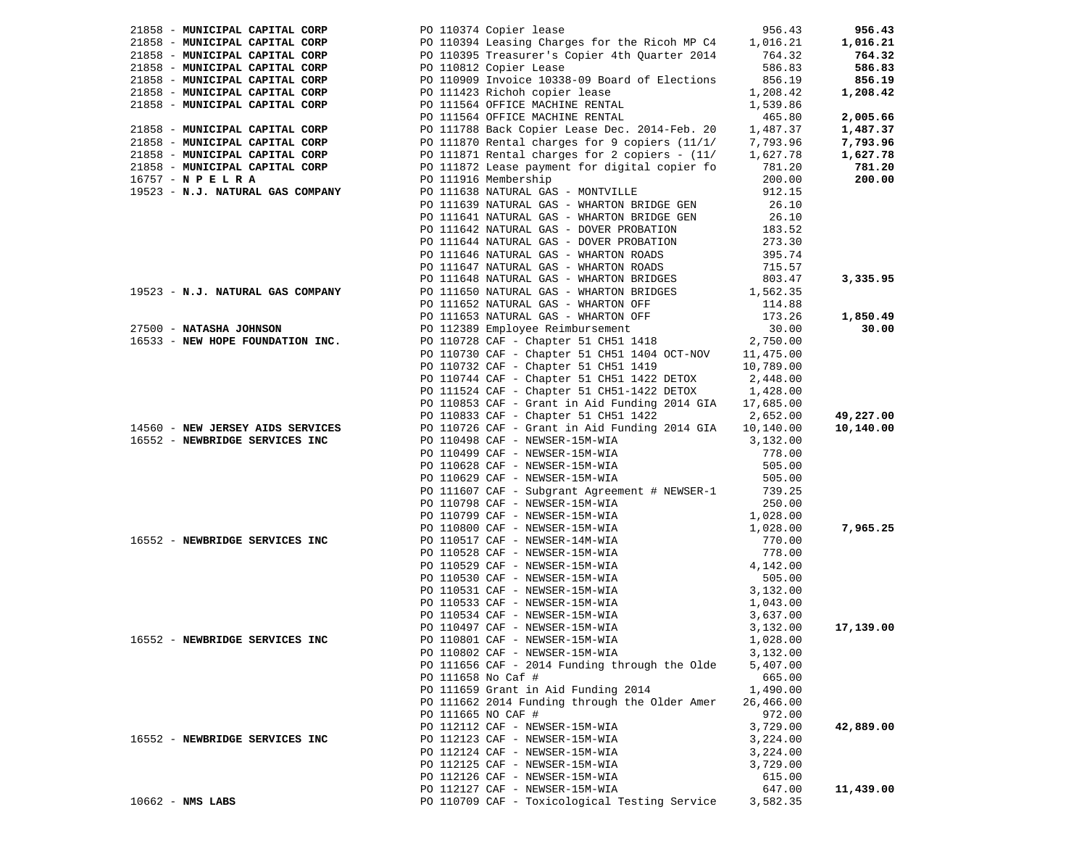| 21858 - MUNICIPAL CAPITAL CORP   | PO 110374 Copier lease                                                                                         | 956.43               | 956.43    |
|----------------------------------|----------------------------------------------------------------------------------------------------------------|----------------------|-----------|
| 21858 - MUNICIPAL CAPITAL CORP   | PO 110394 Leasing Charges for the Ricoh MP C4 1,016.21<br>PO 110395 Treasurer's Copier 4th Quarter 2014 764.32 |                      | 1,016.21  |
| 21858 - MUNICIPAL CAPITAL CORP   |                                                                                                                |                      | 764.32    |
| 21858 - MUNICIPAL CAPITAL CORP   | PO 110812 Copier Lease                                                                                         | 586.83               | 586.83    |
| 21858 - MUNICIPAL CAPITAL CORP   | PO 110909 Invoice 10338-09 Board of Elections                                                                  | 856.19               | 856.19    |
| 21858 - MUNICIPAL CAPITAL CORP   | PO 111423 Richoh copier lease                                                                                  | 1,208.42             | 1,208.42  |
| 21858 - MUNICIPAL CAPITAL CORP   | PO 111564 OFFICE MACHINE RENTAL                                                                                | 1,539.86             |           |
|                                  | PO 111564 OFFICE MACHINE RENTAL                                                                                | 465.80               | 2,005.66  |
| 21858 - MUNICIPAL CAPITAL CORP   | PO 111788 Back Copier Lease Dec. 2014-Feb. 20                                                                  | 1,487.37             | 1,487.37  |
| 21858 - MUNICIPAL CAPITAL CORP   | PO 111870 Rental charges for 9 copiers $(11/1/77793.96$                                                        |                      | 7,793.96  |
| 21858 - MUNICIPAL CAPITAL CORP   | PO 111871 Rental charges for 2 copiers - $(11/1, 627.78)$                                                      |                      | 1,627.78  |
| 21858 - MUNICIPAL CAPITAL CORP   | PO 111872 Lease payment for digital copier fo                                                                  | 781.20               | 781.20    |
| $16757 - N$ P E L R A            | PO 111916 Membership                                                                                           | 200.00               | 200.00    |
| 19523 - N.J. NATURAL GAS COMPANY | PO 111638 NATURAL GAS - MONTVILLE                                                                              | 912.15               |           |
|                                  | PO 111639 NATURAL GAS - WHARTON BRIDGE GEN                                                                     | 26.10                |           |
|                                  | PO 111641 NATURAL GAS - WHARTON BRIDGE GEN                                                                     | 26.10                |           |
|                                  | PO 111642 NATURAL GAS - DOVER PROBATION                                                                        | 183.52               |           |
|                                  | PO 111644 NATURAL GAS - DOVER PROBATION                                                                        | 273.30               |           |
|                                  | PO 111646 NATURAL GAS - WHARTON ROADS                                                                          | 395.74               |           |
|                                  | PO 111647 NATURAL GAS - WHARTON ROADS                                                                          | 715.57               |           |
|                                  | PO 111648 NATURAL GAS - WHARTON BRIDGES                                                                        | 803.47               | 3,335.95  |
| 19523 - N.J. NATURAL GAS COMPANY | PO 111650 NATURAL GAS - WHARTON BRIDGES                                                                        | 1,562.35             |           |
|                                  | PO 111652 NATURAL GAS - WHARTON OFF                                                                            | 114.88               |           |
|                                  |                                                                                                                | 173.26               | 1,850.49  |
| 27500 - NATASHA JOHNSON          | PO 111653 NATURAL GAS - WHARTON OFF<br>PO 112389 Employee Reimbursement                                        | 30.00                | 30.00     |
| 16533 - NEW HOPE FOUNDATION INC. | PO 110728 CAF - Chapter 51 CH51 1418                                                                           | 2,750.00             |           |
|                                  | PO 110730 CAF - Chapter 51 CH51 1404 OCT-NOV 11,475.00                                                         |                      |           |
|                                  | PO 110732 CAF - Chapter 51 CH51 1419                                                                           | 10,789.00            |           |
|                                  | PO 110744 CAF - Chapter 51 CH51 1422 DETOX                                                                     | 2,448.00             |           |
|                                  | PO 111524 CAF - Chapter 51 CH51-1422 DETOX                                                                     | 1,428.00             |           |
|                                  | PO 110853 CAF - Grant in Aid Funding 2014 GIA                                                                  | 17,685.00            |           |
|                                  | PO 110833 CAF - Chapter 51 CH51 1422                                                                           | 2,652.00             | 49,227.00 |
| 14560 - NEW JERSEY AIDS SERVICES | PO 110726 CAF - Grant in Aid Funding 2014 GIA                                                                  | 10,140.00            | 10,140.00 |
| 16552 - NEWBRIDGE SERVICES INC   | PO 110498 CAF - NEWSER-15M-WIA                                                                                 | 3,132.00             |           |
|                                  | PO 110499 CAF - NEWSER-15M-WIA                                                                                 | 778.00               |           |
|                                  | PO 110628 CAF - NEWSER-15M-WIA                                                                                 | 505.00               |           |
|                                  | PO 110629 CAF - NEWSER-15M-WIA                                                                                 | 505.00               |           |
|                                  | PO 111607 CAF - Subgrant Agreement # NEWSER-1                                                                  | 739.25               |           |
|                                  | PO 110798 CAF - NEWSER-15M-WIA                                                                                 | 250.00               |           |
|                                  | PO 110799 CAF - NEWSER-15M-WIA                                                                                 | 1,028.00             |           |
|                                  | PO 110800 CAF - NEWSER-15M-WIA                                                                                 | 1,028.00             | 7,965.25  |
| 16552 - NEWBRIDGE SERVICES INC   | PO 110517 CAF - NEWSER-14M-WIA                                                                                 | 770.00               |           |
|                                  | PO 110528 CAF - NEWSER-15M-WIA<br>PO 110529 CAF - NEWSER-15M-WIA                                               | 778.00               |           |
|                                  |                                                                                                                | 4,142.00             |           |
|                                  | PO 110530 CAF - NEWSER-15M-WIA                                                                                 | 505.00               |           |
|                                  | PO 110531 CAF - NEWSER-15M-WIA                                                                                 | 3,132.00             |           |
|                                  | PO 110533 CAF - NEWSER-15M-WIA                                                                                 | 1,043.00             |           |
|                                  | PO 110534 CAF - NEWSER-15M-WIA                                                                                 | 3,637.00             |           |
|                                  | PO 110497 CAF - NEWSER-15M-WIA                                                                                 | 3,132.00             | 17,139.00 |
| 16552 - NEWBRIDGE SERVICES INC   | PO 110801 CAF - NEWSER-15M-WIA                                                                                 | 1,028.00             |           |
|                                  | PO 110802 CAF - NEWSER-15M-WIA                                                                                 | 3,132.00             |           |
|                                  | PO 111656 CAF - 2014 Funding through the Olde                                                                  | 5,407.00             |           |
|                                  | PO 111658 No Caf #                                                                                             | 665.00               |           |
|                                  | PO 111659 Grant in Aid Funding 2014                                                                            | 1,490.00             |           |
|                                  | PO 111662 2014 Funding through the Older Amer                                                                  | 26,466.00            |           |
|                                  | PO 111665 NO CAF #                                                                                             | 972.00               |           |
|                                  | PO 112112 CAF - NEWSER-15M-WIA<br>PO 112123 CAF - NEWSER-15M-WIA                                               | 3,729.00             | 42,889.00 |
| 16552 - NEWBRIDGE SERVICES INC   |                                                                                                                | 3,224.00             |           |
|                                  | PO 112124 CAF - NEWSER-15M-WIA                                                                                 | 3,224.00<br>3,729.00 |           |
|                                  | PO 112125 CAF - NEWSER-15M-WIA<br>PO 112126 CAF - NEWSER-15M-WIA                                               | 615.00               |           |
|                                  | PO 112127 CAF - NEWSER-15M-WIA                                                                                 | 647.00               | 11,439.00 |
| $10662$ - NMS LABS               | PO 110709 CAF - Toxicological Testing Service                                                                  | 3,582.35             |           |
|                                  |                                                                                                                |                      |           |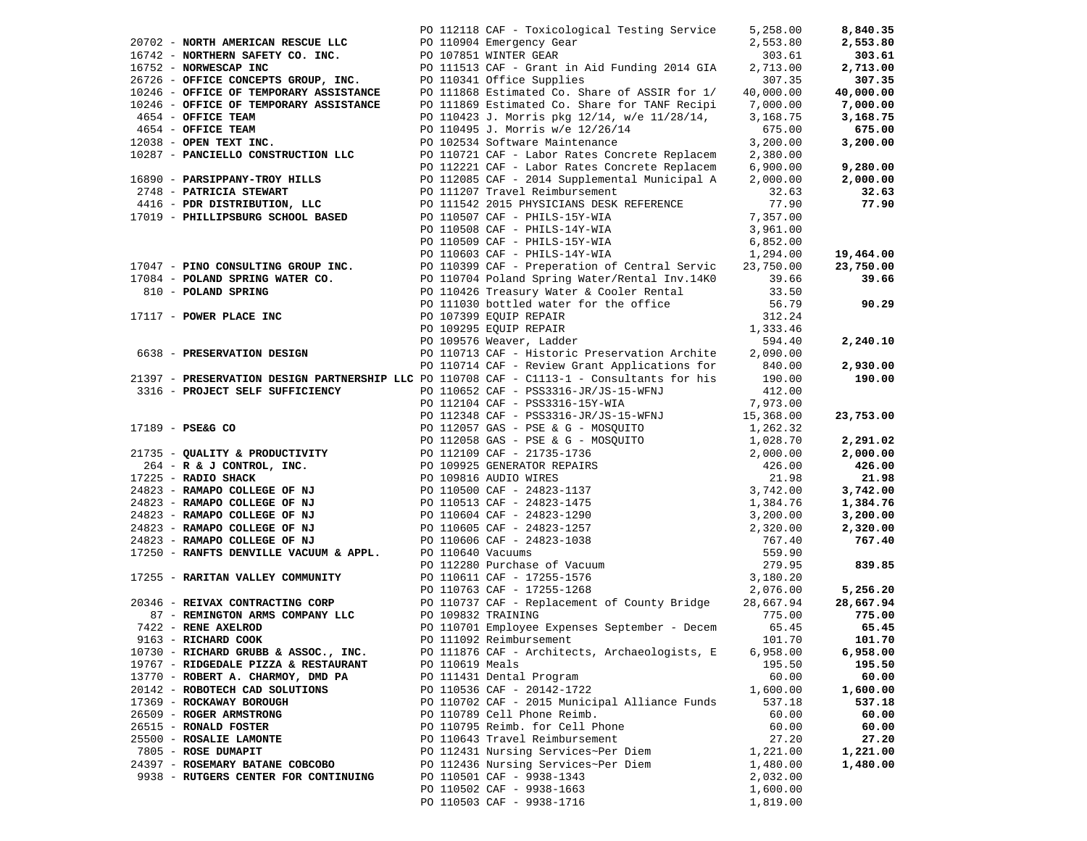|                                                                    |                 | PO 112118 CAF - Toxicological Testing Service                                                                                                                                                                                                                                         | 5,258.00           | 8,840.35             |
|--------------------------------------------------------------------|-----------------|---------------------------------------------------------------------------------------------------------------------------------------------------------------------------------------------------------------------------------------------------------------------------------------|--------------------|----------------------|
| 20702 - NORTH AMERICAN RESCUE LLC PO 110904 Emergency Gear         |                 |                                                                                                                                                                                                                                                                                       | 2,553.80           |                      |
|                                                                    |                 |                                                                                                                                                                                                                                                                                       |                    | 2,553.80             |
|                                                                    |                 | 16742 - NORTHERN SAFETY CO. INC.<br>16742 - NORTHERN SAFETY CO. INC.<br>26726 - OFFICE CONCEPTS GROUP, INC.<br>26726 - OFFICE CONCEPTS GROUP, INC.<br>26726 - OFFICE OF TEMPORARY ASSISTANCE<br>20246 - OFFICE OF TEMPORARY ASSISTANCE<br>                                            | 303.61<br>2,713.00 | 303.61               |
|                                                                    |                 |                                                                                                                                                                                                                                                                                       |                    | 2,713.00             |
|                                                                    |                 |                                                                                                                                                                                                                                                                                       | 307.35             | 307.35               |
|                                                                    |                 |                                                                                                                                                                                                                                                                                       | 40,000.00          | 40,000.00            |
|                                                                    |                 | PO 111869 Estimated Co. Share for TANF Recipi 7,000.00<br>PO 110423 J. Morris pkg 12/14, w/e 11/28/14, 3,168.75                                                                                                                                                                       |                    | 7,000.00<br>3,168.75 |
| 4654 - OFFICE TEAM                                                 |                 |                                                                                                                                                                                                                                                                                       | 3,168.75           |                      |
| 4654 - OFFICE TEAM<br>4654 - OFFICE TEAM<br>12038 - OPEN TEXT INC. |                 |                                                                                                                                                                                                                                                                                       | 675.00             | 675.00               |
|                                                                    |                 | PO 110495 J. Morris w/e 12/26/14<br>PO 102534 Software Maintenance                                                                                                                                                                                                                    | 3,200.00           | 3,200.00             |
|                                                                    |                 | 10287 - PANCIELLO CONSTRUCTION LLC<br>PO 110721 CAF - Labor Rates Concrete Replacem 2,380.00<br>PO 112221 CAF - Labor Rates Concrete Replacem 6,900.00                                                                                                                                |                    |                      |
|                                                                    |                 |                                                                                                                                                                                                                                                                                       |                    | 9,280.00             |
|                                                                    |                 | 16890 <b>- PARSIPPANY-TROY HILLS</b><br>2748 <b>- PATRICIA STEWART</b><br>2748 <b>- PATRICIA STEWART</b><br>2748 <b>- PATRICIA STEWART</b><br>2748 <b>- PATRICIA STEWART</b><br>275.000.00<br>2748 <b>- PATRICIA STEWART</b><br>27.000.00<br>27.63<br>27.000.00<br>27.63<br>27.90<br> |                    | 2,000.00             |
|                                                                    |                 |                                                                                                                                                                                                                                                                                       |                    | 32.63                |
|                                                                    |                 |                                                                                                                                                                                                                                                                                       |                    | 77.90                |
|                                                                    |                 |                                                                                                                                                                                                                                                                                       |                    |                      |
|                                                                    |                 | PO 110508 CAF - PHILS-14Y-WIA<br>DO 110500 CAF - PHILS-14Y-WIA                                                                                                                                                                                                                        | 3,961.00           |                      |
|                                                                    |                 | PO 110509 CAF - PHILS-15Y-WIA 6,852.00<br>PO 110603 CAF - PHILS-14Y-WIA 1,294.00                                                                                                                                                                                                      |                    |                      |
|                                                                    |                 |                                                                                                                                                                                                                                                                                       |                    | 19,464.00            |
|                                                                    |                 |                                                                                                                                                                                                                                                                                       |                    | 23,750.00            |
|                                                                    |                 |                                                                                                                                                                                                                                                                                       |                    | 39.66                |
|                                                                    |                 |                                                                                                                                                                                                                                                                                       |                    |                      |
|                                                                    |                 |                                                                                                                                                                                                                                                                                       |                    | 90.29                |
|                                                                    |                 |                                                                                                                                                                                                                                                                                       |                    |                      |
|                                                                    |                 | 17047 - PINO CONSULTING GROUP INC.<br>17084 - POLAND SPRING WATER CO.<br>17084 - POLAND SPRING WATER CO.<br>294.00<br>17084 - POLAND SPRING WATER CO.<br>29.750.00<br>29.66<br>27.750.00<br>27.94.00<br>27.94 - POLAND SPRING WATER CO.<br>27.94.0                                    |                    |                      |
|                                                                    |                 |                                                                                                                                                                                                                                                                                       |                    | 2,240.10             |
|                                                                    |                 |                                                                                                                                                                                                                                                                                       |                    |                      |
|                                                                    |                 | PO 110714 CAF - Review Grant Applications for 840.00                                                                                                                                                                                                                                  |                    | 2,930.00             |
|                                                                    |                 | 21397 - PRESERVATION DESIGN PARTNERSHIP LLC PO 110708 CAF - C1113-1 - Consultants for his 190.00                                                                                                                                                                                      |                    | 190.00               |
|                                                                    |                 |                                                                                                                                                                                                                                                                                       |                    |                      |
|                                                                    |                 |                                                                                                                                                                                                                                                                                       |                    |                      |
|                                                                    |                 |                                                                                                                                                                                                                                                                                       |                    | 23,753.00            |
|                                                                    |                 |                                                                                                                                                                                                                                                                                       |                    |                      |
|                                                                    |                 |                                                                                                                                                                                                                                                                                       |                    | 2,291.02             |
|                                                                    |                 |                                                                                                                                                                                                                                                                                       |                    | 2,000.00             |
|                                                                    |                 |                                                                                                                                                                                                                                                                                       |                    | 426.00               |
|                                                                    |                 |                                                                                                                                                                                                                                                                                       |                    | 21.98                |
|                                                                    |                 |                                                                                                                                                                                                                                                                                       |                    | 3,742.00             |
|                                                                    |                 |                                                                                                                                                                                                                                                                                       |                    | 1,384.76             |
|                                                                    |                 |                                                                                                                                                                                                                                                                                       |                    | 3,200.00             |
|                                                                    |                 |                                                                                                                                                                                                                                                                                       |                    | 2,320.00             |
|                                                                    |                 |                                                                                                                                                                                                                                                                                       |                    | 767.40               |
|                                                                    |                 |                                                                                                                                                                                                                                                                                       |                    |                      |
|                                                                    |                 |                                                                                                                                                                                                                                                                                       |                    | 839.85               |
|                                                                    |                 |                                                                                                                                                                                                                                                                                       |                    |                      |
|                                                                    |                 |                                                                                                                                                                                                                                                                                       |                    | 5,256.20             |
|                                                                    |                 |                                                                                                                                                                                                                                                                                       |                    | 28,667.94            |
| 87 - REMINGTON ARMS COMPANY LLC                                    |                 | PO 109832 TRAINING                                                                                                                                                                                                                                                                    | 775.00             | 775.00               |
| 7422 - RENE AXELROD                                                |                 | PO 110701 Employee Expenses September - Decem                                                                                                                                                                                                                                         | 65.45              | 65.45                |
| 9163 - RICHARD COOK                                                |                 | PO 111092 Reimbursement                                                                                                                                                                                                                                                               | 101.70             | 101.70               |
| 10730 - RICHARD GRUBB & ASSOC., INC.                               |                 | PO 111876 CAF - Architects, Archaeologists, E                                                                                                                                                                                                                                         | 6,958.00           | 6,958.00             |
| 19767 - RIDGEDALE PIZZA & RESTAURANT                               | PO 110619 Meals |                                                                                                                                                                                                                                                                                       | 195.50             | 195.50               |
| 13770 - ROBERT A. CHARMOY, DMD PA                                  |                 | PO 111431 Dental Program                                                                                                                                                                                                                                                              | 60.00              | 60.00                |
| 20142 - ROBOTECH CAD SOLUTIONS                                     |                 | PO 110536 CAF - 20142-1722                                                                                                                                                                                                                                                            | 1,600.00           | 1,600.00             |
| 17369 - ROCKAWAY BOROUGH                                           |                 | PO 110702 CAF - 2015 Municipal Alliance Funds                                                                                                                                                                                                                                         | 537.18             | 537.18               |
| 26509 - ROGER ARMSTRONG                                            |                 | PO 110789 Cell Phone Reimb.                                                                                                                                                                                                                                                           | 60.00              | 60.00                |
| 26515 - RONALD FOSTER                                              |                 | PO 110795 Reimb. for Cell Phone                                                                                                                                                                                                                                                       | 60.00              | 60.00                |
| 25500 - ROSALIE LAMONTE                                            |                 | PO 110643 Travel Reimbursement                                                                                                                                                                                                                                                        | 27.20              | 27.20                |
| 7805 - ROSE DUMAPIT                                                |                 | PO 112431 Nursing Services~Per Diem                                                                                                                                                                                                                                                   | 1,221.00           | 1,221.00             |
| 24397 - ROSEMARY BATANE COBCOBO                                    |                 | PO 112436 Nursing Services~Per Diem                                                                                                                                                                                                                                                   | 1,480.00           | 1,480.00             |
| 9938 - RUTGERS CENTER FOR CONTINUING                               |                 | PO 110501 CAF - 9938-1343                                                                                                                                                                                                                                                             | 2,032.00           |                      |
|                                                                    |                 | PO 110502 CAF - 9938-1663                                                                                                                                                                                                                                                             | 1,600.00           |                      |
|                                                                    |                 | PO 110503 CAF - 9938-1716                                                                                                                                                                                                                                                             | 1,819.00           |                      |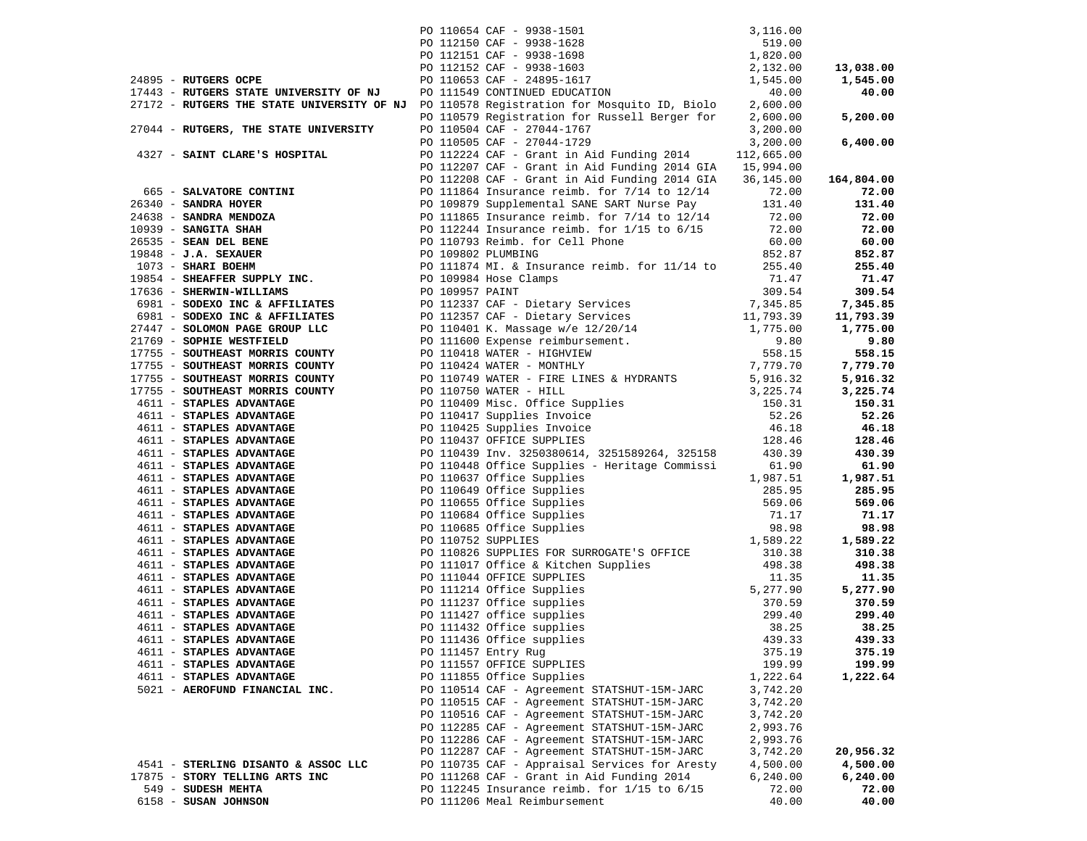|                                                                                          | PO 110654 CAF - 9938-1501<br>PO 112150 CAF - 9938-1628<br>PO 112151 CAF - 9938-1698<br>PO 112152 CAF - 9938-1603<br>PO 110653 CAF - 24895-1617<br>PO 111549 CONTINUED EDUCATION                                                              | 3,116.00           |                       |
|------------------------------------------------------------------------------------------|----------------------------------------------------------------------------------------------------------------------------------------------------------------------------------------------------------------------------------------------|--------------------|-----------------------|
|                                                                                          |                                                                                                                                                                                                                                              | 519.00             |                       |
|                                                                                          |                                                                                                                                                                                                                                              | 1,820.00           |                       |
|                                                                                          |                                                                                                                                                                                                                                              | 2,132.00           | 13,038.00             |
| 24895 - RUTGERS OCPE                                                                     |                                                                                                                                                                                                                                              | 1,545.00           | 1,545.00              |
| 17443 - RUTGERS STATE UNIVERSITY OF NJ                                                   |                                                                                                                                                                                                                                              | 40.00              | 40.00                 |
| 27172 - RUTGERS THE STATE UNIVERSITY OF NJ PO 110578 Registration for Mosquito ID, Biolo |                                                                                                                                                                                                                                              | 2,600.00           |                       |
|                                                                                          | PO 110579 Registration for Russell Berger for                                                                                                                                                                                                | 2,600.00           | 5,200.00              |
| 27044 - RUTGERS, THE STATE UNIVERSITY                                                    | PO 110504 CAF - 27044-1767                                                                                                                                                                                                                   | 3,200.00           |                       |
|                                                                                          | PO 110505 CAF - 27044-1729                                                                                                                                                                                                                   | 3,200.00           | 6,400.00              |
| 4327 - SAINT CLARE'S HOSPITAL                                                            | PO 112224 CAF - Grant in Aid Funding 2014                                                                                                                                                                                                    | 112,665.00         |                       |
|                                                                                          | PO 112207 CAF - Grant in Aid Funding 2014 GIA 15,994.00                                                                                                                                                                                      |                    |                       |
|                                                                                          | PO 112208 CAF - Grant in Aid Funding 2014 GIA                                                                                                                                                                                                | 36,145.00          | 164,804.00            |
| 665 - SALVATORE CONTINI                                                                  | PO 111864 Insurance reimb. for $7/14$ to $12/14$                                                                                                                                                                                             | 72.00              | 72.00                 |
|                                                                                          |                                                                                                                                                                                                                                              |                    | 131.40                |
|                                                                                          |                                                                                                                                                                                                                                              |                    | 72.00                 |
|                                                                                          |                                                                                                                                                                                                                                              |                    | 72.00                 |
|                                                                                          |                                                                                                                                                                                                                                              |                    | 60.00                 |
|                                                                                          |                                                                                                                                                                                                                                              |                    | 852.87                |
|                                                                                          |                                                                                                                                                                                                                                              |                    | 255.40                |
|                                                                                          |                                                                                                                                                                                                                                              |                    | 71.47                 |
|                                                                                          |                                                                                                                                                                                                                                              |                    | 309.54                |
| 6981 - SODEXO INC & AFFILIATES                                                           | PO 112337 CAF - Dietary Services 7,345.85<br>PO 112357 CAF - Dietary Services 11,793.39                                                                                                                                                      |                    | 7,345.85              |
| 6981 - SODEXO INC & AFFILIATES                                                           |                                                                                                                                                                                                                                              |                    | 11,793.39             |
| 27447 - SOLOMON PAGE GROUP LLC                                                           |                                                                                                                                                                                                                                              |                    | 1,775.00              |
| 21769 - SOPHIE WESTFIELD                                                                 | PO 110401 K. Massage w/e 12/20/14 1,775.00<br>PO 111600 Expense reimbursement. 9.80<br>PO 110418 WATER - HIGHVIEW 558.15<br>PO 110424 WATER - MONTHLY 7,779.70                                                                               |                    | 9.80                  |
| 17755 - SOUTHEAST MORRIS COUNTY                                                          |                                                                                                                                                                                                                                              |                    | 558.15                |
| 17755 - SOUTHEAST MORRIS COUNTY                                                          |                                                                                                                                                                                                                                              |                    | 7,779.70              |
| 17755 - SOUTHEAST MORRIS COUNTY                                                          | PO 110749 WATER - FIRE LINES & HYDRANTS 5,916.32<br>PO 110750 WATER - HILL 3,225.74                                                                                                                                                          |                    | 5,916.32              |
| 17755 - SOUTHEAST MORRIS COUNTY                                                          | PO 110750 WATER - HILL                                                                                                                                                                                                                       | 3,225.74           | 3,225.74              |
| 4611 - STAPLES ADVANTAGE                                                                 |                                                                                                                                                                                                                                              |                    | 150.31                |
| 4611 - STAPLES ADVANTAGE                                                                 | PO 110409 Misc. Office Supplies<br>PO 110417 Supplies Invoice<br>PO 110425 Supplies Invoice<br>PO 110425 Supplies Invoice<br>PO 110437 OFFICE SUPPLIES<br>128.46                                                                             |                    | 52.26                 |
| 4611 - STAPLES ADVANTAGE                                                                 |                                                                                                                                                                                                                                              |                    | 46.18                 |
| 4611 - STAPLES ADVANTAGE                                                                 | PO 110437 OFFICE SUPPLIES                                                                                                                                                                                                                    | 128.46             | 128.46                |
| 4611 - STAPLES ADVANTAGE                                                                 | PO 110439 Inv. 3250380614, 3251589264, 325158                                                                                                                                                                                                | 430.39             | 430.39                |
| 4611 - STAPLES ADVANTAGE                                                                 | PO 110448 Office Supplies - Heritage Commissi                                                                                                                                                                                                | 61.90              | 61.90                 |
| 4611 - STAPLES ADVANTAGE                                                                 | PO 110470 Office Supplies<br>PO 110637 Office Supplies<br>PO 110649 Office Supplies<br>PO 110684 Office Supplies<br>PO 110685 Office Supplies<br>PO 110752 SUPPLIES                                                                          | 1,987.51           | 1,987.51              |
| 4611 - STAPLES ADVANTAGE                                                                 |                                                                                                                                                                                                                                              | 285.95             | 285.95                |
| 4611 - STAPLES ADVANTAGE                                                                 |                                                                                                                                                                                                                                              | 569.06             | 569.06                |
| 4611 - STAPLES ADVANTAGE                                                                 |                                                                                                                                                                                                                                              | 71.17              | 71.17                 |
| 4611 - STAPLES ADVANTAGE                                                                 |                                                                                                                                                                                                                                              | 98.98              | 98.98                 |
| 4611 - STAPLES ADVANTAGE                                                                 |                                                                                                                                                                                                                                              | 1,589.22           | 1,589.22              |
| 4611 - STAPLES ADVANTAGE                                                                 | PO 110826 SUPPLIES FOR SURROGATE'S OFFICE 310.38                                                                                                                                                                                             |                    | 310.38                |
| 4611 - STAPLES ADVANTAGE                                                                 | PO 111017 Office & Kitchen Supplies<br>PO 111014 Office & Kitchen Supplies<br>PO 111214 Office Supplies<br>PO 111237 Office supplies<br>PO 111237 Office supplies<br>PO 111427 office supplies<br>PO 111432 Office supplies<br>PO 111436 Off |                    | 498.38                |
| 4611 - STAPLES ADVANTAGE                                                                 |                                                                                                                                                                                                                                              |                    | 11.35                 |
| 4611 - STAPLES ADVANTAGE                                                                 |                                                                                                                                                                                                                                              |                    | 5,277.90              |
| 4611 - STAPLES ADVANTAGE                                                                 |                                                                                                                                                                                                                                              |                    | 370.59                |
| 4611 - STAPLES ADVANTAGE                                                                 |                                                                                                                                                                                                                                              |                    | 299.40                |
| 4611 - STAPLES ADVANTAGE                                                                 |                                                                                                                                                                                                                                              |                    | 38.25                 |
| 4611 - STAPLES ADVANTAGE                                                                 | PO 111436 Office supplies 439.33                                                                                                                                                                                                             |                    | 439.33                |
| 4611 - STAPLES ADVANTAGE                                                                 | PO 111457 Entry Rug                                                                                                                                                                                                                          | 375.19             | 375.19                |
| 4611 - STAPLES ADVANTAGE                                                                 | PO 111557 OFFICE SUPPLIES                                                                                                                                                                                                                    | 199.99             | 199.99                |
| 4611 - STAPLES ADVANTAGE                                                                 | PO 111855 Office Supplies                                                                                                                                                                                                                    | 1,222.64           | 1,222.64              |
| 5021 - AEROFUND FINANCIAL INC.                                                           | PO 110514 CAF - Agreement STATSHUT-15M-JARC                                                                                                                                                                                                  | 3,742.20           |                       |
|                                                                                          | PO 110515 CAF - Agreement STATSHUT-15M-JARC                                                                                                                                                                                                  | 3,742.20           |                       |
|                                                                                          | PO 110516 CAF - Agreement STATSHUT-15M-JARC                                                                                                                                                                                                  | 3,742.20           |                       |
|                                                                                          | PO 112285 CAF - Agreement STATSHUT-15M-JARC                                                                                                                                                                                                  | 2,993.76           |                       |
|                                                                                          | PO 112286 CAF - Agreement STATSHUT-15M-JARC                                                                                                                                                                                                  | 2,993.76           |                       |
| 4541 - STERLING DISANTO & ASSOC LLC                                                      | PO 112287 CAF - Agreement STATSHUT-15M-JARC                                                                                                                                                                                                  | 3,742.20           | 20,956.32<br>4,500.00 |
| 17875 - STORY TELLING ARTS INC                                                           | PO 110735 CAF - Appraisal Services for Aresty<br>PO 111268 CAF - Grant in Aid Funding 2014                                                                                                                                                   | 4,500.00           |                       |
| 549 - SUDESH MEHTA                                                                       | PO 112245 Insurance reimb. for 1/15 to 6/15                                                                                                                                                                                                  | 6, 240.00<br>72.00 | 6,240.00<br>72.00     |
| 6158 - SUSAN JOHNSON                                                                     | PO 111206 Meal Reimbursement                                                                                                                                                                                                                 | 40.00              | 40.00                 |
|                                                                                          |                                                                                                                                                                                                                                              |                    |                       |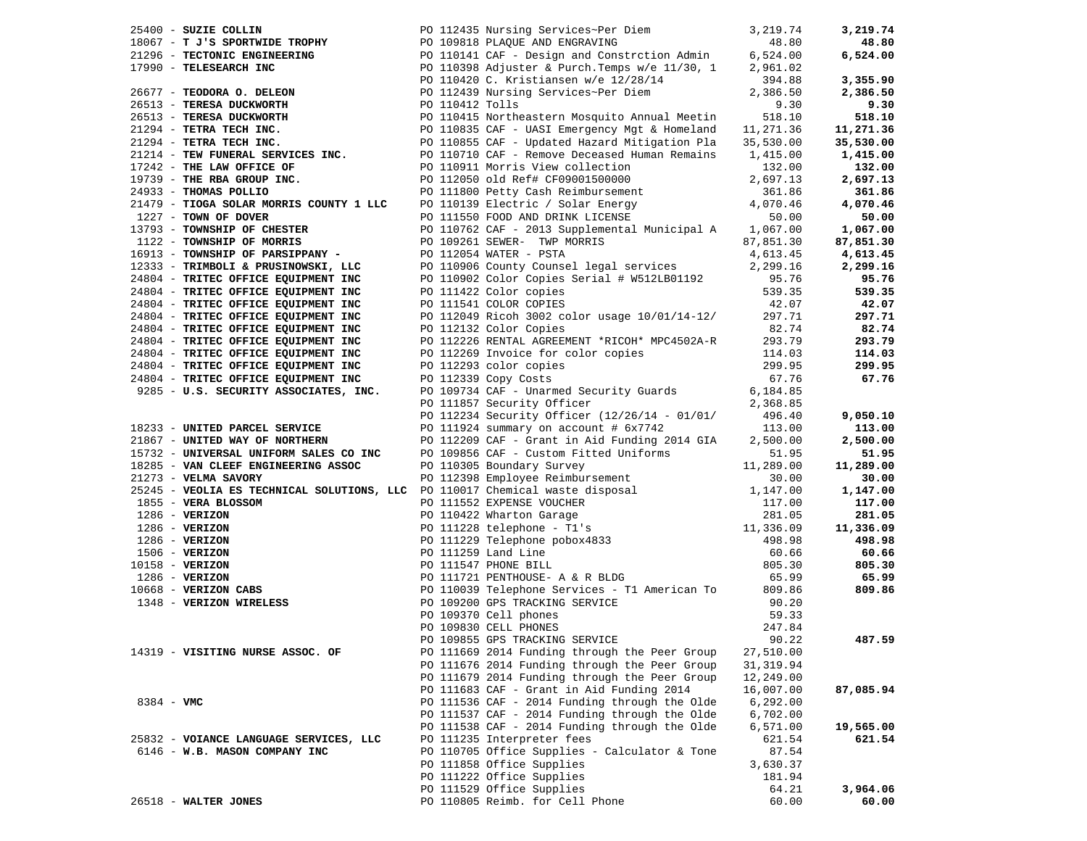| 25400 - SUZIE COLLIN<br>25400 - SUZIE COLIN PRINCIPS TROPHY PO 119813 Nursing Services-Per Diem 3, 219.74<br>21296 - TLESSEARCH INC PO 119918 PLAQUE AND ENGRAVING AND MORTING (524.00<br>26.80 - TLESSEARCH INC PO 110141 CAF - Design and Construction                                                                                                                                                                                                                                                               | PO 112435 Nursing Services~Per Diem<br>DE TROPHY PO 109818 PLAQUE AND ENGRAVING                  | 3,219.74   | 3,219.74  |
|------------------------------------------------------------------------------------------------------------------------------------------------------------------------------------------------------------------------------------------------------------------------------------------------------------------------------------------------------------------------------------------------------------------------------------------------------------------------------------------------------------------------|--------------------------------------------------------------------------------------------------|------------|-----------|
|                                                                                                                                                                                                                                                                                                                                                                                                                                                                                                                        |                                                                                                  |            | 48.80     |
|                                                                                                                                                                                                                                                                                                                                                                                                                                                                                                                        |                                                                                                  |            | 6,524.00  |
|                                                                                                                                                                                                                                                                                                                                                                                                                                                                                                                        |                                                                                                  |            |           |
|                                                                                                                                                                                                                                                                                                                                                                                                                                                                                                                        |                                                                                                  |            | 3,355.90  |
|                                                                                                                                                                                                                                                                                                                                                                                                                                                                                                                        |                                                                                                  |            | 2,386.50  |
|                                                                                                                                                                                                                                                                                                                                                                                                                                                                                                                        |                                                                                                  |            | 9.30      |
|                                                                                                                                                                                                                                                                                                                                                                                                                                                                                                                        |                                                                                                  |            | 518.10    |
|                                                                                                                                                                                                                                                                                                                                                                                                                                                                                                                        |                                                                                                  |            | 11,271.36 |
|                                                                                                                                                                                                                                                                                                                                                                                                                                                                                                                        |                                                                                                  |            | 35,530.00 |
|                                                                                                                                                                                                                                                                                                                                                                                                                                                                                                                        |                                                                                                  |            | 1,415.00  |
|                                                                                                                                                                                                                                                                                                                                                                                                                                                                                                                        |                                                                                                  |            | 132.00    |
|                                                                                                                                                                                                                                                                                                                                                                                                                                                                                                                        |                                                                                                  |            | 2,697.13  |
|                                                                                                                                                                                                                                                                                                                                                                                                                                                                                                                        |                                                                                                  |            | 361.86    |
|                                                                                                                                                                                                                                                                                                                                                                                                                                                                                                                        |                                                                                                  |            | 4,070.46  |
|                                                                                                                                                                                                                                                                                                                                                                                                                                                                                                                        |                                                                                                  |            | 50.00     |
|                                                                                                                                                                                                                                                                                                                                                                                                                                                                                                                        |                                                                                                  |            | 1,067.00  |
| 1122 - TOWNSHIP OF MORRIS                                                                                                                                                                                                                                                                                                                                                                                                                                                                                              | PO 109261 SEWER- TWP MORRIS<br>PO 112054 WATER - PSTA<br>PO 110906 County Counsel legal services | 87,851.30  | 87,851.30 |
| 16913 - TOWNSHIP OF PARSIPPANY -                                                                                                                                                                                                                                                                                                                                                                                                                                                                                       |                                                                                                  | 4,613.45   | 4,613.45  |
| 12333 - TRIMBOLI & PRUSINOWSKI, LLC<br>24804 - TRITEC OFFICE EQUIPMENT INC                                                                                                                                                                                                                                                                                                                                                                                                                                             |                                                                                                  | 2,299.16   | 2,299.16  |
| 24804 - TRITEC OFFICE EQUIPMENT INC                                                                                                                                                                                                                                                                                                                                                                                                                                                                                    |                                                                                                  | 95.76      | 95.76     |
| 24804 - TRITEC OFFICE EQUIPMENT INC                                                                                                                                                                                                                                                                                                                                                                                                                                                                                    | PO 110902 Color Copies Serial # W512LB01192<br>PO 111422 Color copies<br>PO 111541 COLOR COPIES  | 539.35     | 539.35    |
| 24804 - TRITEC OFFICE EQUIPMENT INC                                                                                                                                                                                                                                                                                                                                                                                                                                                                                    | PO 111541 COLOR COPIES                                                                           | 42.07      | 42.07     |
| 24804 - TRITEC OFFICE EQUIPMENT INC                                                                                                                                                                                                                                                                                                                                                                                                                                                                                    | PO 112049 Ricoh 3002 color usage $10/01/14-12/$ 297.71                                           |            | 297.71    |
| 24804 - TRITEC OFFICE EQUIPMENT INC                                                                                                                                                                                                                                                                                                                                                                                                                                                                                    | PO 112132 Color Copies                                                                           | 82.74      | 82.74     |
| 24804 - TRITEC OFFICE EQUIPMENT INC                                                                                                                                                                                                                                                                                                                                                                                                                                                                                    | PO 112226 RENTAL AGREEMENT *RICOH* MPC4502A-R 293.79                                             |            | 293.79    |
| 24804 - TRITEC OFFICE EQUIPMENT INC                                                                                                                                                                                                                                                                                                                                                                                                                                                                                    | PO 112269 Invoice for color copies<br>PO 112293 color copies<br>PO 112339 Copy Costs             | 114.03     | 114.03    |
| 24804 - TRITEC OFFICE EQUIPMENT INC                                                                                                                                                                                                                                                                                                                                                                                                                                                                                    |                                                                                                  | 299.95     | 299.95    |
| 24804 - TRITEC OFFICE EQUIPMENT INC<br>9285 - U.S. SECURITY ASSOCIATES, INC.                                                                                                                                                                                                                                                                                                                                                                                                                                           | PO 112339 Copy Costs                                                                             | 67.76      | 67.76     |
|                                                                                                                                                                                                                                                                                                                                                                                                                                                                                                                        | PO 109734 CAF - Unarmed Security Guards 6,184.85                                                 |            |           |
|                                                                                                                                                                                                                                                                                                                                                                                                                                                                                                                        | PO 111857 Security Officer                                                                       | 2,368.85   |           |
|                                                                                                                                                                                                                                                                                                                                                                                                                                                                                                                        | PO 112234 Security Officer (12/26/14 - 01/01/ 496.40                                             |            | 9,050.10  |
| 18233 - UNITED PARCEL SERVICE                                                                                                                                                                                                                                                                                                                                                                                                                                                                                          | PO 111924 summary on account # 6x7742                                                            | 113.00     | 113.00    |
| 21867 - UNITED WAY OF NORTHERN                                                                                                                                                                                                                                                                                                                                                                                                                                                                                         | PO 112209 CAF - Grant in Aid Funding 2014 GIA 2,500.00                                           |            | 2,500.00  |
| 15732 - UNIVERSAL UNIFORM SALES CO INC                                                                                                                                                                                                                                                                                                                                                                                                                                                                                 | PO 109856 CAF - Custom Fitted Uniforms 51.95<br>PO 110305 Boundary Survey 11,289.00              |            | 51.95     |
| 18285 - VAN CLEEF ENGINEERING ASSOC                                                                                                                                                                                                                                                                                                                                                                                                                                                                                    |                                                                                                  |            | 11,289.00 |
|                                                                                                                                                                                                                                                                                                                                                                                                                                                                                                                        |                                                                                                  |            | 30.00     |
|                                                                                                                                                                                                                                                                                                                                                                                                                                                                                                                        |                                                                                                  |            | 1,147.00  |
|                                                                                                                                                                                                                                                                                                                                                                                                                                                                                                                        |                                                                                                  |            | 117.00    |
|                                                                                                                                                                                                                                                                                                                                                                                                                                                                                                                        |                                                                                                  |            | 281.05    |
|                                                                                                                                                                                                                                                                                                                                                                                                                                                                                                                        |                                                                                                  |            | 11,336.09 |
|                                                                                                                                                                                                                                                                                                                                                                                                                                                                                                                        |                                                                                                  |            | 498.98    |
|                                                                                                                                                                                                                                                                                                                                                                                                                                                                                                                        |                                                                                                  |            | 60.66     |
|                                                                                                                                                                                                                                                                                                                                                                                                                                                                                                                        |                                                                                                  |            | 805.30    |
| 11,289.00<br>25245 <b>- VELLIA SAVORY</b><br>25245 <b>- VELLIA SAVORY</b><br>26245 <b>- VELLIA SAVORY</b><br>285 <b>- VERIZON</b><br>286 <b>- VERIZON</b><br>286 <b>- VERIZON</b><br>286 <b>- VERIZON</b><br>286 <b>- VERIZON</b><br>286 <b>- VERIZON</b><br>286 <b>- VERIZON</b><br>286 <b>- VERIZON</b><br><br>1855 - VERA BLOSSOM<br>1286 - VERIZON<br>1286 - VERIZON<br>1286 - VERIZON<br>1506 - VERIZON<br>1058 - VERIZON<br>1286 - VERIZON<br>10668 - VERIZON<br>10668 - VERIZON CABS<br>1348 - VERIZON WIRELESS |                                                                                                  |            | 65.99     |
|                                                                                                                                                                                                                                                                                                                                                                                                                                                                                                                        | PO 110039 Telephone Services - T1 American To 809.86                                             |            | 809.86    |
|                                                                                                                                                                                                                                                                                                                                                                                                                                                                                                                        | PO 109200 GPS TRACKING SERVICE                                                                   | 90.20      |           |
|                                                                                                                                                                                                                                                                                                                                                                                                                                                                                                                        | PO 109370 Cell phones                                                                            | 59.33      |           |
|                                                                                                                                                                                                                                                                                                                                                                                                                                                                                                                        | PO 109830 CELL PHONES                                                                            | 247.84     |           |
|                                                                                                                                                                                                                                                                                                                                                                                                                                                                                                                        | PO 109855 GPS TRACKING SERVICE                                                                   | 90.22      | 487.59    |
| 14319 - VISITING NURSE ASSOC. OF                                                                                                                                                                                                                                                                                                                                                                                                                                                                                       | PO 111669 2014 Funding through the Peer Group                                                    | 27,510.00  |           |
|                                                                                                                                                                                                                                                                                                                                                                                                                                                                                                                        | PO 111676 2014 Funding through the Peer Group                                                    | 31, 319.94 |           |
|                                                                                                                                                                                                                                                                                                                                                                                                                                                                                                                        | PO 111679 2014 Funding through the Peer Group                                                    | 12,249.00  |           |
|                                                                                                                                                                                                                                                                                                                                                                                                                                                                                                                        | PO 111683 CAF - Grant in Aid Funding 2014                                                        | 16,007.00  | 87,085.94 |
| $8384 - VMC$                                                                                                                                                                                                                                                                                                                                                                                                                                                                                                           | PO 111536 CAF - 2014 Funding through the Olde                                                    | 6,292.00   |           |
|                                                                                                                                                                                                                                                                                                                                                                                                                                                                                                                        | PO 111537 CAF - 2014 Funding through the Olde                                                    | 6,702.00   |           |
|                                                                                                                                                                                                                                                                                                                                                                                                                                                                                                                        | PO 111538 CAF - 2014 Funding through the Olde                                                    | 6,571.00   | 19,565.00 |
| 25832 - VOIANCE LANGUAGE SERVICES, LLC                                                                                                                                                                                                                                                                                                                                                                                                                                                                                 | PO 111235 Interpreter fees                                                                       | 621.54     | 621.54    |
| 6146 - W.B. MASON COMPANY INC                                                                                                                                                                                                                                                                                                                                                                                                                                                                                          | PO 110705 Office Supplies - Calculator & Tone                                                    | 87.54      |           |
|                                                                                                                                                                                                                                                                                                                                                                                                                                                                                                                        | PO 111858 Office Supplies                                                                        | 3,630.37   |           |
|                                                                                                                                                                                                                                                                                                                                                                                                                                                                                                                        | PO 111222 Office Supplies                                                                        | 181.94     |           |
|                                                                                                                                                                                                                                                                                                                                                                                                                                                                                                                        | PO 111529 Office Supplies                                                                        | 64.21      | 3,964.06  |
| 26518 - WALTER JONES                                                                                                                                                                                                                                                                                                                                                                                                                                                                                                   | PO 110805 Reimb. for Cell Phone                                                                  | 60.00      | 60.00     |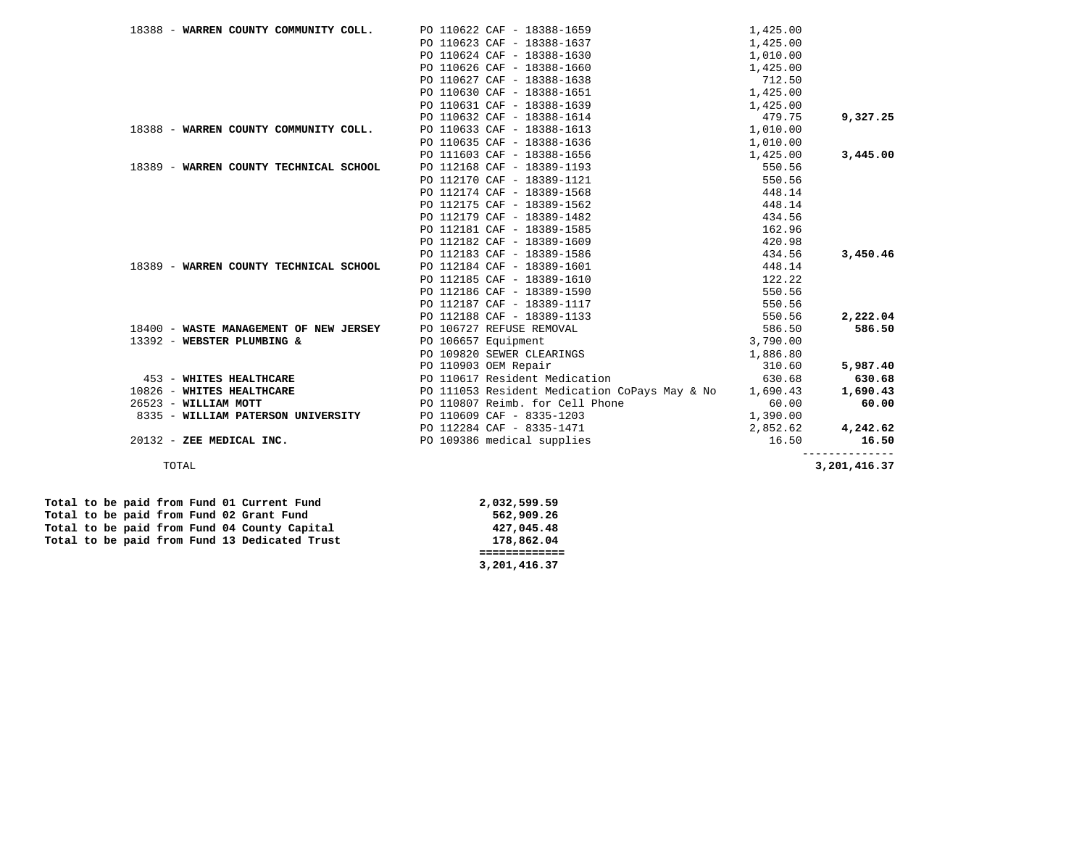| PO 110623 CAF - 18388-1637<br>1,425.00                                |                                        |  |
|-----------------------------------------------------------------------|----------------------------------------|--|
|                                                                       |                                        |  |
| PO 110624 CAF - 18388-1630<br>1,010.00                                |                                        |  |
| PO 110626 CAF - 18388-1660<br>1,425.00                                |                                        |  |
| PO 110627 CAF - 18388-1638<br>712.50                                  |                                        |  |
| 1,425.00<br>PO 110630 CAF - 18388-1651                                |                                        |  |
| PO 110631 CAF - 18388-1639<br>1,425.00                                |                                        |  |
| PO 110632 CAF - 18388-1614<br>479.75<br>9,327.25                      |                                        |  |
| PO 110633 CAF - 18388-1613<br>1,010.00                                | 18388 - WARREN COUNTY COMMUNITY COLL.  |  |
| PO 110635 CAF - 18388-1636<br>1,010.00                                |                                        |  |
| PO 111603 CAF - 18388-1656<br>1,425.00<br>3,445.00                    |                                        |  |
| PO 112168 CAF - 18389-1193<br>550.56                                  | 18389 - WARREN COUNTY TECHNICAL SCHOOL |  |
| PO 112170 CAF - 18389-1121<br>550.56                                  |                                        |  |
| PO 112174 CAF - 18389-1568<br>448.14                                  |                                        |  |
| PO 112175 CAF - 18389-1562<br>448.14                                  |                                        |  |
| PO 112179 CAF - 18389-1482<br>434.56                                  |                                        |  |
| PO 112181 CAF - 18389-1585<br>162.96                                  |                                        |  |
| PO 112182 CAF - 18389-1609<br>420.98                                  |                                        |  |
| PO 112183 CAF - 18389-1586<br>434.56<br>3,450.46                      |                                        |  |
| PO 112184 CAF - 18389-1601<br>448.14                                  | 18389 - WARREN COUNTY TECHNICAL SCHOOL |  |
| PO 112185 CAF - 18389-1610<br>122.22                                  |                                        |  |
| PO 112186 CAF - 18389-1590<br>550.56                                  |                                        |  |
| PO 112187 CAF - 18389-1117<br>550.56                                  |                                        |  |
| PO 112188 CAF - 18389-1133<br>550.56<br>2,222.04                      |                                        |  |
| PO 106727 REFUSE REMOVAL<br>586.50<br>586.50                          | 18400 - WASTE MANAGEMENT OF NEW JERSEY |  |
| PO 106657 Equipment<br>3,790.00                                       | 13392 - WEBSTER PLUMBING &             |  |
| PO 109820 SEWER CLEARINGS<br>1,886.80                                 |                                        |  |
| PO 110903 OEM Repair<br>310.60<br>5,987.40                            |                                        |  |
| PO 110617 Resident Medication<br>630.68<br>630.68                     | 453 - WHITES HEALTHCARE                |  |
| PO 111053 Resident Medication CoPays May & No<br>1,690.43<br>1,690.43 | 10826 - WHITES HEALTHCARE              |  |
| PO 110807 Reimb. for Cell Phone<br>60.00<br>60.00                     | 26523 - WILLIAM MOTT                   |  |
| PO 110609 CAF - 8335-1203<br>1,390.00                                 | 8335 - WILLIAM PATERSON UNIVERSITY     |  |
| PO 112284 CAF - 8335-1471<br>2,852.62<br>4,242.62                     |                                        |  |
| PO 109386 medical supplies<br>16.50<br>16.50                          | 20132 - ZEE MEDICAL INC.               |  |

3,201,416.37 TOTAL **3,201,416.37** 

|  |  |  |  |                                               | 3,201,416.37 |
|--|--|--|--|-----------------------------------------------|--------------|
|  |  |  |  |                                               |              |
|  |  |  |  | Total to be paid from Fund 13 Dedicated Trust | 178,862.04   |
|  |  |  |  | Total to be paid from Fund 04 County Capital  | 427,045.48   |
|  |  |  |  | Total to be paid from Fund 02 Grant Fund      | 562,909.26   |
|  |  |  |  | Total to be paid from Fund 01 Current Fund    | 2,032,599.59 |
|  |  |  |  |                                               |              |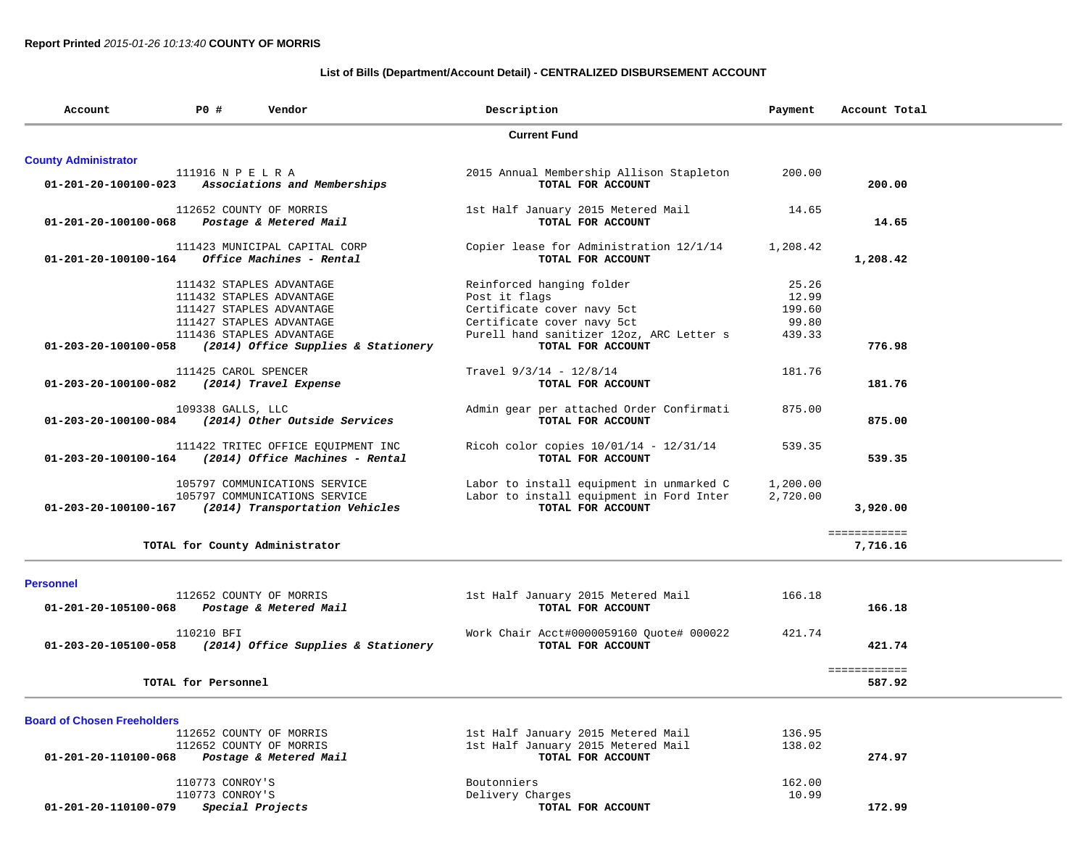## **List of Bills (Department/Account Detail) - CENTRALIZED DISBURSEMENT ACCOUNT**

| Account                            | <b>PO #</b><br>Vendor                                    | Description                              | Payment  | Account Total          |
|------------------------------------|----------------------------------------------------------|------------------------------------------|----------|------------------------|
|                                    |                                                          | <b>Current Fund</b>                      |          |                        |
| <b>County Administrator</b>        |                                                          |                                          |          |                        |
|                                    | 111916 N P E L R A                                       | 2015 Annual Membership Allison Stapleton | 200.00   |                        |
| 01-201-20-100100-023               | Associations and Memberships                             | TOTAL FOR ACCOUNT                        |          | 200.00                 |
|                                    |                                                          |                                          |          |                        |
|                                    | 112652 COUNTY OF MORRIS                                  | 1st Half January 2015 Metered Mail       | 14.65    |                        |
| 01-201-20-100100-068               | Postage & Metered Mail                                   | TOTAL FOR ACCOUNT                        |          | 14.65                  |
|                                    | 111423 MUNICIPAL CAPITAL CORP                            | Copier lease for Administration 12/1/14  | 1,208.42 |                        |
| $01 - 201 - 20 - 100100 - 164$     | Office Machines - Rental                                 | TOTAL FOR ACCOUNT                        |          | 1,208.42               |
|                                    |                                                          |                                          |          |                        |
|                                    | 111432 STAPLES ADVANTAGE                                 | Reinforced hanging folder                | 25.26    |                        |
|                                    | 111432 STAPLES ADVANTAGE                                 | Post it flags                            | 12.99    |                        |
|                                    | 111427 STAPLES ADVANTAGE                                 | Certificate cover navy 5ct               | 199.60   |                        |
|                                    | 111427 STAPLES ADVANTAGE                                 | Certificate cover navy 5ct               | 99.80    |                        |
|                                    | 111436 STAPLES ADVANTAGE                                 | Purell hand sanitizer 12oz, ARC Letter s | 439.33   |                        |
| 01-203-20-100100-058               | (2014) Office Supplies & Stationery                      | TOTAL FOR ACCOUNT                        |          | 776.98                 |
|                                    |                                                          |                                          |          |                        |
|                                    | 111425 CAROL SPENCER                                     | Travel $9/3/14 - 12/8/14$                | 181.76   |                        |
| 01-203-20-100100-082               | (2014) Travel Expense                                    | TOTAL FOR ACCOUNT                        |          | 181.76                 |
|                                    | 109338 GALLS, LLC                                        | Admin gear per attached Order Confirmati | 875.00   |                        |
|                                    |                                                          |                                          |          |                        |
| 01-203-20-100100-084               | (2014) Other Outside Services                            | TOTAL FOR ACCOUNT                        |          | 875.00                 |
|                                    | 111422 TRITEC OFFICE EQUIPMENT INC                       | Ricoh color copies $10/01/14 - 12/31/14$ | 539.35   |                        |
|                                    | $01-203-20-100100-164$ (2014) Office Machines - Rental   | TOTAL FOR ACCOUNT                        |          | 539.35                 |
|                                    | 105797 COMMUNICATIONS SERVICE                            | Labor to install equipment in unmarked C | 1,200.00 |                        |
|                                    |                                                          |                                          |          |                        |
|                                    | 105797 COMMUNICATIONS SERVICE                            | Labor to install equipment in Ford Inter | 2,720.00 |                        |
|                                    | 01-203-20-100100-167 (2014) Transportation Vehicles      | TOTAL FOR ACCOUNT                        |          | 3,920.00               |
|                                    |                                                          |                                          |          | ============           |
|                                    | TOTAL for County Administrator                           |                                          |          | 7,716.16               |
|                                    |                                                          |                                          |          |                        |
| <b>Personnel</b>                   | 112652 COUNTY OF MORRIS                                  |                                          | 166.18   |                        |
|                                    |                                                          | 1st Half January 2015 Metered Mail       |          |                        |
|                                    | 01-201-20-105100-068 Postage & Metered Mail              | TOTAL FOR ACCOUNT                        |          | 166.18                 |
|                                    | 110210 BFI                                               | Work Chair Acct#0000059160 Quote# 000022 | 421.74   |                        |
|                                    | 01-203-20-105100-058 (2014) Office Supplies & Stationery | TOTAL FOR ACCOUNT                        |          | 421.74                 |
|                                    |                                                          |                                          |          |                        |
|                                    | TOTAL for Personnel                                      |                                          |          | ============<br>587.92 |
|                                    |                                                          |                                          |          |                        |
|                                    |                                                          |                                          |          |                        |
| <b>Board of Chosen Freeholders</b> | 112652 COUNTY OF MORRIS                                  | 1st Half January 2015 Metered Mail       | 136.95   |                        |
|                                    |                                                          |                                          |          |                        |
|                                    | 112652 COUNTY OF MORRIS                                  | 1st Half January 2015 Metered Mail       | 138.02   |                        |
| 01-201-20-110100-068               | Postage & Metered Mail                                   | TOTAL FOR ACCOUNT                        |          | 274.97                 |
|                                    | 110773 CONROY'S                                          | Boutonniers                              | 162.00   |                        |
|                                    | 110773 CONROY'S                                          | Delivery Charges                         | 10.99    |                        |
| 01-201-20-110100-079               | Special Projects                                         | TOTAL FOR ACCOUNT                        |          | 172.99                 |
|                                    |                                                          |                                          |          |                        |
|                                    |                                                          |                                          |          |                        |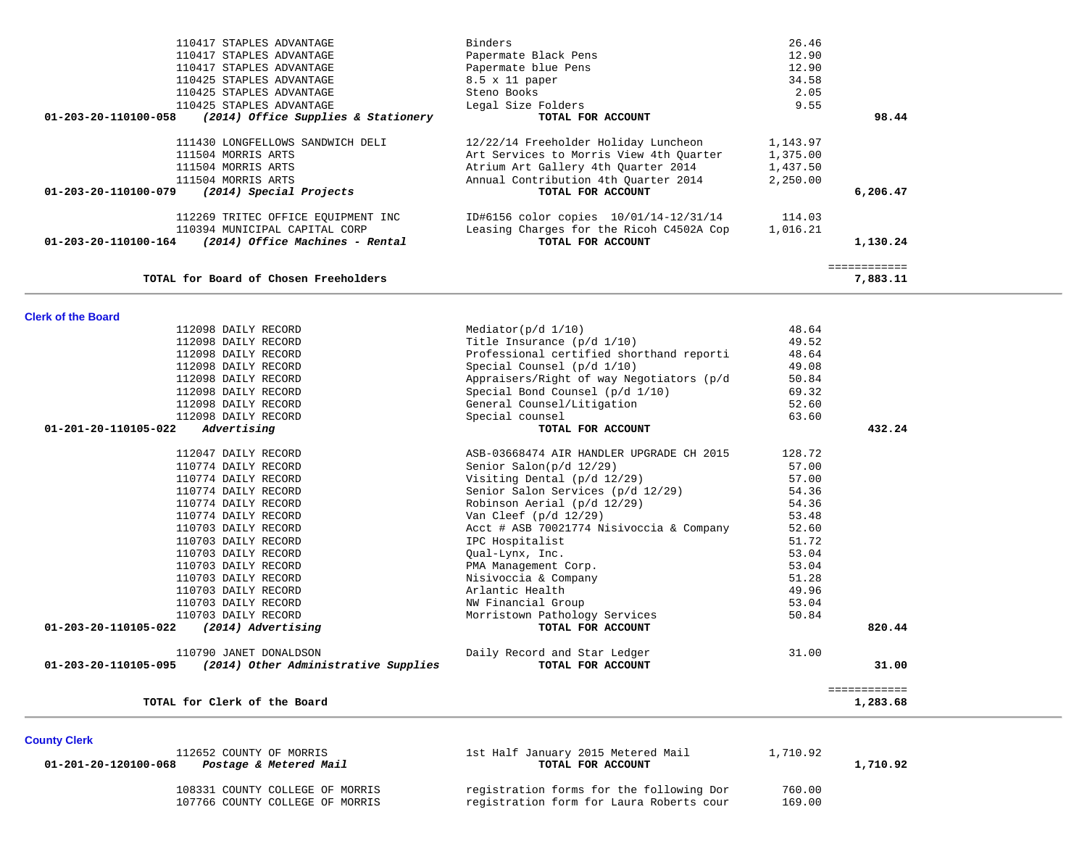| 110417 STAPLES ADVANTAGE                                    | Binders                                  | 26.46    |              |  |
|-------------------------------------------------------------|------------------------------------------|----------|--------------|--|
| 110417 STAPLES ADVANTAGE                                    | Papermate Black Pens                     | 12.90    |              |  |
| 110417 STAPLES ADVANTAGE                                    | Papermate blue Pens                      | 12.90    |              |  |
| 110425 STAPLES ADVANTAGE                                    | 8.5 x 11 paper                           | 34.58    |              |  |
| 110425 STAPLES ADVANTAGE                                    | Steno Books                              | 2.05     |              |  |
| 110425 STAPLES ADVANTAGE                                    | Legal Size Folders                       | 9.55     |              |  |
| 01-203-20-110100-058<br>(2014) Office Supplies & Stationery | TOTAL FOR ACCOUNT                        |          | 98.44        |  |
| 111430 LONGFELLOWS SANDWICH DELI                            | 12/22/14 Freeholder Holiday Luncheon     | 1,143.97 |              |  |
| 111504 MORRIS ARTS                                          | Art Services to Morris View 4th Ouarter  | 1,375.00 |              |  |
| 111504 MORRIS ARTS                                          | Atrium Art Gallery 4th Quarter 2014      | 1,437.50 |              |  |
| 111504 MORRIS ARTS                                          | Annual Contribution 4th Quarter 2014     | 2,250.00 |              |  |
| 01-203-20-110100-079<br>(2014) Special Projects             | TOTAL FOR ACCOUNT                        |          | 6,206.47     |  |
| 112269 TRITEC OFFICE EOUIPMENT INC                          | ID#6156 color copies 10/01/14-12/31/14   | 114.03   |              |  |
| 110394 MUNICIPAL CAPITAL CORP                               | Leasing Charges for the Ricoh C4502A Cop | 1,016.21 |              |  |
| (2014) Office Machines - Rental<br>01-203-20-110100-164     | TOTAL FOR ACCOUNT                        |          | 1,130.24     |  |
|                                                             |                                          |          | ============ |  |
| TOTAL for Board of Chosen Freeholders                       |                                          |          | 7,883.11     |  |
|                                                             |                                          |          |              |  |

|  | <b>Clerk of the Board</b> |
|--|---------------------------|
|  |                           |

| TOTAL for Clerk of the Board                                                           |                                                   |                | 1,283.68              |
|----------------------------------------------------------------------------------------|---------------------------------------------------|----------------|-----------------------|
| 110790 JANET DONALDSON<br>01-203-20-110105-095<br>(2014) Other Administrative Supplies | Daily Record and Star Ledger<br>TOTAL FOR ACCOUNT | 31.00          | 31.00<br>============ |
|                                                                                        |                                                   |                |                       |
| (2014) Advertising<br>01-203-20-110105-022                                             | TOTAL FOR ACCOUNT                                 |                | 820.44                |
| 110703 DAILY RECORD                                                                    | Morristown Pathology Services                     | 50.84          |                       |
| 110703 DAILY RECORD                                                                    | NW Financial Group                                | 49.96<br>53.04 |                       |
| 110703 DAILY RECORD<br>110703 DAILY RECORD                                             | Nisivoccia & Company<br>Arlantic Health           | 51.28          |                       |
| 110703 DAILY RECORD                                                                    | PMA Management Corp.                              | 53.04          |                       |
| 110703 DAILY RECORD                                                                    | Qual-Lynx, Inc.                                   | 53.04          |                       |
| 110703 DAILY RECORD                                                                    | IPC Hospitalist                                   | 51.72          |                       |
| 110703 DAILY RECORD                                                                    | Acct # ASB 70021774 Nisivoccia & Company          | 52.60          |                       |
| 110774 DAILY RECORD                                                                    | Van Cleef $(p/d \ 12/29)$                         | 53.48          |                       |
| 110774 DAILY RECORD                                                                    | Robinson Aerial (p/d 12/29)                       | 54.36          |                       |
| 110774 DAILY RECORD                                                                    | Senior Salon Services (p/d 12/29)                 | 54.36          |                       |
| 110774 DAILY RECORD                                                                    | Visiting Dental (p/d 12/29)                       | 57.00          |                       |
| 110774 DAILY RECORD                                                                    | Senior Salon $(p/d \ 12/29)$                      | 57.00          |                       |
| 112047 DAILY RECORD                                                                    | ASB-03668474 AIR HANDLER UPGRADE CH 2015          | 128.72         |                       |
| $01 - 201 - 20 - 110105 - 022$ Advertising                                             | TOTAL FOR ACCOUNT                                 |                | 432.24                |
| 112098 DAILY RECORD                                                                    | Special counsel                                   | 63.60          |                       |
| 112098 DAILY RECORD                                                                    | General Counsel/Litigation                        | 52.60          |                       |
| 112098 DAILY RECORD                                                                    | Special Bond Counsel (p/d 1/10)                   | 69.32          |                       |
| 112098 DAILY RECORD                                                                    | Appraisers/Right of way Negotiators (p/d          | 50.84          |                       |
| 112098 DAILY RECORD                                                                    | Special Counsel $(p/d \ 1/10)$                    | 49.08          |                       |
| 112098 DAILY RECORD                                                                    | Professional certified shorthand reporti          | 48.64          |                       |
| 112098 DAILY RECORD                                                                    | Title Insurance $(p/d \ 1/10)$                    | 49.52          |                       |
| 112098 DAILY RECORD                                                                    | Mediator( $p/d$ 1/10)                             | 48.64          |                       |

#### **County Clerk**

 **01-201-20-120100-068** *Postage & Metered Mail* **TOTAL FOR ACCOUNT 1,710.92**

108331 COUNTY COLLEGE OF MORRIS registration forms for the following Dor 760.00<br>107766 COUNTY COLLEGE OF MORRIS registration form for Laura Roberts cour 169.00

112652 COUNTY OF MORRIS<br>
1,710.92<br> **1,710.92**<br> **1,710.92**<br> **1,710.92** 

registration form for Laura Roberts cour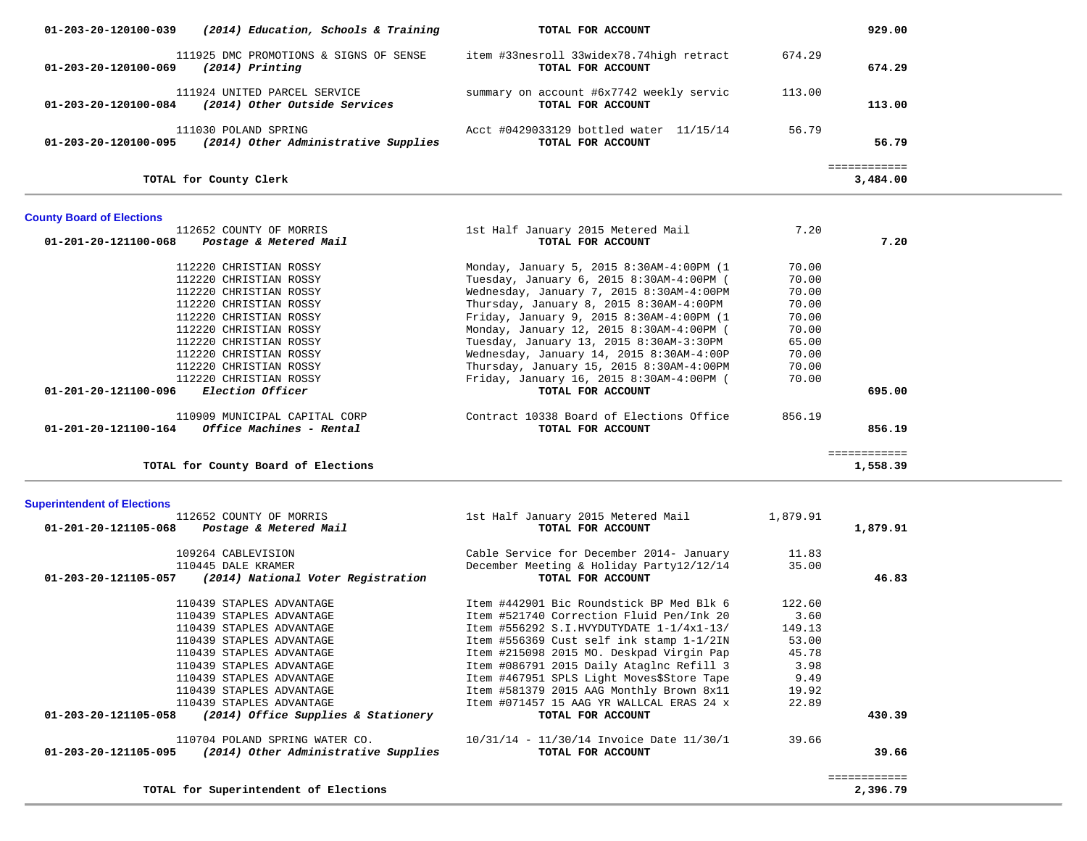| 01-203-20-120100-039<br>(2014) Education, Schools & Training                             | TOTAL FOR ACCOUNT                                                                    |          | 929.00                   |  |
|------------------------------------------------------------------------------------------|--------------------------------------------------------------------------------------|----------|--------------------------|--|
| 111925 DMC PROMOTIONS & SIGNS OF SENSE<br>01-203-20-120100-069<br>(2014) Printing        | item #33nesroll 33widex78.74high retract<br>TOTAL FOR ACCOUNT                        | 674.29   | 674.29                   |  |
| 111924 UNITED PARCEL SERVICE<br>01-203-20-120100-084<br>(2014) Other Outside Services    | summary on account #6x7742 weekly servic<br>TOTAL FOR ACCOUNT                        | 113.00   | 113.00                   |  |
| 111030 POLAND SPRING<br>01-203-20-120100-095<br>(2014) Other Administrative Supplies     | Acct #0429033129 bottled water 11/15/14<br>TOTAL FOR ACCOUNT                         | 56.79    | 56.79                    |  |
| TOTAL for County Clerk                                                                   |                                                                                      |          | ============<br>3,484.00 |  |
| <b>County Board of Elections</b>                                                         |                                                                                      |          |                          |  |
| 112652 COUNTY OF MORRIS                                                                  | 1st Half January 2015 Metered Mail                                                   | 7.20     |                          |  |
| 01-201-20-121100-068<br>Postage & Metered Mail                                           | TOTAL FOR ACCOUNT                                                                    |          | 7.20                     |  |
| 112220 CHRISTIAN ROSSY                                                                   | Monday, January 5, 2015 8:30AM-4:00PM (1                                             | 70.00    |                          |  |
| 112220 CHRISTIAN ROSSY                                                                   | Tuesday, January 6, 2015 8:30AM-4:00PM (                                             | 70.00    |                          |  |
| 112220 CHRISTIAN ROSSY                                                                   | Wednesday, January 7, 2015 8:30AM-4:00PM                                             | 70.00    |                          |  |
| 112220 CHRISTIAN ROSSY                                                                   | Thursday, January 8, 2015 8:30AM-4:00PM                                              | 70.00    |                          |  |
| 112220 CHRISTIAN ROSSY                                                                   | Friday, January 9, 2015 8:30AM-4:00PM (1                                             | 70.00    |                          |  |
| 112220 CHRISTIAN ROSSY                                                                   | Monday, January 12, 2015 8:30AM-4:00PM (                                             | 70.00    |                          |  |
| 112220 CHRISTIAN ROSSY                                                                   | Tuesday, January 13, 2015 8:30AM-3:30PM                                              | 65.00    |                          |  |
| 112220 CHRISTIAN ROSSY                                                                   | Wednesday, January 14, 2015 8:30AM-4:00P                                             | 70.00    |                          |  |
| 112220 CHRISTIAN ROSSY                                                                   | Thursday, January 15, 2015 8:30AM-4:00PM                                             | 70.00    |                          |  |
| 112220 CHRISTIAN ROSSY                                                                   | Friday, January 16, 2015 8:30AM-4:00PM (                                             | 70.00    |                          |  |
| Election Officer<br>01-201-20-121100-096                                                 | TOTAL FOR ACCOUNT                                                                    |          | 695.00                   |  |
|                                                                                          |                                                                                      |          |                          |  |
| 110909 MUNICIPAL CAPITAL CORP<br>01-201-20-121100-164<br><i>Office Machines - Rental</i> | Contract 10338 Board of Elections Office<br>TOTAL FOR ACCOUNT                        | 856.19   | 856.19                   |  |
|                                                                                          |                                                                                      |          |                          |  |
|                                                                                          |                                                                                      |          | ============             |  |
| TOTAL for County Board of Elections                                                      |                                                                                      |          | 1,558.39                 |  |
| <b>Superintendent of Elections</b>                                                       |                                                                                      |          |                          |  |
| 112652 COUNTY OF MORRIS                                                                  | 1st Half January 2015 Metered Mail                                                   | 1,879.91 |                          |  |
| 01-201-20-121105-068<br>Postage & Metered Mail                                           | TOTAL FOR ACCOUNT                                                                    |          | 1,879.91                 |  |
|                                                                                          |                                                                                      |          |                          |  |
| 109264 CABLEVISION                                                                       | Cable Service for December 2014- January<br>December Meeting & Holiday Party12/12/14 | 11.83    |                          |  |
| 110445 DALE KRAMER<br>(2014) National Voter Registration<br>01-203-20-121105-057         | TOTAL FOR ACCOUNT                                                                    | 35.00    | 46.83                    |  |
|                                                                                          |                                                                                      |          |                          |  |
| 110439 STAPLES ADVANTAGE                                                                 | Item #442901 Bic Roundstick BP Med Blk 6                                             | 122.60   |                          |  |
| 110439 STAPLES ADVANTAGE                                                                 | Item #521740 Correction Fluid Pen/Ink 20                                             | 3.60     |                          |  |
| 110439 STAPLES ADVANTAGE                                                                 | Item #556292 S.I.HVYDUTYDATE $1-1/4x1-13/$                                           | 149.13   |                          |  |
| 110439 STAPLES ADVANTAGE                                                                 | Item #556369 Cust self ink stamp 1-1/2IN                                             | 53.00    |                          |  |
| 110439 STAPLES ADVANTAGE                                                                 | Item #215098 2015 MO. Deskpad Virgin Pap                                             | 45.78    |                          |  |
| 110439 STAPLES ADVANTAGE                                                                 | Item #086791 2015 Daily Ataglnc Refill 3                                             | 3.98     |                          |  |
| 110439 STAPLES ADVANTAGE                                                                 | Item #467951 SPLS Light Moves\$Store Tape                                            | 9.49     |                          |  |
| 110439 STAPLES ADVANTAGE                                                                 | Item #581379 2015 AAG Monthly Brown 8x11                                             | 19.92    |                          |  |
| 110439 STAPLES ADVANTAGE                                                                 | Item #071457 15 AAG YR WALLCAL ERAS 24 x                                             | 22.89    |                          |  |
| 01-203-20-121105-058<br>(2014) Office Supplies & Stationery                              | TOTAL FOR ACCOUNT                                                                    |          | 430.39                   |  |
|                                                                                          | 10/31/14 - 11/30/14 Invoice Date 11/30/1                                             |          |                          |  |
| 110704 POLAND SPRING WATER CO.                                                           | TOTAL FOR ACCOUNT                                                                    | 39.66    |                          |  |
| (2014) Other Administrative Supplies<br>01-203-20-121105-095                             |                                                                                      |          | 39.66                    |  |
|                                                                                          |                                                                                      |          | ============             |  |
| TOTAL for Superintendent of Elections                                                    |                                                                                      |          | 2,396.79                 |  |
|                                                                                          |                                                                                      |          |                          |  |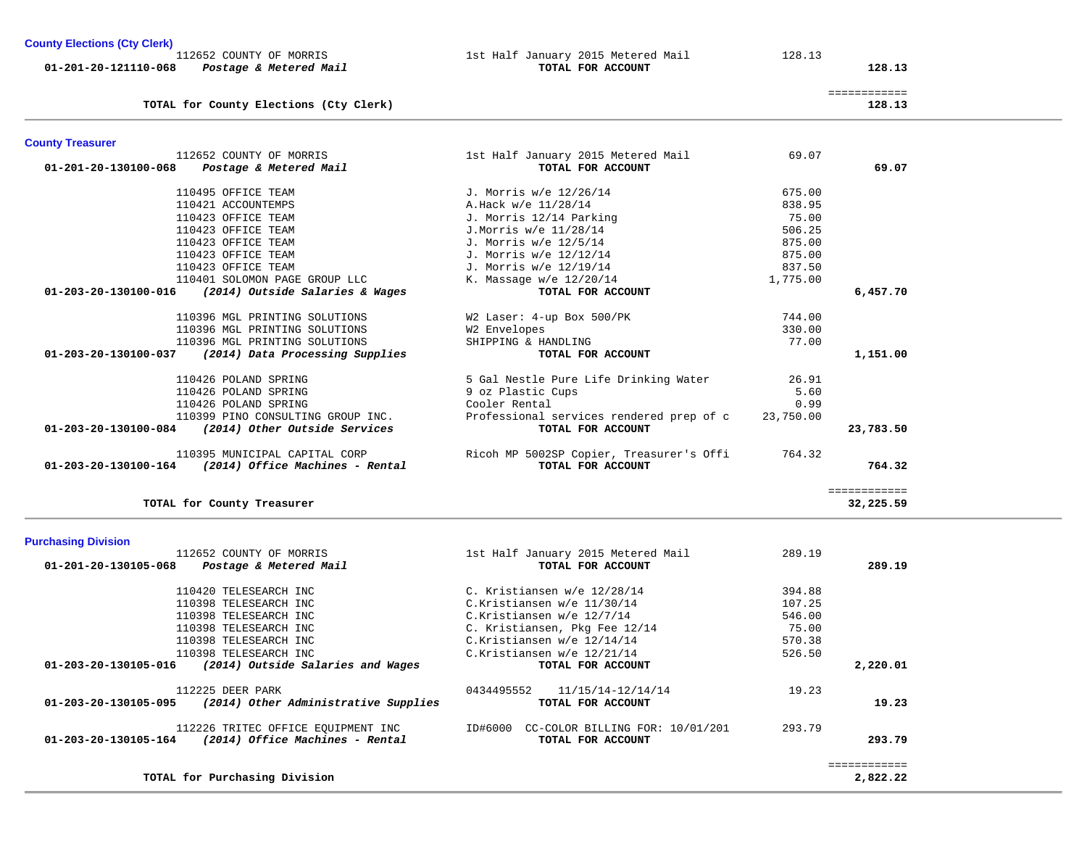**County Elections (Cty Clerk)**

|                      | 112652 COUNTY OF MORRIS |                        |  |  |
|----------------------|-------------------------|------------------------|--|--|
| 01-201-20-121110-068 |                         | Postage & Metered Mail |  |  |

1st Half January 2015 Metered Mail 128.13  **017AL FOR ACCOUNT 128.13** 

|                                        | _____________<br>____________ |
|----------------------------------------|-------------------------------|
| TOTAL for County Elections (Cty Clerk) | 128.13                        |

| <b>County Treasurer</b>                                 |                                    |          |          |
|---------------------------------------------------------|------------------------------------|----------|----------|
| 112652 COUNTY OF MORRIS                                 | 1st Half January 2015 Metered Mail | 69.07    |          |
| 01-201-20-130100-068<br>Postage & Metered Mail          | TOTAL FOR ACCOUNT                  |          | 69.07    |
| 110495 OFFICE TEAM                                      | J. Morris w/e 12/26/14             | 675.00   |          |
| 110421 ACCOUNTEMPS                                      | A.Hack w/e 11/28/14                | 838.95   |          |
| 110423 OFFICE TEAM                                      | J. Morris 12/14 Parking            | 75.00    |          |
| 110423 OFFICE TEAM                                      | J.Morris w/e 11/28/14              | 506.25   |          |
| 110423 OFFICE TEAM                                      | J. Morris w/e 12/5/14              | 875.00   |          |
| 110423 OFFICE TEAM                                      | J. Morris w/e 12/12/14             | 875.00   |          |
| 110423 OFFICE TEAM                                      | J. Morris w/e 12/19/14             | 837.50   |          |
| 110401 SOLOMON PAGE GROUP LLC                           | K. Massage $w/e$ 12/20/14          | 1,775.00 |          |
| (2014) Outside Salaries & Wages<br>01-203-20-130100-016 | TOTAL FOR ACCOUNT                  |          | 6,457.70 |

|           | 744.00    | W2 Laser: 4-up Box 500/PK                | 110396 MGL PRINTING SOLUTIONS                           |
|-----------|-----------|------------------------------------------|---------------------------------------------------------|
|           | 330.00    | W2 Envelopes                             | 110396 MGL PRINTING SOLUTIONS                           |
|           | 77.00     | SHIPPING & HANDLING                      | 110396 MGL PRINTING SOLUTIONS                           |
| 1,151.00  |           | TOTAL FOR ACCOUNT                        | (2014) Data Processing Supplies<br>01-203-20-130100-037 |
|           | 26.91     | 5 Gal Nestle Pure Life Drinking Water    | 110426 POLAND SPRING                                    |
|           | 5.60      | 9 oz Plastic Cups                        | 110426 POLAND SPRING                                    |
|           | 0.99      | Cooler Rental                            | 110426 POLAND SPRING                                    |
|           | 23,750.00 | Professional services rendered prep of c | 110399 PINO CONSULTING GROUP INC.                       |
| 23,783.50 |           | TOTAL FOR ACCOUNT                        | (2014) Other Outside Services<br>01-203-20-130100-084   |
|           | 764.32    | Ricoh MP 5002SP Copier, Treasurer's Offi | 110395 MUNICIPAL CAPITAL CORP                           |
| 764.32    |           | TOTAL FOR ACCOUNT                        | (2014) Office Machines - Rental<br>01-203-20-130100-164 |
|           |           |                                          |                                                         |

**TOTAL for County Treasurer 32,225.59**

============<br>32,225.59

| <b>Purchasing Division</b>                                                |                                                         |        |          |
|---------------------------------------------------------------------------|---------------------------------------------------------|--------|----------|
| 112652 COUNTY OF MORRIS<br>01-201-20-130105-068<br>Postage & Metered Mail | 1st Half January 2015 Metered Mail<br>TOTAL FOR ACCOUNT | 289.19 | 289.19   |
|                                                                           |                                                         |        |          |
| 110420 TELESEARCH INC                                                     | C. Kristiansen w/e 12/28/14                             | 394.88 |          |
| 110398 TELESEARCH INC                                                     | C.Kristiansen w/e 11/30/14                              | 107.25 |          |
| 110398 TELESEARCH INC                                                     | C.Kristiansen w/e 12/7/14                               | 546.00 |          |
| 110398 TELESEARCH INC                                                     | C. Kristiansen, Pkg Fee 12/14                           | 75.00  |          |
| 110398 TELESEARCH INC                                                     | C.Kristiansen w/e 12/14/14                              | 570.38 |          |
| 110398 TELESEARCH INC                                                     | C.Kristiansen w/e 12/21/14                              | 526.50 |          |
| (2014) Outside Salaries and Wages<br>01-203-20-130105-016                 | TOTAL FOR ACCOUNT                                       |        | 2,220.01 |
| 112225 DEER PARK                                                          | 0434495552<br>11/15/14-12/14/14                         | 19.23  |          |
| (2014) Other Administrative Supplies<br>01-203-20-130105-095              | TOTAL FOR ACCOUNT                                       |        | 19.23    |
| 112226 TRITEC OFFICE EQUIPMENT INC                                        | ID#6000<br>CC-COLOR BILLING FOR: 10/01/201              | 293.79 |          |
| (2014) Office Machines - Rental<br>01-203-20-130105-164                   | TOTAL FOR ACCOUNT                                       |        | 293.79   |
|                                                                           |                                                         |        |          |
| TOTAL for Purchasing Division                                             |                                                         |        | 2,822.22 |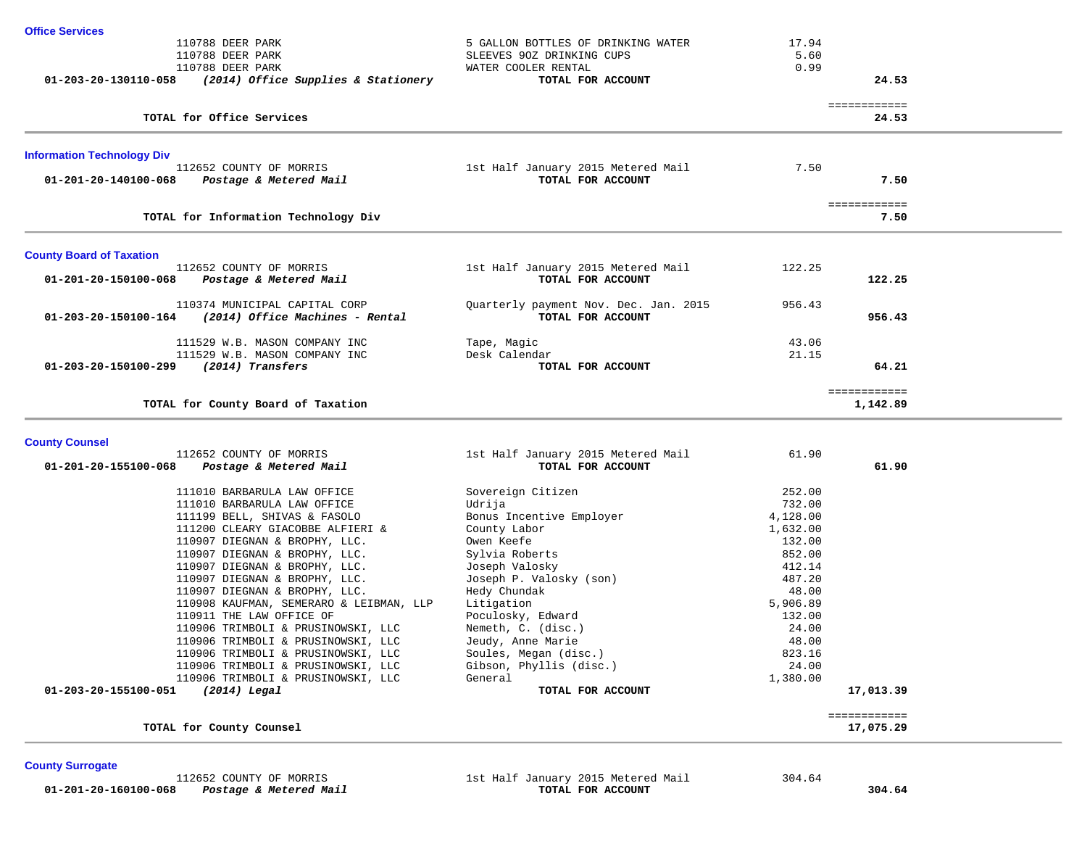| <b>Office Services</b>            |                                                          |                                       |          |                           |  |
|-----------------------------------|----------------------------------------------------------|---------------------------------------|----------|---------------------------|--|
|                                   | 110788 DEER PARK                                         | 5 GALLON BOTTLES OF DRINKING WATER    | 17.94    |                           |  |
|                                   | 110788 DEER PARK                                         | SLEEVES 90Z DRINKING CUPS             | 5.60     |                           |  |
|                                   | 110788 DEER PARK                                         | WATER COOLER RENTAL                   | 0.99     |                           |  |
|                                   | 01-203-20-130110-058 (2014) Office Supplies & Stationery | TOTAL FOR ACCOUNT                     |          | 24.53                     |  |
|                                   |                                                          |                                       |          | ============              |  |
|                                   | TOTAL for Office Services                                |                                       |          | 24.53                     |  |
| <b>Information Technology Div</b> |                                                          |                                       |          |                           |  |
|                                   | 112652 COUNTY OF MORRIS                                  | 1st Half January 2015 Metered Mail    | 7.50     |                           |  |
| 01-201-20-140100-068              | Postage & Metered Mail                                   | TOTAL FOR ACCOUNT                     |          | 7.50                      |  |
|                                   | TOTAL for Information Technology Div                     |                                       |          | ============<br>7.50      |  |
|                                   |                                                          |                                       |          |                           |  |
| <b>County Board of Taxation</b>   |                                                          |                                       |          |                           |  |
|                                   | 112652 COUNTY OF MORRIS                                  | 1st Half January 2015 Metered Mail    | 122.25   |                           |  |
| 01-201-20-150100-068              | Postage & Metered Mail                                   | TOTAL FOR ACCOUNT                     |          | 122.25                    |  |
|                                   | 110374 MUNICIPAL CAPITAL CORP                            | Quarterly payment Nov. Dec. Jan. 2015 | 956.43   |                           |  |
|                                   | $01-203-20-150100-164$ (2014) Office Machines - Rental   | TOTAL FOR ACCOUNT                     |          | 956.43                    |  |
|                                   | 111529 W.B. MASON COMPANY INC                            | Tape, Magic                           | 43.06    |                           |  |
|                                   | 111529 W.B. MASON COMPANY INC                            | Desk Calendar                         | 21.15    |                           |  |
|                                   | 01-203-20-150100-299 (2014) Transfers                    | TOTAL FOR ACCOUNT                     |          | 64.21                     |  |
|                                   |                                                          |                                       |          | ============              |  |
|                                   | TOTAL for County Board of Taxation                       |                                       |          | 1,142.89                  |  |
| <b>County Counsel</b>             |                                                          |                                       |          |                           |  |
|                                   | 112652 COUNTY OF MORRIS                                  | 1st Half January 2015 Metered Mail    | 61.90    |                           |  |
| 01-201-20-155100-068              | Postage & Metered Mail                                   | TOTAL FOR ACCOUNT                     |          | 61.90                     |  |
|                                   | 111010 BARBARULA LAW OFFICE                              | Sovereign Citizen                     | 252.00   |                           |  |
|                                   | 111010 BARBARULA LAW OFFICE                              | Udrija                                | 732.00   |                           |  |
|                                   | 111199 BELL, SHIVAS & FASOLO                             | Bonus Incentive Employer              | 4,128.00 |                           |  |
|                                   | 111200 CLEARY GIACOBBE ALFIERI &                         | County Labor                          | 1,632.00 |                           |  |
|                                   | 110907 DIEGNAN & BROPHY, LLC.                            | Owen Keefe                            | 132.00   |                           |  |
|                                   | 110907 DIEGNAN & BROPHY, LLC.                            | Sylvia Roberts                        | 852.00   |                           |  |
|                                   | 110907 DIEGNAN & BROPHY, LLC.                            | Joseph Valosky                        | 412.14   |                           |  |
|                                   | 110907 DIEGNAN & BROPHY, LLC.                            | Joseph P. Valosky (son)               | 487.20   |                           |  |
|                                   | 110907 DIEGNAN & BROPHY, LLC.                            | Hedy Chundak                          | 48.00    |                           |  |
|                                   | 110908 KAUFMAN, SEMERARO & LEIBMAN, LLP                  | Litigation                            | 5,906.89 |                           |  |
|                                   | 110911 THE LAW OFFICE OF                                 | Poculosky, Edward                     | 132.00   |                           |  |
|                                   | 110906 TRIMBOLI & PRUSINOWSKI, LLC                       | Nemeth, C. (disc.)                    | 24.00    |                           |  |
|                                   | 110906 TRIMBOLI & PRUSINOWSKI, LLC                       | Jeudy, Anne Marie                     | 48.00    |                           |  |
|                                   | 110906 TRIMBOLI & PRUSINOWSKI, LLC                       | Soules, Megan (disc.)                 | 823.16   |                           |  |
|                                   | 110906 TRIMBOLI & PRUSINOWSKI, LLC                       | Gibson, Phyllis (disc.)               | 24.00    |                           |  |
|                                   | 110906 TRIMBOLI & PRUSINOWSKI, LLC                       | General                               | 1,380.00 |                           |  |
| 01-203-20-155100-051              | $(2014)$ Legal                                           | TOTAL FOR ACCOUNT                     |          | 17,013.39                 |  |
|                                   |                                                          |                                       |          | ============<br>17,075.29 |  |
|                                   | TOTAL for County Counsel                                 |                                       |          |                           |  |
|                                   |                                                          |                                       |          |                           |  |

**County Surrogate** 

 112652 COUNTY OF MORRIS 1st Half January 2015 Metered Mail 304.64  **01-201-20-160100-068** *Postage & Metered Mail* **TOTAL FOR ACCOUNT 304.64**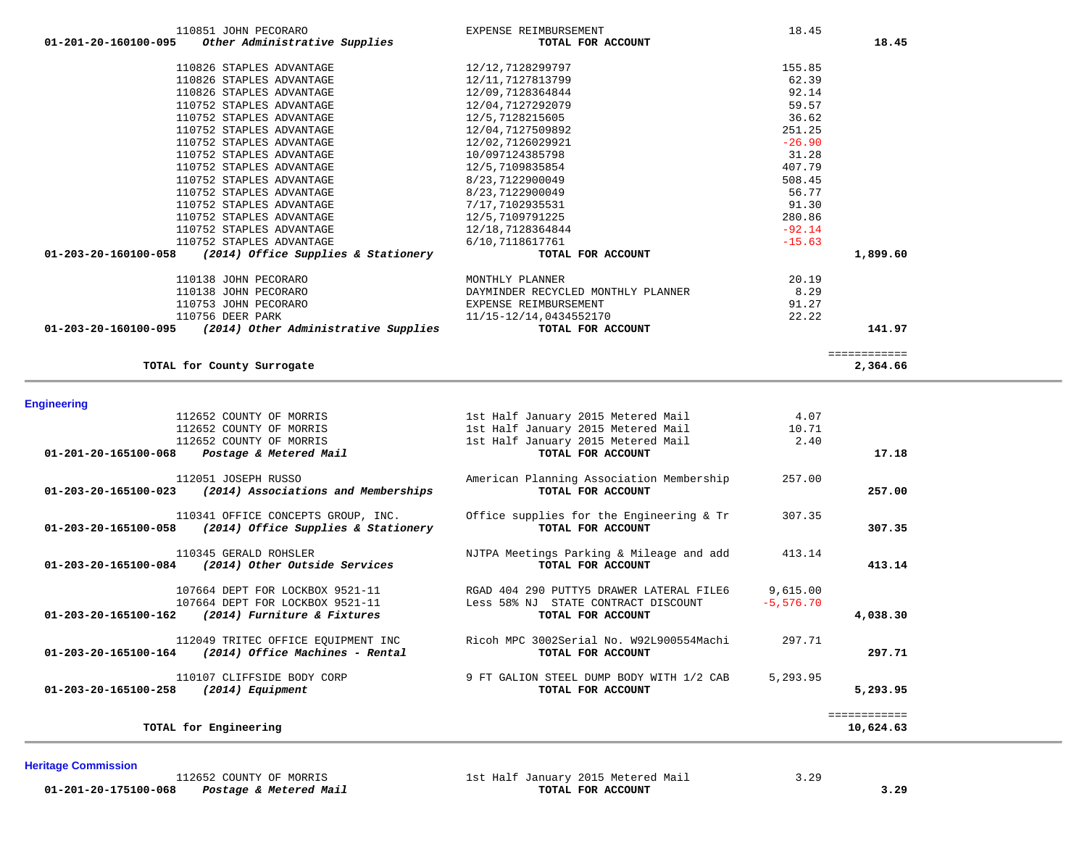|                    | 110138 JOHN PECORARO                                               | MONTHLY PLANNER                          | 20.19        |                           |
|--------------------|--------------------------------------------------------------------|------------------------------------------|--------------|---------------------------|
|                    | 110138 JOHN PECORARO                                               | DAYMINDER RECYCLED MONTHLY PLANNER       | 8.29         |                           |
|                    | 110753 JOHN PECORARO                                               | EXPENSE REIMBURSEMENT                    | 91.27        |                           |
|                    | 110756 DEER PARK                                                   | 11/15-12/14,0434552170                   | 22.22        |                           |
|                    | $01-203-20-160100-095$ (2014) Other Administrative Supplies        | TOTAL FOR ACCOUNT                        |              | 141.97                    |
|                    |                                                                    |                                          |              | ============              |
|                    | TOTAL for County Surrogate                                         |                                          |              | 2,364.66                  |
| <b>Engineering</b> |                                                                    |                                          |              |                           |
|                    | 112652 COUNTY OF MORRIS                                            | 1st Half January 2015 Metered Mail       | 4.07         |                           |
|                    | 112652 COUNTY OF MORRIS                                            | 1st Half January 2015 Metered Mail       | 10.71        |                           |
|                    | 112652 COUNTY OF MORRIS                                            | 1st Half January 2015 Metered Mail       | 2.40         |                           |
|                    | 01-201-20-165100-068 Postage & Metered Mail                        | TOTAL FOR ACCOUNT                        |              | 17.18                     |
|                    | 112051 JOSEPH RUSSO                                                | American Planning Association Membership | 257.00       |                           |
|                    | $01 - 203 - 20 - 165100 - 023$ (2014) Associations and Memberships | TOTAL FOR ACCOUNT                        |              | 257.00                    |
|                    | 110341 OFFICE CONCEPTS GROUP, INC.                                 | Office supplies for the Engineering & Tr | 307.35       |                           |
|                    | $01-203-20-165100-058$ (2014) Office Supplies & Stationery         | TOTAL FOR ACCOUNT                        |              | 307.35                    |
|                    | 110345 GERALD ROHSLER                                              | NJTPA Meetings Parking & Mileage and add | 413.14       |                           |
|                    | 01-203-20-165100-084 (2014) Other Outside Services                 | TOTAL FOR ACCOUNT                        |              | 413.14                    |
|                    | 107664 DEPT FOR LOCKBOX 9521-11                                    | RGAD 404 290 PUTTY5 DRAWER LATERAL FILE6 | 9,615.00     |                           |
|                    | 107664 DEPT FOR LOCKBOX 9521-11                                    | Less 58% NJ STATE CONTRACT DISCOUNT      | $-5, 576.70$ |                           |
|                    | 01-203-20-165100-162 (2014) Furniture & Fixtures                   | TOTAL FOR ACCOUNT                        |              | 4,038.30                  |
|                    | 112049 TRITEC OFFICE EOUIPMENT INC                                 | Ricoh MPC 3002Serial No. W92L900554Machi | 297.71       |                           |
|                    | $01-203-20-165100-164$ (2014) Office Machines - Rental             | TOTAL FOR ACCOUNT                        |              | 297.71                    |
|                    | 110107 CLIFFSIDE BODY CORP                                         | 9 FT GALION STEEL DUMP BODY WITH 1/2 CAB | 5,293.95     |                           |
|                    | $01-203-20-165100-258$ (2014) Equipment                            | TOTAL FOR ACCOUNT                        |              | 5,293.95                  |
|                    | TOTAL for Engineering                                              |                                          |              | ============<br>10,624.63 |
|                    |                                                                    |                                          |              |                           |

# **01-201-20-160100-095** *Other Administrative Supplies* **TOTAL FOR ACCOUNT 18.45** 110826 STAPLES ADVANTAGE 12/12,7128299797 155.85 110826 STAPLES ADVANTAGE 12/11,7127813799 62.39 110826 STAPLES ADVANTAGE 12/09,7128364844 92.14 110752 STAPLES ADVANTAGE 12/04,7127292079 59.57 110752 STAPLES ADVANTAGE 12/5,7128215605 36.62 110752 STAPLES ADVANTAGE 12/04,7127509892 251.25 110752 STAPLES ADVANTAGE 12/02.7126029921 -26.90 110752 STAPLES ADVANTAGE 10/097124385798 31.28 110752 STAPLES ADVANTAGE 12/5,7109835854 407.79 110752 STAPLES ADVANTAGE 6/23,7122900049 508.45<br>110752 STAPLES ADVANTAGE 6.77 8/23,7122900049 56.77 110752 STAPLES ADVANTAGE 8/23,7122900049 56.77 110752 STAPLES ADVANTAGE 7/17,7102935531 91.30 110752 STAPLES ADVANTAGE 12/5,7109791225 280.86 110752 STAPLES ADVANTAGE 12/18,7128364844 - 92.14 110752 STAPLES ADVANTAGE 6/10,7118617761 -15.63  **01-203-20-160100-058** *(2014) Office Supplies & Stationery* **TOTAL FOR ACCOUNT 1,899.60** 110138 JOHN PECORARO MONTHLY PLANNER 20.19

110851 JOHN PECORARO EXPENSE REIMBURSEMENT 18.45

**Heritage Commission** 

 **01-201-20-175100-068** *Postage & Metered Mail* **TOTAL FOR ACCOUNT 3.29**

112652 COUNTY OF MORRIS 1st Half January 2015 Metered Mail 3.29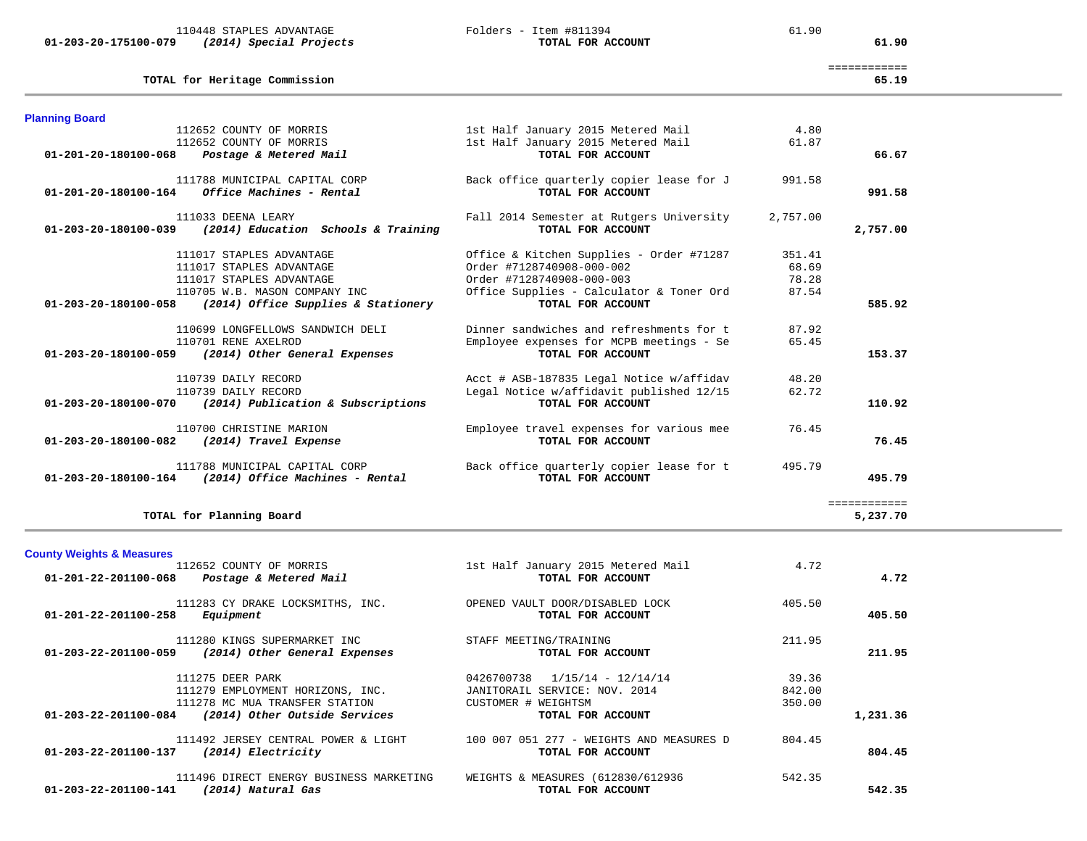**01-203-20-175100-079** *(2014) Special Projects* **TOTAL FOR ACCOUNT 61.90**

110448 STAPLES ADVANTAGE Folders - Item #811394 61.90

| TOTAL for Heritage Commission                                     |                                          |          | ============<br>65.19 |
|-------------------------------------------------------------------|------------------------------------------|----------|-----------------------|
| <b>Planning Board</b>                                             |                                          |          |                       |
| 112652 COUNTY OF MORRIS                                           | 1st Half January 2015 Metered Mail       | 4.80     |                       |
| 112652 COUNTY OF MORRIS                                           | 1st Half January 2015 Metered Mail       | 61.87    |                       |
| 01-201-20-180100-068 Postage & Metered Mail                       | TOTAL FOR ACCOUNT                        |          | 66.67                 |
| 111788 MUNICIPAL CAPITAL CORP                                     | Back office quarterly copier lease for J | 991.58   |                       |
| Office Machines - Rental<br>01-201-20-180100-164                  | TOTAL FOR ACCOUNT                        |          | 991.58                |
| 111033 DEENA LEARY                                                | Fall 2014 Semester at Rutgers University | 2,757.00 |                       |
| 01-203-20-180100-039<br>(2014) Education Schools & Training       | TOTAL FOR ACCOUNT                        |          | 2,757.00              |
| 111017 STAPLES ADVANTAGE                                          | Office & Kitchen Supplies - Order #71287 | 351.41   |                       |
| 111017 STAPLES ADVANTAGE                                          | Order #7128740908-000-002                | 68.69    |                       |
| 111017 STAPLES ADVANTAGE                                          | Order #7128740908-000-003                | 78.28    |                       |
| 110705 W.B. MASON COMPANY INC                                     | Office Supplies - Calculator & Toner Ord | 87.54    |                       |
| $01-203-20-180100-058$ (2014) Office Supplies & Stationery        | TOTAL FOR ACCOUNT                        |          | 585.92                |
| 110699 LONGFELLOWS SANDWICH DELI                                  | Dinner sandwiches and refreshments for t | 87.92    |                       |
| 110701 RENE AXELROD                                               | Employee expenses for MCPB meetings - Se | 65.45    |                       |
| 01-203-20-180100-059 (2014) Other General Expenses                | TOTAL FOR ACCOUNT                        |          | 153.37                |
| 110739 DAILY RECORD                                               | Acct # ASB-187835 Legal Notice w/affidav | 48.20    |                       |
| 110739 DAILY RECORD                                               | Legal Notice w/affidavit published 12/15 | 62.72    |                       |
| $01 - 203 - 20 - 180100 - 070$ (2014) Publication & Subscriptions | TOTAL FOR ACCOUNT                        |          | 110.92                |
| 110700 CHRISTINE MARION                                           | Employee travel expenses for various mee | 76.45    |                       |
| 01-203-20-180100-082<br>(2014) Travel Expense                     | TOTAL FOR ACCOUNT                        |          | 76.45                 |
| 111788 MUNICIPAL CAPITAL CORP                                     | Back office quarterly copier lease for t | 495.79   |                       |
| 01-203-20-180100-164<br>(2014) Office Machines - Rental           | TOTAL FOR ACCOUNT                        |          | 495.79                |
|                                                                   |                                          |          | ============          |
| TOTAL for Planning Board                                          |                                          |          | 5.237.70              |

TOTAL for Planning Board

**County Weights & Measures** 1st Half January 2015 Metered Mail 4.72  **01-201-22-201100-068** *Postage & Metered Mail* **TOTAL FOR ACCOUNT 4.72** 111283 CY DRAKE LOCKSMITHS, INC. OPENED VAULT DOOR/DISABLED LOCK 405.50  **01-201-22-201100-258** *Equipment* **TOTAL FOR ACCOUNT 405.50** 111280 KINGS SUPERMARKET INC STAFF MEETING/TRAINING 211.95  **01-203-22-201100-059** *(2014) Other General Expenses* **TOTAL FOR ACCOUNT 211.95** 111275 DEER PARK 39.36 0426700738 1/15/14 - 12/14/14 39.36 111279 EMPLOYMENT HORIZONS, INC. JANITORAIL SERVICE: NOV. 2014 842.00 111278 MC MUA TRANSFER STATION CUSTOMER # WEIGHTSM 350.00  **01-203-22-201100-084** *(2014) Other Outside Services* **TOTAL FOR ACCOUNT 1,231.36** 111492 JERSEY CENTRAL POWER & LIGHT 100 007 051 277 - WEIGHTS AND MEASURES D 804.45  **01-203-22-201100-137** *(2014) Electricity* **TOTAL FOR ACCOUNT 804.45** 111496 DIRECT ENERGY BUSINESS MARKETING WEIGHTS & MEASURES (612830/612936 542.35

 **01-203-22-201100-141** *(2014) Natural Gas* **TOTAL FOR ACCOUNT 542.35**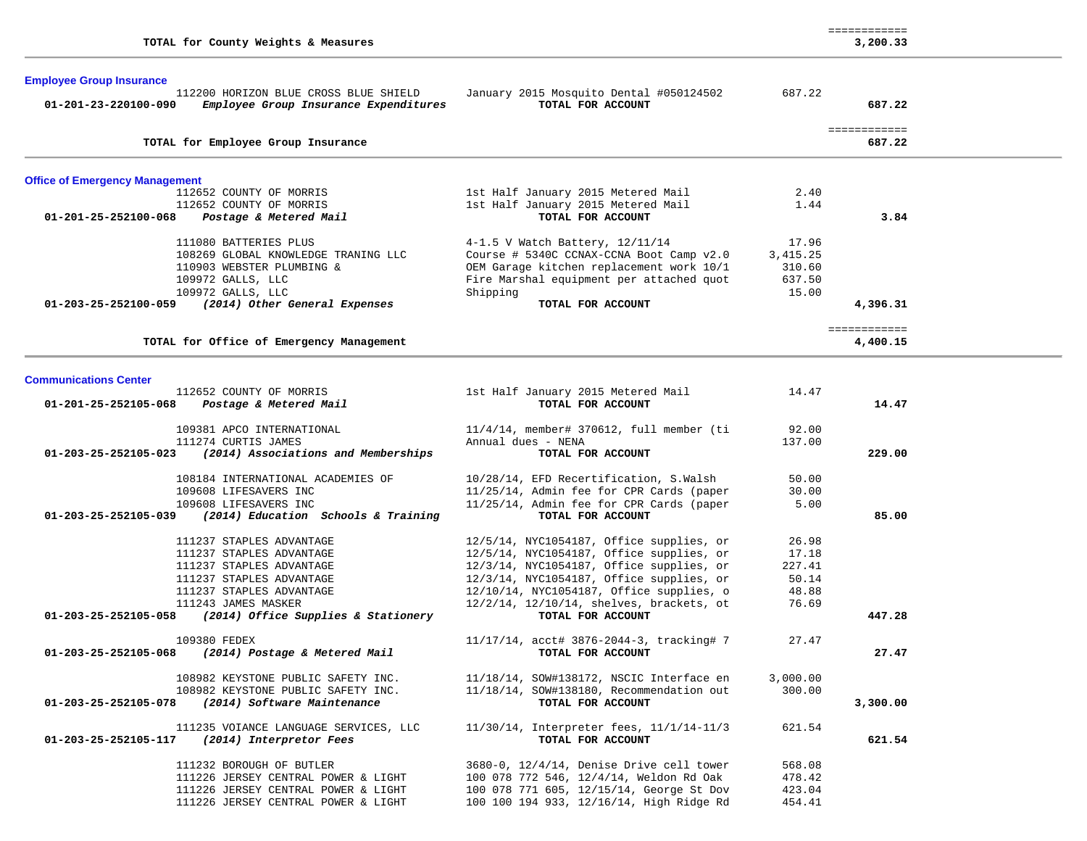|                                                                                    |                                                                   |          | ============             |  |
|------------------------------------------------------------------------------------|-------------------------------------------------------------------|----------|--------------------------|--|
| TOTAL for County Weights & Measures                                                |                                                                   |          | 3,200.33                 |  |
| <b>Employee Group Insurance</b>                                                    |                                                                   |          |                          |  |
| 112200 HORIZON BLUE CROSS BLUE SHIELD                                              | January 2015 Mosquito Dental #050124502                           | 687.22   |                          |  |
| 01-201-23-220100-090<br>Employee Group Insurance Expenditures                      | TOTAL FOR ACCOUNT                                                 |          | 687.22                   |  |
| TOTAL for Employee Group Insurance                                                 |                                                                   |          | ============<br>687.22   |  |
|                                                                                    |                                                                   |          |                          |  |
| <b>Office of Emergency Management</b><br>112652 COUNTY OF MORRIS                   | 1st Half January 2015 Metered Mail                                | 2.40     |                          |  |
| 112652 COUNTY OF MORRIS                                                            | 1st Half January 2015 Metered Mail                                | 1.44     |                          |  |
| 01-201-25-252100-068<br>Postage & Metered Mail                                     | TOTAL FOR ACCOUNT                                                 |          | 3.84                     |  |
| 111080 BATTERIES PLUS                                                              | 4-1.5 V Watch Battery, 12/11/14                                   | 17.96    |                          |  |
| 108269 GLOBAL KNOWLEDGE TRANING LLC                                                | Course # 5340C CCNAX-CCNA Boot Camp v2.0                          | 3,415.25 |                          |  |
| 110903 WEBSTER PLUMBING &                                                          | OEM Garage kitchen replacement work 10/1                          | 310.60   |                          |  |
| 109972 GALLS, LLC                                                                  | Fire Marshal equipment per attached quot                          | 637.50   |                          |  |
| 109972 GALLS, LLC                                                                  | Shipping                                                          | 15.00    |                          |  |
| 01-203-25-252100-059 (2014) Other General Expenses                                 | TOTAL FOR ACCOUNT                                                 |          | 4,396.31                 |  |
| TOTAL for Office of Emergency Management                                           |                                                                   |          | ============<br>4,400.15 |  |
|                                                                                    |                                                                   |          |                          |  |
| <b>Communications Center</b>                                                       |                                                                   |          |                          |  |
| 112652 COUNTY OF MORRIS<br>Postage & Metered Mail<br>01-201-25-252105-068          | 1st Half January 2015 Metered Mail<br>TOTAL FOR ACCOUNT           | 14.47    | 14.47                    |  |
|                                                                                    |                                                                   |          |                          |  |
| 109381 APCO INTERNATIONAL                                                          | $11/4/14$ , member# 370612, full member (ti<br>Annual dues - NENA | 92.00    |                          |  |
| 111274 CURTIS JAMES<br>(2014) Associations and Memberships<br>01-203-25-252105-023 | TOTAL FOR ACCOUNT                                                 | 137.00   | 229.00                   |  |
| 108184 INTERNATIONAL ACADEMIES OF                                                  | 10/28/14, EFD Recertification, S.Walsh                            | 50.00    |                          |  |
| 109608 LIFESAVERS INC                                                              | 11/25/14, Admin fee for CPR Cards (paper                          | 30.00    |                          |  |
| 109608 LIFESAVERS INC                                                              | 11/25/14, Admin fee for CPR Cards (paper                          | 5.00     |                          |  |
| 01-203-25-252105-039<br>(2014) Education Schools & Training                        | TOTAL FOR ACCOUNT                                                 |          | 85.00                    |  |
| 111237 STAPLES ADVANTAGE                                                           | 12/5/14, NYC1054187, Office supplies, or                          | 26.98    |                          |  |
| 111237 STAPLES ADVANTAGE                                                           | 12/5/14, NYC1054187, Office supplies, or                          | 17.18    |                          |  |
| 111237 STAPLES ADVANTAGE                                                           | 12/3/14, NYC1054187, Office supplies, or                          | 227.41   |                          |  |
| 111237 STAPLES ADVANTAGE                                                           | 12/3/14, NYC1054187, Office supplies, or                          | 50.14    |                          |  |
| 111237 STAPLES ADVANTAGE                                                           | 12/10/14, NYC1054187, Office supplies, o                          | 48.88    |                          |  |
| 111243 JAMES MASKER                                                                | 12/2/14, 12/10/14, shelves, brackets, ot                          | 76.69    |                          |  |
| 01-203-25-252105-058<br>(2014) Office Supplies & Stationery                        | TOTAL FOR ACCOUNT                                                 |          | 447.28                   |  |
| 109380 FEDEX                                                                       | 11/17/14, acct# 3876-2044-3, tracking# 7                          | 27.47    |                          |  |
| 01-203-25-252105-068<br>(2014) Postage & Metered Mail                              | TOTAL FOR ACCOUNT                                                 |          | 27.47                    |  |
| 108982 KEYSTONE PUBLIC SAFETY INC.                                                 | 11/18/14, SOW#138172, NSCIC Interface en                          | 3,000.00 |                          |  |
| 108982 KEYSTONE PUBLIC SAFETY INC.                                                 | 11/18/14, SOW#138180, Recommendation out                          | 300.00   |                          |  |
| (2014) Software Maintenance<br>01-203-25-252105-078                                | TOTAL FOR ACCOUNT                                                 |          | 3,300.00                 |  |
| 111235 VOIANCE LANGUAGE SERVICES, LLC                                              | 11/30/14, Interpreter fees, 11/1/14-11/3                          | 621.54   |                          |  |
| (2014) Interpretor Fees<br>01-203-25-252105-117                                    | TOTAL FOR ACCOUNT                                                 |          | 621.54                   |  |
| 111232 BOROUGH OF BUTLER                                                           | 3680-0, 12/4/14, Denise Drive cell tower                          | 568.08   |                          |  |
| 111226 JERSEY CENTRAL POWER & LIGHT                                                | 100 078 772 546, 12/4/14, Weldon Rd Oak                           | 478.42   |                          |  |
| 111226 JERSEY CENTRAL POWER & LIGHT                                                | 100 078 771 605, 12/15/14, George St Dov                          | 423.04   |                          |  |
| 111226 JERSEY CENTRAL POWER & LIGHT                                                | 100 100 194 933, 12/16/14, High Ridge Rd                          | 454.41   |                          |  |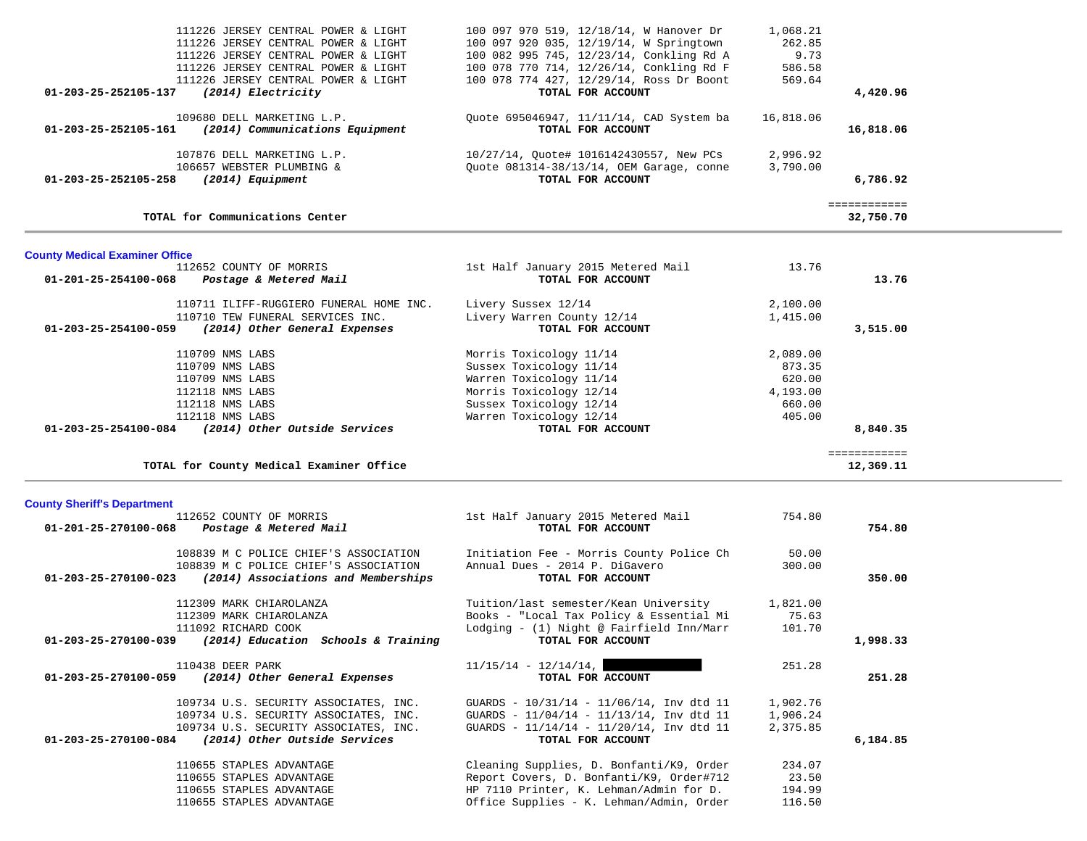| 111226 JERSEY CENTRAL POWER & LIGHT<br>111226 JERSEY CENTRAL POWER & LIGHT<br>111226 JERSEY CENTRAL POWER & LIGHT<br>111226 JERSEY CENTRAL POWER & LIGHT<br>111226 JERSEY CENTRAL POWER & LIGHT<br>(2014) Electricity<br>01-203-25-252105-137 | 100 097 970 519, 12/18/14, W Hanover Dr<br>100 097 920 035, 12/19/14, W Springtown<br>100 082 995 745, 12/23/14, Conkling Rd A<br>100 078 770 714, 12/26/14, Conkling Rd F<br>100 078 774 427, 12/29/14, Ross Dr Boont<br>TOTAL FOR ACCOUNT | 1,068.21<br>262.85<br>9.73<br>586.58<br>569.64     | 4,420.96                  |  |
|-----------------------------------------------------------------------------------------------------------------------------------------------------------------------------------------------------------------------------------------------|---------------------------------------------------------------------------------------------------------------------------------------------------------------------------------------------------------------------------------------------|----------------------------------------------------|---------------------------|--|
| 109680 DELL MARKETING L.P.<br>01-203-25-252105-161<br>(2014) Communications Equipment                                                                                                                                                         | Quote 695046947, 11/11/14, CAD System ba<br>TOTAL FOR ACCOUNT                                                                                                                                                                               | 16,818.06                                          | 16,818.06                 |  |
| 107876 DELL MARKETING L.P.<br>106657 WEBSTER PLUMBING &<br>01-203-25-252105-258<br>(2014) Equipment                                                                                                                                           | 10/27/14, Quote# 1016142430557, New PCs<br>Quote 081314-38/13/14, OEM Garage, conne<br>TOTAL FOR ACCOUNT                                                                                                                                    | 2,996.92<br>3,790.00                               | 6,786.92                  |  |
| TOTAL for Communications Center                                                                                                                                                                                                               |                                                                                                                                                                                                                                             |                                                    | ============<br>32,750.70 |  |
| <b>County Medical Examiner Office</b>                                                                                                                                                                                                         |                                                                                                                                                                                                                                             |                                                    |                           |  |
| 112652 COUNTY OF MORRIS<br>01-201-25-254100-068<br>Postage & Metered Mail                                                                                                                                                                     | 1st Half January 2015 Metered Mail<br>TOTAL FOR ACCOUNT                                                                                                                                                                                     | 13.76                                              | 13.76                     |  |
| 110711 ILIFF-RUGGIERO FUNERAL HOME INC.<br>110710 TEW FUNERAL SERVICES INC.<br>(2014) Other General Expenses<br>01-203-25-254100-059                                                                                                          | Livery Sussex 12/14<br>Livery Warren County 12/14<br>TOTAL FOR ACCOUNT                                                                                                                                                                      | 2,100.00<br>1,415.00                               | 3,515.00                  |  |
| 110709 NMS LABS<br>110709 NMS LABS<br>110709 NMS LABS<br>112118 NMS LABS<br>112118 NMS LABS                                                                                                                                                   | Morris Toxicology 11/14<br>Sussex Toxicology 11/14<br>Warren Toxicology 11/14<br>Morris Toxicology 12/14<br>Sussex Toxicology 12/14                                                                                                         | 2,089.00<br>873.35<br>620.00<br>4,193.00<br>660.00 |                           |  |
| 112118 NMS LABS                                                                                                                                                                                                                               | Warren Toxicology 12/14                                                                                                                                                                                                                     | 405.00                                             |                           |  |
| 01-203-25-254100-084 (2014) Other Outside Services                                                                                                                                                                                            | TOTAL FOR ACCOUNT                                                                                                                                                                                                                           |                                                    | 8,840.35                  |  |
| TOTAL for County Medical Examiner Office                                                                                                                                                                                                      |                                                                                                                                                                                                                                             |                                                    | ============<br>12,369.11 |  |
|                                                                                                                                                                                                                                               |                                                                                                                                                                                                                                             |                                                    |                           |  |
| 112652 COUNTY OF MORRIS<br>01-201-25-270100-068<br>Postage & Metered Mail                                                                                                                                                                     | 1st Half January 2015 Metered Mail<br>TOTAL FOR ACCOUNT                                                                                                                                                                                     | 754.80                                             | 754.80                    |  |
| 108839 M C POLICE CHIEF'S ASSOCIATION<br>108839 M C POLICE CHIEF'S ASSOCIATION<br>$01-203-25-270100-023$ (2014) Associations and Memberships                                                                                                  | Initiation Fee - Morris County Police Ch<br>Annual Dues - 2014 P. DiGavero<br>TOTAL FOR ACCOUNT                                                                                                                                             | 50.00<br>300.00                                    | 350.00                    |  |
| 112309 MARK CHIAROLANZA<br>112309 MARK CHIAROLANZA<br>111092 RICHARD COOK                                                                                                                                                                     | Tuition/last semester/Kean University<br>Books - "Local Tax Policy & Essential Mi<br>Lodging - (1) Night @ Fairfield Inn/Marr                                                                                                               | 1,821.00<br>75.63<br>101.70                        |                           |  |
| <b>County Sheriff's Department</b><br>01-203-25-270100-039<br>(2014) Education Schools & Training<br>110438 DEER PARK<br>01-203-25-270100-059<br>(2014) Other General Expenses                                                                | TOTAL FOR ACCOUNT<br>$11/15/14 - 12/14/14$ ,<br>TOTAL FOR ACCOUNT                                                                                                                                                                           | 251.28                                             | 1,998.33<br>251.28        |  |
| 109734 U.S. SECURITY ASSOCIATES, INC.<br>109734 U.S. SECURITY ASSOCIATES, INC.<br>109734 U.S. SECURITY ASSOCIATES, INC.<br>01-203-25-270100-084<br>(2014) Other Outside Services                                                              | GUARDS - 10/31/14 - 11/06/14, Inv dtd 11<br>GUARDS - 11/04/14 - 11/13/14, Inv dtd 11<br>GUARDS - 11/14/14 - 11/20/14, Inv dtd 11<br>TOTAL FOR ACCOUNT                                                                                       | 1,902.76<br>1,906.24<br>2,375.85                   | 6,184.85                  |  |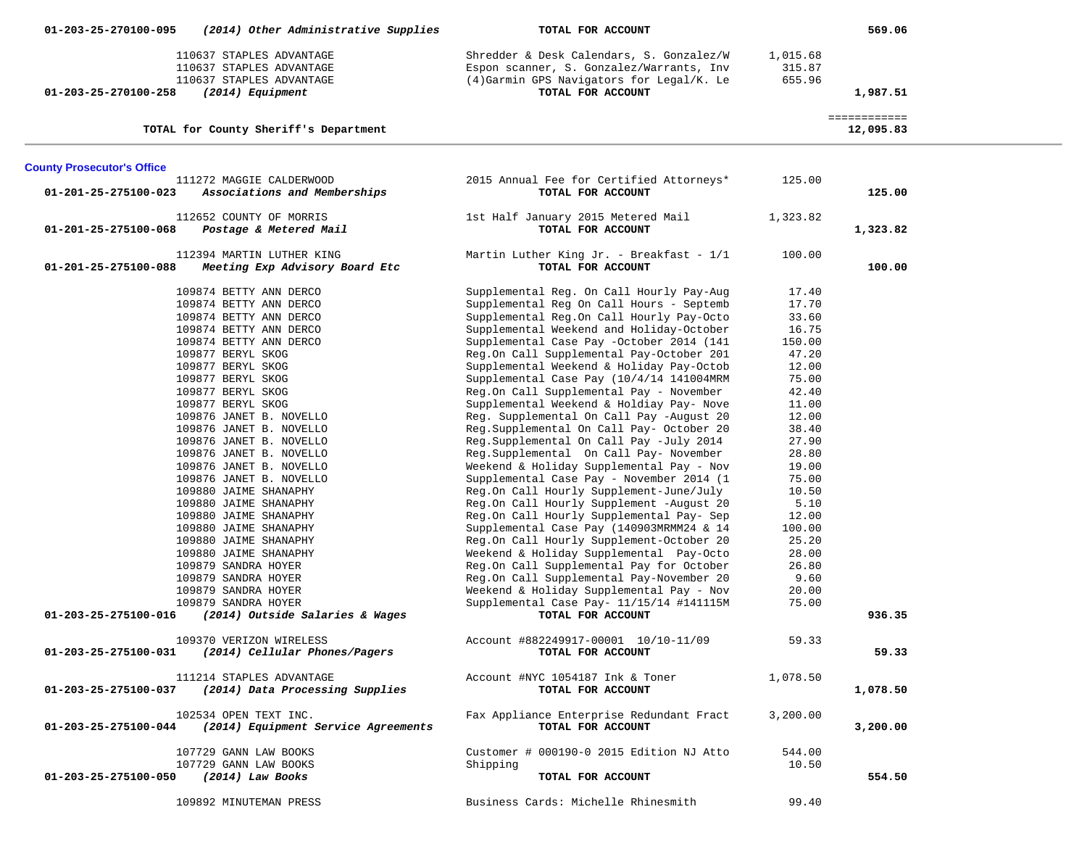| 01-203-25-270100-095<br>(2014) Other Administrative Supplies                                                                                                                                                                                                                                                                                                                                                                                                                                                                                                                                                                                                                                                           | TOTAL FOR ACCOUNT                                                                                                                                                                                                                                                                                                                                                                                                                                                                                                                                                                                                                                                                                                                                                                                                                                                                                                                                                                                                                                                                                                                                                                                   |                                                                                                                                                                                                                                        | 569.06                    |  |
|------------------------------------------------------------------------------------------------------------------------------------------------------------------------------------------------------------------------------------------------------------------------------------------------------------------------------------------------------------------------------------------------------------------------------------------------------------------------------------------------------------------------------------------------------------------------------------------------------------------------------------------------------------------------------------------------------------------------|-----------------------------------------------------------------------------------------------------------------------------------------------------------------------------------------------------------------------------------------------------------------------------------------------------------------------------------------------------------------------------------------------------------------------------------------------------------------------------------------------------------------------------------------------------------------------------------------------------------------------------------------------------------------------------------------------------------------------------------------------------------------------------------------------------------------------------------------------------------------------------------------------------------------------------------------------------------------------------------------------------------------------------------------------------------------------------------------------------------------------------------------------------------------------------------------------------|----------------------------------------------------------------------------------------------------------------------------------------------------------------------------------------------------------------------------------------|---------------------------|--|
| 110637 STAPLES ADVANTAGE<br>110637 STAPLES ADVANTAGE<br>110637 STAPLES ADVANTAGE<br>(2014) Equipment<br>01-203-25-270100-258                                                                                                                                                                                                                                                                                                                                                                                                                                                                                                                                                                                           | Shredder & Desk Calendars, S. Gonzalez/W<br>Espon scanner, S. Gonzalez/Warrants, Inv<br>(4) Garmin GPS Navigators for Legal/K. Le<br>TOTAL FOR ACCOUNT                                                                                                                                                                                                                                                                                                                                                                                                                                                                                                                                                                                                                                                                                                                                                                                                                                                                                                                                                                                                                                              | 1,015.68<br>315.87<br>655.96                                                                                                                                                                                                           | 1,987.51                  |  |
| TOTAL for County Sheriff's Department                                                                                                                                                                                                                                                                                                                                                                                                                                                                                                                                                                                                                                                                                  |                                                                                                                                                                                                                                                                                                                                                                                                                                                                                                                                                                                                                                                                                                                                                                                                                                                                                                                                                                                                                                                                                                                                                                                                     |                                                                                                                                                                                                                                        | ============<br>12,095.83 |  |
| <b>County Prosecutor's Office</b>                                                                                                                                                                                                                                                                                                                                                                                                                                                                                                                                                                                                                                                                                      |                                                                                                                                                                                                                                                                                                                                                                                                                                                                                                                                                                                                                                                                                                                                                                                                                                                                                                                                                                                                                                                                                                                                                                                                     |                                                                                                                                                                                                                                        |                           |  |
| 111272 MAGGIE CALDERWOOD<br>01-201-25-275100-023<br>Associations and Memberships                                                                                                                                                                                                                                                                                                                                                                                                                                                                                                                                                                                                                                       | 2015 Annual Fee for Certified Attorneys*<br>TOTAL FOR ACCOUNT                                                                                                                                                                                                                                                                                                                                                                                                                                                                                                                                                                                                                                                                                                                                                                                                                                                                                                                                                                                                                                                                                                                                       | 125.00                                                                                                                                                                                                                                 | 125.00                    |  |
| 112652 COUNTY OF MORRIS<br>01-201-25-275100-068<br>Postage & Metered Mail                                                                                                                                                                                                                                                                                                                                                                                                                                                                                                                                                                                                                                              | 1st Half January 2015 Metered Mail<br>TOTAL FOR ACCOUNT                                                                                                                                                                                                                                                                                                                                                                                                                                                                                                                                                                                                                                                                                                                                                                                                                                                                                                                                                                                                                                                                                                                                             | 1,323.82                                                                                                                                                                                                                               | 1,323.82                  |  |
| 112394 MARTIN LUTHER KING<br>01-201-25-275100-088<br>Meeting Exp Advisory Board Etc                                                                                                                                                                                                                                                                                                                                                                                                                                                                                                                                                                                                                                    | Martin Luther King Jr. - Breakfast - $1/1$<br>TOTAL FOR ACCOUNT                                                                                                                                                                                                                                                                                                                                                                                                                                                                                                                                                                                                                                                                                                                                                                                                                                                                                                                                                                                                                                                                                                                                     | 100.00                                                                                                                                                                                                                                 | 100.00                    |  |
| 109874 BETTY ANN DERCO<br>109874 BETTY ANN DERCO<br>109874 BETTY ANN DERCO<br>109874 BETTY ANN DERCO<br>109874 BETTY ANN DERCO<br>109877 BERYL SKOG<br>109877 BERYL SKOG<br>109877 BERYL SKOG<br>109877 BERYL SKOG<br>109877 BERYL SKOG<br>109876 JANET B. NOVELLO<br>109876 JANET B. NOVELLO<br>109876 JANET B. NOVELLO<br>109876 JANET B. NOVELLO<br>109876 JANET B. NOVELLO<br>109876 JANET B. NOVELLO<br>109880 JAIME SHANAPHY<br>109880 JAIME SHANAPHY<br>109880 JAIME SHANAPHY<br>109880 JAIME SHANAPHY<br>109880 JAIME SHANAPHY<br>109880 JAIME SHANAPHY<br>109879 SANDRA HOYER<br>109879 SANDRA HOYER<br>109879 SANDRA HOYER<br>109879 SANDRA HOYER<br>01-203-25-275100-016<br>(2014) Outside Salaries & Wages | Supplemental Reg. On Call Hourly Pay-Aug<br>Supplemental Reg On Call Hours - Septemb<br>Supplemental Reg.On Call Hourly Pay-Octo<br>Supplemental Weekend and Holiday-October<br>Supplemental Case Pay -October 2014 (141<br>Reg.On Call Supplemental Pay-October 201<br>Supplemental Weekend & Holiday Pay-Octob<br>Supplemental Case Pay (10/4/14 141004MRM<br>Reg.On Call Supplemental Pay - November<br>Supplemental Weekend & Holdiay Pay- Nove<br>Reg. Supplemental On Call Pay -August 20<br>Reg.Supplemental On Call Pay- October 20<br>Reg.Supplemental On Call Pay -July 2014<br>Reg.Supplemental On Call Pay- November<br>Weekend & Holiday Supplemental Pay - Nov<br>Supplemental Case Pay - November 2014 (1<br>Reg.On Call Hourly Supplement-June/July<br>Reg.On Call Hourly Supplement -August 20<br>Reg.On Call Hourly Supplemental Pay- Sep<br>Supplemental Case Pay (140903MRMM24 & 14<br>Reg.On Call Hourly Supplement-October 20<br>Weekend & Holiday Supplemental Pay-Octo<br>Reg.On Call Supplemental Pay for October<br>Reg.On Call Supplemental Pay-November 20<br>Weekend & Holiday Supplemental Pay - Nov<br>Supplemental Case Pay- 11/15/14 #141115M<br>TOTAL FOR ACCOUNT | 17.40<br>17.70<br>33.60<br>16.75<br>150.00<br>47.20<br>12.00<br>75.00<br>42.40<br>11.00<br>12.00<br>38.40<br>27.90<br>28.80<br>19.00<br>75.00<br>10.50<br>5.10<br>12.00<br>100.00<br>25.20<br>28.00<br>26.80<br>9.60<br>20.00<br>75.00 | 936.35                    |  |
| 109370 VERIZON WIRELESS<br>01-203-25-275100-031<br>(2014) Cellular Phones/Pagers                                                                                                                                                                                                                                                                                                                                                                                                                                                                                                                                                                                                                                       | Account #882249917-00001 10/10-11/09<br>TOTAL FOR ACCOUNT                                                                                                                                                                                                                                                                                                                                                                                                                                                                                                                                                                                                                                                                                                                                                                                                                                                                                                                                                                                                                                                                                                                                           | 59.33                                                                                                                                                                                                                                  | 59.33                     |  |
| 111214 STAPLES ADVANTAGE<br>(2014) Data Processing Supplies<br>01-203-25-275100-037                                                                                                                                                                                                                                                                                                                                                                                                                                                                                                                                                                                                                                    | Account #NYC 1054187 Ink & Toner<br>TOTAL FOR ACCOUNT                                                                                                                                                                                                                                                                                                                                                                                                                                                                                                                                                                                                                                                                                                                                                                                                                                                                                                                                                                                                                                                                                                                                               | 1,078.50                                                                                                                                                                                                                               | 1,078.50                  |  |
| 102534 OPEN TEXT INC.<br>(2014) Equipment Service Agreements<br>01-203-25-275100-044                                                                                                                                                                                                                                                                                                                                                                                                                                                                                                                                                                                                                                   | Fax Appliance Enterprise Redundant Fract<br>TOTAL FOR ACCOUNT                                                                                                                                                                                                                                                                                                                                                                                                                                                                                                                                                                                                                                                                                                                                                                                                                                                                                                                                                                                                                                                                                                                                       | 3,200.00                                                                                                                                                                                                                               | 3,200.00                  |  |
| 107729 GANN LAW BOOKS<br>107729 GANN LAW BOOKS<br>$(2014)$ Law Books<br>01-203-25-275100-050                                                                                                                                                                                                                                                                                                                                                                                                                                                                                                                                                                                                                           | Customer # 000190-0 2015 Edition NJ Atto<br>Shipping<br>TOTAL FOR ACCOUNT                                                                                                                                                                                                                                                                                                                                                                                                                                                                                                                                                                                                                                                                                                                                                                                                                                                                                                                                                                                                                                                                                                                           | 544.00<br>10.50                                                                                                                                                                                                                        | 554.50                    |  |
| 109892 MINUTEMAN PRESS                                                                                                                                                                                                                                                                                                                                                                                                                                                                                                                                                                                                                                                                                                 | Business Cards: Michelle Rhinesmith                                                                                                                                                                                                                                                                                                                                                                                                                                                                                                                                                                                                                                                                                                                                                                                                                                                                                                                                                                                                                                                                                                                                                                 | 99.40                                                                                                                                                                                                                                  |                           |  |

-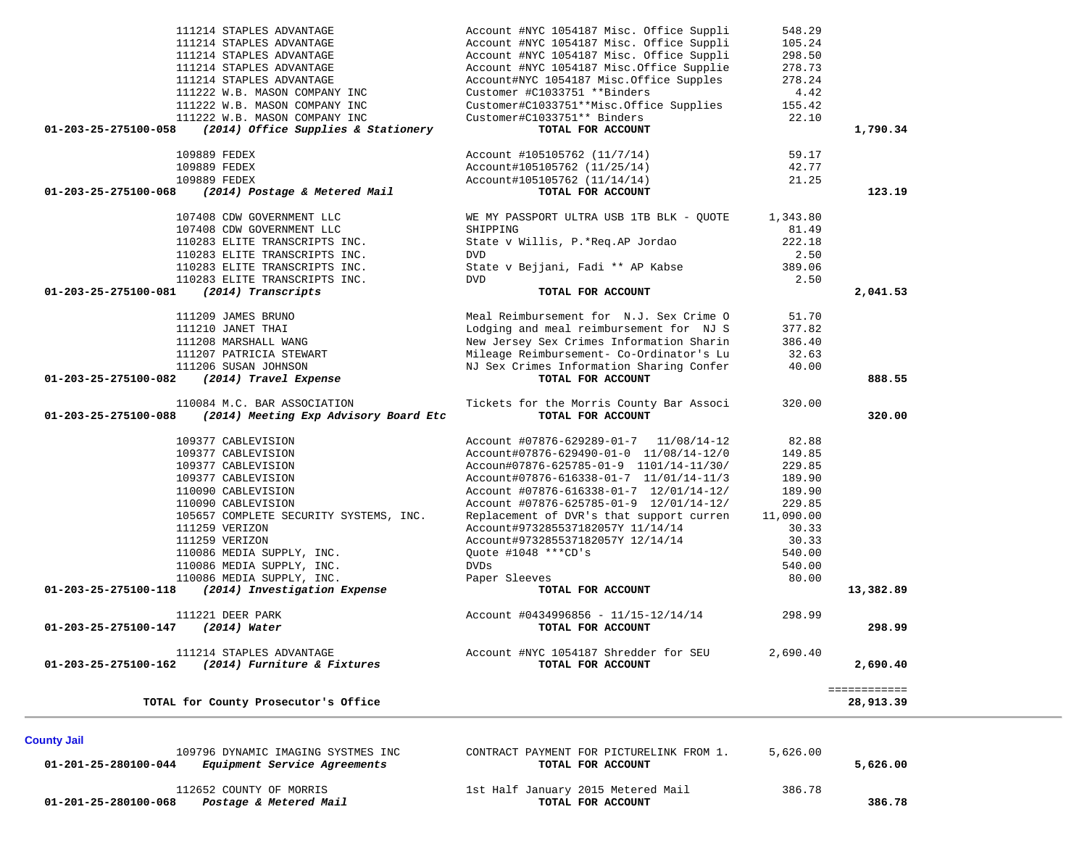| 111214 STAPLES ADVANTAGE                                      | Account #NYC 1054187 Misc. Office Suppli | 548.29    |                           |
|---------------------------------------------------------------|------------------------------------------|-----------|---------------------------|
| 111214 STAPLES ADVANTAGE                                      | Account #NYC 1054187 Misc. Office Suppli | 105.24    |                           |
| 111214 STAPLES ADVANTAGE                                      | Account #NYC 1054187 Misc. Office Suppli | 298.50    |                           |
| 111214 STAPLES ADVANTAGE                                      | Account #NYC 1054187 Misc.Office Supplie | 278.73    |                           |
| 111214 STAPLES ADVANTAGE                                      | Account#NYC 1054187 Misc.Office Supples  | 278.24    |                           |
| 111222 W.B. MASON COMPANY INC                                 | Customer #C1033751 **Binders             | 4.42      |                           |
| 111222 W.B. MASON COMPANY INC                                 | Customer#C1033751**Misc.Office Supplies  | 155.42    |                           |
| 111222 W.B. MASON COMPANY INC                                 | Customer#C1033751** Binders              | 22.10     |                           |
| (2014) Office Supplies & Stationery<br>01-203-25-275100-058   | TOTAL FOR ACCOUNT                        |           | 1,790.34                  |
| 109889 FEDEX                                                  | Account #105105762 (11/7/14)             | 59.17     |                           |
| 109889 FEDEX                                                  | Account#105105762 (11/25/14)             | 42.77     |                           |
| 109889 FEDEX                                                  | Account#105105762 (11/14/14)             | 21.25     |                           |
| 01-203-25-275100-068<br>(2014) Postage & Metered Mail         | TOTAL FOR ACCOUNT                        |           | 123.19                    |
| 107408 CDW GOVERNMENT LLC                                     | WE MY PASSPORT ULTRA USB 1TB BLK - QUOTE | 1,343.80  |                           |
| 107408 CDW GOVERNMENT LLC                                     | SHIPPING                                 | 81.49     |                           |
| 110283 ELITE TRANSCRIPTS INC.                                 | State v Willis, P.*Req.AP Jordao         | 222.18    |                           |
| 110283 ELITE TRANSCRIPTS INC.                                 | <b>DVD</b>                               | 2.50      |                           |
| 110283 ELITE TRANSCRIPTS INC.                                 | State v Bejjani, Fadi ** AP Kabse        | 389.06    |                           |
| 110283 ELITE TRANSCRIPTS INC.                                 | <b>DVD</b>                               | 2.50      |                           |
| (2014) Transcripts<br>01-203-25-275100-081                    | TOTAL FOR ACCOUNT                        |           | 2,041.53                  |
| 111209 JAMES BRUNO                                            | Meal Reimbursement for N.J. Sex Crime O  | 51.70     |                           |
| 111210 JANET THAI                                             | Lodging and meal reimbursement for NJ S  | 377.82    |                           |
| 111208 MARSHALL WANG                                          | New Jersey Sex Crimes Information Sharin | 386.40    |                           |
| 111207 PATRICIA STEWART                                       | Mileage Reimbursement- Co-Ordinator's Lu | 32.63     |                           |
| 111206 SUSAN JOHNSON                                          | NJ Sex Crimes Information Sharing Confer | 40.00     |                           |
| 01-203-25-275100-082<br>(2014) Travel Expense                 | TOTAL FOR ACCOUNT                        |           | 888.55                    |
|                                                               |                                          |           |                           |
| 110084 M.C. BAR ASSOCIATION                                   | Tickets for the Morris County Bar Associ | 320.00    |                           |
| 01-203-25-275100-088<br>(2014) Meeting Exp Advisory Board Etc | TOTAL FOR ACCOUNT                        |           | 320.00                    |
| 109377 CABLEVISION                                            | Account #07876-629289-01-7 11/08/14-12   | 82.88     |                           |
| 109377 CABLEVISION                                            | Account#07876-629490-01-0 11/08/14-12/0  | 149.85    |                           |
| 109377 CABLEVISION                                            | Accoun#07876-625785-01-9 1101/14-11/30/  | 229.85    |                           |
| 109377 CABLEVISION                                            | Account#07876-616338-01-7 11/01/14-11/3  | 189.90    |                           |
| 110090 CABLEVISION                                            | Account #07876-616338-01-7 12/01/14-12/  | 189.90    |                           |
| 110090 CABLEVISION                                            | Account #07876-625785-01-9 12/01/14-12/  | 229.85    |                           |
| 105657 COMPLETE SECURITY SYSTEMS, INC.                        | Replacement of DVR's that support curren | 11,090.00 |                           |
| 111259 VERIZON                                                | Account#973285537182057Y 11/14/14        | 30.33     |                           |
| 111259 VERIZON                                                | Account#973285537182057Y 12/14/14        | 30.33     |                           |
| 110086 MEDIA SUPPLY, INC.                                     | Ouote #1048 ***CD's                      | 540.00    |                           |
| 110086 MEDIA SUPPLY, INC.                                     | <b>DVDs</b>                              | 540.00    |                           |
| 110086 MEDIA SUPPLY, INC.                                     | Paper Sleeves                            | 80.00     |                           |
| (2014) Investigation Expense<br>01-203-25-275100-118          | TOTAL FOR ACCOUNT                        |           | 13,382.89                 |
| 111221 DEER PARK                                              | Account #0434996856 - 11/15-12/14/14     | 298.99    |                           |
| 01-203-25-275100-147<br>$(2014)$ Water                        | TOTAL FOR ACCOUNT                        |           | 298.99                    |
| 111214 STAPLES ADVANTAGE                                      | Account #NYC 1054187 Shredder for SEU    | 2,690.40  |                           |
| 01-203-25-275100-162<br>(2014) Furniture & Fixtures           | TOTAL FOR ACCOUNT                        |           | 2,690.40                  |
| TOTAL for County Prosecutor's Office                          |                                          |           | ============<br>28,913.39 |

**County Jail** 

 **01-201-25-280100-044** *Equipment Service Agreements* **TOTAL FOR ACCOUNT 5,626.00**

109796 DYNAMIC IMAGING SYSTMES INC CONTRACT PAYMENT FOR PICTURELINK FROM 1. 5,626.00

 **01-201-25-280100-068** *Postage & Metered Mail* **TOTAL FOR ACCOUNT 386.78**

112652 COUNTY OF MORRIS<br>
1st Half January 2015 Metered Mail 386.78<br>
1st Half January 2015 Metered Mail 386.78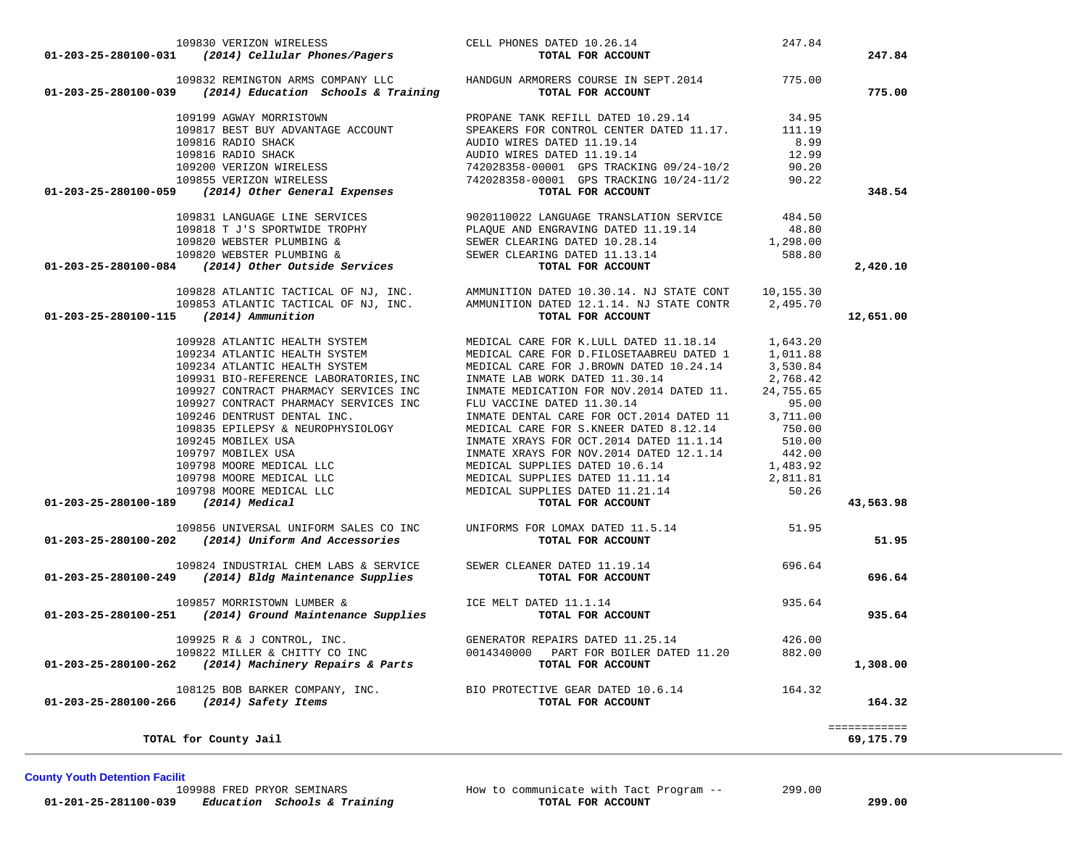109830 VERIZON WIRELESS CELL PHONES DATED 10.26.14 247.84  **01-203-25-280100-031** *(2014) Cellular Phones/Pagers* **TOTAL FOR ACCOUNT 247.84** 109832 REMINGTON ARMS COMPANY LLC HANDGUN ARMORERS COURSE IN SEPT.2014 775.00  **01-203-25-280100-039** *(2014) Education Schools & Training* **TOTAL FOR ACCOUNT 775.00** 109199 AGWAY MORRISTOWN BROPANE TANK REFILL DATED 10.29.14 134.95<br>109817 BEST BUY ADVANTAGE ACCOUNT SPEAKERS FOR CONTROL CENTER DATED 11.17. 111.19<br>109816 RADIO SHACK 10.000 AUDIO WIRES DATED 11.19.14 12.99<br>109200 VERIZON 109855 VERIZON WIRELESS 742028358-00001 GPS TRACKING 10/24-11/2 90.22  **01-203-25-280100-059** *(2014) Other General Expenses* **TOTAL FOR ACCOUNT 348.54** 109831 LANGUAGE LINE SERVICES 9020110022 LANGUAGE TRANSLATION SERVICE 484.50 109818 T J'S SPORTWIDE TROPHY PLAQUE AND ENGRAVING DATED 11.19.14 48.80  $109820$  WEBSTER PLUMBING & SEWER CLEARING DATED  $10.28.14$   $1,298.00$ 109820 WEBSTER PLUMBING & SEWER CLEARING DATED 11.13.14 588.80 **101-203-25-280100-084** *(2014) Other Outside Services* **SEWER CLEARING DATED 11.13.14** 588.80 2,420.10 109828 ATLANTIC TACTICAL OF NJ, INC. AMMUNITION DATED 10.30.14. NJ STATE CONT 10,155.30 109853 ATLANTIC TACTICAL OF NJ, INC. AMMUNITION DATED 12.1.14. NJ STATE CONTR 2,495.70  **01-203-25-280100-115** *(2014) Ammunition* **TOTAL FOR ACCOUNT 12,651.00** 109928 ATLANTIC HEALTH SYSTEM MEDICAL CARE FOR K.LULL DATED 11.18.14 1,643.20 109234 ATLANTIC HEALTH SYSTEM MEDICAL CARE FOR D.FILOSETAABREU DATED 1 1,011.88 109234 ATLANTIC HEALTH SYSTEM MEDICAL CARE FOR J.BROWN DATED 10.24.14 3,530.84 109931 BIO-REFERENCE LABORATORIES,INC INMATE LAB WORK DATED 11.30.14 2,768.42 109927 CONTRACT PHARMACY SERVICES INC INMATE MEDICATION FOR NOV.2014 DATED 11. 24,755.65 109927 CONTRACT PHARMACY SERVICES INC FLU VACCINE DATED 11.30.14 P5.00 95.00<br>109246 DENTRUST DENTAL INC. INMATE DENTAL CARE FOR OCT.2014 DATED 11 3,711.00 109835 EPILEPSY & NEUROPHYSIOLOGY MEDICAL CARE FOR S.KNEER DATED 8.12.14 750.00<br>109245 MOBILEX USA INMATE XRAYS FOR OCT.2014 DATED 11.1.14 510.00<br>109797 MOBILEX USA 109798 MOORE MEDICAL LLC MEDICAL SUPPLIES DATED 11.11.14 2,811.81 109798 MOORE MEDICAL LLC MEDICAL SUPPLIES DATED 11.21.14 50.26  **01-203-25-280100-189** *(2014) Medical* **TOTAL FOR ACCOUNT 43,563.98** 109856 UNIVERSAL UNIFORM SALES CO INC UNIFORMS FOR LOMAX DATED 11.5.14 51.95  **01-203-25-280100-202** *(2014) Uniform And Accessories* **TOTAL FOR ACCOUNT 51.95** 109824 INDUSTRIAL CHEM LABS & SERVICE SEWER CLEANER DATED 11.19.14 696.64  **01-203-25-280100-249** *(2014) Bldg Maintenance Supplies* **TOTAL FOR ACCOUNT 696.64** 109857 MORRISTOWN LUMBER & ICE MELT DATED 11.1.14 935.64  **01-203-25-280100-251** *(2014) Ground Maintenance Supplies* **TOTAL FOR ACCOUNT 935.64** 109925 R & J CONTROL, INC. GENERATOR REPAIRS DATED 11.25.14 426.00 109822 MILLER & CHITTY CO INC 0014340000 PART FOR BOILER DATED 11.20 882.00  **01-203-25-280100-262** *(2014) Machinery Repairs & Parts* **TOTAL FOR ACCOUNT 1,308.00** 108125 BOB BARKER COMPANY, INC. BIO PROTECTIVE GEAR DATED 10.6.14 164.32  **01-203-25-280100-266** *(2014) Safety Items* **TOTAL FOR ACCOUNT 164.32** ============ 69,175,79 **TOTAL for County Jail 69,175.79**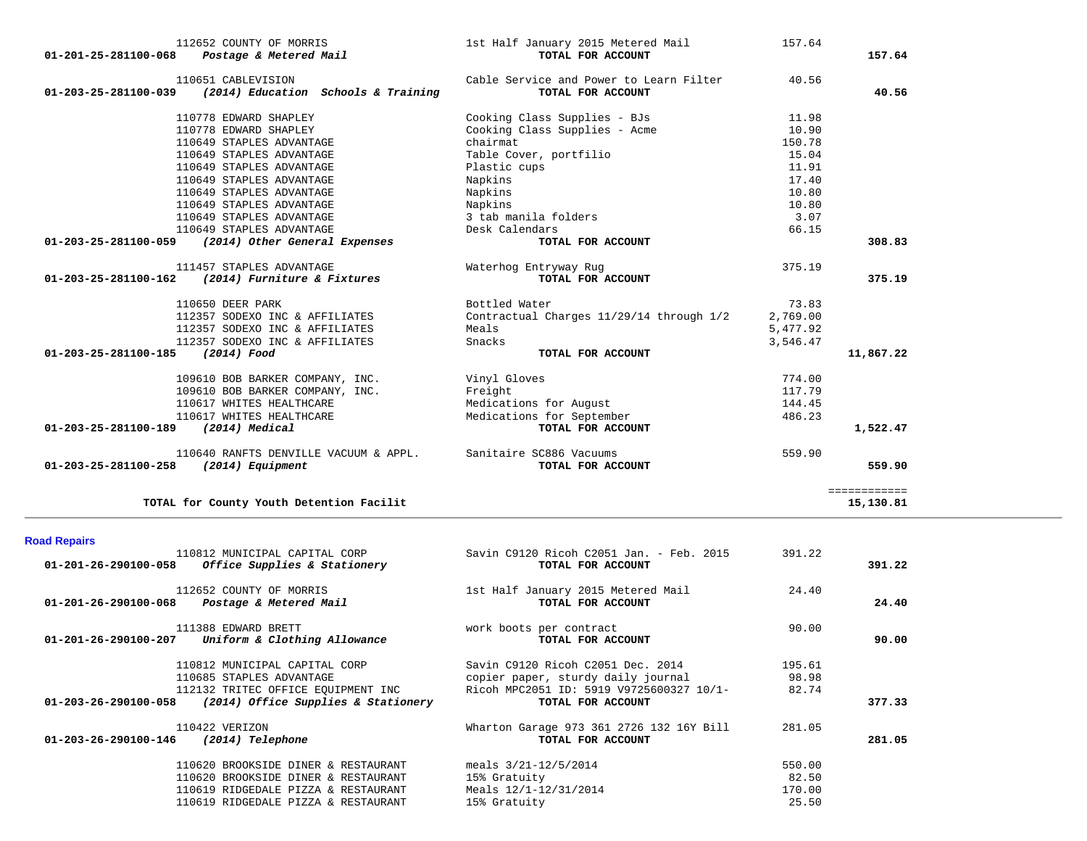| 112652 COUNTY OF MORRIS<br>01-201-25-281100-068 Postage & Metered Mail         | 1st Half January 2015 Metered Mail<br>TOTAL FOR ACCOUNT      | 157.64   | 157.64       |
|--------------------------------------------------------------------------------|--------------------------------------------------------------|----------|--------------|
| 110651 CABLEVISION<br>01-203-25-281100-039 (2014) Education Schools & Training | Cable Service and Power to Learn Filter<br>TOTAL FOR ACCOUNT | 40.56    | 40.56        |
| 110778 EDWARD SHAPLEY                                                          | Cooking Class Supplies - BJs                                 | 11.98    |              |
| 110778 EDWARD SHAPLEY                                                          | Cooking Class Supplies - Acme                                | 10.90    |              |
| 110649 STAPLES ADVANTAGE                                                       | chairmat                                                     | 150.78   |              |
| 110649 STAPLES ADVANTAGE                                                       | Table Cover, portfilio                                       | 15.04    |              |
| 110649 STAPLES ADVANTAGE                                                       | Plastic cups                                                 | 11.91    |              |
| 110649 STAPLES ADVANTAGE                                                       | Napkins                                                      | 17.40    |              |
| 110649 STAPLES ADVANTAGE                                                       | Napkins                                                      | 10.80    |              |
| 110649 STAPLES ADVANTAGE                                                       | Napkins                                                      | 10.80    |              |
| 110649 STAPLES ADVANTAGE                                                       | 3 tab manila folders                                         | 3.07     |              |
| 110649 STAPLES ADVANTAGE                                                       | Desk Calendars                                               | 66.15    |              |
| 01-203-25-281100-059 (2014) Other General Expenses                             | TOTAL FOR ACCOUNT                                            |          | 308.83       |
| 111457 STAPLES ADVANTAGE                                                       | Waterhog Entryway Rug                                        | 375.19   |              |
| $01 - 203 - 25 - 281100 - 162$ (2014) Furniture & Fixtures                     | TOTAL FOR ACCOUNT                                            |          | 375.19       |
| 110650 DEER PARK                                                               | Bottled Water                                                | 73.83    |              |
| 112357 SODEXO INC & AFFILIATES                                                 | Contractual Charges 11/29/14 through 1/2                     | 2,769.00 |              |
| 112357 SODEXO INC & AFFILIATES                                                 | Meals                                                        | 5,477.92 |              |
| 112357 SODEXO INC & AFFILIATES                                                 | Snacks                                                       | 3,546.47 |              |
| 01-203-25-281100-185<br>(2014) Food                                            | TOTAL FOR ACCOUNT                                            |          | 11,867.22    |
| 109610 BOB BARKER COMPANY, INC.                                                | Vinyl Gloves                                                 | 774.00   |              |
| 109610 BOB BARKER COMPANY, INC.                                                | Freight                                                      | 117.79   |              |
| 110617 WHITES HEALTHCARE                                                       | Medications for August                                       | 144.45   |              |
| 110617 WHITES HEALTHCARE                                                       | Medications for September                                    | 486.23   |              |
| 01-203-25-281100-189 (2014) Medical                                            | TOTAL FOR ACCOUNT                                            |          | 1,522.47     |
| 110640 RANFTS DENVILLE VACUUM & APPL. Sanitaire SC886 Vacuums                  |                                                              | 559.90   |              |
| 01-203-25-281100-258 (2014) Equipment                                          | TOTAL FOR ACCOUNT                                            |          | 559.90       |
|                                                                                |                                                              |          | ============ |
| TOTAL for County Youth Detention Facilit                                       |                                                              |          | 15,130.81    |

## **Road Repairs**

| 01-201-26-290100-058 | 110812 MUNICIPAL CAPITAL CORP<br><i>Office Supplies &amp; Stationery</i> | Savin C9120 Ricoh C2051 Jan. - Feb. 2015<br>TOTAL FOR ACCOUNT | 391.22 | 391.22 |
|----------------------|--------------------------------------------------------------------------|---------------------------------------------------------------|--------|--------|
|                      | 112652 COUNTY OF MORRIS                                                  | 1st Half January 2015 Metered Mail                            | 24.40  |        |
| 01-201-26-290100-068 | Postage & Metered Mail                                                   | TOTAL FOR ACCOUNT                                             |        | 24.40  |
|                      | 111388 EDWARD BRETT                                                      | work boots per contract                                       | 90.00  |        |
|                      | $01-201-26-290100-207$ Uniform & Clothing Allowance                      | TOTAL FOR ACCOUNT                                             |        | 90.00  |
|                      | 110812 MUNICIPAL CAPITAL CORP                                            | Savin C9120 Ricoh C2051 Dec. 2014                             | 195.61 |        |
|                      | 110685 STAPLES ADVANTAGE                                                 | copier paper, sturdy daily journal                            | 98.98  |        |
|                      | 112132 TRITEC OFFICE EQUIPMENT INC                                       | Ricoh MPC2051 ID: 5919 V9725600327 10/1-                      | 82.74  |        |
| 01-203-26-290100-058 | (2014) Office Supplies & Stationery                                      | TOTAL FOR ACCOUNT                                             |        | 377.33 |
|                      | 110422 VERIZON                                                           | Wharton Garage 973 361 2726 132 16Y Bill                      | 281.05 |        |
| 01-203-26-290100-146 | (2014) Telephone                                                         | TOTAL FOR ACCOUNT                                             |        | 281.05 |
|                      | 110620 BROOKSIDE DINER & RESTAURANT                                      | meals $3/21 - 12/5/2014$                                      | 550.00 |        |
|                      | 110620 BROOKSIDE DINER & RESTAURANT                                      | 15% Gratuity                                                  | 82.50  |        |
|                      | 110619 RIDGEDALE PIZZA & RESTAURANT                                      | Meals $12/1 - 12/31/2014$                                     | 170.00 |        |
|                      | 110619 RIDGEDALE PIZZA & RESTAURANT                                      | 15% Gratuity                                                  | 25.50  |        |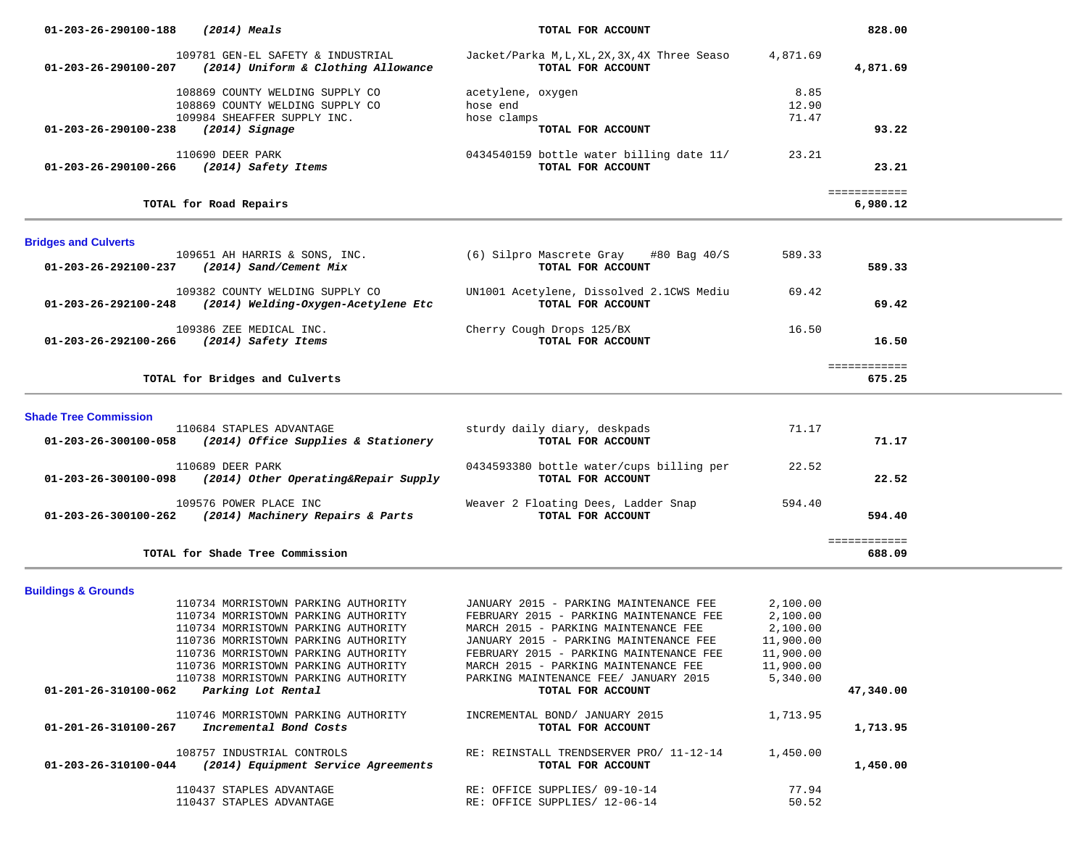| 01-203-26-290100-188                  | (2014) Meals                                                                  | TOTAL FOR ACCOUNT                                                                 |                        | 828.00                   |  |
|---------------------------------------|-------------------------------------------------------------------------------|-----------------------------------------------------------------------------------|------------------------|--------------------------|--|
|                                       | 109781 GEN-EL SAFETY & INDUSTRIAL                                             | Jacket/Parka M,L,XL,2X,3X,4X Three Seaso                                          | 4,871.69               |                          |  |
|                                       | 01-203-26-290100-207 (2014) Uniform & Clothing Allowance                      | TOTAL FOR ACCOUNT                                                                 |                        | 4,871.69                 |  |
|                                       | 108869 COUNTY WELDING SUPPLY CO                                               | acetylene, oxygen                                                                 | 8.85                   |                          |  |
|                                       | 108869 COUNTY WELDING SUPPLY CO                                               | hose end                                                                          | 12.90                  |                          |  |
|                                       | 109984 SHEAFFER SUPPLY INC.                                                   | hose clamps                                                                       | 71.47                  |                          |  |
| $01-203-26-290100-238$ (2014) Signage |                                                                               | TOTAL FOR ACCOUNT                                                                 |                        | 93.22                    |  |
|                                       | 110690 DEER PARK<br>01-203-26-290100-266 (2014) Safety Items                  | 0434540159 bottle water billing date 11/<br>TOTAL FOR ACCOUNT                     | 23.21                  | 23.21                    |  |
|                                       | TOTAL for Road Repairs                                                        |                                                                                   |                        | ============<br>6,980.12 |  |
| <b>Bridges and Culverts</b>           |                                                                               |                                                                                   |                        |                          |  |
|                                       | 109651 AH HARRIS & SONS, INC.                                                 | (6) Silpro Mascrete Gray<br>#80 Bag 40/S                                          | 589.33                 |                          |  |
|                                       | 01-203-26-292100-237 (2014) Sand/Cement Mix                                   | TOTAL FOR ACCOUNT                                                                 |                        | 589.33                   |  |
|                                       | 109382 COUNTY WELDING SUPPLY CO                                               | UN1001 Acetylene, Dissolved 2.1CWS Mediu                                          | 69.42                  |                          |  |
| 01-203-26-292100-248                  | (2014) Welding-Oxygen-Acetylene Etc                                           | TOTAL FOR ACCOUNT                                                                 |                        | 69.42                    |  |
|                                       |                                                                               |                                                                                   |                        |                          |  |
|                                       | 109386 ZEE MEDICAL INC.<br>01-203-26-292100-266 (2014) Safety Items           | Cherry Cough Drops 125/BX<br>TOTAL FOR ACCOUNT                                    | 16.50                  | 16.50                    |  |
|                                       |                                                                               |                                                                                   |                        |                          |  |
|                                       |                                                                               |                                                                                   |                        | ============             |  |
|                                       | TOTAL for Bridges and Culverts                                                |                                                                                   |                        | 675.25                   |  |
| <b>Shade Tree Commission</b>          |                                                                               |                                                                                   |                        |                          |  |
|                                       | 110684 STAPLES ADVANTAGE                                                      | sturdy daily diary, deskpads                                                      | 71.17                  |                          |  |
|                                       | 01-203-26-300100-058 (2014) Office Supplies & Stationery                      | TOTAL FOR ACCOUNT                                                                 |                        | 71.17                    |  |
|                                       |                                                                               |                                                                                   |                        |                          |  |
|                                       | 110689 DEER PARK<br>01-203-26-300100-098 (2014) Other Operating&Repair Supply | 0434593380 bottle water/cups billing per<br>TOTAL FOR ACCOUNT                     | 22.52                  | 22.52                    |  |
|                                       |                                                                               |                                                                                   |                        |                          |  |
|                                       | 109576 POWER PLACE INC                                                        | Weaver 2 Floating Dees, Ladder Snap                                               | 594.40                 |                          |  |
|                                       | 01-203-26-300100-262 (2014) Machinery Repairs & Parts                         | TOTAL FOR ACCOUNT                                                                 |                        | 594.40                   |  |
|                                       |                                                                               |                                                                                   |                        | ============             |  |
|                                       | TOTAL for Shade Tree Commission                                               |                                                                                   |                        | 688.09                   |  |
|                                       |                                                                               |                                                                                   |                        |                          |  |
| <b>Buildings &amp; Grounds</b>        |                                                                               |                                                                                   |                        |                          |  |
|                                       | 110734 MORRISTOWN PARKING AUTHORITY                                           | JANUARY 2015 - PARKING MAINTENANCE FEE                                            | 2,100.00               |                          |  |
|                                       | 110734 MORRISTOWN PARKING AUTHORITY                                           | FEBRUARY 2015 - PARKING MAINTENANCE FEE                                           | 2,100.00               |                          |  |
|                                       | 110734 MORRISTOWN PARKING AUTHORITY                                           | MARCH 2015 - PARKING MAINTENANCE FEE                                              | 2,100.00               |                          |  |
|                                       | 110736 MORRISTOWN PARKING AUTHORITY<br>110736 MORRISTOWN PARKING AUTHORITY    | JANUARY 2015 - PARKING MAINTENANCE FEE<br>FEBRUARY 2015 - PARKING MAINTENANCE FEE | 11,900.00<br>11,900.00 |                          |  |
|                                       | 110736 MORRISTOWN PARKING AUTHORITY                                           | MARCH 2015 - PARKING MAINTENANCE FEE                                              | 11,900.00              |                          |  |
|                                       | 110738 MORRISTOWN PARKING AUTHORITY                                           | PARKING MAINTENANCE FEE/ JANUARY 2015                                             | 5,340.00               |                          |  |
|                                       | 01-201-26-310100-062 Parking Lot Rental                                       | TOTAL FOR ACCOUNT                                                                 |                        | 47,340.00                |  |
|                                       |                                                                               |                                                                                   |                        |                          |  |
|                                       | 110746 MORRISTOWN PARKING AUTHORITY                                           | INCREMENTAL BOND/ JANUARY 2015                                                    | 1,713.95               |                          |  |
| 01-201-26-310100-267                  | Incremental Bond Costs                                                        | TOTAL FOR ACCOUNT                                                                 |                        | 1,713.95                 |  |
|                                       | 108757 INDUSTRIAL CONTROLS                                                    | RE: REINSTALL TRENDSERVER PRO/ 11-12-14                                           | 1,450.00               |                          |  |
|                                       | $01-203-26-310100-044$ (2014) Equipment Service Agreements                    | TOTAL FOR ACCOUNT                                                                 |                        | 1,450.00                 |  |
|                                       |                                                                               |                                                                                   |                        |                          |  |
|                                       | 110437 STAPLES ADVANTAGE                                                      | RE: OFFICE SUPPLIES/ 09-10-14                                                     | 77.94                  |                          |  |
|                                       | 110437 STAPLES ADVANTAGE                                                      | RE: OFFICE SUPPLIES/ 12-06-14                                                     | 50.52                  |                          |  |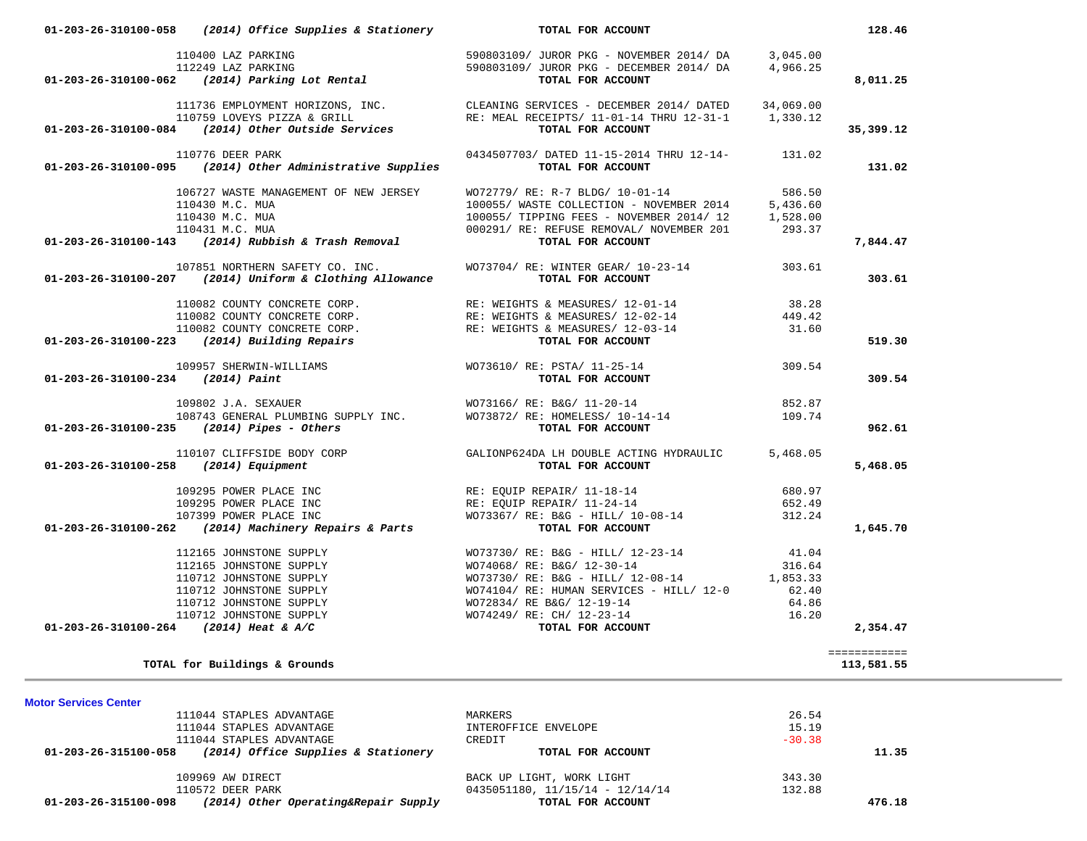| 111736 EMPLOYMENT HORIZONS, INC.<br>110759 LOVEYS PIZZA & GRILL RECERNING SERVICES - DECEMBER 2014/ DATED 14,069.00<br>110759 LOVEYS PIZZA & GRILL RE: MEAL RECEIPTS/ 11-01-14 THRU 12-31-1 1,330.12<br><b>TOTAL FOR ACCOUNT</b><br>0434507703/ DATED 11-15-2014 THRU 12-14- 131.02<br>110776 DEER PARK<br>$01-203-26-310100-095$ (2014) Other Administrative Supplies<br>TOTAL FOR ACCOUNT<br>WO72779/ RE: R-7 BLDG/ 10-01-14 586.50<br>106727 WASTE MANAGEMENT OF NEW JERSEY<br>100055/ WASTE COLLECTION - NOVEMBER 2014 5,436.60<br>100055/ TIPPING FEES - NOVEMBER 2014/12 1,528.00<br>110430 M.C. MUA<br>110430 M.C. MUA<br>110430 M.C. MOA<br>110431 M.C. MUA<br>000291/ RE: REFUSE REMOVAL/ NOVEMBER 201<br><b>000291/ RE: REFUSE REMOVAL/ NOVEMBER 201</b><br><b>TOTAL FOR ACCOUNT</b><br>7,844.47<br>107851 NORTHERN SAFETY CO. INC. WO73704/ RE: WINTER GEAR/ 10-23-14 303.61<br>01-203-26-310100-207 (2014) Uniform & Clothing Allowance<br>TOTAL FOR ACCOUNT<br>$\begin{array}{cccc} & 110082 & \text{COUNTY CONCRETE CORP.} & \text{RE: WEIGHTS & MEASURES/ 12-01-14} & 38.28 \\ & 110082 & \text{COUNTY CONCRETE CORP.} & \text{RE: WEIGHTS & MEASURES/ 12-02-14} & 449.42 \\ & 110082 & \text{COUNTY CONCRETE CORP.} & \text{RE: WEIGHTS & MEASURES/ 12-03-14} & 31.60 \\ & 110082 & \text{COUNTY CONCRETE CORP.} & \text{RE: WEIGHTS & MEASURES/ 12-03-14} & 31$<br>109957 SHERWIN-WILLIAMS WO73610/ RE: PSTA/ 11-25-14 309.54<br>TOTAL FOR ACCOUNT<br>$01-203-26-310100-234$ (2014) Paint<br>852.87<br>109.74<br>01-203-26-310100-235 (2014) Pipes - Others<br>TOTAL FOR ACCOUNT<br>110107 CLIFFSIDE BODY CORP GALIONP624DA LH DOUBLE ACTING HYDRAULIC<br>8 (2014) Equipment TOTAL FOR ACCOUNT<br>5,468.05<br>$01-203-26-310100-258$ (2014) Equipment<br>109295 POWER PLACE INC RE: EQUIP REPAIR/11-18-14<br>680.97<br>RE: EQUIP REPAIR/ 11-24-14<br>RE: EQUIP REPAIR/ 11-24-14<br>MO73367/ RE: B&G - HILL/ 10-08-14<br><b>TOTAL FOR ACCOUNT</b><br>109295 POWER PLACE INC<br>652.49<br>107399 POWER PLACE INC<br>312.24<br>107399 POWER PLACE INC<br>01-203-26-310100-262 (2014) Machinery Repairs & Parts<br>$\begin{array}{cccccc} 112165 & \text{JOHNSTONE SUPPLY} & & & & & & & & & & & 112165 & \text{JOHNSTONE SUPPLY} & & & & & & & & & & 112165 & \text{JOHNSTONE SUPPLY} & & & & & & & & & & 112165 & \text{JOHNSTONE SUPPLY} & & & & & & & & & & & 110712 & \text{JOHNSTONE SUPPLY} & & & & & & & & & & & & & 110712 & \text{JOHNSTONE SUPPLY} & & & & & & & & & & & & & & & 110712 & \text{JOHNSTONE SUPPLY} & & & & & & & & & & & & & & & &$<br>============<br>TOTAL for Buildings & Grounds<br>26.54<br>111044 STAPLES ADVANTAGE<br>MARKERS<br>15.19<br>111044 STAPLES ADVANTAGE<br>INTEROFFICE ENVELOPE<br>$-30.38$<br>111044 STAPLES ADVANTAGE<br>CREDIT<br>(2014) Office Supplies & Stationery<br>01-203-26-315100-058<br>TOTAL FOR ACCOUNT<br>109969 AW DIRECT<br>343.30<br>BACK UP LIGHT, WORK LIGHT<br>110572 DEER PARK<br>$0435051180, 11/15/14 - 12/14/14$<br>132.88 | 112249 LAZ PARKING<br>01-203-26-310100-062 (2014) Parking Lot Rental | 590803109/ JUROR PKG - DECEMBER 2014/ DA<br>TOTAL FOR ACCOUNT | 4,966.25 | 8,011.25   |
|--------------------------------------------------------------------------------------------------------------------------------------------------------------------------------------------------------------------------------------------------------------------------------------------------------------------------------------------------------------------------------------------------------------------------------------------------------------------------------------------------------------------------------------------------------------------------------------------------------------------------------------------------------------------------------------------------------------------------------------------------------------------------------------------------------------------------------------------------------------------------------------------------------------------------------------------------------------------------------------------------------------------------------------------------------------------------------------------------------------------------------------------------------------------------------------------------------------------------------------------------------------------------------------------------------------------------------------------------------------------------------------------------------------------------------------------------------------------------------------------------------------------------------------------------------------------------------------------------------------------------------------------------------------------------------------------------------------------------------------------------------------------------------------------------------------------------------------------------------------------------------------------------------------------------------------------------------------------------------------------------------------------------------------------------------------------------------------------------------------------------------------------------------------------------------------------------------------------------------------------------------------------------------------------------------------------------------------------------------------------------------------------------------------------------------------------------------------------------------------------------------------------------------------------------------------------------------------------------------------------------------------------------------------------------------------------------------------------------------------------------------------------------------------------------------------------------------------------------------------------------------------------------------------------------------------------------------------------------------------------------------------|----------------------------------------------------------------------|---------------------------------------------------------------|----------|------------|
|                                                                                                                                                                                                                                                                                                                                                                                                                                                                                                                                                                                                                                                                                                                                                                                                                                                                                                                                                                                                                                                                                                                                                                                                                                                                                                                                                                                                                                                                                                                                                                                                                                                                                                                                                                                                                                                                                                                                                                                                                                                                                                                                                                                                                                                                                                                                                                                                                                                                                                                                                                                                                                                                                                                                                                                                                                                                                                                                                                                                              |                                                                      |                                                               |          |            |
|                                                                                                                                                                                                                                                                                                                                                                                                                                                                                                                                                                                                                                                                                                                                                                                                                                                                                                                                                                                                                                                                                                                                                                                                                                                                                                                                                                                                                                                                                                                                                                                                                                                                                                                                                                                                                                                                                                                                                                                                                                                                                                                                                                                                                                                                                                                                                                                                                                                                                                                                                                                                                                                                                                                                                                                                                                                                                                                                                                                                              |                                                                      |                                                               |          |            |
|                                                                                                                                                                                                                                                                                                                                                                                                                                                                                                                                                                                                                                                                                                                                                                                                                                                                                                                                                                                                                                                                                                                                                                                                                                                                                                                                                                                                                                                                                                                                                                                                                                                                                                                                                                                                                                                                                                                                                                                                                                                                                                                                                                                                                                                                                                                                                                                                                                                                                                                                                                                                                                                                                                                                                                                                                                                                                                                                                                                                              |                                                                      |                                                               |          | 35,399.12  |
|                                                                                                                                                                                                                                                                                                                                                                                                                                                                                                                                                                                                                                                                                                                                                                                                                                                                                                                                                                                                                                                                                                                                                                                                                                                                                                                                                                                                                                                                                                                                                                                                                                                                                                                                                                                                                                                                                                                                                                                                                                                                                                                                                                                                                                                                                                                                                                                                                                                                                                                                                                                                                                                                                                                                                                                                                                                                                                                                                                                                              |                                                                      |                                                               |          |            |
|                                                                                                                                                                                                                                                                                                                                                                                                                                                                                                                                                                                                                                                                                                                                                                                                                                                                                                                                                                                                                                                                                                                                                                                                                                                                                                                                                                                                                                                                                                                                                                                                                                                                                                                                                                                                                                                                                                                                                                                                                                                                                                                                                                                                                                                                                                                                                                                                                                                                                                                                                                                                                                                                                                                                                                                                                                                                                                                                                                                                              |                                                                      |                                                               |          | 131.02     |
|                                                                                                                                                                                                                                                                                                                                                                                                                                                                                                                                                                                                                                                                                                                                                                                                                                                                                                                                                                                                                                                                                                                                                                                                                                                                                                                                                                                                                                                                                                                                                                                                                                                                                                                                                                                                                                                                                                                                                                                                                                                                                                                                                                                                                                                                                                                                                                                                                                                                                                                                                                                                                                                                                                                                                                                                                                                                                                                                                                                                              |                                                                      |                                                               |          |            |
|                                                                                                                                                                                                                                                                                                                                                                                                                                                                                                                                                                                                                                                                                                                                                                                                                                                                                                                                                                                                                                                                                                                                                                                                                                                                                                                                                                                                                                                                                                                                                                                                                                                                                                                                                                                                                                                                                                                                                                                                                                                                                                                                                                                                                                                                                                                                                                                                                                                                                                                                                                                                                                                                                                                                                                                                                                                                                                                                                                                                              |                                                                      |                                                               |          |            |
|                                                                                                                                                                                                                                                                                                                                                                                                                                                                                                                                                                                                                                                                                                                                                                                                                                                                                                                                                                                                                                                                                                                                                                                                                                                                                                                                                                                                                                                                                                                                                                                                                                                                                                                                                                                                                                                                                                                                                                                                                                                                                                                                                                                                                                                                                                                                                                                                                                                                                                                                                                                                                                                                                                                                                                                                                                                                                                                                                                                                              |                                                                      |                                                               |          |            |
|                                                                                                                                                                                                                                                                                                                                                                                                                                                                                                                                                                                                                                                                                                                                                                                                                                                                                                                                                                                                                                                                                                                                                                                                                                                                                                                                                                                                                                                                                                                                                                                                                                                                                                                                                                                                                                                                                                                                                                                                                                                                                                                                                                                                                                                                                                                                                                                                                                                                                                                                                                                                                                                                                                                                                                                                                                                                                                                                                                                                              |                                                                      |                                                               |          |            |
|                                                                                                                                                                                                                                                                                                                                                                                                                                                                                                                                                                                                                                                                                                                                                                                                                                                                                                                                                                                                                                                                                                                                                                                                                                                                                                                                                                                                                                                                                                                                                                                                                                                                                                                                                                                                                                                                                                                                                                                                                                                                                                                                                                                                                                                                                                                                                                                                                                                                                                                                                                                                                                                                                                                                                                                                                                                                                                                                                                                                              |                                                                      |                                                               |          |            |
|                                                                                                                                                                                                                                                                                                                                                                                                                                                                                                                                                                                                                                                                                                                                                                                                                                                                                                                                                                                                                                                                                                                                                                                                                                                                                                                                                                                                                                                                                                                                                                                                                                                                                                                                                                                                                                                                                                                                                                                                                                                                                                                                                                                                                                                                                                                                                                                                                                                                                                                                                                                                                                                                                                                                                                                                                                                                                                                                                                                                              |                                                                      |                                                               |          |            |
|                                                                                                                                                                                                                                                                                                                                                                                                                                                                                                                                                                                                                                                                                                                                                                                                                                                                                                                                                                                                                                                                                                                                                                                                                                                                                                                                                                                                                                                                                                                                                                                                                                                                                                                                                                                                                                                                                                                                                                                                                                                                                                                                                                                                                                                                                                                                                                                                                                                                                                                                                                                                                                                                                                                                                                                                                                                                                                                                                                                                              |                                                                      |                                                               |          | 303.61     |
|                                                                                                                                                                                                                                                                                                                                                                                                                                                                                                                                                                                                                                                                                                                                                                                                                                                                                                                                                                                                                                                                                                                                                                                                                                                                                                                                                                                                                                                                                                                                                                                                                                                                                                                                                                                                                                                                                                                                                                                                                                                                                                                                                                                                                                                                                                                                                                                                                                                                                                                                                                                                                                                                                                                                                                                                                                                                                                                                                                                                              |                                                                      |                                                               |          |            |
|                                                                                                                                                                                                                                                                                                                                                                                                                                                                                                                                                                                                                                                                                                                                                                                                                                                                                                                                                                                                                                                                                                                                                                                                                                                                                                                                                                                                                                                                                                                                                                                                                                                                                                                                                                                                                                                                                                                                                                                                                                                                                                                                                                                                                                                                                                                                                                                                                                                                                                                                                                                                                                                                                                                                                                                                                                                                                                                                                                                                              |                                                                      |                                                               |          |            |
|                                                                                                                                                                                                                                                                                                                                                                                                                                                                                                                                                                                                                                                                                                                                                                                                                                                                                                                                                                                                                                                                                                                                                                                                                                                                                                                                                                                                                                                                                                                                                                                                                                                                                                                                                                                                                                                                                                                                                                                                                                                                                                                                                                                                                                                                                                                                                                                                                                                                                                                                                                                                                                                                                                                                                                                                                                                                                                                                                                                                              |                                                                      |                                                               |          |            |
|                                                                                                                                                                                                                                                                                                                                                                                                                                                                                                                                                                                                                                                                                                                                                                                                                                                                                                                                                                                                                                                                                                                                                                                                                                                                                                                                                                                                                                                                                                                                                                                                                                                                                                                                                                                                                                                                                                                                                                                                                                                                                                                                                                                                                                                                                                                                                                                                                                                                                                                                                                                                                                                                                                                                                                                                                                                                                                                                                                                                              |                                                                      |                                                               |          | 519.30     |
|                                                                                                                                                                                                                                                                                                                                                                                                                                                                                                                                                                                                                                                                                                                                                                                                                                                                                                                                                                                                                                                                                                                                                                                                                                                                                                                                                                                                                                                                                                                                                                                                                                                                                                                                                                                                                                                                                                                                                                                                                                                                                                                                                                                                                                                                                                                                                                                                                                                                                                                                                                                                                                                                                                                                                                                                                                                                                                                                                                                                              |                                                                      |                                                               |          |            |
|                                                                                                                                                                                                                                                                                                                                                                                                                                                                                                                                                                                                                                                                                                                                                                                                                                                                                                                                                                                                                                                                                                                                                                                                                                                                                                                                                                                                                                                                                                                                                                                                                                                                                                                                                                                                                                                                                                                                                                                                                                                                                                                                                                                                                                                                                                                                                                                                                                                                                                                                                                                                                                                                                                                                                                                                                                                                                                                                                                                                              |                                                                      |                                                               |          | 309.54     |
|                                                                                                                                                                                                                                                                                                                                                                                                                                                                                                                                                                                                                                                                                                                                                                                                                                                                                                                                                                                                                                                                                                                                                                                                                                                                                                                                                                                                                                                                                                                                                                                                                                                                                                                                                                                                                                                                                                                                                                                                                                                                                                                                                                                                                                                                                                                                                                                                                                                                                                                                                                                                                                                                                                                                                                                                                                                                                                                                                                                                              |                                                                      |                                                               |          |            |
|                                                                                                                                                                                                                                                                                                                                                                                                                                                                                                                                                                                                                                                                                                                                                                                                                                                                                                                                                                                                                                                                                                                                                                                                                                                                                                                                                                                                                                                                                                                                                                                                                                                                                                                                                                                                                                                                                                                                                                                                                                                                                                                                                                                                                                                                                                                                                                                                                                                                                                                                                                                                                                                                                                                                                                                                                                                                                                                                                                                                              |                                                                      |                                                               |          |            |
|                                                                                                                                                                                                                                                                                                                                                                                                                                                                                                                                                                                                                                                                                                                                                                                                                                                                                                                                                                                                                                                                                                                                                                                                                                                                                                                                                                                                                                                                                                                                                                                                                                                                                                                                                                                                                                                                                                                                                                                                                                                                                                                                                                                                                                                                                                                                                                                                                                                                                                                                                                                                                                                                                                                                                                                                                                                                                                                                                                                                              |                                                                      |                                                               |          | 962.61     |
|                                                                                                                                                                                                                                                                                                                                                                                                                                                                                                                                                                                                                                                                                                                                                                                                                                                                                                                                                                                                                                                                                                                                                                                                                                                                                                                                                                                                                                                                                                                                                                                                                                                                                                                                                                                                                                                                                                                                                                                                                                                                                                                                                                                                                                                                                                                                                                                                                                                                                                                                                                                                                                                                                                                                                                                                                                                                                                                                                                                                              |                                                                      |                                                               |          |            |
|                                                                                                                                                                                                                                                                                                                                                                                                                                                                                                                                                                                                                                                                                                                                                                                                                                                                                                                                                                                                                                                                                                                                                                                                                                                                                                                                                                                                                                                                                                                                                                                                                                                                                                                                                                                                                                                                                                                                                                                                                                                                                                                                                                                                                                                                                                                                                                                                                                                                                                                                                                                                                                                                                                                                                                                                                                                                                                                                                                                                              |                                                                      |                                                               |          | 5,468.05   |
|                                                                                                                                                                                                                                                                                                                                                                                                                                                                                                                                                                                                                                                                                                                                                                                                                                                                                                                                                                                                                                                                                                                                                                                                                                                                                                                                                                                                                                                                                                                                                                                                                                                                                                                                                                                                                                                                                                                                                                                                                                                                                                                                                                                                                                                                                                                                                                                                                                                                                                                                                                                                                                                                                                                                                                                                                                                                                                                                                                                                              |                                                                      |                                                               |          |            |
|                                                                                                                                                                                                                                                                                                                                                                                                                                                                                                                                                                                                                                                                                                                                                                                                                                                                                                                                                                                                                                                                                                                                                                                                                                                                                                                                                                                                                                                                                                                                                                                                                                                                                                                                                                                                                                                                                                                                                                                                                                                                                                                                                                                                                                                                                                                                                                                                                                                                                                                                                                                                                                                                                                                                                                                                                                                                                                                                                                                                              |                                                                      |                                                               |          |            |
|                                                                                                                                                                                                                                                                                                                                                                                                                                                                                                                                                                                                                                                                                                                                                                                                                                                                                                                                                                                                                                                                                                                                                                                                                                                                                                                                                                                                                                                                                                                                                                                                                                                                                                                                                                                                                                                                                                                                                                                                                                                                                                                                                                                                                                                                                                                                                                                                                                                                                                                                                                                                                                                                                                                                                                                                                                                                                                                                                                                                              |                                                                      |                                                               |          |            |
|                                                                                                                                                                                                                                                                                                                                                                                                                                                                                                                                                                                                                                                                                                                                                                                                                                                                                                                                                                                                                                                                                                                                                                                                                                                                                                                                                                                                                                                                                                                                                                                                                                                                                                                                                                                                                                                                                                                                                                                                                                                                                                                                                                                                                                                                                                                                                                                                                                                                                                                                                                                                                                                                                                                                                                                                                                                                                                                                                                                                              |                                                                      |                                                               |          | 1,645.70   |
|                                                                                                                                                                                                                                                                                                                                                                                                                                                                                                                                                                                                                                                                                                                                                                                                                                                                                                                                                                                                                                                                                                                                                                                                                                                                                                                                                                                                                                                                                                                                                                                                                                                                                                                                                                                                                                                                                                                                                                                                                                                                                                                                                                                                                                                                                                                                                                                                                                                                                                                                                                                                                                                                                                                                                                                                                                                                                                                                                                                                              |                                                                      |                                                               |          |            |
|                                                                                                                                                                                                                                                                                                                                                                                                                                                                                                                                                                                                                                                                                                                                                                                                                                                                                                                                                                                                                                                                                                                                                                                                                                                                                                                                                                                                                                                                                                                                                                                                                                                                                                                                                                                                                                                                                                                                                                                                                                                                                                                                                                                                                                                                                                                                                                                                                                                                                                                                                                                                                                                                                                                                                                                                                                                                                                                                                                                                              |                                                                      |                                                               |          |            |
|                                                                                                                                                                                                                                                                                                                                                                                                                                                                                                                                                                                                                                                                                                                                                                                                                                                                                                                                                                                                                                                                                                                                                                                                                                                                                                                                                                                                                                                                                                                                                                                                                                                                                                                                                                                                                                                                                                                                                                                                                                                                                                                                                                                                                                                                                                                                                                                                                                                                                                                                                                                                                                                                                                                                                                                                                                                                                                                                                                                                              |                                                                      |                                                               |          |            |
|                                                                                                                                                                                                                                                                                                                                                                                                                                                                                                                                                                                                                                                                                                                                                                                                                                                                                                                                                                                                                                                                                                                                                                                                                                                                                                                                                                                                                                                                                                                                                                                                                                                                                                                                                                                                                                                                                                                                                                                                                                                                                                                                                                                                                                                                                                                                                                                                                                                                                                                                                                                                                                                                                                                                                                                                                                                                                                                                                                                                              |                                                                      |                                                               |          |            |
|                                                                                                                                                                                                                                                                                                                                                                                                                                                                                                                                                                                                                                                                                                                                                                                                                                                                                                                                                                                                                                                                                                                                                                                                                                                                                                                                                                                                                                                                                                                                                                                                                                                                                                                                                                                                                                                                                                                                                                                                                                                                                                                                                                                                                                                                                                                                                                                                                                                                                                                                                                                                                                                                                                                                                                                                                                                                                                                                                                                                              |                                                                      |                                                               |          |            |
|                                                                                                                                                                                                                                                                                                                                                                                                                                                                                                                                                                                                                                                                                                                                                                                                                                                                                                                                                                                                                                                                                                                                                                                                                                                                                                                                                                                                                                                                                                                                                                                                                                                                                                                                                                                                                                                                                                                                                                                                                                                                                                                                                                                                                                                                                                                                                                                                                                                                                                                                                                                                                                                                                                                                                                                                                                                                                                                                                                                                              |                                                                      |                                                               |          | 2,354.47   |
|                                                                                                                                                                                                                                                                                                                                                                                                                                                                                                                                                                                                                                                                                                                                                                                                                                                                                                                                                                                                                                                                                                                                                                                                                                                                                                                                                                                                                                                                                                                                                                                                                                                                                                                                                                                                                                                                                                                                                                                                                                                                                                                                                                                                                                                                                                                                                                                                                                                                                                                                                                                                                                                                                                                                                                                                                                                                                                                                                                                                              |                                                                      |                                                               |          |            |
|                                                                                                                                                                                                                                                                                                                                                                                                                                                                                                                                                                                                                                                                                                                                                                                                                                                                                                                                                                                                                                                                                                                                                                                                                                                                                                                                                                                                                                                                                                                                                                                                                                                                                                                                                                                                                                                                                                                                                                                                                                                                                                                                                                                                                                                                                                                                                                                                                                                                                                                                                                                                                                                                                                                                                                                                                                                                                                                                                                                                              |                                                                      |                                                               |          | 113,581.55 |
| <b>Motor Services Center</b>                                                                                                                                                                                                                                                                                                                                                                                                                                                                                                                                                                                                                                                                                                                                                                                                                                                                                                                                                                                                                                                                                                                                                                                                                                                                                                                                                                                                                                                                                                                                                                                                                                                                                                                                                                                                                                                                                                                                                                                                                                                                                                                                                                                                                                                                                                                                                                                                                                                                                                                                                                                                                                                                                                                                                                                                                                                                                                                                                                                 |                                                                      |                                                               |          |            |
|                                                                                                                                                                                                                                                                                                                                                                                                                                                                                                                                                                                                                                                                                                                                                                                                                                                                                                                                                                                                                                                                                                                                                                                                                                                                                                                                                                                                                                                                                                                                                                                                                                                                                                                                                                                                                                                                                                                                                                                                                                                                                                                                                                                                                                                                                                                                                                                                                                                                                                                                                                                                                                                                                                                                                                                                                                                                                                                                                                                                              |                                                                      |                                                               |          |            |
|                                                                                                                                                                                                                                                                                                                                                                                                                                                                                                                                                                                                                                                                                                                                                                                                                                                                                                                                                                                                                                                                                                                                                                                                                                                                                                                                                                                                                                                                                                                                                                                                                                                                                                                                                                                                                                                                                                                                                                                                                                                                                                                                                                                                                                                                                                                                                                                                                                                                                                                                                                                                                                                                                                                                                                                                                                                                                                                                                                                                              |                                                                      |                                                               |          |            |
|                                                                                                                                                                                                                                                                                                                                                                                                                                                                                                                                                                                                                                                                                                                                                                                                                                                                                                                                                                                                                                                                                                                                                                                                                                                                                                                                                                                                                                                                                                                                                                                                                                                                                                                                                                                                                                                                                                                                                                                                                                                                                                                                                                                                                                                                                                                                                                                                                                                                                                                                                                                                                                                                                                                                                                                                                                                                                                                                                                                                              |                                                                      |                                                               |          |            |
|                                                                                                                                                                                                                                                                                                                                                                                                                                                                                                                                                                                                                                                                                                                                                                                                                                                                                                                                                                                                                                                                                                                                                                                                                                                                                                                                                                                                                                                                                                                                                                                                                                                                                                                                                                                                                                                                                                                                                                                                                                                                                                                                                                                                                                                                                                                                                                                                                                                                                                                                                                                                                                                                                                                                                                                                                                                                                                                                                                                                              |                                                                      |                                                               |          |            |
|                                                                                                                                                                                                                                                                                                                                                                                                                                                                                                                                                                                                                                                                                                                                                                                                                                                                                                                                                                                                                                                                                                                                                                                                                                                                                                                                                                                                                                                                                                                                                                                                                                                                                                                                                                                                                                                                                                                                                                                                                                                                                                                                                                                                                                                                                                                                                                                                                                                                                                                                                                                                                                                                                                                                                                                                                                                                                                                                                                                                              |                                                                      |                                                               |          | 11.35      |
|                                                                                                                                                                                                                                                                                                                                                                                                                                                                                                                                                                                                                                                                                                                                                                                                                                                                                                                                                                                                                                                                                                                                                                                                                                                                                                                                                                                                                                                                                                                                                                                                                                                                                                                                                                                                                                                                                                                                                                                                                                                                                                                                                                                                                                                                                                                                                                                                                                                                                                                                                                                                                                                                                                                                                                                                                                                                                                                                                                                                              |                                                                      |                                                               |          |            |
|                                                                                                                                                                                                                                                                                                                                                                                                                                                                                                                                                                                                                                                                                                                                                                                                                                                                                                                                                                                                                                                                                                                                                                                                                                                                                                                                                                                                                                                                                                                                                                                                                                                                                                                                                                                                                                                                                                                                                                                                                                                                                                                                                                                                                                                                                                                                                                                                                                                                                                                                                                                                                                                                                                                                                                                                                                                                                                                                                                                                              |                                                                      |                                                               |          |            |
| (2014) Other Operating&Repair Supply<br>TOTAL FOR ACCOUNT<br>01-203-26-315100-098                                                                                                                                                                                                                                                                                                                                                                                                                                                                                                                                                                                                                                                                                                                                                                                                                                                                                                                                                                                                                                                                                                                                                                                                                                                                                                                                                                                                                                                                                                                                                                                                                                                                                                                                                                                                                                                                                                                                                                                                                                                                                                                                                                                                                                                                                                                                                                                                                                                                                                                                                                                                                                                                                                                                                                                                                                                                                                                            |                                                                      |                                                               |          | 476.18     |

 **01-203-26-310100-058** *(2014) Office Supplies & Stationery* **TOTAL FOR ACCOUNT 128.46**

110400 LAZ PARKING 590803109/ JUROR PKG - NOVEMBER 2014/ DA 3,045.00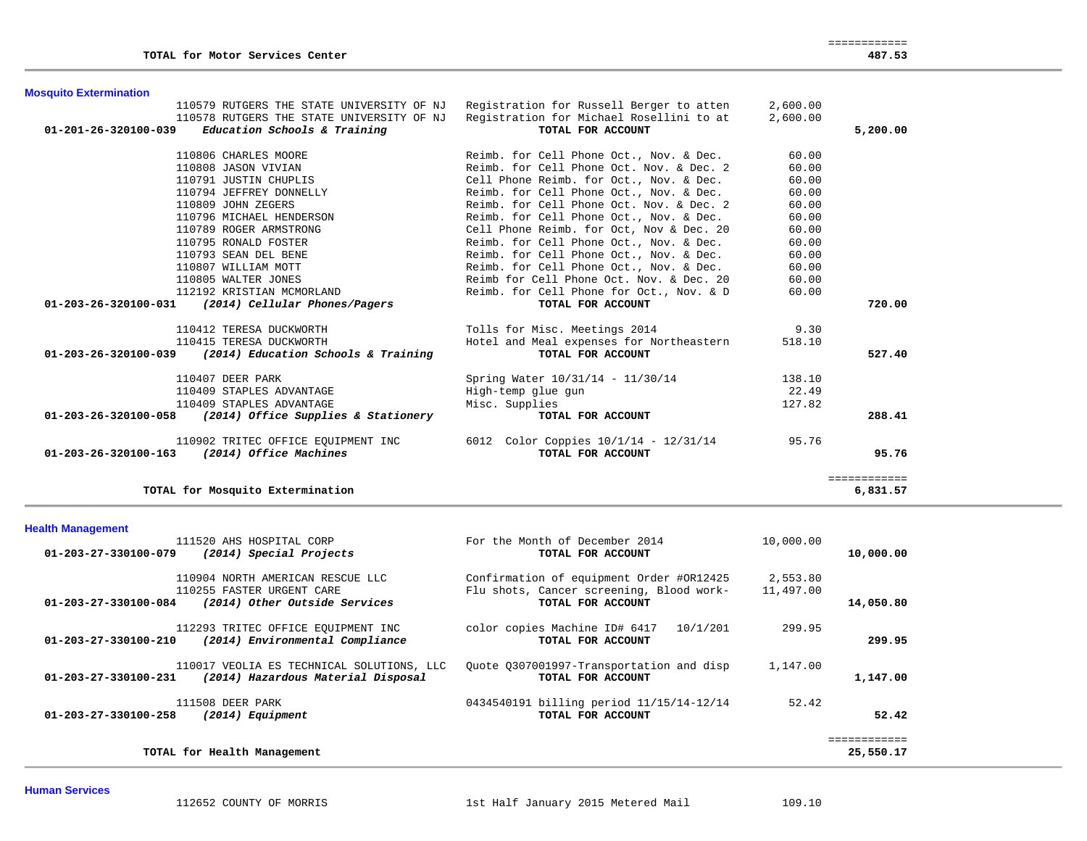|                                          | 2,600.00                                                                                                                                                                                                                                                                                                                                                                                                                                                                                                                                                                                                                        |                                                                                                                                                                                                 |
|------------------------------------------|---------------------------------------------------------------------------------------------------------------------------------------------------------------------------------------------------------------------------------------------------------------------------------------------------------------------------------------------------------------------------------------------------------------------------------------------------------------------------------------------------------------------------------------------------------------------------------------------------------------------------------|-------------------------------------------------------------------------------------------------------------------------------------------------------------------------------------------------|
| Registration for Michael Rosellini to at | 2,600.00                                                                                                                                                                                                                                                                                                                                                                                                                                                                                                                                                                                                                        |                                                                                                                                                                                                 |
| TOTAL FOR ACCOUNT                        |                                                                                                                                                                                                                                                                                                                                                                                                                                                                                                                                                                                                                                 | 5,200.00                                                                                                                                                                                        |
|                                          |                                                                                                                                                                                                                                                                                                                                                                                                                                                                                                                                                                                                                                 |                                                                                                                                                                                                 |
|                                          |                                                                                                                                                                                                                                                                                                                                                                                                                                                                                                                                                                                                                                 |                                                                                                                                                                                                 |
|                                          |                                                                                                                                                                                                                                                                                                                                                                                                                                                                                                                                                                                                                                 |                                                                                                                                                                                                 |
|                                          |                                                                                                                                                                                                                                                                                                                                                                                                                                                                                                                                                                                                                                 |                                                                                                                                                                                                 |
|                                          |                                                                                                                                                                                                                                                                                                                                                                                                                                                                                                                                                                                                                                 |                                                                                                                                                                                                 |
|                                          |                                                                                                                                                                                                                                                                                                                                                                                                                                                                                                                                                                                                                                 |                                                                                                                                                                                                 |
|                                          |                                                                                                                                                                                                                                                                                                                                                                                                                                                                                                                                                                                                                                 |                                                                                                                                                                                                 |
|                                          |                                                                                                                                                                                                                                                                                                                                                                                                                                                                                                                                                                                                                                 |                                                                                                                                                                                                 |
|                                          | 60.00                                                                                                                                                                                                                                                                                                                                                                                                                                                                                                                                                                                                                           |                                                                                                                                                                                                 |
| Reimb. for Cell Phone Oct., Nov. & Dec.  | 60.00                                                                                                                                                                                                                                                                                                                                                                                                                                                                                                                                                                                                                           |                                                                                                                                                                                                 |
| Reimb. for Cell Phone Oct., Nov. & Dec.  | 60.00                                                                                                                                                                                                                                                                                                                                                                                                                                                                                                                                                                                                                           |                                                                                                                                                                                                 |
| Reimb for Cell Phone Oct. Nov. & Dec. 20 | 60.00                                                                                                                                                                                                                                                                                                                                                                                                                                                                                                                                                                                                                           |                                                                                                                                                                                                 |
| Reimb. for Cell Phone for Oct., Nov. & D | 60.00                                                                                                                                                                                                                                                                                                                                                                                                                                                                                                                                                                                                                           |                                                                                                                                                                                                 |
| TOTAL FOR ACCOUNT                        |                                                                                                                                                                                                                                                                                                                                                                                                                                                                                                                                                                                                                                 | 720.00                                                                                                                                                                                          |
|                                          |                                                                                                                                                                                                                                                                                                                                                                                                                                                                                                                                                                                                                                 |                                                                                                                                                                                                 |
|                                          |                                                                                                                                                                                                                                                                                                                                                                                                                                                                                                                                                                                                                                 |                                                                                                                                                                                                 |
| TOTAL FOR ACCOUNT                        |                                                                                                                                                                                                                                                                                                                                                                                                                                                                                                                                                                                                                                 | 527.40                                                                                                                                                                                          |
|                                          |                                                                                                                                                                                                                                                                                                                                                                                                                                                                                                                                                                                                                                 |                                                                                                                                                                                                 |
|                                          |                                                                                                                                                                                                                                                                                                                                                                                                                                                                                                                                                                                                                                 |                                                                                                                                                                                                 |
|                                          |                                                                                                                                                                                                                                                                                                                                                                                                                                                                                                                                                                                                                                 |                                                                                                                                                                                                 |
|                                          |                                                                                                                                                                                                                                                                                                                                                                                                                                                                                                                                                                                                                                 |                                                                                                                                                                                                 |
|                                          |                                                                                                                                                                                                                                                                                                                                                                                                                                                                                                                                                                                                                                 | 288.41                                                                                                                                                                                          |
|                                          | 95.76                                                                                                                                                                                                                                                                                                                                                                                                                                                                                                                                                                                                                           |                                                                                                                                                                                                 |
| TOTAL FOR ACCOUNT                        |                                                                                                                                                                                                                                                                                                                                                                                                                                                                                                                                                                                                                                 | 95.76                                                                                                                                                                                           |
|                                          |                                                                                                                                                                                                                                                                                                                                                                                                                                                                                                                                                                                                                                 | ============                                                                                                                                                                                    |
|                                          |                                                                                                                                                                                                                                                                                                                                                                                                                                                                                                                                                                                                                                 | 6,831.57                                                                                                                                                                                        |
|                                          | 110579 RUTGERS THE STATE UNIVERSITY OF NJ<br>110578 RUTGERS THE STATE UNIVERSITY OF NJ<br>Reimb. for Cell Phone Oct., Nov. & Dec.<br>Reimb, for Cell Phone Oct. Nov. & Dec. 2<br>Cell Phone Reimb. for Oct., Nov. & Dec.<br>Reimb. for Cell Phone Oct., Nov. & Dec.<br>Reimb. for Cell Phone Oct. Nov. & Dec. 2<br>Reimb. for Cell Phone Oct., Nov. & Dec.<br>Cell Phone Reimb. for Oct, Nov & Dec. 20<br>Reimb. for Cell Phone Oct., Nov. & Dec.<br>Tolls for Misc. Meetings 2014<br>Hotel and Meal expenses for Northeastern<br>Spring Water 10/31/14 - 11/30/14<br>High-temp glue gun<br>Misc. Supplies<br>TOTAL FOR ACCOUNT | Registration for Russell Berger to atten<br>60.00<br>60.00<br>60.00<br>60.00<br>60.00<br>60.00<br>60.00<br>9.30<br>518.10<br>138.10<br>22.49<br>127.82<br>6012 Color Coppies 10/1/14 - 12/31/14 |

## **Health Management**

|                                | 111520 AHS HOSPITAL CORP                  | For the Month of December 2014            | 10,000.00 |           |
|--------------------------------|-------------------------------------------|-------------------------------------------|-----------|-----------|
| $01 - 203 - 27 - 330100 - 079$ | (2014) Special Projects                   | TOTAL FOR ACCOUNT                         |           | 10,000.00 |
|                                | 110904 NORTH AMERICAN RESCUE LLC          | Confirmation of equipment Order #OR12425  | 2,553.80  |           |
|                                | 110255 FASTER URGENT CARE                 | Flu shots, Cancer screening, Blood work-  | 11,497.00 |           |
| 01-203-27-330100-084           | (2014) Other Outside Services             | TOTAL FOR ACCOUNT                         |           | 14,050.80 |
|                                | 112293 TRITEC OFFICE EOUIPMENT INC        | 10/1/201<br>color copies Machine ID# 6417 | 299.95    |           |
| 01-203-27-330100-210           | (2014) Environmental Compliance           | TOTAL FOR ACCOUNT                         |           | 299.95    |
|                                | 110017 VEOLIA ES TECHNICAL SOLUTIONS, LLC | Quote 0307001997-Transportation and disp  | 1,147.00  |           |
| $01 - 203 - 27 - 330100 - 231$ | (2014) Hazardous Material Disposal        | TOTAL FOR ACCOUNT                         |           | 1,147.00  |
|                                | 111508 DEER PARK                          | 0434540191 billing period 11/15/14-12/14  | 52.42     |           |
| 01-203-27-330100-258           | (2014) Equipment                          | TOTAL FOR ACCOUNT                         |           | 52.42     |
|                                |                                           |                                           |           |           |
|                                | TOTAL for Health Management               |                                           |           | 25,550.17 |

**Human Services**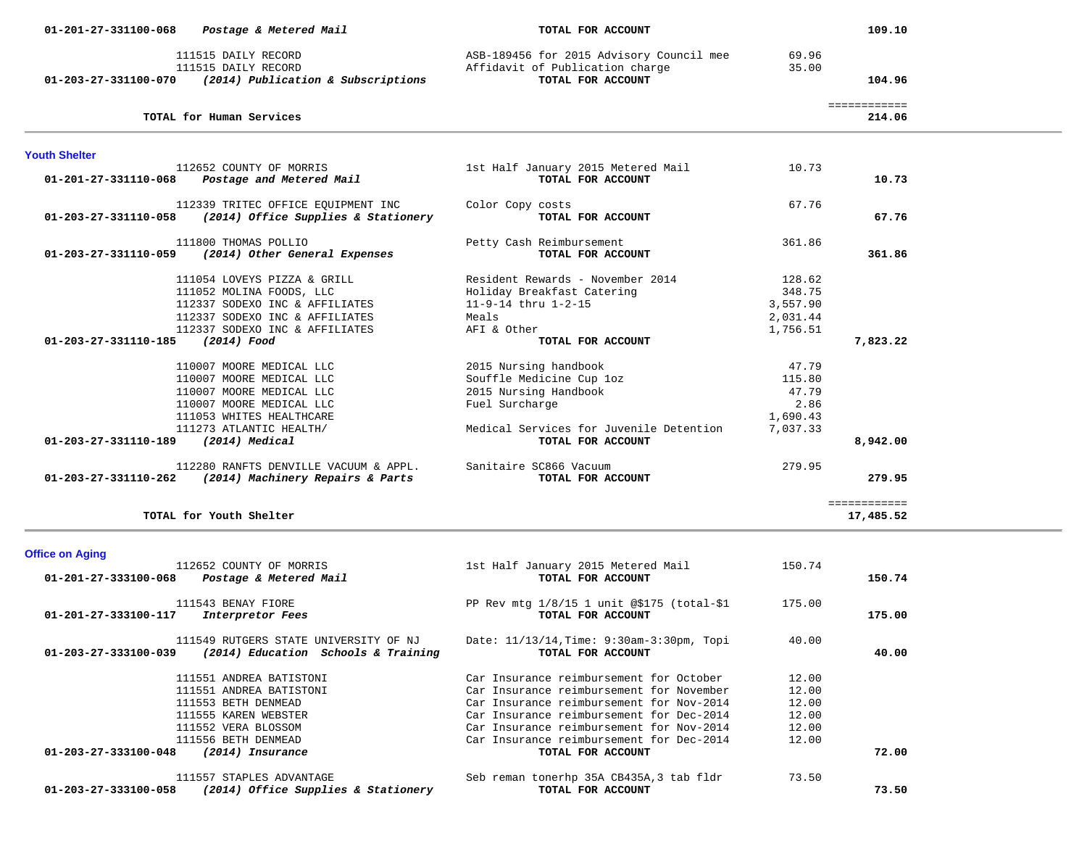| 01-201-27-331100-068                                   | Postage & Metered Mail                                                                                                                                                                                 | TOTAL FOR ACCOUNT                                                                                                                                                                 |                                                          | 109.10                    |  |
|--------------------------------------------------------|--------------------------------------------------------------------------------------------------------------------------------------------------------------------------------------------------------|-----------------------------------------------------------------------------------------------------------------------------------------------------------------------------------|----------------------------------------------------------|---------------------------|--|
| 01-203-27-331100-070                                   | 111515 DAILY RECORD<br>111515 DAILY RECORD<br>(2014) Publication & Subscriptions                                                                                                                       | ASB-189456 for 2015 Advisory Council mee<br>Affidavit of Publication charge<br>TOTAL FOR ACCOUNT                                                                                  | 69.96<br>35.00                                           | 104.96                    |  |
|                                                        | TOTAL for Human Services                                                                                                                                                                               |                                                                                                                                                                                   |                                                          | ============<br>214.06    |  |
| <b>Youth Shelter</b>                                   |                                                                                                                                                                                                        |                                                                                                                                                                                   |                                                          |                           |  |
| 01-201-27-331110-068                                   | 112652 COUNTY OF MORRIS<br>Postage and Metered Mail                                                                                                                                                    | 1st Half January 2015 Metered Mail<br>TOTAL FOR ACCOUNT                                                                                                                           | 10.73                                                    | 10.73                     |  |
| 01-203-27-331110-058                                   | 112339 TRITEC OFFICE EQUIPMENT INC<br>(2014) Office Supplies & Stationery                                                                                                                              | Color Copy costs<br>TOTAL FOR ACCOUNT                                                                                                                                             | 67.76                                                    | 67.76                     |  |
| 01-203-27-331110-059                                   | 111800 THOMAS POLLIO<br>(2014) Other General Expenses                                                                                                                                                  | Petty Cash Reimbursement<br>TOTAL FOR ACCOUNT                                                                                                                                     | 361.86                                                   | 361.86                    |  |
|                                                        | 111054 LOVEYS PIZZA & GRILL<br>111052 MOLINA FOODS, LLC<br>112337 SODEXO INC & AFFILIATES<br>112337 SODEXO INC & AFFILIATES<br>112337 SODEXO INC & AFFILIATES                                          | Resident Rewards - November 2014<br>Holiday Breakfast Catering<br>11-9-14 thru 1-2-15<br>Meals<br>AFI & Other                                                                     | 128.62<br>348.75<br>3,557.90<br>2,031.44<br>1,756.51     |                           |  |
| $01 - 203 - 27 - 331110 - 185$<br>01-203-27-331110-189 | (2014) Food<br>110007 MOORE MEDICAL LLC<br>110007 MOORE MEDICAL LLC<br>110007 MOORE MEDICAL LLC<br>110007 MOORE MEDICAL LLC<br>111053 WHITES HEALTHCARE<br>111273 ATLANTIC HEALTH/<br>$(2014)$ Medical | TOTAL FOR ACCOUNT<br>2015 Nursing handbook<br>Souffle Medicine Cup loz<br>2015 Nursing Handbook<br>Fuel Surcharge<br>Medical Services for Juvenile Detention<br>TOTAL FOR ACCOUNT | 47.79<br>115.80<br>47.79<br>2.86<br>1,690.43<br>7,037.33 | 7,823.22<br>8,942.00      |  |
| 01-203-27-331110-262                                   | 112280 RANFTS DENVILLE VACUUM & APPL.<br>(2014) Machinery Repairs & Parts                                                                                                                              | Sanitaire SC866 Vacuum<br>TOTAL FOR ACCOUNT                                                                                                                                       | 279.95                                                   | 279.95                    |  |
|                                                        | TOTAL for Youth Shelter                                                                                                                                                                                |                                                                                                                                                                                   |                                                          | ============<br>17,485.52 |  |

.

**Office on Aging** 

| 112652 COUNTY OF MORRIS<br>01-201-27-333100-068<br>Postage & Metered Mail | 1st Half January 2015 Metered Mail<br>TOTAL FOR ACCOUNT | 150.74 | 150.74 |
|---------------------------------------------------------------------------|---------------------------------------------------------|--------|--------|
|                                                                           |                                                         |        |        |
| 111543 BENAY FIORE                                                        | PP Rev mtg $1/8/15$ 1 unit @\$175 (total-\$1)           | 175.00 |        |
| 01-201-27-333100-117<br><i>Interpretor Fees</i>                           | TOTAL FOR ACCOUNT                                       |        | 175.00 |
| 111549 RUTGERS STATE UNIVERSITY OF NJ                                     | Date: 11/13/14, Time: 9:30am-3:30pm, Topi               | 40.00  |        |
| (2014) Education Schools & Training<br>01-203-27-333100-039               | TOTAL FOR ACCOUNT                                       |        | 40.00  |
| 111551 ANDREA BATISTONI                                                   | Car Insurance reimbursement for October                 | 12.00  |        |
| 111551 ANDREA BATISTONI                                                   | Car Insurance reimbursement for November                | 12.00  |        |
| 111553 BETH DENMEAD                                                       | Car Insurance reimbursement for Nov-2014                | 12.00  |        |
| 111555 KAREN WEBSTER                                                      | Car Insurance reimbursement for Dec-2014                | 12.00  |        |
| 111552 VERA BLOSSOM                                                       | Car Insurance reimbursement for Nov-2014                | 12.00  |        |
| 111556 BETH DENMEAD                                                       | Car Insurance reimbursement for Dec-2014                | 12.00  |        |
| 01-203-27-333100-048<br>(2014) Insurance                                  | TOTAL FOR ACCOUNT                                       |        | 72.00  |
| 111557 STAPLES ADVANTAGE                                                  | Seb reman tonerhp 35A CB435A, 3 tab fldr                | 73.50  |        |
| (2014) Office Supplies & Stationery<br>01-203-27-333100-058               | TOTAL FOR ACCOUNT                                       |        | 73.50  |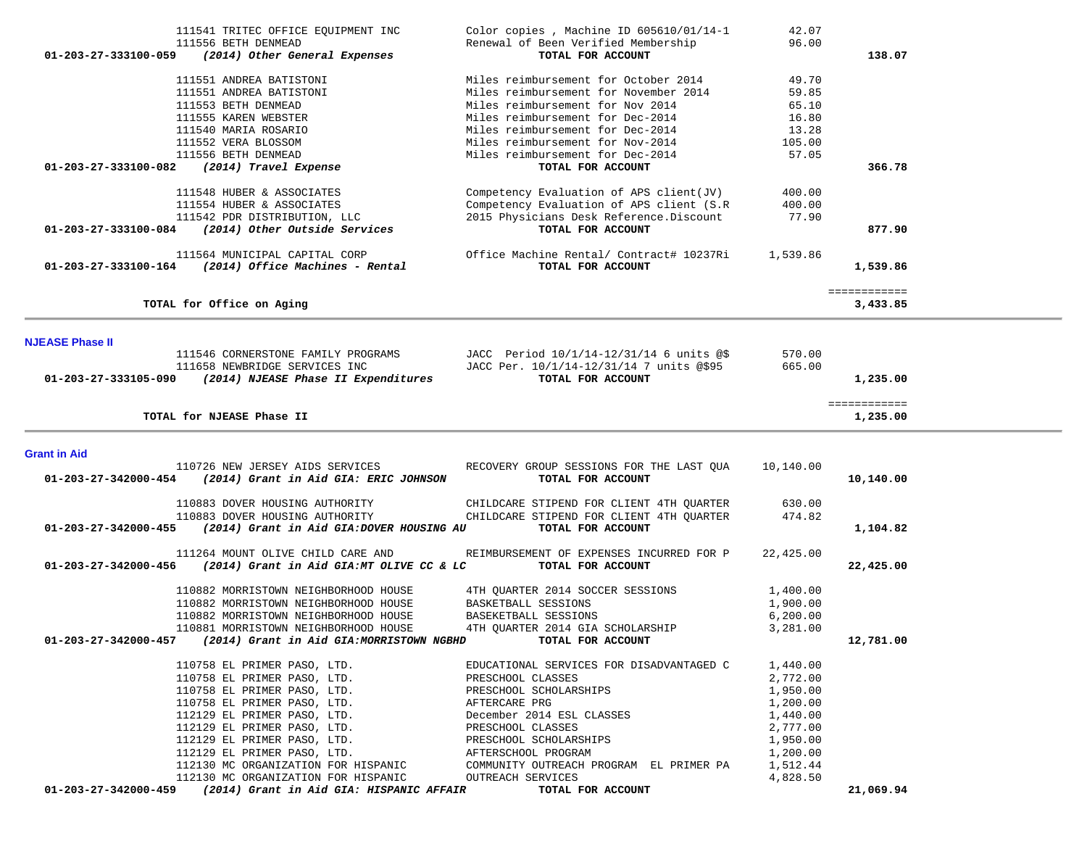| 111541 TRITEC OFFICE EQUIPMENT INC                                                    | Color copies, Machine ID $605610/01/14-1$                     | 42.07                 |              |  |
|---------------------------------------------------------------------------------------|---------------------------------------------------------------|-----------------------|--------------|--|
| 111556 BETH DENMEAD                                                                   | Renewal of Been Verified Membership                           | 96.00                 |              |  |
| (2014) Other General Expenses<br>01-203-27-333100-059                                 | TOTAL FOR ACCOUNT                                             |                       | 138.07       |  |
|                                                                                       |                                                               |                       |              |  |
| 111551 ANDREA BATISTONI                                                               | Miles reimbursement for October 2014                          | 49.70                 |              |  |
| 111551 ANDREA BATISTONI                                                               | Miles reimbursement for November 2014                         | 59.85                 |              |  |
| 111553 BETH DENMEAD                                                                   | Miles reimbursement for Nov 2014                              | 65.10                 |              |  |
| 111555 KAREN WEBSTER                                                                  | Miles reimbursement for Dec-2014                              | 16.80                 |              |  |
| 111540 MARIA ROSARIO                                                                  | Miles reimbursement for Dec-2014                              | 13.28                 |              |  |
| 111552 VERA BLOSSOM                                                                   | Miles reimbursement for Nov-2014                              | 105.00                |              |  |
| 111556 BETH DENMEAD                                                                   | Miles reimbursement for Dec-2014                              | 57.05                 |              |  |
| 01-203-27-333100-082<br>(2014) Travel Expense                                         | TOTAL FOR ACCOUNT                                             |                       | 366.78       |  |
| 111548 HUBER & ASSOCIATES                                                             | Competency Evaluation of APS client(JV)                       | 400.00                |              |  |
| 111554 HUBER & ASSOCIATES                                                             | Competency Evaluation of APS client (S.R)                     | 400.00                |              |  |
| 111542 PDR DISTRIBUTION, LLC                                                          | 2015 Physicians Desk Reference.Discount                       | 77.90                 |              |  |
| 01-203-27-333100-084 (2014) Other Outside Services                                    | TOTAL FOR ACCOUNT                                             |                       | 877.90       |  |
|                                                                                       |                                                               |                       |              |  |
| 111564 MUNICIPAL CAPITAL CORP<br>01-203-27-333100-164 (2014) Office Machines - Rental | Office Machine Rental/ Contract# 10237Ri<br>TOTAL FOR ACCOUNT | 1,539.86              | 1,539.86     |  |
|                                                                                       |                                                               |                       |              |  |
|                                                                                       |                                                               |                       | ============ |  |
| TOTAL for Office on Aging                                                             |                                                               |                       | 3,433.85     |  |
|                                                                                       |                                                               |                       |              |  |
| <b>NJEASE Phase II</b>                                                                |                                                               |                       |              |  |
| 111546 CORNERSTONE FAMILY PROGRAMS JACC Period $10/1/14-12/31/14$ 6 units @\$         |                                                               | 570.00                |              |  |
| 111658 NEWBRIDGE SERVICES INC                                                         | JACC Per. 10/1/14-12/31/14 7 units @\$95                      | 665.00                |              |  |
| 01-203-27-333105-090 (2014) NJEASE Phase II Expenditures                              | TOTAL FOR ACCOUNT                                             |                       | 1,235.00     |  |
|                                                                                       |                                                               |                       | ============ |  |
| TOTAL for NJEASE Phase II                                                             |                                                               |                       | 1,235.00     |  |
|                                                                                       |                                                               |                       |              |  |
| <b>Grant in Aid</b>                                                                   |                                                               |                       |              |  |
| 110726 NEW JERSEY AIDS SERVICES                                                       | RECOVERY GROUP SESSIONS FOR THE LAST QUA                      | 10,140.00             |              |  |
| 01-203-27-342000-454 (2014) Grant in Aid GIA: ERIC JOHNSON                            | TOTAL FOR ACCOUNT                                             |                       | 10,140.00    |  |
| 110883 DOVER HOUSING AUTHORITY                                                        | CHILDCARE STIPEND FOR CLIENT 4TH QUARTER                      | 630.00                |              |  |
| 110883 DOVER HOUSING AUTHORITY                                                        | CHILDCARE STIPEND FOR CLIENT 4TH QUARTER                      | 474.82                |              |  |
| 01-203-27-342000-455<br>(2014) Grant in Aid GIA:DOVER HOUSING AU                      | TOTAL FOR ACCOUNT                                             |                       | 1,104.82     |  |
|                                                                                       |                                                               |                       |              |  |
| 111264 MOUNT OLIVE CHILD CARE AND                                                     | REIMBURSEMENT OF EXPENSES INCURRED FOR P                      | 22,425.00             |              |  |
| (2014) Grant in Aid GIA:MT OLIVE CC & LC<br>01-203-27-342000-456                      | TOTAL FOR ACCOUNT                                             |                       | 22,425.00    |  |
| 110882 MORRISTOWN NEIGHBORHOOD HOUSE                                                  | 4TH QUARTER 2014 SOCCER SESSIONS                              | 1,400.00              |              |  |
|                                                                                       |                                                               |                       |              |  |
| 110882 MORRISTOWN NEIGHBORHOOD HOUSE                                                  | BASKETBALL SESSIONS<br>BASEKETBALL SESSIONS                   | 1,900.00<br>6, 200.00 |              |  |
| 110882 MORRISTOWN NEIGHBORHOOD HOUSE                                                  |                                                               |                       |              |  |
| 110881 MORRISTOWN NEIGHBORHOOD HOUSE                                                  | 4TH QUARTER 2014 GIA SCHOLARSHIP                              | 3,281.00              |              |  |
| 01-203-27-342000-457 (2014) Grant in Aid GIA:MORRISTOWN NGBHD                         | TOTAL FOR ACCOUNT                                             |                       | 12,781.00    |  |
| 110758 EL PRIMER PASO, LTD.                                                           | EDUCATIONAL SERVICES FOR DISADVANTAGED C                      | 1,440.00              |              |  |
| 110758 EL PRIMER PASO, LTD.                                                           | PRESCHOOL CLASSES                                             | 2,772.00              |              |  |
| 110758 EL PRIMER PASO, LTD.                                                           | PRESCHOOL SCHOLARSHIPS                                        | 1,950.00              |              |  |
| 110758 EL PRIMER PASO, LTD.                                                           | AFTERCARE PRG                                                 | 1,200.00              |              |  |
| 112129 EL PRIMER PASO, LTD.                                                           | December 2014 ESL CLASSES                                     | 1,440.00              |              |  |
| 112129 EL PRIMER PASO, LTD.                                                           | PRESCHOOL CLASSES                                             | 2,777.00              |              |  |
| 112129 EL PRIMER PASO, LTD.                                                           | PRESCHOOL SCHOLARSHIPS                                        | 1,950.00              |              |  |
| 112129 EL PRIMER PASO, LTD.                                                           |                                                               |                       |              |  |
| 112130 MC ORGANIZATION FOR HISPANIC                                                   | AFTERSCHOOL PROGRAM                                           | 1,200.00              |              |  |
|                                                                                       | COMMUNITY OUTREACH PROGRAM EL PRIMER PA                       | 1,512.44              |              |  |
| 112130 MC ORGANIZATION FOR HISPANIC                                                   | OUTREACH SERVICES                                             | 4,828.50              |              |  |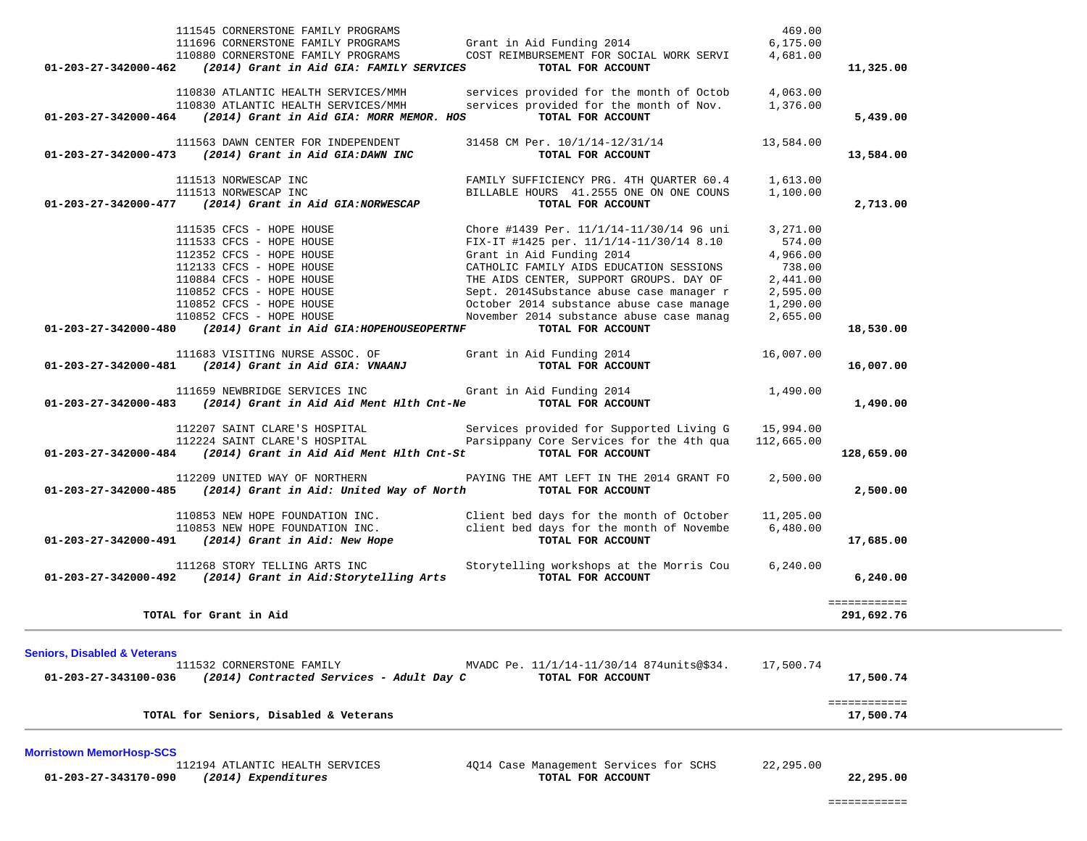|                                         | 111545 CORNERSTONE FAMILY PROGRAMS<br>111696 CORNERSTONE FAMILY PROGRAMS                              | Grant in Aid Funding 2014                                                                                                                                                                                                                                                          | 469.00<br>6, 175.00 |                           |
|-----------------------------------------|-------------------------------------------------------------------------------------------------------|------------------------------------------------------------------------------------------------------------------------------------------------------------------------------------------------------------------------------------------------------------------------------------|---------------------|---------------------------|
|                                         | 110880 CORNERSTONE FAMILY PROGRAMS<br>$01-203-27-342000-462$ (2014) Grant in Aid GIA: FAMILY SERVICES | COST REIMBURSEMENT FOR SOCIAL WORK SERVI 4,681.00<br>TOTAL FOR ACCOUNT                                                                                                                                                                                                             |                     | 11,325.00                 |
|                                         | 110830 ATLANTIC HEALTH SERVICES/MMH                                                                   | services provided for the month of Octob 4,063.00                                                                                                                                                                                                                                  |                     |                           |
|                                         | 110830 ATLANTIC HEALTH SERVICES/MMH                                                                   | services provided for the month of Nov. 1,376.00                                                                                                                                                                                                                                   |                     |                           |
|                                         | 01-203-27-342000-464 (2014) Grant in Aid GIA: MORR MEMOR. HOS TOTAL FOR ACCOUNT                       |                                                                                                                                                                                                                                                                                    |                     | 5,439.00                  |
|                                         |                                                                                                       | 11563 DAWN CENTER FOR INDEPENDENT 31458 CM Per. 10/1/14-12/31/14 13,584.00                                                                                                                                                                                                         |                     |                           |
|                                         | 01-203-27-342000-473 (2014) Grant in Aid GIA:DAWN INC                                                 | TOTAL FOR ACCOUNT                                                                                                                                                                                                                                                                  |                     | 13,584.00                 |
|                                         | 111513 NORWESCAP INC                                                                                  | FAMILY SUFFICIENCY PRG. 4TH QUARTER 60.4 1,613.00<br>BILLABLE HOURS 41.2555 ONE ON ONE COUNS 1,100.00                                                                                                                                                                              |                     |                           |
|                                         | 111513 NORWESCAP INC                                                                                  |                                                                                                                                                                                                                                                                                    |                     |                           |
|                                         | $01-203-27-342000-477$ (2014) Grant in Aid GIA:NORWESCAP                                              | TOTAL FOR ACCOUNT                                                                                                                                                                                                                                                                  |                     | 2,713.00                  |
|                                         | 111535 CFCS - HOPE HOUSE                                                                              | Chore #1439 Per. 11/1/14-11/30/14 96 uni<br>Chore #1439 Per. 11/1/14-11/30/14 96 uni 3,271.00<br>FIX-IT #1425 per. 11/1/14-11/30/14 8.10 574.00<br>Grant in Aid Funding 2014 4,966.00<br>CATHOLIC FAMILY AIDS EDUCATION SESSIONS 738.00<br>THE AIDS CENTER, SUPPORT GROUPS. DAY OF |                     |                           |
|                                         | 111533 CFCS - HOPE HOUSE                                                                              |                                                                                                                                                                                                                                                                                    |                     |                           |
|                                         | 112352 CFCS - HOPE HOUSE                                                                              |                                                                                                                                                                                                                                                                                    |                     |                           |
|                                         | 112133 CFCS - HOPE HOUSE                                                                              |                                                                                                                                                                                                                                                                                    |                     |                           |
|                                         | 110884 CFCS - HOPE HOUSE                                                                              |                                                                                                                                                                                                                                                                                    |                     |                           |
|                                         | 110852 CFCS - HOPE HOUSE                                                                              |                                                                                                                                                                                                                                                                                    |                     |                           |
|                                         | 110852 CFCS - HOPE HOUSE                                                                              |                                                                                                                                                                                                                                                                                    |                     |                           |
|                                         | 110852 CFCS - HOPE HOUSE                                                                              |                                                                                                                                                                                                                                                                                    |                     |                           |
|                                         | 01-203-27-342000-480 (2014) Grant in Aid GIA: HOPEHOUSEOPERTNF                                        | TOTAL FOR ACCOUNT                                                                                                                                                                                                                                                                  |                     | 18,530.00                 |
|                                         | 111683 VISITING NURSE ASSOC. OF                                                                       | Grant in Aid Funding 2014                                                                                                                                                                                                                                                          | 16,007.00           |                           |
|                                         | 01-203-27-342000-481 (2014) Grant in Aid GIA: VNAANJ                                                  | TOTAL FOR ACCOUNT                                                                                                                                                                                                                                                                  |                     | 16,007.00                 |
|                                         |                                                                                                       | 111659 NEWBRIDGE SERVICES INC 6 Grant in Aid Funding 2014<br>01-203-27-342000-483 (2014) Grant in Aid Aid Ment Hlth Cnt-Ne TOTAL FOR ACCOUNT                                                                                                                                       | 1,490.00            |                           |
|                                         |                                                                                                       |                                                                                                                                                                                                                                                                                    |                     | 1,490.00                  |
|                                         |                                                                                                       |                                                                                                                                                                                                                                                                                    |                     |                           |
|                                         |                                                                                                       | 112207 SAINT CLARE'S HOSPITAL Services provided for Supported Living G 15,994.00<br>112224 SAINT CLARE'S HOSPITAL Parsippany Core Services for the 4th qua 112,665.00                                                                                                              |                     |                           |
|                                         | 01-203-27-342000-484 (2014) Grant in Aid Aid Ment Hlth Cnt-St                                         | TOTAL FOR ACCOUNT                                                                                                                                                                                                                                                                  |                     | 128,659.00                |
|                                         | 112209 UNITED WAY OF NORTHERN                                                                         | PAYING THE AMT LEFT IN THE 2014 GRANT FO                                                                                                                                                                                                                                           | 2,500.00            |                           |
|                                         | 01-203-27-342000-485 (2014) Grant in Aid: United Way of North TOTAL FOR ACCOUNT                       |                                                                                                                                                                                                                                                                                    |                     | 2,500.00                  |
|                                         |                                                                                                       | 110853 NEW HOPE FOUNDATION INC. Client bed days for the month of October                                                                                                                                                                                                           | 11,205.00           |                           |
|                                         |                                                                                                       | 110853 NEW HOPE FOUNDATION INC. Client bed days for the month of Novembe 6,480.00                                                                                                                                                                                                  |                     |                           |
|                                         | 01-203-27-342000-491 (2014) Grant in Aid: New Hope                                                    | TOTAL FOR ACCOUNT                                                                                                                                                                                                                                                                  |                     | 17,685.00                 |
|                                         |                                                                                                       | 111268 STORY TELLING ARTS INC Storytelling workshops at the Morris Cou 6,240.00                                                                                                                                                                                                    |                     |                           |
|                                         | 01-203-27-342000-492 (2014) Grant in Aid:Storytelling Arts TOTAL FOR ACCOUNT                          |                                                                                                                                                                                                                                                                                    |                     | 6, 240.00                 |
|                                         |                                                                                                       |                                                                                                                                                                                                                                                                                    |                     | ============              |
|                                         | TOTAL for Grant in Aid                                                                                |                                                                                                                                                                                                                                                                                    |                     | 291,692.76                |
|                                         |                                                                                                       |                                                                                                                                                                                                                                                                                    |                     |                           |
| <b>Seniors, Disabled &amp; Veterans</b> | 111532 CORNERSTONE FAMILY                                                                             | MVADC Pe. 11/1/14-11/30/14 874units@\$34.                                                                                                                                                                                                                                          | 17,500.74           |                           |
| 01-203-27-343100-036                    | (2014) Contracted Services - Adult Day C                                                              | TOTAL FOR ACCOUNT                                                                                                                                                                                                                                                                  |                     | 17,500.74                 |
|                                         |                                                                                                       |                                                                                                                                                                                                                                                                                    |                     |                           |
|                                         |                                                                                                       |                                                                                                                                                                                                                                                                                    |                     | ============<br>17,500.74 |
|                                         | TOTAL for Seniors, Disabled & Veterans                                                                |                                                                                                                                                                                                                                                                                    |                     |                           |
| <b>Morristown MemorHosp-SCS</b>         |                                                                                                       |                                                                                                                                                                                                                                                                                    |                     |                           |

 **01-203-27-343170-090** *(2014) Expenditures* **TOTAL FOR ACCOUNT 22,295.00**

112194 ATLANTIC HEALTH SERVICES 4Q14 Case Management Services for SCHS 22,295.00<br>1 (2014) Expenditures 6 (2015)

============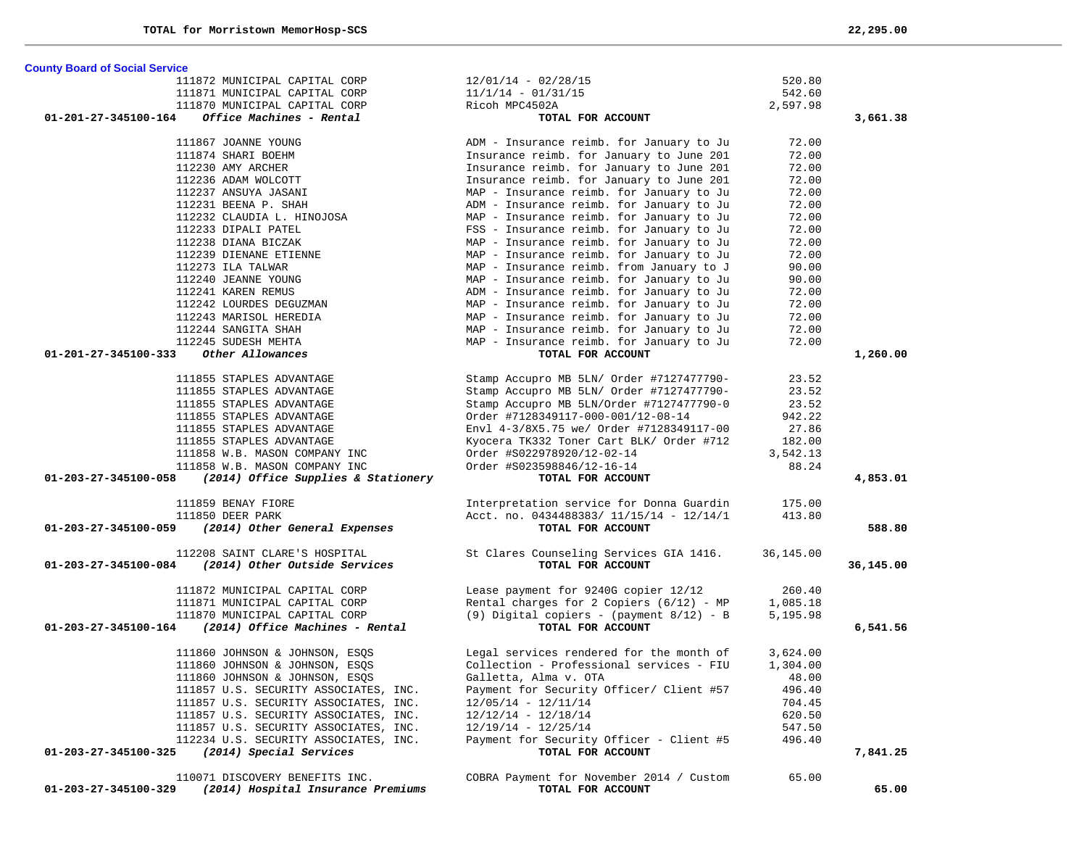| <b>County Board of Social Service</b>                                                  |                                                                                      |                 |           |
|----------------------------------------------------------------------------------------|--------------------------------------------------------------------------------------|-----------------|-----------|
| 111872 MUNICIPAL CAPITAL CORP                                                          | $12/01/14 - 02/28/15$                                                                | 520.80          |           |
| 111871 MUNICIPAL CAPITAL CORP                                                          | $11/1/14 - 01/31/15$                                                                 | 542.60          |           |
| 111870 MUNICIPAL CAPITAL CORP                                                          | Ricoh MPC4502A                                                                       | 2,597.98        |           |
| Office Machines - Rental<br>01-201-27-345100-164                                       | TOTAL FOR ACCOUNT                                                                    |                 | 3,661.38  |
| 111867 JOANNE YOUNG                                                                    | ADM - Insurance reimb. for January to Ju                                             | 72.00           |           |
| 111874 SHARI BOEHM                                                                     | Insurance reimb. for January to June 201                                             | 72.00           |           |
| 112230 AMY ARCHER                                                                      | Insurance reimb. for January to June 201                                             | 72.00           |           |
| 112236 ADAM WOLCOTT                                                                    | Insurance reimb. for January to June 201                                             | 72.00           |           |
| 112237 ANSUYA JASANI                                                                   | MAP - Insurance reimb. for January to Ju                                             | 72.00           |           |
| 112231 BEENA P. SHAH                                                                   | ADM - Insurance reimb. for January to Ju                                             | 72.00           |           |
| 112232 CLAUDIA L. HINOJOSA                                                             | MAP - Insurance reimb. for January to Ju                                             | 72.00           |           |
| 112233 DIPALI PATEL                                                                    | FSS - Insurance reimb. for January to Ju                                             | 72.00           |           |
| 112238 DIANA BICZAK                                                                    | MAP - Insurance reimb. for January to Ju                                             | 72.00           |           |
| 112239 DIENANE ETIENNE                                                                 | MAP - Insurance reimb. for January to Ju                                             | 72.00           |           |
| 112273 ILA TALWAR                                                                      | MAP - Insurance reimb. from January to J                                             | 90.00           |           |
| 112240 JEANNE YOUNG                                                                    | MAP - Insurance reimb. for January to Ju                                             | 90.00           |           |
|                                                                                        | ADM - Insurance reimb. for January to Ju                                             | 72.00           |           |
| 112241 KAREN REMUS<br>112242 LOURDES DEGUZMAN                                          | MAP - Insurance reimb. for January to Ju                                             | 72.00           |           |
| 112243 MARISOL HEREDIA                                                                 | MAP - Insurance reimb. for January to Ju                                             | 72.00           |           |
| 112244 SANGITA SHAH                                                                    | MAP - Insurance reimb. for January to Ju                                             | 72.00           |           |
| 112245 SUDESH MEHTA                                                                    | MAP - Insurance reimb. for January to Ju                                             | 72.00           |           |
| 01-201-27-345100-333<br>Other Allowances                                               | TOTAL FOR ACCOUNT                                                                    |                 | 1,260.00  |
| 111855 STAPLES ADVANTAGE                                                               |                                                                                      |                 |           |
| 111855 STAPLES ADVANTAGE                                                               | Stamp Accupro MB 5LN/ Order #7127477790-<br>Stamp Accupro MB 5LN/ Order #7127477790- | 23.52<br>23.52  |           |
|                                                                                        | Stamp Accupro MB 5LN/Order #7127477790-0                                             |                 |           |
| 111855 STAPLES ADVANTAGE                                                               |                                                                                      | 23.52           |           |
| 111855 STAPLES ADVANTAGE<br>111855 STAPLES ADVANTAGE                                   | Order #7128349117-000-001/12-08-14                                                   | 942.22<br>27.86 |           |
| 111855 STAPLES ADVANTAGE                                                               | Envl 4-3/8X5.75 we/ Order #7128349117-00                                             | 182.00          |           |
| 111858 W.B. MASON COMPANY INC                                                          | Kyocera TK332 Toner Cart BLK/ Order #712<br>Order #S022978920/12-02-14               | 3,542.13        |           |
| 111858 W.B. MASON COMPANY INC                                                          | Order #S023598846/12-16-14                                                           | 88.24           |           |
| 01-203-27-345100-058<br>(2014) Office Supplies & Stationery                            | TOTAL FOR ACCOUNT                                                                    |                 | 4,853.01  |
|                                                                                        |                                                                                      |                 |           |
| 111859 BENAY FIORE                                                                     | Interpretation service for Donna Guardin                                             | 175.00          |           |
| 111850 DEER PARK<br>(2014) Other General Expenses<br>01-203-27-345100-059              | Acct. no. 0434488383/ 11/15/14 - 12/14/1<br>TOTAL FOR ACCOUNT                        | 413.80          | 588.80    |
|                                                                                        |                                                                                      |                 |           |
| 112208 SAINT CLARE'S HOSPITAL<br>(2014) Other Outside Services<br>01-203-27-345100-084 | St Clares Counseling Services GIA 1416.<br>TOTAL FOR ACCOUNT                         | 36,145.00       | 36,145.00 |
|                                                                                        |                                                                                      |                 |           |
| 111872 MUNICIPAL CAPITAL CORP                                                          | Lease payment for 9240G copier 12/12                                                 | 260.40          |           |
| 111871 MUNICIPAL CAPITAL CORP                                                          | Rental charges for 2 Copiers $(6/12)$ - MP                                           | 1,085.18        |           |
| 111870 MUNICIPAL CAPITAL CORP                                                          | (9) Digital copiers - (payment $8/12$ ) - B                                          | 5,195.98        |           |
| (2014) Office Machines - Rental<br>01-203-27-345100-164                                | TOTAL FOR ACCOUNT                                                                    |                 | 6,541.56  |
| 111860 JOHNSON & JOHNSON, ESQS                                                         | Legal services rendered for the month of                                             | 3,624.00        |           |
| 111860 JOHNSON & JOHNSON, ESOS                                                         | Collection - Professional services - FIU                                             | 1,304.00        |           |
| 111860 JOHNSON & JOHNSON, ESQS                                                         | Galletta, Alma v. OTA                                                                | 48.00           |           |
| 111857 U.S. SECURITY ASSOCIATES, INC.                                                  | Payment for Security Officer/ Client #57                                             | 496.40          |           |
| 111857 U.S. SECURITY ASSOCIATES, INC.                                                  | $12/05/14 - 12/11/14$                                                                | 704.45          |           |
| 111857 U.S. SECURITY ASSOCIATES, INC.                                                  | $12/12/14 - 12/18/14$                                                                | 620.50          |           |
| 111857 U.S. SECURITY ASSOCIATES, INC.                                                  | $12/19/14 - 12/25/14$                                                                | 547.50          |           |
| 112234 U.S. SECURITY ASSOCIATES, INC.                                                  | Payment for Security Officer - Client #5                                             | 496.40          |           |
| 01-203-27-345100-325<br>(2014) Special Services                                        | TOTAL FOR ACCOUNT                                                                    |                 | 7,841.25  |
| 110071 DISCOVERY BENEFITS INC.                                                         | COBRA Payment for November 2014 / Custom                                             | 65.00           |           |
| (2014) Hospital Insurance Premiums<br>01-203-27-345100-329                             | TOTAL FOR ACCOUNT                                                                    |                 | 65.00     |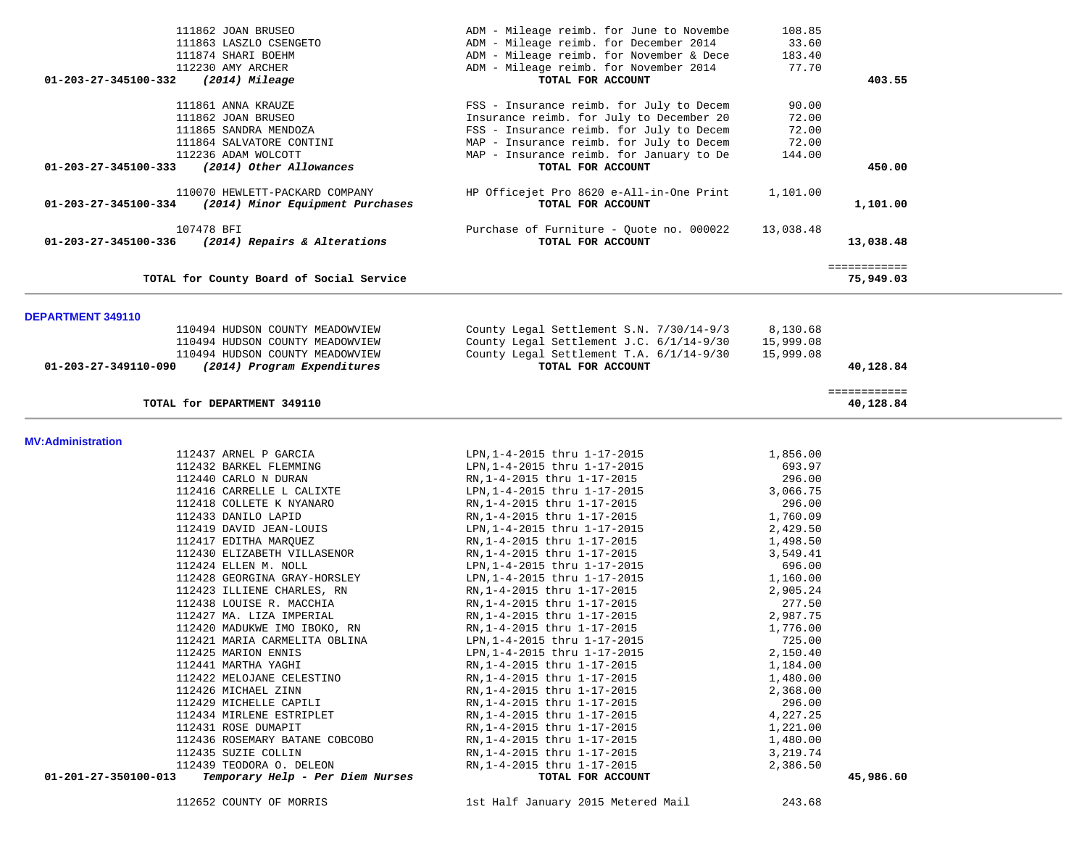| 111862 JOAN BRUSEO<br>111863 LASZLO CSENGETO<br>111874 SHARI BOEHM<br>112230 AMY ARCHER<br>01-203-27-345100-332<br>(2014) Mileage | ADM - Mileage reimb. for June to Novembe<br>ADM - Mileage reimb. for December 2014<br>ADM - Mileage reimb. for November & Dece<br>ADM - Mileage reimb. for November 2014<br>TOTAL FOR ACCOUNT                            | 108.85<br>33.60<br>183.40<br>77.70         | 403.55                    |  |
|-----------------------------------------------------------------------------------------------------------------------------------|--------------------------------------------------------------------------------------------------------------------------------------------------------------------------------------------------------------------------|--------------------------------------------|---------------------------|--|
| 111861 ANNA KRAUZE<br>111862 JOAN BRUSEO<br>111865 SANDRA MENDOZA<br>111864 SALVATORE CONTINI<br>112236 ADAM WOLCOTT              | FSS - Insurance reimb. for July to Decem<br>Insurance reimb. for July to December 20<br>FSS - Insurance reimb. for July to Decem<br>MAP - Insurance reimb. for July to Decem<br>MAP - Insurance reimb. for January to De | 90.00<br>72.00<br>72.00<br>72.00<br>144.00 |                           |  |
| (2014) Other Allowances<br>01-203-27-345100-333                                                                                   | TOTAL FOR ACCOUNT                                                                                                                                                                                                        |                                            | 450.00                    |  |
| 110070 HEWLETT-PACKARD COMPANY<br>(2014) Minor Equipment Purchases<br>01-203-27-345100-334                                        | HP Officejet Pro 8620 e-All-in-One Print<br>TOTAL FOR ACCOUNT                                                                                                                                                            | 1,101.00                                   | 1,101.00                  |  |
| 107478 BFI<br>01-203-27-345100-336<br>(2014) Repairs & Alterations                                                                | Purchase of Furniture - Quote no. 000022<br>TOTAL FOR ACCOUNT                                                                                                                                                            | 13,038.48                                  | 13,038.48                 |  |
| TOTAL for County Board of Social Service                                                                                          |                                                                                                                                                                                                                          |                                            | ============<br>75,949.03 |  |
| <b>DEPARTMENT 349110</b>                                                                                                          |                                                                                                                                                                                                                          |                                            |                           |  |
| 110494 HUDSON COUNTY MEADOWVIEW<br>110494 HUDSON COUNTY MEADOWVIEW<br>110494 HUDSON COUNTY MEADOWVIEW                             | County Legal Settlement S.N. 7/30/14-9/3<br>County Legal Settlement J.C. 6/1/14-9/30<br>County Legal Settlement T.A. 6/1/14-9/30                                                                                         | 8,130.68<br>15,999.08<br>15,999.08         |                           |  |
| (2014) Program Expenditures<br>01-203-27-349110-090                                                                               | TOTAL FOR ACCOUNT                                                                                                                                                                                                        |                                            | 40,128.84                 |  |
| TOTAL for DEPARTMENT 349110                                                                                                       |                                                                                                                                                                                                                          |                                            | ============<br>40,128.84 |  |
| <b>MV:Administration</b>                                                                                                          |                                                                                                                                                                                                                          |                                            |                           |  |
| 112437 ARNEL P GARCIA                                                                                                             | LPN, 1-4-2015 thru 1-17-2015                                                                                                                                                                                             | 1,856.00                                   |                           |  |
| 112432 BARKEL FLEMMING                                                                                                            | LPN, 1-4-2015 thru 1-17-2015                                                                                                                                                                                             | 693.97                                     |                           |  |
| 112440 CARLO N DURAN                                                                                                              | RN, 1-4-2015 thru 1-17-2015                                                                                                                                                                                              | 296.00                                     |                           |  |
| 112416 CARRELLE L CALIXTE                                                                                                         | LPN, 1-4-2015 thru 1-17-2015                                                                                                                                                                                             | 3,066.75                                   |                           |  |
| 112418 COLLETE K NYANARO                                                                                                          | RN, 1-4-2015 thru 1-17-2015                                                                                                                                                                                              | 296.00                                     |                           |  |
| 112433 DANILO LAPID                                                                                                               | RN, 1-4-2015 thru 1-17-2015                                                                                                                                                                                              | 1,760.09                                   |                           |  |
| 112419 DAVID JEAN-LOUIS                                                                                                           | LPN, 1-4-2015 thru 1-17-2015                                                                                                                                                                                             | 2,429.50                                   |                           |  |
| 112417 EDITHA MARQUEZ                                                                                                             | RN, 1-4-2015 thru 1-17-2015                                                                                                                                                                                              | 1,498.50                                   |                           |  |
| 112430 ELIZABETH VILLASENOR                                                                                                       | RN, 1-4-2015 thru 1-17-2015                                                                                                                                                                                              | 3,549.41                                   |                           |  |
| 112424 ELLEN M. NOLL                                                                                                              | LPN, 1-4-2015 thru 1-17-2015                                                                                                                                                                                             | 696.00                                     |                           |  |
| 112428 GEORGINA GRAY-HORSLEY                                                                                                      | LPN, 1-4-2015 thru 1-17-2015<br>RN, 1-4-2015 thru 1-17-2015                                                                                                                                                              | 1,160.00                                   |                           |  |
| 112423 ILLIENE CHARLES, RN<br>112438 LOUISE R. MACCHIA                                                                            | RN, 1-4-2015 thru 1-17-2015                                                                                                                                                                                              | 2,905.24<br>277.50                         |                           |  |
| 112427 MA. LIZA IMPERIAL                                                                                                          | RN, 1-4-2015 thru 1-17-2015                                                                                                                                                                                              | 2,987.75                                   |                           |  |
| 112420 MADUKWE IMO IBOKO, RN                                                                                                      | RN, 1-4-2015 thru 1-17-2015                                                                                                                                                                                              | 1,776.00                                   |                           |  |
| 112421 MARIA CARMELITA OBLINA                                                                                                     | LPN, 1-4-2015 thru 1-17-2015                                                                                                                                                                                             | 725.00                                     |                           |  |
| 112425 MARION ENNIS                                                                                                               | LPN, 1-4-2015 thru 1-17-2015                                                                                                                                                                                             | 2,150.40                                   |                           |  |
| 112441 MARTHA YAGHI                                                                                                               | RN, 1-4-2015 thru 1-17-2015                                                                                                                                                                                              | 1,184.00                                   |                           |  |
| 112422 MELOJANE CELESTINO                                                                                                         | RN, 1-4-2015 thru 1-17-2015                                                                                                                                                                                              | 1,480.00                                   |                           |  |
| 112426 MICHAEL ZINN                                                                                                               | RN, 1-4-2015 thru 1-17-2015                                                                                                                                                                                              | 2,368.00                                   |                           |  |
| 112429 MICHELLE CAPILI                                                                                                            | RN, 1-4-2015 thru 1-17-2015                                                                                                                                                                                              | 296.00                                     |                           |  |
| 112434 MIRLENE ESTRIPLET                                                                                                          | RN, 1-4-2015 thru 1-17-2015                                                                                                                                                                                              | 4,227.25                                   |                           |  |
| 112431 ROSE DUMAPIT                                                                                                               | RN, 1-4-2015 thru 1-17-2015                                                                                                                                                                                              | 1,221.00                                   |                           |  |
| 112436 ROSEMARY BATANE COBCOBO                                                                                                    | RN, 1-4-2015 thru 1-17-2015                                                                                                                                                                                              | 1,480.00                                   |                           |  |
| 112435 SUZIE COLLIN                                                                                                               | RN, 1-4-2015 thru 1-17-2015                                                                                                                                                                                              | 3,219.74                                   |                           |  |
| 112439 TEODORA O. DELEON                                                                                                          | RN, 1-4-2015 thru 1-17-2015                                                                                                                                                                                              | 2,386.50                                   |                           |  |
| 01-201-27-350100-013<br>Temporary Help - Per Diem Nurses                                                                          | TOTAL FOR ACCOUNT                                                                                                                                                                                                        |                                            | 45,986.60                 |  |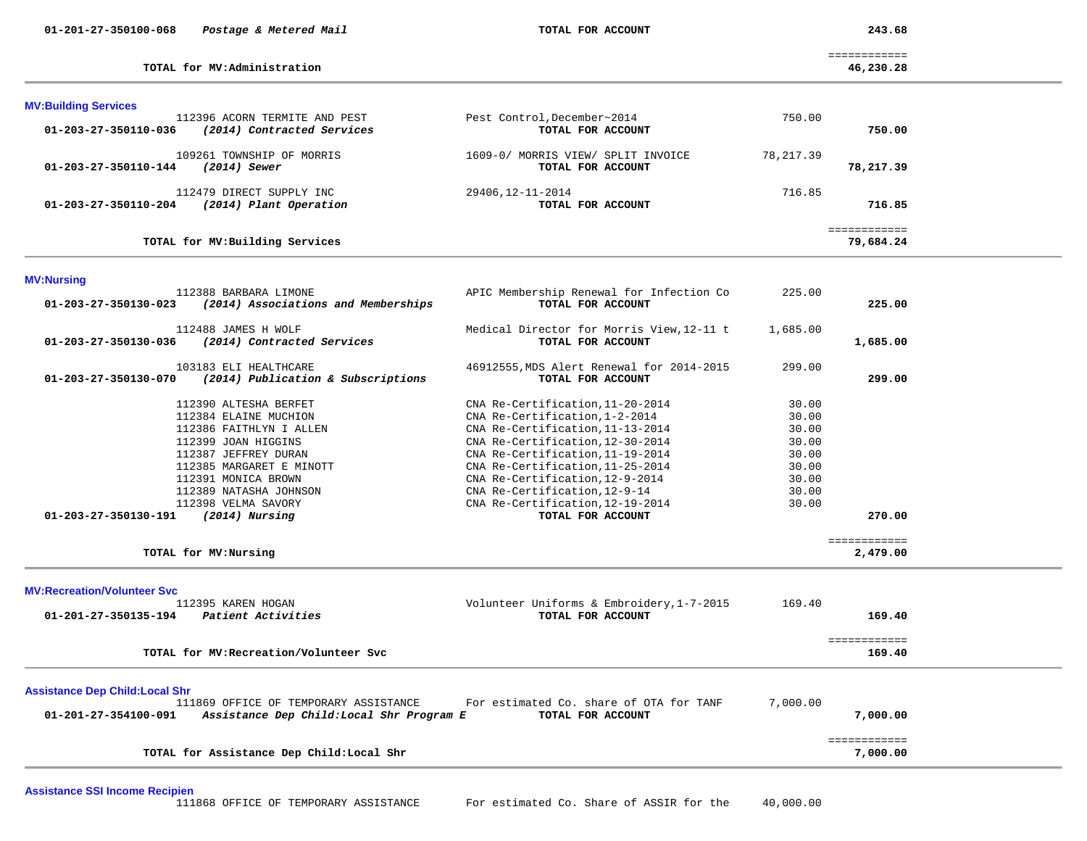**MV:Building Services** 

 ============ **TOTAL for MV:Administration 46,230.28**

| (2014) Contracted Services                                                                                                                                                                                                                     | TOTAL FOR ACCOUNT                                                                                                                                                                                                                                                                                                                               |                                                                               | 750.00    |                                                              |
|------------------------------------------------------------------------------------------------------------------------------------------------------------------------------------------------------------------------------------------------|-------------------------------------------------------------------------------------------------------------------------------------------------------------------------------------------------------------------------------------------------------------------------------------------------------------------------------------------------|-------------------------------------------------------------------------------|-----------|--------------------------------------------------------------|
| 109261 TOWNSHIP OF MORRIS<br>$(2014)$ Sewer                                                                                                                                                                                                    | 1609-0/ MORRIS VIEW/ SPLIT INVOICE<br>TOTAL FOR ACCOUNT                                                                                                                                                                                                                                                                                         | 78, 217.39                                                                    | 78,217.39 |                                                              |
| 112479 DIRECT SUPPLY INC<br>(2014) Plant Operation                                                                                                                                                                                             | 29406, 12-11-2014<br>TOTAL FOR ACCOUNT                                                                                                                                                                                                                                                                                                          | 716.85                                                                        | 716.85    |                                                              |
| TOTAL for MV: Building Services                                                                                                                                                                                                                |                                                                                                                                                                                                                                                                                                                                                 |                                                                               | 79,684.24 |                                                              |
|                                                                                                                                                                                                                                                |                                                                                                                                                                                                                                                                                                                                                 |                                                                               |           |                                                              |
| 112388 BARBARA LIMONE<br>(2014) Associations and Memberships                                                                                                                                                                                   | APIC Membership Renewal for Infection Co<br>TOTAL FOR ACCOUNT                                                                                                                                                                                                                                                                                   | 225.00                                                                        | 225.00    |                                                              |
| 112488 JAMES H WOLF<br>(2014) Contracted Services                                                                                                                                                                                              | Medical Director for Morris View, 12-11 t<br>TOTAL FOR ACCOUNT                                                                                                                                                                                                                                                                                  | 1,685.00                                                                      | 1,685.00  |                                                              |
| 103183 ELI HEALTHCARE<br>(2014) Publication & Subscriptions                                                                                                                                                                                    | 46912555, MDS Alert Renewal for 2014-2015<br>TOTAL FOR ACCOUNT                                                                                                                                                                                                                                                                                  | 299.00                                                                        | 299.00    |                                                              |
| 112390 ALTESHA BERFET<br>112384 ELAINE MUCHION<br>112386 FAITHLYN I ALLEN<br>112399 JOAN HIGGINS<br>112387 JEFFREY DURAN<br>112385 MARGARET E MINOTT<br>112391 MONICA BROWN<br>112389 NATASHA JOHNSON<br>112398 VELMA SAVORY<br>(2014) Nursing | CNA Re-Certification, 11-20-2014<br>CNA Re-Certification, 1-2-2014<br>CNA Re-Certification, 11-13-2014<br>CNA Re-Certification, 12-30-2014<br>CNA Re-Certification, 11-19-2014<br>CNA Re-Certification, 11-25-2014<br>CNA Re-Certification, 12-9-2014<br>CNA Re-Certification, 12-9-14<br>CNA Re-Certification, 12-19-2014<br>TOTAL FOR ACCOUNT | 30.00<br>30.00<br>30.00<br>30.00<br>30.00<br>30.00<br>30.00<br>30.00<br>30.00 | 270.00    |                                                              |
| TOTAL for MV:Nursing                                                                                                                                                                                                                           |                                                                                                                                                                                                                                                                                                                                                 |                                                                               | 2,479.00  |                                                              |
| 112395 KAREN HOGAN<br>Patient Activities                                                                                                                                                                                                       | Volunteer Uniforms & Embroidery, 1-7-2015<br>TOTAL FOR ACCOUNT                                                                                                                                                                                                                                                                                  | 169.40                                                                        | 169.40    |                                                              |
| TOTAL for MV: Recreation/Volunteer Svc                                                                                                                                                                                                         |                                                                                                                                                                                                                                                                                                                                                 |                                                                               | 169.40    |                                                              |
| <b>Assistance Dep Child: Local Shr</b><br>111869 OFFICE OF TEMPORARY ASSISTANCE                                                                                                                                                                | For estimated Co. share of OTA for TANF<br>TOTAL FOR ACCOUNT                                                                                                                                                                                                                                                                                    | 7,000.00                                                                      | 7,000.00  |                                                              |
| TOTAL for Assistance Dep Child: Local Shr                                                                                                                                                                                                      |                                                                                                                                                                                                                                                                                                                                                 |                                                                               | 7,000.00  |                                                              |
|                                                                                                                                                                                                                                                |                                                                                                                                                                                                                                                                                                                                                 | Assistance Dep Child: Local Shr Program E                                     |           | ============<br>============<br>============<br>============ |

112396 ACORN TERMITE AND PEST Pest Control,December~2014 750.00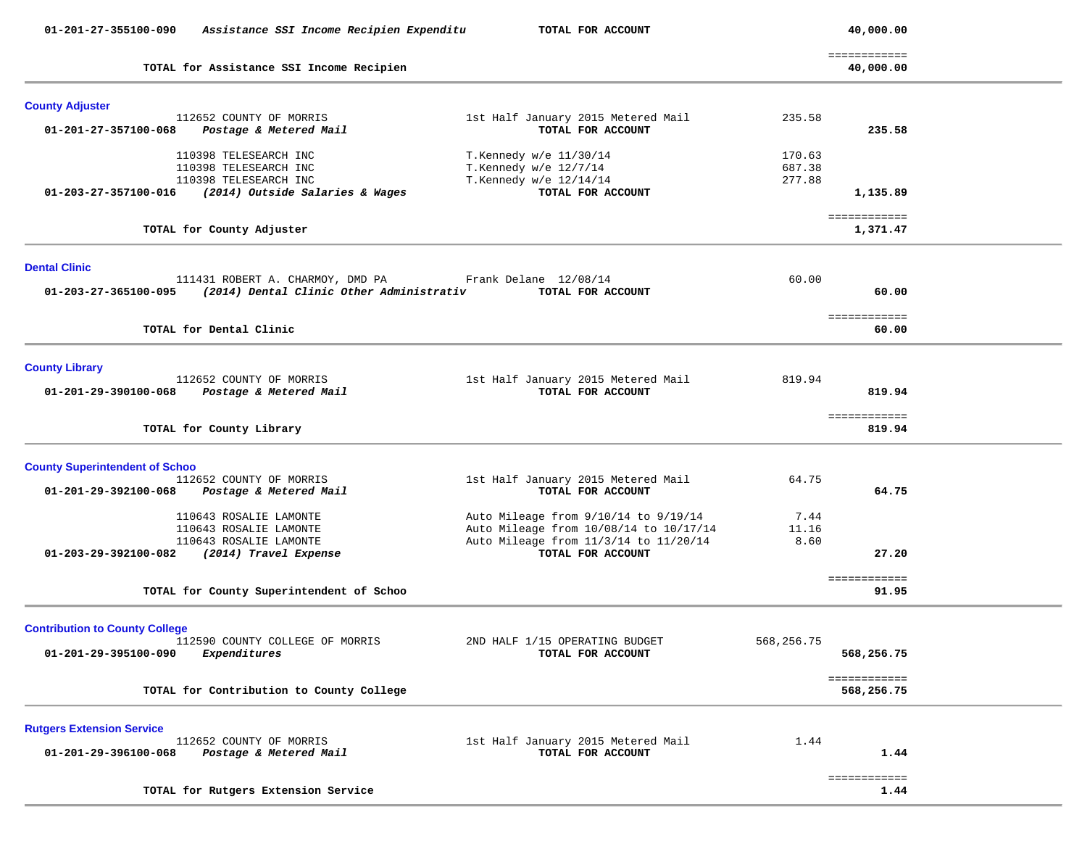| 01-201-27-355100-090                  | Assistance SSI Income Recipien Expenditu          | TOTAL FOR ACCOUNT                                          |             | 40,000.00                  |  |
|---------------------------------------|---------------------------------------------------|------------------------------------------------------------|-------------|----------------------------|--|
|                                       | TOTAL for Assistance SSI Income Recipien          |                                                            |             | ============<br>40,000.00  |  |
| <b>County Adjuster</b>                |                                                   |                                                            |             |                            |  |
| 01-201-27-357100-068                  | 112652 COUNTY OF MORRIS<br>Postage & Metered Mail | 1st Half January 2015 Metered Mail<br>TOTAL FOR ACCOUNT    | 235.58      | 235.58                     |  |
|                                       | 110398 TELESEARCH INC                             | T.Kennedy w/e 11/30/14                                     | 170.63      |                            |  |
|                                       | 110398 TELESEARCH INC                             | T.Kennedy $w/e$ 12/7/14                                    | 687.38      |                            |  |
|                                       | 110398 TELESEARCH INC                             | T.Kennedy w/e 12/14/14                                     | 277.88      |                            |  |
| 01-203-27-357100-016                  | (2014) Outside Salaries & Wages                   | TOTAL FOR ACCOUNT                                          |             | 1,135.89                   |  |
|                                       | TOTAL for County Adjuster                         |                                                            |             | ============<br>1,371.47   |  |
| <b>Dental Clinic</b>                  |                                                   |                                                            |             |                            |  |
|                                       | 111431 ROBERT A. CHARMOY, DMD PA                  | Frank Delane 12/08/14                                      | 60.00       |                            |  |
| 01-203-27-365100-095                  | (2014) Dental Clinic Other Administrativ          | TOTAL FOR ACCOUNT                                          |             | 60.00                      |  |
|                                       |                                                   |                                                            |             | ============               |  |
|                                       | TOTAL for Dental Clinic                           |                                                            |             | 60.00                      |  |
| <b>County Library</b>                 |                                                   |                                                            |             |                            |  |
|                                       | 112652 COUNTY OF MORRIS                           | 1st Half January 2015 Metered Mail                         | 819.94      |                            |  |
| 01-201-29-390100-068                  | Postage & Metered Mail                            | TOTAL FOR ACCOUNT                                          |             | 819.94                     |  |
|                                       | TOTAL for County Library                          |                                                            |             | ============<br>819.94     |  |
| <b>County Superintendent of Schoo</b> |                                                   |                                                            |             |                            |  |
|                                       | 112652 COUNTY OF MORRIS                           | 1st Half January 2015 Metered Mail                         | 64.75       |                            |  |
| 01-201-29-392100-068                  | Postage & Metered Mail                            | TOTAL FOR ACCOUNT                                          |             | 64.75                      |  |
|                                       | 110643 ROSALIE LAMONTE                            | Auto Mileage from 9/10/14 to 9/19/14                       | 7.44        |                            |  |
|                                       | 110643 ROSALIE LAMONTE                            | Auto Mileage from 10/08/14 to 10/17/14                     | 11.16       |                            |  |
| 01-203-29-392100-082                  | 110643 ROSALIE LAMONTE<br>(2014) Travel Expense   | Auto Mileage from 11/3/14 to 11/20/14<br>TOTAL FOR ACCOUNT | 8.60        | 27.20                      |  |
|                                       |                                                   |                                                            |             |                            |  |
|                                       | TOTAL for County Superintendent of Schoo          |                                                            |             | ============<br>91.95      |  |
|                                       |                                                   |                                                            |             |                            |  |
| <b>Contribution to County College</b> |                                                   |                                                            |             |                            |  |
|                                       | 112590 COUNTY COLLEGE OF MORRIS                   | 2ND HALF 1/15 OPERATING BUDGET                             | 568, 256.75 |                            |  |
| 01-201-29-395100-090                  | Expenditures                                      | TOTAL FOR ACCOUNT                                          |             | 568,256.75                 |  |
|                                       | TOTAL for Contribution to County College          |                                                            |             | ============<br>568,256.75 |  |
| <b>Rutgers Extension Service</b>      |                                                   |                                                            |             |                            |  |
|                                       | 112652 COUNTY OF MORRIS                           | 1st Half January 2015 Metered Mail                         | 1.44        |                            |  |
| 01-201-29-396100-068                  | Postage & Metered Mail                            | TOTAL FOR ACCOUNT                                          |             | 1.44                       |  |
|                                       |                                                   |                                                            |             | ============               |  |
|                                       | TOTAL for Rutgers Extension Service               |                                                            |             | 1.44                       |  |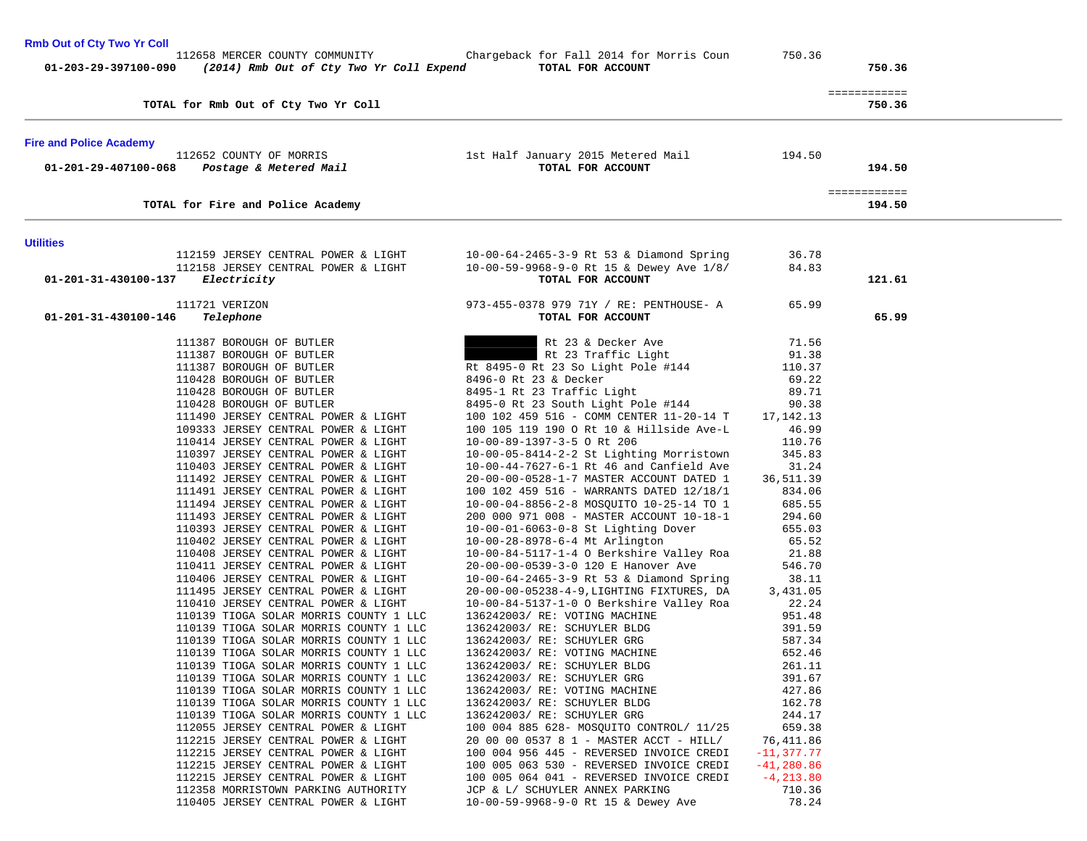| <b>Rmb Out of Cty Two Yr Coll</b><br>112658 MERCER COUNTY COMMUNITY              | Chargeback for Fall 2014 for Morris Coun                                               | 750.36            |                        |  |
|----------------------------------------------------------------------------------|----------------------------------------------------------------------------------------|-------------------|------------------------|--|
| 01-203-29-397100-090<br>(2014) Rmb Out of Cty Two Yr Coll Expend                 | TOTAL FOR ACCOUNT                                                                      |                   | 750.36                 |  |
| TOTAL for Rmb Out of Cty Two Yr Coll                                             |                                                                                        |                   | ============<br>750.36 |  |
| <b>Fire and Police Academy</b>                                                   |                                                                                        |                   |                        |  |
| 112652 COUNTY OF MORRIS<br>01-201-29-407100-068<br>Postage & Metered Mail        | 1st Half January 2015 Metered Mail<br>TOTAL FOR ACCOUNT                                | 194.50            | 194.50                 |  |
| TOTAL for Fire and Police Academy                                                |                                                                                        |                   | ============<br>194.50 |  |
| <b>Utilities</b>                                                                 |                                                                                        |                   |                        |  |
| 112159 JERSEY CENTRAL POWER & LIGHT                                              | 10-00-64-2465-3-9 Rt 53 & Diamond Spring                                               | 36.78             |                        |  |
| 112158 JERSEY CENTRAL POWER & LIGHT                                              | 10-00-59-9968-9-0 Rt 15 & Dewey Ave 1/8/                                               | 84.83             |                        |  |
| 01-201-31-430100-137<br><i>Electricity</i>                                       | TOTAL FOR ACCOUNT                                                                      |                   | 121.61                 |  |
| 111721 VERIZON                                                                   | 973-455-0378 979 71Y / RE: PENTHOUSE- A                                                | 65.99             |                        |  |
| 01-201-31-430100-146<br>Telephone                                                | TOTAL FOR ACCOUNT                                                                      |                   | 65.99                  |  |
| 111387 BOROUGH OF BUTLER                                                         | Rt 23 & Decker Ave                                                                     | 71.56             |                        |  |
| 111387 BOROUGH OF BUTLER                                                         | Rt 23 Traffic Light                                                                    | 91.38             |                        |  |
| 111387 BOROUGH OF BUTLER                                                         | Rt 8495-0 Rt 23 So Light Pole #144                                                     | 110.37            |                        |  |
| 110428 BOROUGH OF BUTLER                                                         | 8496-0 Rt 23 & Decker                                                                  | 69.22             |                        |  |
| 110428 BOROUGH OF BUTLER                                                         | 8495-1 Rt 23 Traffic Light                                                             | 89.71             |                        |  |
| 110428 BOROUGH OF BUTLER                                                         | 8495-0 Rt 23 South Light Pole #144                                                     | 90.38             |                        |  |
| 111490 JERSEY CENTRAL POWER & LIGHT                                              | 100 102 459 516 - COMM CENTER 11-20-14 T                                               | 17,142.13         |                        |  |
| 109333 JERSEY CENTRAL POWER & LIGHT                                              | 100 105 119 190 O Rt 10 & Hillside Ave-L                                               | 46.99             |                        |  |
| 110414 JERSEY CENTRAL POWER & LIGHT<br>110397 JERSEY CENTRAL POWER & LIGHT       | 10-00-89-1397-3-5 ORt 206                                                              | 110.76<br>345.83  |                        |  |
| 110403 JERSEY CENTRAL POWER & LIGHT                                              | 10-00-05-8414-2-2 St Lighting Morristown<br>$10-00-44-7627-6-1$ Rt 46 and Canfield Ave | 31.24             |                        |  |
| 111492 JERSEY CENTRAL POWER & LIGHT                                              | 20-00-00-0528-1-7 MASTER ACCOUNT DATED 1                                               | 36,511.39         |                        |  |
| 111491 JERSEY CENTRAL POWER & LIGHT                                              | 100 102 459 516 - WARRANTS DATED 12/18/1                                               | 834.06            |                        |  |
| 111494 JERSEY CENTRAL POWER & LIGHT                                              | 10-00-04-8856-2-8 MOSQUITO 10-25-14 TO 1                                               | 685.55            |                        |  |
| 111493 JERSEY CENTRAL POWER & LIGHT                                              | 200 000 971 008 - MASTER ACCOUNT 10-18-1                                               | 294.60            |                        |  |
| 110393 JERSEY CENTRAL POWER & LIGHT                                              | $10-00-01-6063-0-8$ St Lighting Dover                                                  | 655.03            |                        |  |
| 110402 JERSEY CENTRAL POWER & LIGHT                                              | 10-00-28-8978-6-4 Mt Arlington                                                         | 65.52             |                        |  |
| 110408 JERSEY CENTRAL POWER & LIGHT                                              | $10-00-84-5117-1-4$ O Berkshire Valley Roa                                             | 21.88             |                        |  |
| 110411 JERSEY CENTRAL POWER & LIGHT                                              | 20-00-00-0539-3-0 120 E Hanover Ave                                                    | 546.70            |                        |  |
| 110406 JERSEY CENTRAL POWER & LIGHT<br>111495 JERSEY CENTRAL POWER & LIGHT       | 10-00-64-2465-3-9 Rt 53 & Diamond Spring                                               | 38.11<br>3,431.05 |                        |  |
| 110410 JERSEY CENTRAL POWER & LIGHT                                              | 20-00-00-05238-4-9, LIGHTING FIXTURES, DA<br>10-00-84-5137-1-0 O Berkshire Valley Roa  | 22.24             |                        |  |
| 110139 TIOGA SOLAR MORRIS COUNTY 1 LLC                                           | 136242003/ RE: VOTING MACHINE                                                          | 951.48            |                        |  |
| 110139 TIOGA SOLAR MORRIS COUNTY 1 LLC                                           | 136242003/ RE: SCHUYLER BLDG                                                           | 391.59            |                        |  |
| 110139 TIOGA SOLAR MORRIS COUNTY 1 LLC                                           | 136242003/ RE: SCHUYLER GRG                                                            | 587.34            |                        |  |
| 110139 TIOGA SOLAR MORRIS COUNTY 1 LLC                                           | 136242003/ RE: VOTING MACHINE                                                          | 652.46            |                        |  |
| 110139 TIOGA SOLAR MORRIS COUNTY 1 LLC                                           | 136242003/ RE: SCHUYLER BLDG                                                           | 261.11            |                        |  |
| 110139 TIOGA SOLAR MORRIS COUNTY 1 LLC                                           | 136242003/ RE: SCHUYLER GRG                                                            | 391.67            |                        |  |
| 110139 TIOGA SOLAR MORRIS COUNTY 1 LLC<br>110139 TIOGA SOLAR MORRIS COUNTY 1 LLC | 136242003/ RE: VOTING MACHINE<br>136242003/ RE: SCHUYLER BLDG                          | 427.86<br>162.78  |                        |  |
| 110139 TIOGA SOLAR MORRIS COUNTY 1 LLC                                           | 136242003/ RE: SCHUYLER GRG                                                            | 244.17            |                        |  |
| 112055 JERSEY CENTRAL POWER & LIGHT                                              | 100 004 885 628- MOSQUITO CONTROL/ 11/25                                               | 659.38            |                        |  |
| 112215 JERSEY CENTRAL POWER & LIGHT                                              | 20 00 00 0537 8 1 - MASTER ACCT - HILL/                                                | 76,411.86         |                        |  |
| 112215 JERSEY CENTRAL POWER & LIGHT                                              | 100 004 956 445 - REVERSED INVOICE CREDI                                               | $-11, 377.77$     |                        |  |
| 112215 JERSEY CENTRAL POWER & LIGHT                                              | 100 005 063 530 - REVERSED INVOICE CREDI                                               | $-41, 280.86$     |                        |  |
| 112215 JERSEY CENTRAL POWER & LIGHT                                              | 100 005 064 041 - REVERSED INVOICE CREDI                                               | $-4, 213.80$      |                        |  |
| 112358 MORRISTOWN PARKING AUTHORITY                                              | JCP & L/ SCHUYLER ANNEX PARKING                                                        | 710.36            |                        |  |
| 110405 JERSEY CENTRAL POWER & LIGHT                                              | 10-00-59-9968-9-0 Rt 15 & Dewey Ave                                                    | 78.24             |                        |  |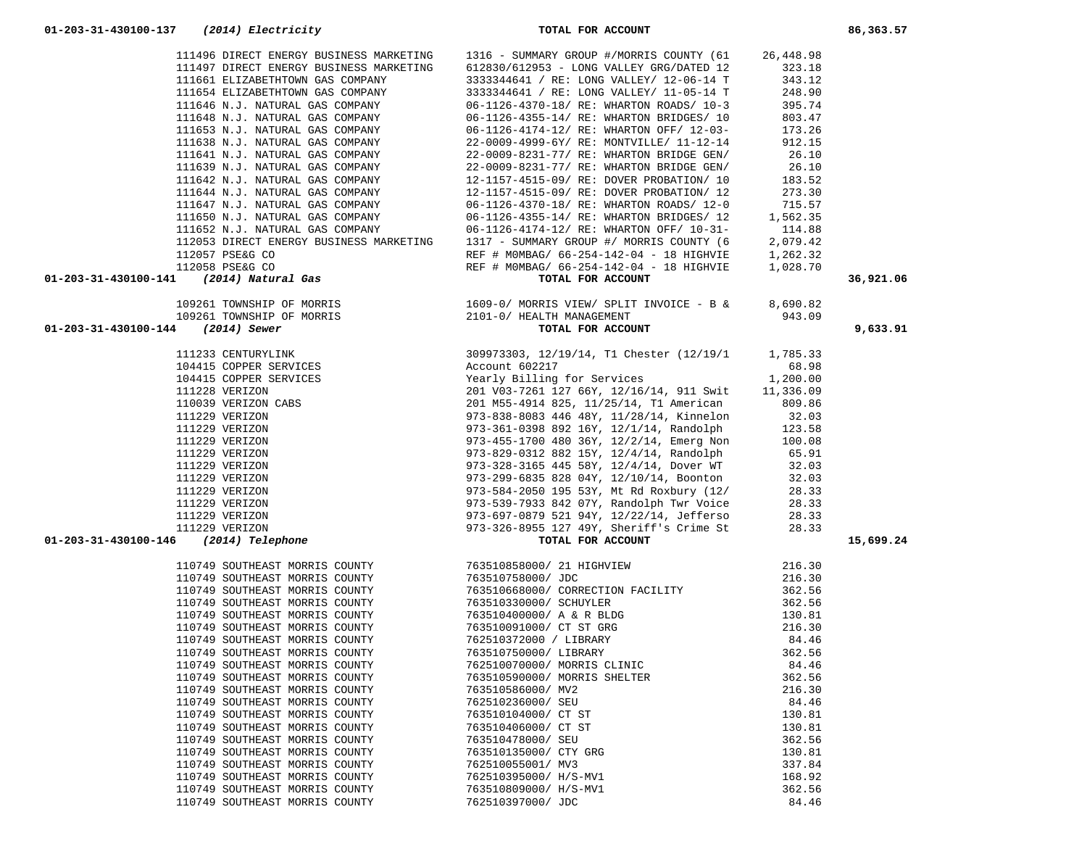|                                                                                                                                                                                                                                     | 111496 DIRECT ENERGY BUSINESS MARKETING 1316 - SUMMARY GROUP #/MORRIS COUNTY (61                                                                                                                                                        | 26,448.98        |           |
|-------------------------------------------------------------------------------------------------------------------------------------------------------------------------------------------------------------------------------------|-----------------------------------------------------------------------------------------------------------------------------------------------------------------------------------------------------------------------------------------|------------------|-----------|
|                                                                                                                                                                                                                                     | 11499 DIRECT ENERGY BUSINESS MARKETING 1316 - SUMMARY GROUP #7MUCKLEY (DUNTY (612830) 612953 - LONG VALLEY (12-06-14 T<br>111661 ELIZABETHTOWN GAS COMPANY 3333344641 / RE: LONG VALLEY (12-06-14 T<br>111664 R.J. NATURAL GAS CO       |                  |           |
|                                                                                                                                                                                                                                     |                                                                                                                                                                                                                                         |                  |           |
|                                                                                                                                                                                                                                     |                                                                                                                                                                                                                                         |                  |           |
|                                                                                                                                                                                                                                     |                                                                                                                                                                                                                                         |                  |           |
|                                                                                                                                                                                                                                     |                                                                                                                                                                                                                                         |                  |           |
|                                                                                                                                                                                                                                     |                                                                                                                                                                                                                                         |                  |           |
|                                                                                                                                                                                                                                     |                                                                                                                                                                                                                                         |                  |           |
|                                                                                                                                                                                                                                     |                                                                                                                                                                                                                                         |                  |           |
|                                                                                                                                                                                                                                     |                                                                                                                                                                                                                                         |                  |           |
|                                                                                                                                                                                                                                     |                                                                                                                                                                                                                                         |                  |           |
|                                                                                                                                                                                                                                     |                                                                                                                                                                                                                                         |                  |           |
|                                                                                                                                                                                                                                     |                                                                                                                                                                                                                                         |                  |           |
|                                                                                                                                                                                                                                     | 111644 N.J. NATURAL GAS COMPANY 12-1157-4515-09/RE: DOVER PROBATION/12<br>111644 N.J. NATURAL GAS COMPANY 12-1157-4515-09/RE: DOVER PROBATION/12<br>111650 N.J. NATURAL GAS COMPANY 12-1126-4370-18/RE: WHARTON ROADS/12-0 715.57<br>11 |                  |           |
|                                                                                                                                                                                                                                     |                                                                                                                                                                                                                                         |                  |           |
|                                                                                                                                                                                                                                     |                                                                                                                                                                                                                                         |                  |           |
|                                                                                                                                                                                                                                     |                                                                                                                                                                                                                                         |                  |           |
|                                                                                                                                                                                                                                     |                                                                                                                                                                                                                                         |                  |           |
| 111659 N.J. NATURAL GAS COMPANY<br>111659 N.J. NATURAL GAS COMPANY<br>16-1126-41374-12/2 RE: WHARTON ORTZ (15-203-23<br>112128 YEREN EIGHEAT RESPONSIBLE TO THE SIMULATE CONTENT (16-124-142-04 -18 INCREDIENT (16-203-31-430100-14 |                                                                                                                                                                                                                                         |                  | 36,921.06 |
|                                                                                                                                                                                                                                     |                                                                                                                                                                                                                                         |                  |           |
|                                                                                                                                                                                                                                     |                                                                                                                                                                                                                                         |                  |           |
|                                                                                                                                                                                                                                     |                                                                                                                                                                                                                                         |                  | 9,633.91  |
|                                                                                                                                                                                                                                     |                                                                                                                                                                                                                                         |                  |           |
|                                                                                                                                                                                                                                     |                                                                                                                                                                                                                                         |                  |           |
|                                                                                                                                                                                                                                     |                                                                                                                                                                                                                                         |                  |           |
|                                                                                                                                                                                                                                     |                                                                                                                                                                                                                                         |                  |           |
|                                                                                                                                                                                                                                     |                                                                                                                                                                                                                                         |                  |           |
|                                                                                                                                                                                                                                     |                                                                                                                                                                                                                                         |                  |           |
|                                                                                                                                                                                                                                     |                                                                                                                                                                                                                                         |                  |           |
|                                                                                                                                                                                                                                     |                                                                                                                                                                                                                                         |                  |           |
|                                                                                                                                                                                                                                     |                                                                                                                                                                                                                                         |                  |           |
|                                                                                                                                                                                                                                     |                                                                                                                                                                                                                                         |                  |           |
|                                                                                                                                                                                                                                     |                                                                                                                                                                                                                                         |                  |           |
|                                                                                                                                                                                                                                     |                                                                                                                                                                                                                                         |                  |           |
|                                                                                                                                                                                                                                     |                                                                                                                                                                                                                                         |                  |           |
|                                                                                                                                                                                                                                     |                                                                                                                                                                                                                                         |                  |           |
|                                                                                                                                                                                                                                     |                                                                                                                                                                                                                                         |                  | 15,699.24 |
|                                                                                                                                                                                                                                     |                                                                                                                                                                                                                                         |                  |           |
|                                                                                                                                                                                                                                     |                                                                                                                                                                                                                                         |                  |           |
|                                                                                                                                                                                                                                     |                                                                                                                                                                                                                                         |                  |           |
|                                                                                                                                                                                                                                     |                                                                                                                                                                                                                                         |                  |           |
|                                                                                                                                                                                                                                     |                                                                                                                                                                                                                                         |                  |           |
|                                                                                                                                                                                                                                     |                                                                                                                                                                                                                                         |                  |           |
|                                                                                                                                                                                                                                     |                                                                                                                                                                                                                                         |                  |           |
|                                                                                                                                                                                                                                     |                                                                                                                                                                                                                                         |                  |           |
|                                                                                                                                                                                                                                     |                                                                                                                                                                                                                                         |                  |           |
|                                                                                                                                                                                                                                     |                                                                                                                                                                                                                                         |                  |           |
| 110749 SOUTHEAST MORRIS COUNTY                                                                                                                                                                                                      | 763510590000/ MORRIS SHELTER                                                                                                                                                                                                            | 362.56           |           |
| 110749 SOUTHEAST MORRIS COUNTY                                                                                                                                                                                                      | 763510586000/ MV2                                                                                                                                                                                                                       | 216.30           |           |
| 110749 SOUTHEAST MORRIS COUNTY<br>110749 SOUTHEAST MORRIS COUNTY                                                                                                                                                                    | 762510236000/ SEU<br>763510104000/ CT ST                                                                                                                                                                                                | 84.46            |           |
| 110749 SOUTHEAST MORRIS COUNTY                                                                                                                                                                                                      | 763510406000/ CT ST                                                                                                                                                                                                                     | 130.81<br>130.81 |           |
| 110749 SOUTHEAST MORRIS COUNTY                                                                                                                                                                                                      | 763510478000/ SEU                                                                                                                                                                                                                       | 362.56           |           |
| 110749 SOUTHEAST MORRIS COUNTY                                                                                                                                                                                                      | 763510135000/ CTY GRG                                                                                                                                                                                                                   | 130.81           |           |
| 110749 SOUTHEAST MORRIS COUNTY                                                                                                                                                                                                      | 762510055001/ MV3                                                                                                                                                                                                                       | 337.84           |           |
| 110749 SOUTHEAST MORRIS COUNTY                                                                                                                                                                                                      | 762510395000/ H/S-MV1                                                                                                                                                                                                                   | 168.92           |           |
| 110749 SOUTHEAST MORRIS COUNTY                                                                                                                                                                                                      | 763510809000/ H/S-MV1                                                                                                                                                                                                                   | 362.56           |           |
| 110749 SOUTHEAST MORRIS COUNTY                                                                                                                                                                                                      | 762510397000/ JDC                                                                                                                                                                                                                       | 84.46            |           |
|                                                                                                                                                                                                                                     |                                                                                                                                                                                                                                         |                  |           |

 **01-203-31-430100-137** *(2014) Electricity* **TOTAL FOR ACCOUNT 86,363.57**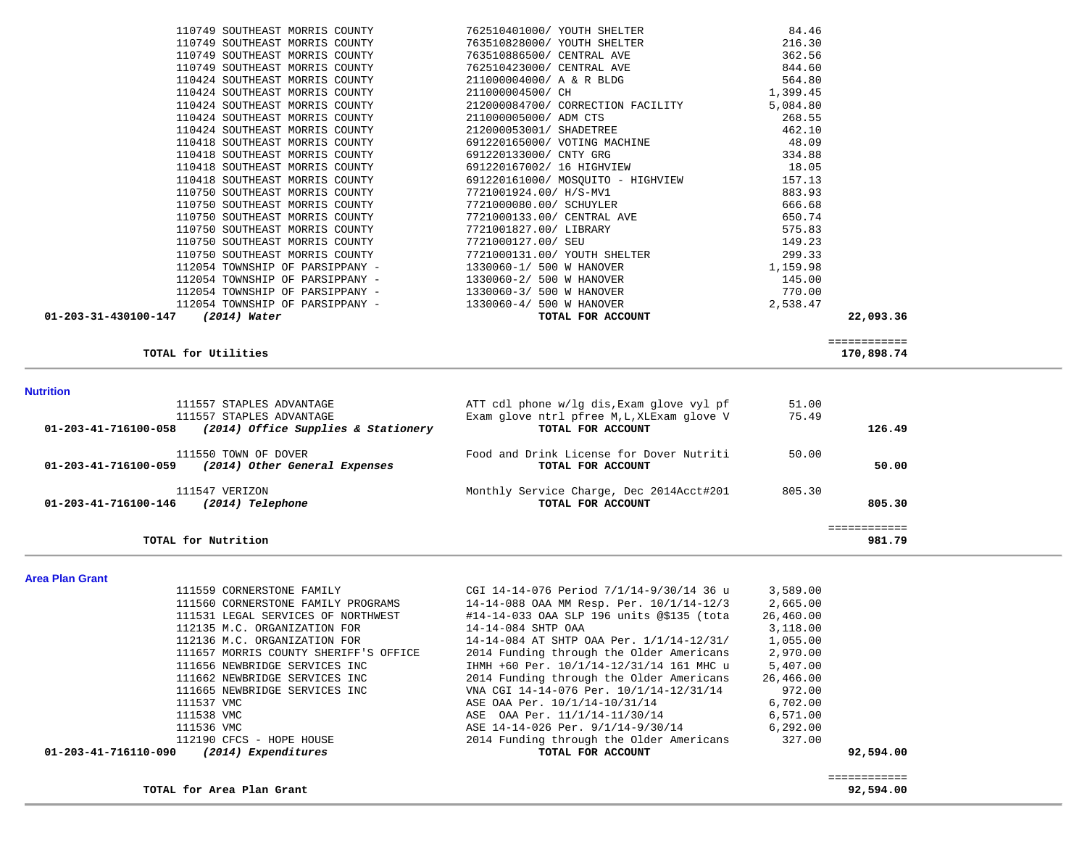| TOTAL for Area Plan Grant                                              |                                                                                      |                      | ============<br>92,594.00 |
|------------------------------------------------------------------------|--------------------------------------------------------------------------------------|----------------------|---------------------------|
| 01-203-41-716110-090<br>(2014) Expenditures                            | TOTAL FOR ACCOUNT                                                                    |                      | 92,594.00                 |
| 112190 CFCS - HOPE HOUSE                                               | 2014 Funding through the Older Americans                                             | 327.00               |                           |
| 111536 VMC                                                             | ASE 14-14-026 Per. 9/1/14-9/30/14                                                    | 6, 292.00            |                           |
| 111538 VMC                                                             | ASE OAA Per. 11/1/14-11/30/14                                                        | 6,571.00             |                           |
| 111537 VMC                                                             | ASE OAA Per. 10/1/14-10/31/14                                                        | 6,702.00             |                           |
| 111665 NEWBRIDGE SERVICES INC                                          | VNA CGI 14-14-076 Per. 10/1/14-12/31/14                                              | 972.00               |                           |
| 111662 NEWBRIDGE SERVICES INC                                          | 2014 Funding through the Older Americans                                             | 26,466.00            |                           |
| 111657 MORRIS COUNTY SHERIFF'S OFFICE<br>111656 NEWBRIDGE SERVICES INC | 2014 Funding through the Older Americans<br>IHMH +60 Per. 10/1/14-12/31/14 161 MHC u | 2,970.00<br>5,407.00 |                           |
| 112136 M.C. ORGANIZATION FOR                                           | 14-14-084 AT SHTP OAA Per. 1/1/14-12/31/                                             | 1,055.00             |                           |
| 112135 M.C. ORGANIZATION FOR                                           | 14-14-084 SHTP OAA                                                                   | 3,118.00             |                           |
| 111531 LEGAL SERVICES OF NORTHWEST                                     | #14-14-033 OAA SLP 196 units @\$135 (tota                                            | 26,460.00            |                           |
| 111560 CORNERSTONE FAMILY PROGRAMS                                     | 14-14-088 OAA MM Resp. Per. 10/1/14-12/3                                             | 2,665.00             |                           |
| 111559 CORNERSTONE FAMILY                                              | CGI 14-14-076 Period 7/1/14-9/30/14 36 u                                             | 3,589.00             |                           |

|                                | 110750 SOUTHEAST MORRIS COUNTY      | 7721000080.00/ SCHUYLER                    | 666.68   |                            |
|--------------------------------|-------------------------------------|--------------------------------------------|----------|----------------------------|
|                                | 110750 SOUTHEAST MORRIS COUNTY      | 7721000133.00/ CENTRAL AVE                 | 650.74   |                            |
|                                | 110750 SOUTHEAST MORRIS COUNTY      | 7721001827.00/ LIBRARY                     | 575.83   |                            |
|                                | 110750 SOUTHEAST MORRIS COUNTY      | 7721000127.00/ SEU                         | 149.23   |                            |
|                                | 110750 SOUTHEAST MORRIS COUNTY      | 7721000131.00/ YOUTH SHELTER               | 299.33   |                            |
|                                | 112054 TOWNSHIP OF PARSIPPANY -     | 1330060-1/ 500 W HANOVER                   | 1,159.98 |                            |
|                                | 112054 TOWNSHIP OF PARSIPPANY -     | 1330060-2/ 500 W HANOVER                   | 145.00   |                            |
|                                | 112054 TOWNSHIP OF PARSIPPANY -     | 1330060-3/ 500 W HANOVER                   | 770.00   |                            |
|                                | 112054 TOWNSHIP OF PARSIPPANY -     | 1330060-4/ 500 W HANOVER                   | 2,538.47 |                            |
| 01-203-31-430100-147           | (2014) Water                        | TOTAL FOR ACCOUNT                          |          | 22,093.36                  |
|                                | TOTAL for Utilities                 |                                            |          | ============<br>170,898.74 |
| <b>Nutrition</b>               |                                     |                                            |          |                            |
|                                | 111557 STAPLES ADVANTAGE            | ATT cdl phone w/lg dis, Exam glove vyl pf  | 51.00    |                            |
|                                | 111557 STAPLES ADVANTAGE            | Exam glove ntrl pfree M, L, XLExam glove V | 75.49    |                            |
| 01-203-41-716100-058           | (2014) Office Supplies & Stationery | TOTAL FOR ACCOUNT                          |          | 126.49                     |
|                                | 111550 TOWN OF DOVER                | Food and Drink License for Dover Nutriti   | 50.00    |                            |
| $01 - 203 - 41 - 716100 - 059$ | (2014) Other General Expenses       | TOTAL FOR ACCOUNT                          |          | 50.00                      |
|                                | 111547 VERIZON                      | Monthly Service Charge, Dec 2014Acct#201   | 805.30   |                            |
| $01 - 203 - 41 - 716100 - 146$ | (2014) Telephone                    | TOTAL FOR ACCOUNT                          |          | 805.30                     |
|                                |                                     |                                            |          | ============               |
|                                | TOTAL for Nutrition                 |                                            |          | 981.79                     |

|                                 | $112054$ TOWNSHIP OF PARSIPPANY - $1330060-4/500$ W HANOVER      |                              | 2,538.47 |  |
|---------------------------------|------------------------------------------------------------------|------------------------------|----------|--|
|                                 | $112054$ TOWNSHIP OF PARSIPPANY - $1330060-3/500$ W HANOVER      |                              | 770.00   |  |
| 112054 TOWNSHIP OF PARSIPPANY - |                                                                  | 1330060-2/ 500 W HANOVER     | 145.00   |  |
|                                 | 112054 TOWNSHIP OF PARSIPPANY -                                  | 1330060-1/ 500 W HANOVER     | 1,159.98 |  |
|                                 | 110750 SOUTHEAST MORRIS COUNTY                                   | 7721000131.00/ YOUTH SHELTER | 299.33   |  |
|                                 | 110750 SOUTHEAST MORRIS COUNTY 7721000127.00/ SEU                |                              | 149.23   |  |
|                                 | 110750 SOUTHEAST MORRIS COUNTY 7721001827.00/ LIBRARY            |                              | 575.83   |  |
|                                 | 110750 SOUTHEAST MORRIS COUNTY 7721000133.00/ CENTRAL AVE        |                              | 650.74   |  |
|                                 | 110750 SOUTHEAST MORRIS COUNTY 7721000080.00/ SCHUYLER           |                              | 666.68   |  |
| 110750 SOUTHEAST MORRIS COUNTY  |                                                                  | 7721001924.00/ H/S-MV1       | 883.93   |  |
|                                 | 110418 SOUTHEAST MORRIS COUNTY 691220161000/ MOSQUITO - HIGHVIEW |                              | 157.13   |  |
| 110418 SOUTHEAST MORRIS COUNTY  |                                                                  | 691220167002/ 16 HIGHVIEW    | 18.05    |  |
|                                 | 110418 SOUTHEAST MORRIS COUNTY 691220133000/ CNTY GRG            |                              | 334.88   |  |
|                                 | 110418 SOUTHEAST MORRIS COUNTY 691220165000/ VOTING MACHINE      |                              | 48.09    |  |
|                                 | 110424 SOUTHEAST MORRIS COUNTY 212000053001/ SHADETREE           |                              | 462.10   |  |
|                                 | 110424 SOUTHEAST MORRIS COUNTY 21100005000/ADM CTS               |                              | 268.55   |  |
|                                 | 110424 SOUTHEAST MORRIS COUNTY 212000084700/ CORRECTION FACILITY |                              | 5,084.80 |  |
|                                 | 110424 SOUTHEAST MORRIS COUNTY                                   | 211000004500/ CH             | 1,399.45 |  |
|                                 | $110424$ SOUTHEAST MORRIS COUNTY 211000004000/ A & R BLDG        |                              | 564.80   |  |
|                                 | 110749 SOUTHEAST MORRIS COUNTY 762510423000/ CENTRAL AVE         |                              | 844.60   |  |
|                                 | 110749 SOUTHEAST MORRIS COUNTY 763510886500/ CENTRAL AVE         |                              | 362.56   |  |
|                                 | 110749 SOUTHEAST MORRIS COUNTY 763510828000/YOUTH SHELTER        |                              | 216.30   |  |
|                                 | 110749 SOUTHEAST MORRIS COUNTY 762510401000/ YOUTH SHELTER       |                              | 84.46    |  |
|                                 |                                                                  |                              |          |  |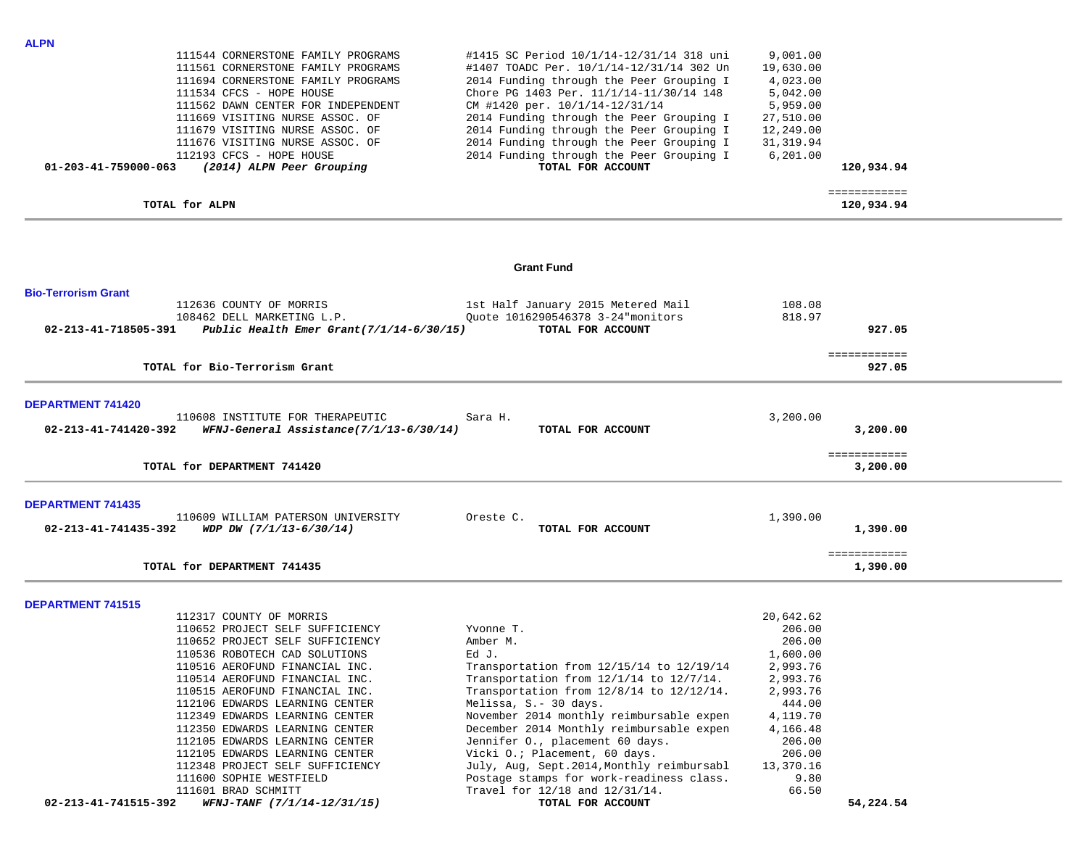| <b>ALPN</b>                |                                          |                                               |            |                            |  |
|----------------------------|------------------------------------------|-----------------------------------------------|------------|----------------------------|--|
|                            | 111544 CORNERSTONE FAMILY PROGRAMS       | #1415 SC Period 10/1/14-12/31/14 318 uni      | 9,001.00   |                            |  |
|                            | 111561 CORNERSTONE FAMILY PROGRAMS       | #1407 TOADC Per. 10/1/14-12/31/14 302 Un      | 19,630.00  |                            |  |
|                            | 111694 CORNERSTONE FAMILY PROGRAMS       | 2014 Funding through the Peer Grouping I      | 4,023.00   |                            |  |
|                            | 111534 CFCS - HOPE HOUSE                 | Chore PG 1403 Per. 11/1/14-11/30/14 148       | 5,042.00   |                            |  |
|                            | 111562 DAWN CENTER FOR INDEPENDENT       | CM #1420 per. 10/1/14-12/31/14                | 5,959.00   |                            |  |
|                            | 111669 VISITING NURSE ASSOC. OF          | 2014 Funding through the Peer Grouping I      | 27,510.00  |                            |  |
|                            | 111679 VISITING NURSE ASSOC. OF          | 2014 Funding through the Peer Grouping I      | 12,249.00  |                            |  |
|                            | 111676 VISITING NURSE ASSOC. OF          | 2014 Funding through the Peer Grouping I      | 31, 319.94 |                            |  |
|                            | 112193 CFCS - HOPE HOUSE                 | 2014 Funding through the Peer Grouping I      | 6, 201.00  |                            |  |
| 01-203-41-759000-063       | (2014) ALPN Peer Grouping                | TOTAL FOR ACCOUNT                             |            | 120,934.94                 |  |
|                            |                                          |                                               |            |                            |  |
|                            | TOTAL for ALPN                           |                                               |            | ============<br>120,934.94 |  |
|                            |                                          |                                               |            |                            |  |
|                            |                                          | <b>Grant Fund</b>                             |            |                            |  |
| <b>Bio-Terrorism Grant</b> |                                          |                                               |            |                            |  |
|                            | 112636 COUNTY OF MORRIS                  | 1st Half January 2015 Metered Mail            | 108.08     |                            |  |
|                            | 108462 DELL MARKETING L.P.               | Quote 1016290546378 3-24 monitors             | 818.97     |                            |  |
| 02-213-41-718505-391       | Public Health Emer Grant(7/1/14-6/30/15) | TOTAL FOR ACCOUNT                             |            | 927.05                     |  |
|                            |                                          |                                               |            |                            |  |
|                            |                                          |                                               |            | ============               |  |
|                            | TOTAL for Bio-Terrorism Grant            |                                               |            | 927.05                     |  |
| <b>DEPARTMENT 741420</b>   |                                          |                                               |            |                            |  |
|                            | 110608 INSTITUTE FOR THERAPEUTIC         | Sara H.                                       | 3,200.00   |                            |  |
| 02-213-41-741420-392       | WFNJ-General Assistance(7/1/13-6/30/14)  | TOTAL FOR ACCOUNT                             |            | 3,200.00                   |  |
|                            |                                          |                                               |            | ============               |  |
|                            | TOTAL for DEPARTMENT 741420              |                                               |            | 3,200.00                   |  |
| <b>DEPARTMENT 741435</b>   |                                          |                                               |            |                            |  |
|                            | 110609 WILLIAM PATERSON UNIVERSITY       | Oreste C.                                     | 1,390.00   |                            |  |
| 02-213-41-741435-392       | WDP DW (7/1/13-6/30/14)                  | TOTAL FOR ACCOUNT                             |            | 1,390.00                   |  |
|                            |                                          |                                               |            |                            |  |
|                            |                                          |                                               |            | ============               |  |
|                            | TOTAL for DEPARTMENT 741435              |                                               |            | 1,390.00                   |  |
|                            |                                          |                                               |            |                            |  |
| <b>DEPARTMENT 741515</b>   | 112317 COUNTY OF MORRIS                  |                                               | 20,642.62  |                            |  |
|                            | 110652 PROJECT SELF SUFFICIENCY          | Yvonne T.                                     | 206.00     |                            |  |
|                            | 110652 PROJECT SELF SUFFICIENCY          | Amber M.                                      | 206.00     |                            |  |
|                            | 110536 ROBOTECH CAD SOLUTIONS            | Ed J.                                         | 1,600.00   |                            |  |
|                            | 110516 AEROFUND FINANCIAL INC.           | Transportation from 12/15/14 to 12/19/14      | 2,993.76   |                            |  |
|                            | 110514 AEROFUND FINANCIAL INC.           | Transportation from 12/1/14 to 12/7/14.       | 2,993.76   |                            |  |
|                            | 110515 AEROFUND FINANCIAL INC.           | Transportation from $12/8/14$ to $12/12/14$ . | 2,993.76   |                            |  |
|                            | 112106 EDWARDS LEARNING CENTER           | Melissa, S.- 30 days.                         | 444.00     |                            |  |
|                            | 112349 EDWARDS LEARNING CENTER           | November 2014 monthly reimbursable expen      | 4,119.70   |                            |  |
|                            | 112350 EDWARDS LEARNING CENTER           | December 2014 Monthly reimbursable expen      | 4,166.48   |                            |  |
|                            | 112105 EDWARDS LEARNING CENTER           | Jennifer O., placement 60 days.               | 206.00     |                            |  |
|                            | 112105 EDWARDS LEARNING CENTER           | Vicki O.; Placement, 60 days.                 | 206.00     |                            |  |
|                            | 112348 PROJECT SELF SUFFICIENCY          | July, Aug, Sept. 2014, Monthly reimbursabl    | 13,370.16  |                            |  |
|                            | 111600 SOPHIE WESTFIELD                  | Postage stamps for work-readiness class.      | 9.80       |                            |  |
|                            | 111601 BRAD SCHMITT                      | Travel for 12/18 and 12/31/14.                | 66.50      |                            |  |
| 02-213-41-741515-392       | WFNJ-TANF (7/1/14-12/31/15)              | TOTAL FOR ACCOUNT                             |            | 54,224.54                  |  |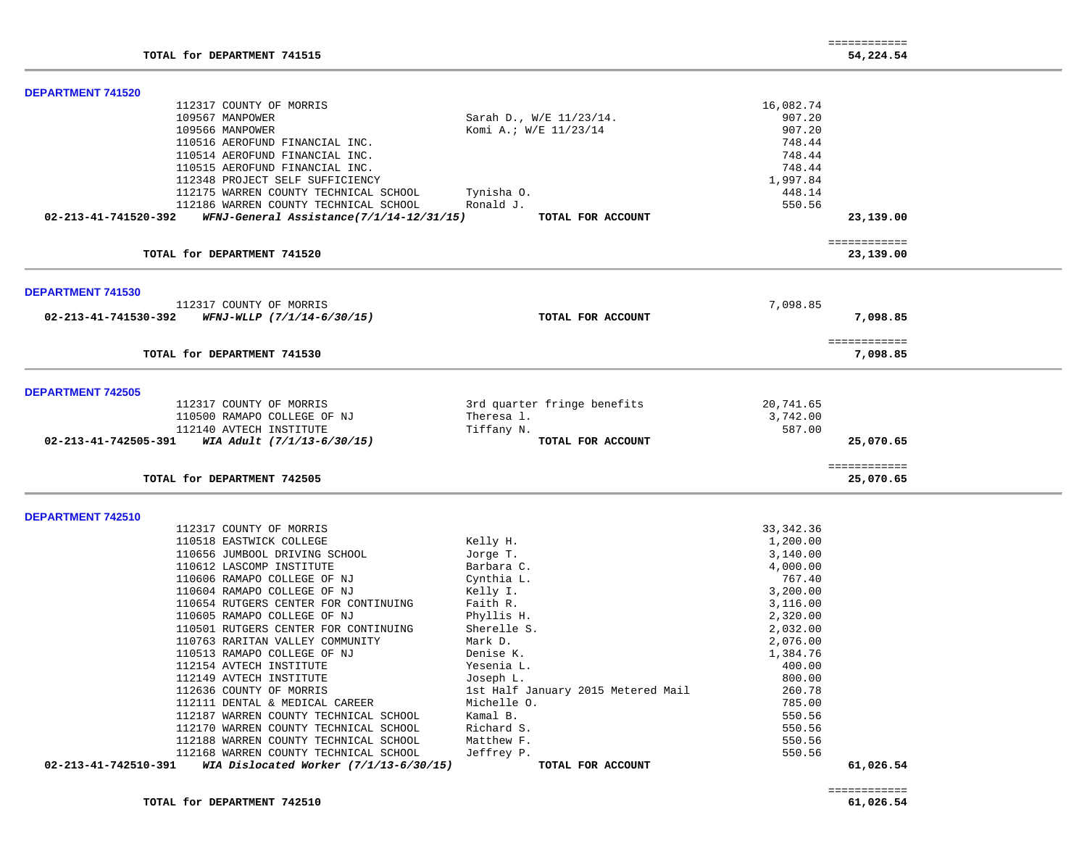|                          |                                          |                                    | ============ |                           |  |
|--------------------------|------------------------------------------|------------------------------------|--------------|---------------------------|--|
|                          | TOTAL for DEPARTMENT 741515              |                                    |              | 54,224.54                 |  |
| <b>DEPARTMENT 741520</b> |                                          |                                    |              |                           |  |
|                          | 112317 COUNTY OF MORRIS                  |                                    | 16,082.74    |                           |  |
|                          | 109567 MANPOWER                          | Sarah D., W/E 11/23/14.            | 907.20       |                           |  |
|                          | 109566 MANPOWER                          | Komi A.; W/E 11/23/14              | 907.20       |                           |  |
|                          | 110516 AEROFUND FINANCIAL INC.           |                                    | 748.44       |                           |  |
|                          | 110514 AEROFUND FINANCIAL INC.           |                                    | 748.44       |                           |  |
|                          | 110515 AEROFUND FINANCIAL INC.           |                                    | 748.44       |                           |  |
|                          | 112348 PROJECT SELF SUFFICIENCY          |                                    | 1,997.84     |                           |  |
|                          | 112175 WARREN COUNTY TECHNICAL SCHOOL    | Tynisha 0.                         | 448.14       |                           |  |
|                          | 112186 WARREN COUNTY TECHNICAL SCHOOL    | Ronald J.                          | 550.56       |                           |  |
| 02-213-41-741520-392     | WFNJ-General Assistance(7/1/14-12/31/15) | TOTAL FOR ACCOUNT                  |              | 23,139.00                 |  |
|                          |                                          |                                    |              | ============              |  |
|                          | TOTAL for DEPARTMENT 741520              |                                    |              | 23,139.00                 |  |
| DEPARTMENT 741530        |                                          |                                    |              |                           |  |
|                          | 112317 COUNTY OF MORRIS                  |                                    | 7,098.85     |                           |  |
| 02-213-41-741530-392     | WFNJ-WLLP (7/1/14-6/30/15)               | TOTAL FOR ACCOUNT                  |              | 7,098.85                  |  |
|                          |                                          |                                    |              |                           |  |
|                          |                                          |                                    |              | ============              |  |
|                          | TOTAL for DEPARTMENT 741530              |                                    |              | 7,098.85                  |  |
| <b>DEPARTMENT 742505</b> |                                          |                                    |              |                           |  |
|                          | 112317 COUNTY OF MORRIS                  | 3rd quarter fringe benefits        | 20,741.65    |                           |  |
|                          | 110500 RAMAPO COLLEGE OF NJ              | Theresa 1.                         | 3,742.00     |                           |  |
|                          | 112140 AVTECH INSTITUTE                  | Tiffany N.                         | 587.00       |                           |  |
| 02-213-41-742505-391     | WIA Adult (7/1/13-6/30/15)               | TOTAL FOR ACCOUNT                  |              | 25,070.65                 |  |
|                          |                                          |                                    |              |                           |  |
|                          | TOTAL for DEPARTMENT 742505              |                                    |              | ============<br>25,070.65 |  |
|                          |                                          |                                    |              |                           |  |
| <b>DEPARTMENT 742510</b> |                                          |                                    |              |                           |  |
|                          | 112317 COUNTY OF MORRIS                  |                                    | 33, 342.36   |                           |  |
|                          | 110518 EASTWICK COLLEGE                  | Kelly H.                           | 1,200.00     |                           |  |
|                          | 110656 JUMBOOL DRIVING SCHOOL            | Jorge T.                           | 3,140.00     |                           |  |
|                          | 110612 LASCOMP INSTITUTE                 | Barbara C.                         | 4,000.00     |                           |  |
|                          | 110606 RAMAPO COLLEGE OF NJ              | Cynthia L.                         | 767.40       |                           |  |
|                          | 110604 RAMAPO COLLEGE OF NJ              | Kelly I.                           | 3,200.00     |                           |  |
|                          | 110654 RUTGERS CENTER FOR CONTINUING     | Faith R.                           | 3,116.00     |                           |  |
|                          | 110605 RAMAPO COLLEGE OF NJ              | Phyllis H.                         | 2,320.00     |                           |  |
|                          | 110501 RUTGERS CENTER FOR CONTINUING     | Sherelle S.                        | 2,032.00     |                           |  |
|                          | 110763 RARITAN VALLEY COMMUNITY          | Mark D.                            | 2,076.00     |                           |  |
|                          | 110513 RAMAPO COLLEGE OF NJ              | Denise K.                          | 1,384.76     |                           |  |
|                          | 112154 AVTECH INSTITUTE                  | Yesenia L.                         | 400.00       |                           |  |
|                          | 112149 AVTECH INSTITUTE                  | Joseph L.                          | 800.00       |                           |  |
|                          | 112636 COUNTY OF MORRIS                  | 1st Half January 2015 Metered Mail | 260.78       |                           |  |
|                          | 112111 DENTAL & MEDICAL CAREER           | Michelle O.                        | 785.00       |                           |  |
|                          | 112187 WARREN COUNTY TECHNICAL SCHOOL    | Kamal B.                           | 550.56       |                           |  |
|                          | 112170 WARREN COUNTY TECHNICAL SCHOOL    | Richard S.                         | 550.56       |                           |  |
|                          | 112188 WARREN COUNTY TECHNICAL SCHOOL    | Matthew F.                         | 550.56       |                           |  |
|                          | 112168 WARREN COUNTY TECHNICAL SCHOOL    | Jeffrey P.                         | 550.56       |                           |  |
| 02-213-41-742510-391     | WIA Dislocated Worker $(7/1/13-6/30/15)$ | TOTAL FOR ACCOUNT                  |              | 61,026.54                 |  |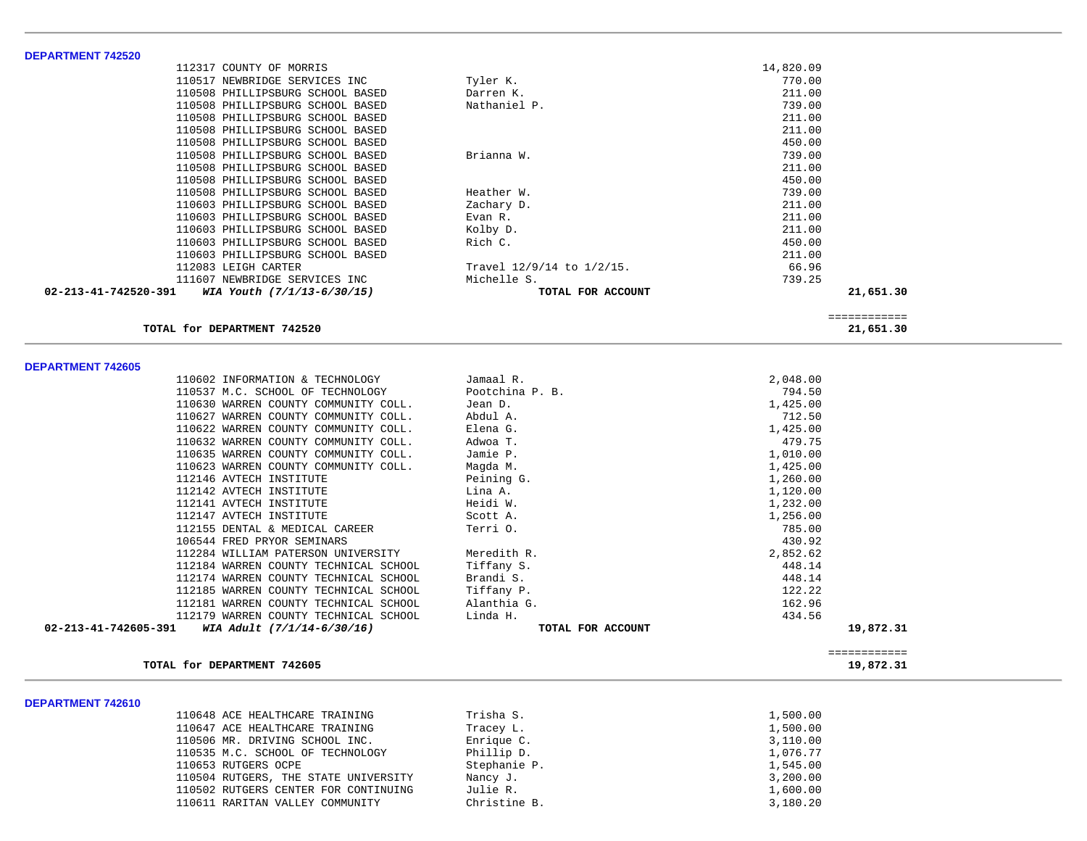| <b>DEPARTMENT 742520</b>                           |                           |           |              |
|----------------------------------------------------|---------------------------|-----------|--------------|
| 112317 COUNTY OF MORRIS                            |                           | 14,820.09 |              |
| 110517 NEWBRIDGE SERVICES INC                      | Tyler K.                  | 770.00    |              |
| 110508 PHILLIPSBURG SCHOOL BASED                   | Darren K.                 | 211.00    |              |
| 110508 PHILLIPSBURG SCHOOL BASED                   | Nathaniel P.              | 739.00    |              |
| 110508 PHILLIPSBURG SCHOOL BASED                   |                           | 211.00    |              |
| 110508 PHILLIPSBURG SCHOOL BASED                   |                           | 211.00    |              |
| 110508 PHILLIPSBURG SCHOOL BASED                   |                           | 450.00    |              |
| 110508 PHILLIPSBURG SCHOOL BASED                   | Brianna W.                | 739.00    |              |
| 110508 PHILLIPSBURG SCHOOL BASED                   |                           | 211.00    |              |
| 110508 PHILLIPSBURG SCHOOL BASED                   |                           | 450.00    |              |
| 110508 PHILLIPSBURG SCHOOL BASED                   | Heather W.                | 739.00    |              |
| 110603 PHILLIPSBURG SCHOOL BASED                   | Zachary D.                | 211.00    |              |
| 110603 PHILLIPSBURG SCHOOL BASED                   | Evan R.                   | 211.00    |              |
| 110603 PHILLIPSBURG SCHOOL BASED                   | Kolby D.                  | 211.00    |              |
| 110603 PHILLIPSBURG SCHOOL BASED                   | Rich C.                   | 450.00    |              |
| 110603 PHILLIPSBURG SCHOOL BASED                   |                           | 211.00    |              |
| 112083 LEIGH CARTER                                | Travel 12/9/14 to 1/2/15. | 66.96     |              |
| 111607 NEWBRIDGE SERVICES INC                      | Michelle S.               | 739.25    |              |
| 02-213-41-742520-391<br>WIA Youth (7/1/13-6/30/15) | TOTAL FOR ACCOUNT         |           | 21,651.30    |
|                                                    |                           |           |              |
|                                                    |                           |           | ============ |
| TOTAL for DEPARTMENT 742520                        |                           |           | 21,651.30    |
| <b>DEPARTMENT 742605</b>                           |                           |           |              |
| 110602 INFORMATION & TECHNOLOGY                    | Jamaal R.                 | 2,048.00  |              |
| 110537 M.C. SCHOOL OF TECHNOLOGY                   | Pootchina P. B.           | 794.50    |              |
| 110630 WARREN COUNTY COMMUNITY COLL.               | Jean D.                   | 1,425.00  |              |
| 110627 WARREN COUNTY COMMUNITY COLL.               | Abdul A.                  | 712.50    |              |
| 110622 WARREN COUNTY COMMUNITY COLL.               | Elena G.                  | 1,425.00  |              |
| 110632 WARREN COUNTY COMMUNITY COLL.               | Adwoa T.                  | 479.75    |              |
| 110635 WARREN COUNTY COMMUNITY COLL.               | Jamie P.                  | 1,010.00  |              |
| 110623 WARREN COUNTY COMMUNITY COLL.               | Magda M.                  | 1,425.00  |              |
| 112146 AVTECH INSTITUTE                            | Peining G.                | 1,260.00  |              |
| 112142 AVTECH INSTITUTE                            | Lina A.                   | 1,120.00  |              |
| 112141 AVTECH INSTITUTE                            | Heidi W.                  | 1,232.00  |              |
| 112147 AVTECH INSTITUTE                            | Scott A.                  | 1,256.00  |              |
| 112155 DENTAL & MEDICAL CAREER                     | Terri 0.                  | 785.00    |              |
| 106544 FRED PRYOR SEMINARS                         |                           | 430.92    |              |
| 112284 WILLIAM PATERSON UNIVERSITY                 | Meredith R.               | 2,852.62  |              |
| 112184 WARREN COUNTY TECHNICAL SCHOOL              | Tiffany S.                | 448.14    |              |
| 112174 WARREN COUNTY TECHNICAL SCHOOL              | Brandi S.                 | 448.14    |              |
| 112185 WARREN COUNTY TECHNICAL SCHOOL              | Tiffany P.                | 122.22    |              |
| 112181 WARREN COUNTY TECHNICAL SCHOOL              | Alanthia G.               | 162.96    |              |
| 112179 WARREN COUNTY TECHNICAL SCHOOL              | Linda H.                  | 434.56    |              |
| 02-213-41-742605-391<br>WIA Adult (7/1/14-6/30/16) | TOTAL FOR ACCOUNT         |           | 19,872.31    |
|                                                    |                           |           | ============ |
| TOTAL for DEPARTMENT 742605                        |                           |           | 19,872.31    |
|                                                    |                           |           |              |

#### **DEPARTMENT 742610**

| 110648 ACE HEALTHCARE TRAINING       | Trisha S.    | 1,500.00 |
|--------------------------------------|--------------|----------|
| 110647 ACE HEALTHCARE TRAINING       | Tracey L.    | 1,500.00 |
| 110506 MR. DRIVING SCHOOL INC.       | Enrique C.   | 3,110.00 |
| 110535 M.C. SCHOOL OF TECHNOLOGY     | Phillip D.   | 1,076.77 |
| 110653 RUTGERS OCPE                  | Stephanie P. | 1,545.00 |
| 110504 RUTGERS, THE STATE UNIVERSITY | Nancy J.     | 3,200.00 |
| 110502 RUTGERS CENTER FOR CONTINUING | Julie R.     | 1,600.00 |
| 110611 RARITAN VALLEY COMMUNITY      | Christine B. | 3,180.20 |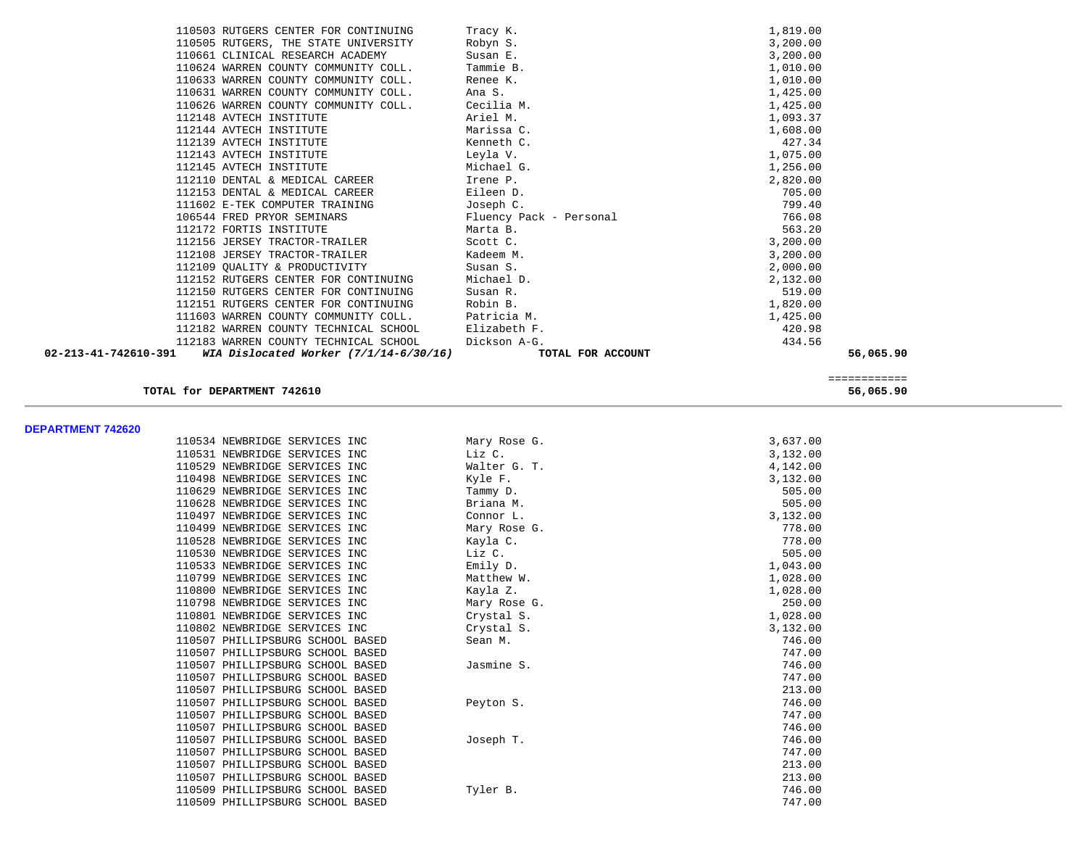| 110503 RUTGERS CENTER FOR CONTINUING                             | Tracy K.                | 1,819.00                  |  |
|------------------------------------------------------------------|-------------------------|---------------------------|--|
| 110505 RUTGERS, THE STATE UNIVERSITY                             | Robyn S.                | 3,200.00                  |  |
| 110661 CLINICAL RESEARCH ACADEMY                                 | Susan E.                | 3,200.00                  |  |
| 110624 WARREN COUNTY COMMUNITY COLL.                             | Tammie B.               | 1,010.00                  |  |
| 110633 WARREN COUNTY COMMUNITY COLL.                             | Renee K.                | 1,010.00                  |  |
| 110631 WARREN COUNTY COMMUNITY COLL.                             | Ana S.                  | 1,425.00                  |  |
| 110626 WARREN COUNTY COMMUNITY COLL.                             | Cecilia M.              | 1,425.00                  |  |
| 112148 AVTECH INSTITUTE                                          | Ariel M.                | 1,093.37                  |  |
| 112144 AVTECH INSTITUTE                                          | Marissa C.              | 1,608.00                  |  |
| 112139 AVTECH INSTITUTE                                          | Kenneth C.              | 427.34                    |  |
| 112143 AVTECH INSTITUTE                                          | Leyla V.                | 1,075.00                  |  |
| 112145 AVTECH INSTITUTE                                          | Michael G.              | 1,256.00                  |  |
| 112110 DENTAL & MEDICAL CAREER                                   | Irene P.                | 2,820.00                  |  |
| 112153 DENTAL & MEDICAL CAREER                                   | Eileen D.               | 705.00                    |  |
| 111602 E-TEK COMPUTER TRAINING                                   | Joseph C.               | 799.40                    |  |
| 106544 FRED PRYOR SEMINARS                                       | Fluency Pack - Personal | 766.08                    |  |
| 112172 FORTIS INSTITUTE                                          | Marta B.                | 563.20                    |  |
| 112156 JERSEY TRACTOR-TRAILER                                    | Scott C.                | 3,200.00                  |  |
| 112108 JERSEY TRACTOR-TRAILER                                    | Kadeem M.               | 3,200.00                  |  |
| 112109 QUALITY & PRODUCTIVITY                                    | Susan S.                | 2,000.00                  |  |
| 112152 RUTGERS CENTER FOR CONTINUING                             | Michael D.              | 2,132.00                  |  |
| 112150 RUTGERS CENTER FOR CONTINUING                             | Susan R.                | 519.00                    |  |
| 112151 RUTGERS CENTER FOR CONTINUING                             | Robin B.                | 1,820.00                  |  |
| 111603 WARREN COUNTY COMMUNITY COLL.                             | Patricia M.             | 1,425.00                  |  |
| 112182 WARREN COUNTY TECHNICAL SCHOOL                            | Elizabeth F.            | 420.98                    |  |
| 112183 WARREN COUNTY TECHNICAL SCHOOL                            | Dickson A-G.            | 434.56                    |  |
| 02-213-41-742610-391<br>WIA Dislocated Worker $(7/1/14-6/30/16)$ | TOTAL FOR ACCOUNT       | 56,065.90                 |  |
|                                                                  |                         |                           |  |
| TOTAL for DEPARTMENT 742610                                      |                         | ============<br>56,065.90 |  |
|                                                                  |                         |                           |  |
|                                                                  |                         |                           |  |
| <b>DEPARTMENT 742620</b><br>110534 NEWBRIDGE SERVICES INC        | Mary Rose G.            | 3,637.00                  |  |
| 110531 NEWBRIDGE SERVICES INC                                    | Liz C.                  | 3,132.00                  |  |
| 110529 NEWBRIDGE SERVICES INC                                    | Walter G. T.            | 4,142.00                  |  |
| 110498 NEWBRIDGE SERVICES INC                                    | Kyle F.                 | 3,132.00                  |  |
| 110629 NEWBRIDGE SERVICES INC                                    | Tammy D.                | 505.00                    |  |
| 110628 NEWBRIDGE SERVICES INC                                    | Briana M.               | 505.00                    |  |
| 110497 NEWBRIDGE SERVICES INC                                    | Connor L.               | 3,132.00                  |  |
| 110499 NEWBRIDGE SERVICES INC                                    | Mary Rose G.            | 778.00                    |  |
| 110528 NEWBRIDGE SERVICES INC                                    | Kayla C.                | 778.00                    |  |
| 110530 NEWBRIDGE SERVICES INC                                    | Liz C.                  | 505.00                    |  |
| 110533 NEWBRIDGE SERVICES INC                                    | Emily D.                | 1,043.00                  |  |
| 110799 NEWBRIDGE SERVICES INC                                    | Matthew W.              | 1,028.00                  |  |
| 110800 NEWBRIDGE SERVICES INC                                    | Kayla Z.                | 1,028.00                  |  |
|                                                                  |                         |                           |  |

 110798 NEWBRIDGE SERVICES INC Mary Rose G. 250.00 110801 NEWBRIDGE SERVICES INC Crystal S. 1,028.00 110802 NEWBRIDGE SERVICES INC Crystal S. 3,132.00 110507 PHILLIPSBURG SCHOOL BASED Sean M. 746.00 110507 PHILLIPSBURG SCHOOL BASED 747.00

110507 PHILLIPSBURG SCHOOL BASED Peyton S. 746.00

 110507 PHILLIPSBURG SCHOOL BASED Joseph T. 746.00 110507 PHILLIPSBURG SCHOOL BASED 747.00

110509 PHILLIPSBURG SCHOOL BASED Tyler B. 746.00

746.00

747.00

213.00

747.00

746.00

213.00

213.00

746.00

110507 PHILLIPSBURG SCHOOL BASED Jasmine S.

110507 PHILLIPSBURG SCHOOL BASED

110507 PHILLIPSBURG SCHOOL BASED

110507 PHILLIPSBURG SCHOOL BASED

110507 PHILLIPSBURG SCHOOL BASED

110507 PHILLIPSBURG SCHOOL BASED

110507 PHILLIPSBURG SCHOOL BASED

110509 PHILLIPSBURG SCHOOL BASED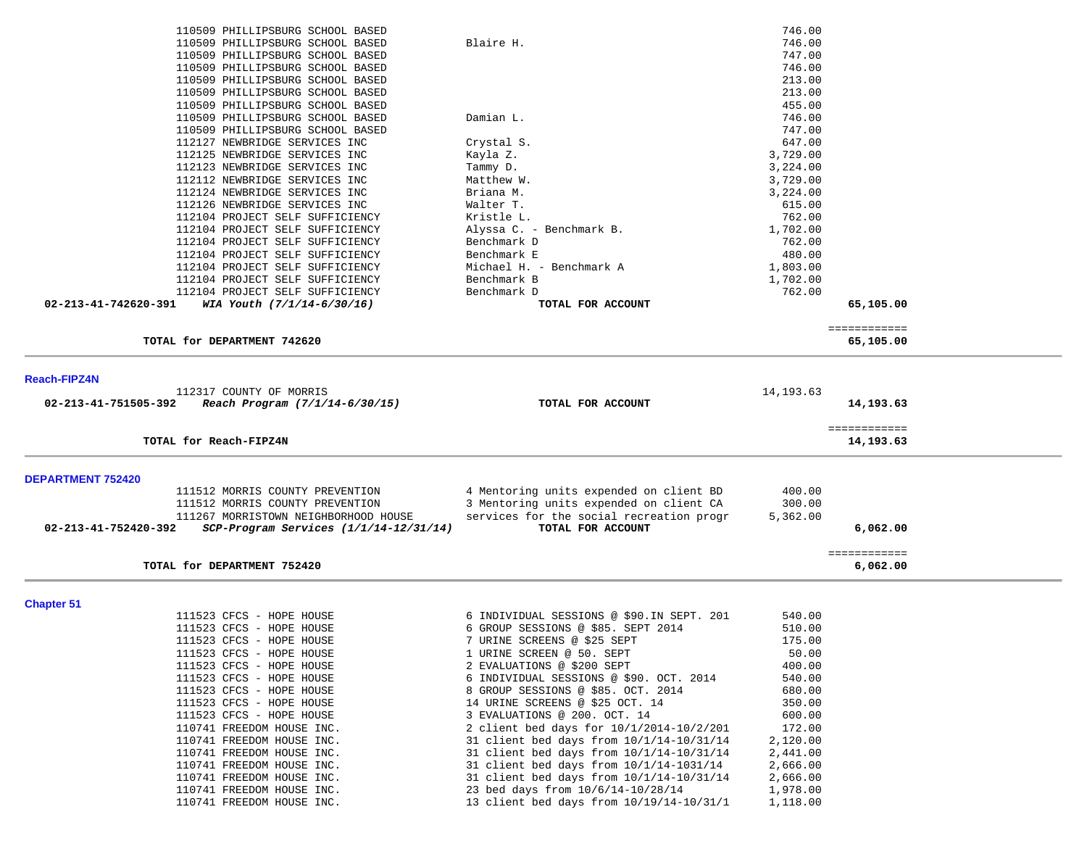|                          | 110509 PHILLIPSBURG SCHOOL BASED       |                                              | 746.00     |                           |  |
|--------------------------|----------------------------------------|----------------------------------------------|------------|---------------------------|--|
|                          | 110509 PHILLIPSBURG SCHOOL BASED       | Blaire H.                                    | 746.00     |                           |  |
|                          | 110509 PHILLIPSBURG SCHOOL BASED       |                                              | 747.00     |                           |  |
|                          | 110509 PHILLIPSBURG SCHOOL BASED       |                                              | 746.00     |                           |  |
|                          | 110509 PHILLIPSBURG SCHOOL BASED       |                                              | 213.00     |                           |  |
|                          | 110509 PHILLIPSBURG SCHOOL BASED       |                                              | 213.00     |                           |  |
|                          | 110509 PHILLIPSBURG SCHOOL BASED       |                                              | 455.00     |                           |  |
|                          | 110509 PHILLIPSBURG SCHOOL BASED       | Damian L.                                    | 746.00     |                           |  |
|                          | 110509 PHILLIPSBURG SCHOOL BASED       |                                              | 747.00     |                           |  |
|                          | 112127 NEWBRIDGE SERVICES INC          | Crystal S.                                   | 647.00     |                           |  |
|                          | 112125 NEWBRIDGE SERVICES INC          | Kayla Z.                                     | 3,729.00   |                           |  |
|                          | 112123 NEWBRIDGE SERVICES INC          | Tammy D.                                     | 3,224.00   |                           |  |
|                          | 112112 NEWBRIDGE SERVICES INC          | Matthew W.                                   | 3,729.00   |                           |  |
|                          | 112124 NEWBRIDGE SERVICES INC          | Briana M.                                    | 3,224.00   |                           |  |
|                          | 112126 NEWBRIDGE SERVICES INC          | Walter T.                                    | 615.00     |                           |  |
|                          | 112104 PROJECT SELF SUFFICIENCY        | Kristle L.                                   | 762.00     |                           |  |
|                          | 112104 PROJECT SELF SUFFICIENCY        | Alyssa C. - Benchmark B.                     | 1,702.00   |                           |  |
|                          | 112104 PROJECT SELF SUFFICIENCY        | Benchmark D                                  | 762.00     |                           |  |
|                          | 112104 PROJECT SELF SUFFICIENCY        | Benchmark E                                  | 480.00     |                           |  |
|                          | 112104 PROJECT SELF SUFFICIENCY        | Michael H. - Benchmark A                     | 1,803.00   |                           |  |
|                          | 112104 PROJECT SELF SUFFICIENCY        | Benchmark B                                  | 1,702.00   |                           |  |
|                          | 112104 PROJECT SELF SUFFICIENCY        | Benchmark D                                  | 762.00     |                           |  |
| 02-213-41-742620-391     | WIA Youth (7/1/14-6/30/16)             | TOTAL FOR ACCOUNT                            |            | 65,105.00                 |  |
|                          |                                        |                                              |            | ============              |  |
|                          | TOTAL for DEPARTMENT 742620            |                                              |            | 65,105.00                 |  |
| <b>Reach-FIPZ4N</b>      |                                        |                                              |            |                           |  |
|                          | 112317 COUNTY OF MORRIS                |                                              | 14, 193.63 |                           |  |
| 02-213-41-751505-392     | Reach Program (7/1/14-6/30/15)         | TOTAL FOR ACCOUNT                            |            | 14,193.63                 |  |
|                          |                                        |                                              |            |                           |  |
|                          | TOTAL for Reach-FIPZ4N                 |                                              |            | ============<br>14,193.63 |  |
|                          |                                        |                                              |            |                           |  |
| <b>DEPARTMENT 752420</b> |                                        |                                              |            |                           |  |
|                          | 111512 MORRIS COUNTY PREVENTION        | 4 Mentoring units expended on client BD      | 400.00     |                           |  |
|                          | 111512 MORRIS COUNTY PREVENTION        | 3 Mentoring units expended on client CA      | 300.00     |                           |  |
|                          | 111267 MORRISTOWN NEIGHBORHOOD HOUSE   | services for the social recreation progr     | 5,362.00   |                           |  |
| 02-213-41-752420-392     | SCP-Program Services (1/1/14-12/31/14) | TOTAL FOR ACCOUNT                            |            | 6,062.00                  |  |
|                          |                                        |                                              |            |                           |  |
|                          | TOTAL for DEPARTMENT 752420            |                                              |            | ============<br>6,062.00  |  |
|                          |                                        |                                              |            |                           |  |
| <b>Chapter 51</b>        |                                        |                                              |            |                           |  |
|                          | 111523 CFCS - HOPE HOUSE               | 6 INDIVIDUAL SESSIONS @ \$90.IN SEPT. 201    | 540.00     |                           |  |
|                          | 111523 CFCS - HOPE HOUSE               | 6 GROUP SESSIONS @ \$85. SEPT 2014           | 510.00     |                           |  |
|                          | 111523 CFCS - HOPE HOUSE               | 7 URINE SCREENS @ \$25 SEPT                  | 175.00     |                           |  |
|                          | 111523 CFCS - HOPE HOUSE               | 1 URINE SCREEN @ 50. SEPT                    | 50.00      |                           |  |
|                          | 111523 CFCS - HOPE HOUSE               | 2 EVALUATIONS @ \$200 SEPT                   | 400.00     |                           |  |
|                          | 111523 CFCS - HOPE HOUSE               | 6 INDIVIDUAL SESSIONS @ \$90. OCT. 2014      | 540.00     |                           |  |
|                          | 111523 CFCS - HOPE HOUSE               | 8 GROUP SESSIONS @ \$85. OCT. 2014           | 680.00     |                           |  |
|                          | 111523 CFCS - HOPE HOUSE               | 14 URINE SCREENS @ \$25 OCT. 14              | 350.00     |                           |  |
|                          | 111523 CFCS - HOPE HOUSE               | 3 EVALUATIONS @ 200. OCT. 14                 | 600.00     |                           |  |
|                          | 110741 FREEDOM HOUSE INC.              | 2 client bed days for $10/1/2014 - 10/2/201$ | 172.00     |                           |  |
|                          | 110741 FREEDOM HOUSE INC.              | 31 client bed days from $10/1/14-10/31/14$   | 2,120.00   |                           |  |
|                          | 110741 FREEDOM HOUSE INC.              | 31 client bed days from $10/1/14-10/31/14$   | 2,441.00   |                           |  |
|                          | 110741 FREEDOM HOUSE INC.              | 31 client bed days from $10/1/14-1031/14$    | 2,666.00   |                           |  |
|                          | 110741 FREEDOM HOUSE INC.              | 31 client bed days from $10/1/14-10/31/14$   | 2,666.00   |                           |  |
|                          | 110741 FREEDOM HOUSE INC.              | 23 bed days from $10/6/14-10/28/14$          | 1,978.00   |                           |  |

110741 FREEDOM HOUSE INC. 13 client bed days from 10/19/14-10/31/1 1,118.00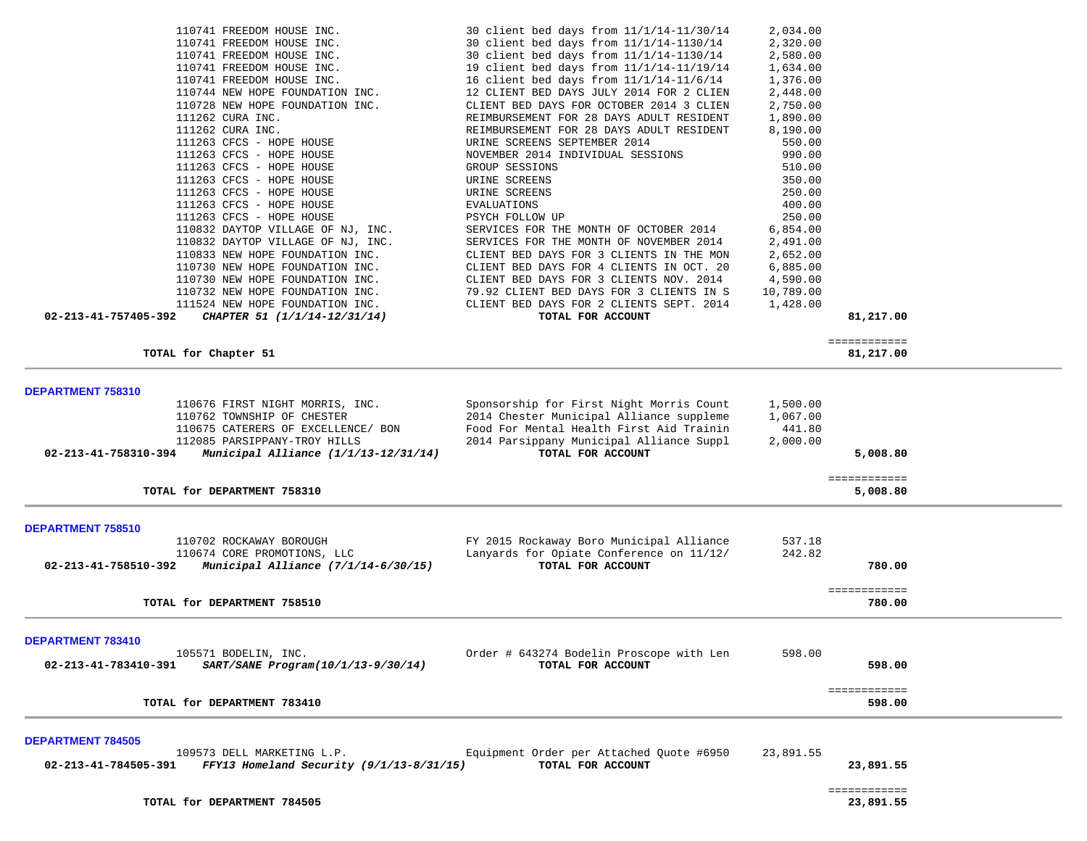| 110741 FREEDOM HOUSE INC.                                          | 30 client bed days from $11/1/14-11/30/14$                    | 2,034.00  |              |  |
|--------------------------------------------------------------------|---------------------------------------------------------------|-----------|--------------|--|
| 110741 FREEDOM HOUSE INC.                                          | 30 client bed days from 11/1/14-1130/14                       | 2,320.00  |              |  |
| 110741 FREEDOM HOUSE INC.                                          | 30 client bed days from 11/1/14-1130/14                       | 2,580.00  |              |  |
| 110741 FREEDOM HOUSE INC.                                          | 19 client bed days from 11/1/14-11/19/14                      |           |              |  |
|                                                                    |                                                               | 1,634.00  |              |  |
| 110741 FREEDOM HOUSE INC.                                          | 16 client bed days from 11/1/14-11/6/14                       | 1,376.00  |              |  |
| 110744 NEW HOPE FOUNDATION INC.                                    | 12 CLIENT BED DAYS JULY 2014 FOR 2 CLIEN                      | 2,448.00  |              |  |
| 110728 NEW HOPE FOUNDATION INC.                                    | CLIENT BED DAYS FOR OCTOBER 2014 3 CLIEN                      | 2,750.00  |              |  |
| 111262 CURA INC.                                                   | REIMBURSEMENT FOR 28 DAYS ADULT RESIDENT                      | 1,890.00  |              |  |
| 111262 CURA INC.                                                   | REIMBURSEMENT FOR 28 DAYS ADULT RESIDENT                      | 8,190.00  |              |  |
| 111263 CFCS - HOPE HOUSE                                           | URINE SCREENS SEPTEMBER 2014                                  | 550.00    |              |  |
| 111263 CFCS - HOPE HOUSE                                           | NOVEMBER 2014 INDIVIDUAL SESSIONS                             | 990.00    |              |  |
| 111263 CFCS - HOPE HOUSE                                           | GROUP SESSIONS                                                | 510.00    |              |  |
| 111263 CFCS - HOPE HOUSE                                           | URINE SCREENS                                                 | 350.00    |              |  |
| 111263 CFCS - HOPE HOUSE                                           | URINE SCREENS                                                 | 250.00    |              |  |
| 111263 CFCS - HOPE HOUSE                                           | <b>EVALUATIONS</b>                                            | 400.00    |              |  |
| 111263 CFCS - HOPE HOUSE                                           | PSYCH FOLLOW UP                                               | 250.00    |              |  |
| 110832 DAYTOP VILLAGE OF NJ, INC.                                  | SERVICES FOR THE MONTH OF OCTOBER 2014                        | 6,854.00  |              |  |
| 110832 DAYTOP VILLAGE OF NJ, INC.                                  | SERVICES FOR THE MONTH OF NOVEMBER 2014                       | 2,491.00  |              |  |
| 110833 NEW HOPE FOUNDATION INC.                                    | CLIENT BED DAYS FOR 3 CLIENTS IN THE MON                      | 2,652.00  |              |  |
|                                                                    | CLIENT BED DAYS FOR 4 CLIENTS IN OCT. 20                      |           |              |  |
| 110730 NEW HOPE FOUNDATION INC.                                    |                                                               | 6,885.00  |              |  |
| 110730 NEW HOPE FOUNDATION INC.                                    | CLIENT BED DAYS FOR 3 CLIENTS NOV. 2014                       | 4,590.00  |              |  |
| 110732 NEW HOPE FOUNDATION INC.                                    | 79.92 CLIENT BED DAYS FOR 3 CLIENTS IN S                      | 10,789.00 |              |  |
| 111524 NEW HOPE FOUNDATION INC.                                    | CLIENT BED DAYS FOR 2 CLIENTS SEPT. 2014                      | 1,428.00  |              |  |
| 02-213-41-757405-392<br>CHAPTER 51 (1/1/14-12/31/14)               | TOTAL FOR ACCOUNT                                             |           | 81,217.00    |  |
|                                                                    |                                                               |           | ============ |  |
| TOTAL for Chapter 51                                               |                                                               |           | 81,217.00    |  |
|                                                                    |                                                               |           |              |  |
| DEPARTMENT 758310                                                  |                                                               |           |              |  |
|                                                                    | Sponsorship for First Night Morris Count                      |           |              |  |
| 110676 FIRST NIGHT MORRIS, INC.                                    |                                                               | 1,500.00  |              |  |
| 110762 TOWNSHIP OF CHESTER                                         | 2014 Chester Municipal Alliance suppleme                      | 1,067.00  |              |  |
| 110675 CATERERS OF EXCELLENCE/ BON                                 | Food For Mental Health First Aid Trainin                      | 441.80    |              |  |
| 112085 PARSIPPANY-TROY HILLS                                       | 2014 Parsippany Municipal Alliance Suppl                      | 2,000.00  |              |  |
| 02-213-41-758310-394<br>Municipal Alliance $(1/1/13-12/31/14)$     | TOTAL FOR ACCOUNT                                             |           | 5,008.80     |  |
|                                                                    |                                                               |           | ============ |  |
| TOTAL for DEPARTMENT 758310                                        |                                                               |           | 5,008.80     |  |
|                                                                    |                                                               |           |              |  |
|                                                                    |                                                               |           |              |  |
| DEPARTMENT 758510                                                  |                                                               |           |              |  |
| 110702 ROCKAWAY BOROUGH                                            | FY 2015 Rockaway Boro Municipal Alliance                      | 537.18    |              |  |
| 110674 CORE PROMOTIONS, LLC                                        | Lanyards for Opiate Conference on 11/12/                      | 242.82    |              |  |
| Municipal Alliance (7/1/14-6/30/15)<br>02-213-41-758510-392        | TOTAL FOR ACCOUNT                                             |           | 780.00       |  |
|                                                                    |                                                               |           |              |  |
|                                                                    |                                                               |           | ============ |  |
| TOTAL for DEPARTMENT 758510                                        |                                                               |           | 780.00       |  |
|                                                                    |                                                               |           |              |  |
| DEPARTMENT 783410                                                  |                                                               |           |              |  |
| 105571 BODELIN, INC.                                               | Order # 643274 Bodelin Proscope with Len                      | 598.00    |              |  |
| SART/SANE Program(10/1/13-9/30/14)<br>02-213-41-783410-391         | TOTAL FOR ACCOUNT                                             |           | 598.00       |  |
|                                                                    |                                                               |           |              |  |
|                                                                    |                                                               |           | ============ |  |
| TOTAL for DEPARTMENT 783410                                        |                                                               |           | 598.00       |  |
|                                                                    |                                                               |           |              |  |
| <b>DEPARTMENT 784505</b>                                           |                                                               |           |              |  |
| 109573 DELL MARKETING L.P.                                         | Equipment Order per Attached Quote #6950<br>TOTAL FOR ACCOUNT | 23,891.55 |              |  |
| $FFY13$ Homeland Security (9/1/13-8/31/15)<br>02-213-41-784505-391 |                                                               |           | 23,891.55    |  |

TOTAL for DEPARTMENT 784505

 ============ 23,891.55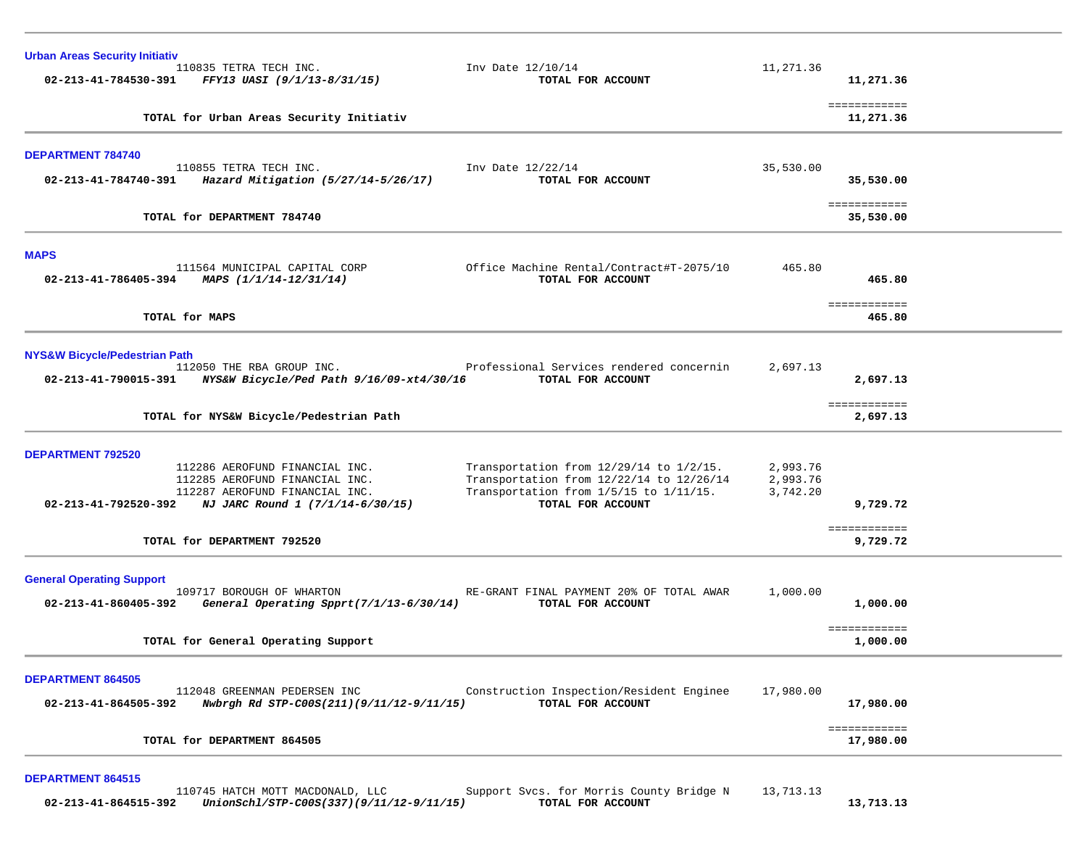| <b>Urban Areas Security Initiativ</b>    |                                                                                |                                                                                    |                      |                           |  |
|------------------------------------------|--------------------------------------------------------------------------------|------------------------------------------------------------------------------------|----------------------|---------------------------|--|
| 02-213-41-784530-391                     | 110835 TETRA TECH INC.<br>FFY13 UASI (9/1/13-8/31/15)                          | Inv Date 12/10/14<br>TOTAL FOR ACCOUNT                                             | 11,271.36            | 11,271.36                 |  |
|                                          |                                                                                |                                                                                    |                      | ============              |  |
|                                          | TOTAL for Urban Areas Security Initiativ                                       |                                                                                    |                      | 11,271.36                 |  |
| <b>DEPARTMENT 784740</b>                 |                                                                                |                                                                                    |                      |                           |  |
| 02-213-41-784740-391                     | 110855 TETRA TECH INC.<br>Hazard Mitigation (5/27/14-5/26/17)                  | Inv Date 12/22/14<br>TOTAL FOR ACCOUNT                                             | 35,530.00            | 35,530.00                 |  |
|                                          |                                                                                |                                                                                    |                      |                           |  |
|                                          | TOTAL for DEPARTMENT 784740                                                    |                                                                                    |                      | ============<br>35,530.00 |  |
| <b>MAPS</b>                              |                                                                                |                                                                                    |                      |                           |  |
|                                          | 111564 MUNICIPAL CAPITAL CORP<br>02-213-41-786405-394 MAPS $(1/1/14-12/31/14)$ | Office Machine Rental/Contract#T-2075/10<br>TOTAL FOR ACCOUNT                      | 465.80               | 465.80                    |  |
|                                          |                                                                                |                                                                                    |                      |                           |  |
|                                          | TOTAL for MAPS                                                                 |                                                                                    |                      | ============<br>465.80    |  |
| <b>NYS&amp;W Bicycle/Pedestrian Path</b> |                                                                                |                                                                                    |                      |                           |  |
| 02-213-41-790015-391                     | 112050 THE RBA GROUP INC.<br>NYS&W Bicycle/Ped Path 9/16/09-xt4/30/16          | Professional Services rendered concernin<br>TOTAL FOR ACCOUNT                      | 2,697.13             | 2,697.13                  |  |
|                                          |                                                                                |                                                                                    |                      |                           |  |
|                                          | TOTAL for NYS&W Bicycle/Pedestrian Path                                        |                                                                                    |                      | ============<br>2,697.13  |  |
| <b>DEPARTMENT 792520</b>                 |                                                                                |                                                                                    |                      |                           |  |
|                                          | 112286 AEROFUND FINANCIAL INC.                                                 | Transportation from 12/29/14 to 1/2/15.                                            | 2,993.76             |                           |  |
|                                          | 112285 AEROFUND FINANCIAL INC.<br>112287 AEROFUND FINANCIAL INC.               | Transportation from 12/22/14 to 12/26/14<br>Transportation from 1/5/15 to 1/11/15. | 2,993.76<br>3,742.20 |                           |  |
| 02-213-41-792520-392                     | NJ JARC Round 1 (7/1/14-6/30/15)                                               | TOTAL FOR ACCOUNT                                                                  |                      | 9,729.72                  |  |
|                                          | TOTAL for DEPARTMENT 792520                                                    |                                                                                    |                      | ============<br>9,729.72  |  |
|                                          |                                                                                |                                                                                    |                      |                           |  |
| <b>General Operating Support</b>         |                                                                                |                                                                                    |                      |                           |  |
| 02-213-41-860405-392                     | 109717 BOROUGH OF WHARTON<br>General Operating Spprt(7/1/13-6/30/14)           | RE-GRANT FINAL PAYMENT 20% OF TOTAL AWAR<br>TOTAL FOR ACCOUNT                      | 1,000.00             | 1,000.00                  |  |
|                                          |                                                                                |                                                                                    |                      |                           |  |
|                                          | TOTAL for General Operating Support                                            |                                                                                    |                      | ============<br>1,000.00  |  |
| <b>DEPARTMENT 864505</b>                 |                                                                                |                                                                                    |                      |                           |  |
|                                          | 112048 GREENMAN PEDERSEN INC                                                   | Construction Inspection/Resident Enginee                                           | 17,980.00            |                           |  |
| 02-213-41-864505-392                     | Nwbrgh Rd STP-C00S(211)(9/11/12-9/11/15)                                       | TOTAL FOR ACCOUNT                                                                  |                      | 17,980.00                 |  |
|                                          | TOTAL for DEPARTMENT 864505                                                    |                                                                                    |                      | ============<br>17,980.00 |  |
|                                          |                                                                                |                                                                                    |                      |                           |  |
| <b>DEPARTMENT 864515</b>                 |                                                                                |                                                                                    |                      |                           |  |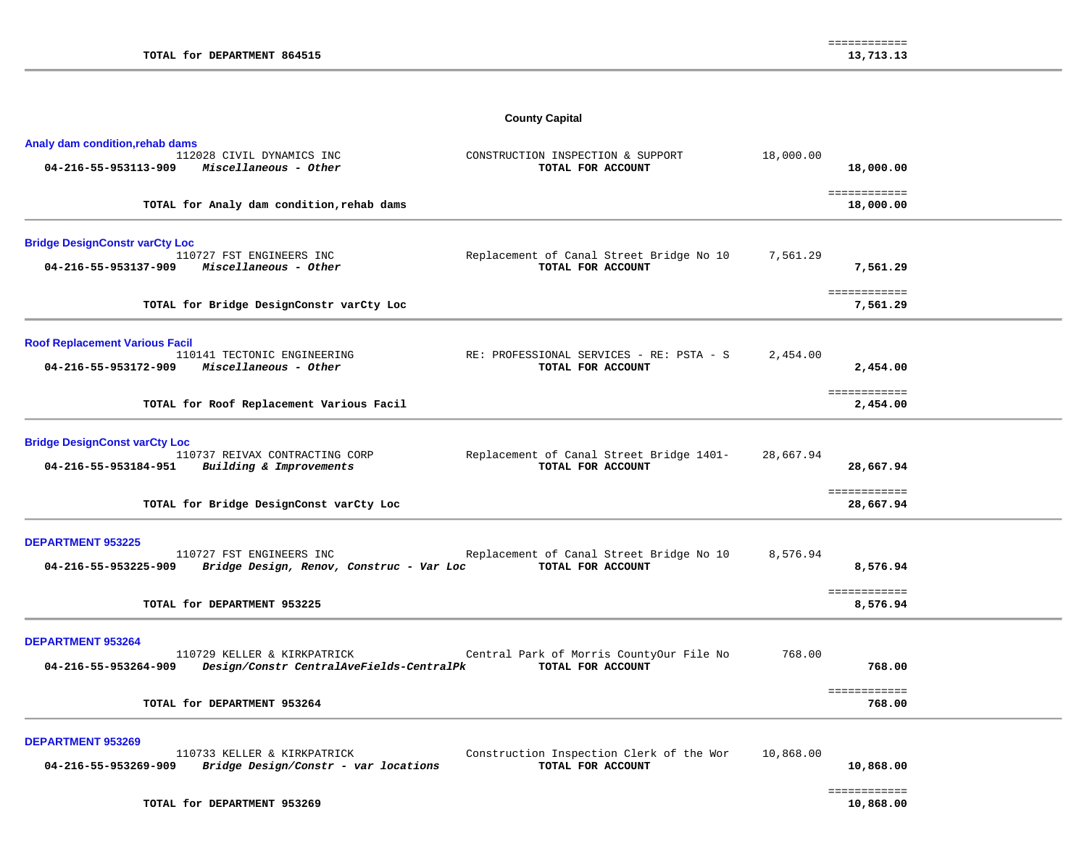# **County Capital**

| Analy dam condition, rehab dams                               |                                                                                                     |                                                               |           |                                      |
|---------------------------------------------------------------|-----------------------------------------------------------------------------------------------------|---------------------------------------------------------------|-----------|--------------------------------------|
| 04-216-55-953113-909                                          | 112028 CIVIL DYNAMICS INC<br>Miscellaneous - Other                                                  | CONSTRUCTION INSPECTION & SUPPORT<br>TOTAL FOR ACCOUNT        | 18,000.00 | 18,000.00                            |
|                                                               | TOTAL for Analy dam condition, rehab dams                                                           |                                                               |           | ============<br>18,000.00            |
| <b>Bridge DesignConstr varCty Loc</b><br>04-216-55-953137-909 | 110727 FST ENGINEERS INC<br>Miscellaneous - Other                                                   | Replacement of Canal Street Bridge No 10<br>TOTAL FOR ACCOUNT | 7,561.29  | 7,561.29                             |
|                                                               | TOTAL for Bridge DesignConstr varCty Loc                                                            |                                                               |           | ============<br>7,561.29             |
| <b>Roof Replacement Various Facil</b><br>04-216-55-953172-909 | 110141 TECTONIC ENGINEERING<br>Miscellaneous - Other                                                | RE: PROFESSIONAL SERVICES - RE: PSTA - S<br>TOTAL FOR ACCOUNT | 2,454.00  | 2,454.00                             |
|                                                               | TOTAL for Roof Replacement Various Facil                                                            |                                                               |           | ============<br>2,454.00             |
| <b>Bridge DesignConst varCty Loc</b><br>04-216-55-953184-951  | 110737 REIVAX CONTRACTING CORP<br>Building & Improvements                                           | Replacement of Canal Street Bridge 1401-<br>TOTAL FOR ACCOUNT | 28,667.94 | 28,667.94                            |
|                                                               | TOTAL for Bridge DesignConst varCty Loc                                                             |                                                               |           | ============<br>28,667.94            |
| <b>DEPARTMENT 953225</b><br>04-216-55-953225-909              | 110727 FST ENGINEERS INC<br>Bridge Design, Renov, Construc - Var Loc<br>TOTAL for DEPARTMENT 953225 | Replacement of Canal Street Bridge No 10<br>TOTAL FOR ACCOUNT | 8,576.94  | 8,576.94<br>============<br>8,576.94 |
| <b>DEPARTMENT 953264</b>                                      |                                                                                                     |                                                               |           |                                      |
| 04-216-55-953264-909                                          | 110729 KELLER & KIRKPATRICK<br>Design/Constr CentralAveFields-CentralPk                             | Central Park of Morris CountyOur File No<br>TOTAL FOR ACCOUNT | 768.00    | 768.00                               |
|                                                               | TOTAL for DEPARTMENT 953264                                                                         |                                                               |           | ============<br>768.00               |
| <b>DEPARTMENT 953269</b><br>04-216-55-953269-909              | 110733 KELLER & KIRKPATRICK<br>Bridge Design/Constr - var locations                                 | Construction Inspection Clerk of the Wor<br>TOTAL FOR ACCOUNT | 10,868.00 | 10,868.00                            |

 ============ ============<br>10,868.00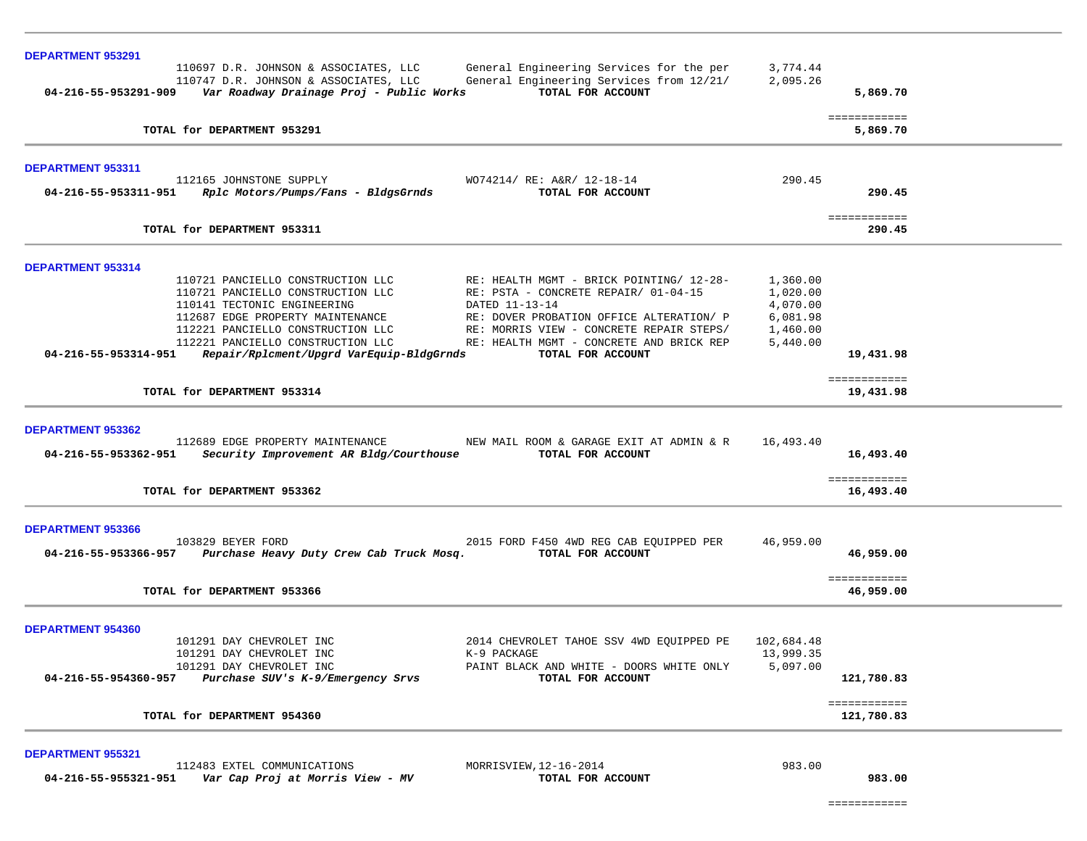| <b>DEPARTMENT 953291</b> |                                                                                   |                                                               |                      |                            |  |
|--------------------------|-----------------------------------------------------------------------------------|---------------------------------------------------------------|----------------------|----------------------------|--|
|                          | 110697 D.R. JOHNSON & ASSOCIATES, LLC                                             | General Engineering Services for the per                      | 3,774.44             |                            |  |
|                          | 110747 D.R. JOHNSON & ASSOCIATES, LLC<br>Var Roadway Drainage Proj - Public Works | General Engineering Services from 12/21/                      | 2,095.26             |                            |  |
| 04-216-55-953291-909     |                                                                                   | TOTAL FOR ACCOUNT                                             |                      | 5,869.70                   |  |
|                          | TOTAL for DEPARTMENT 953291                                                       |                                                               |                      | ============<br>5,869.70   |  |
| <b>DEPARTMENT 953311</b> |                                                                                   |                                                               |                      |                            |  |
| 04-216-55-953311-951     | 112165 JOHNSTONE SUPPLY<br>Rplc Motors/Pumps/Fans - BldgsGrnds                    | WO74214/ RE: A&R/ 12-18-14<br>TOTAL FOR ACCOUNT               | 290.45               | 290.45                     |  |
|                          | TOTAL for DEPARTMENT 953311                                                       |                                                               |                      | ============<br>290.45     |  |
| <b>DEPARTMENT 953314</b> |                                                                                   |                                                               |                      |                            |  |
|                          | 110721 PANCIELLO CONSTRUCTION LLC                                                 | RE: HEALTH MGMT - BRICK POINTING/ 12-28-                      | 1,360.00             |                            |  |
|                          | 110721 PANCIELLO CONSTRUCTION LLC                                                 | RE: PSTA - CONCRETE REPAIR/ 01-04-15                          | 1,020.00             |                            |  |
|                          | 110141 TECTONIC ENGINEERING<br>112687 EDGE PROPERTY MAINTENANCE                   | DATED 11-13-14<br>RE: DOVER PROBATION OFFICE ALTERATION/ P    | 4,070.00<br>6,081.98 |                            |  |
|                          | 112221 PANCIELLO CONSTRUCTION LLC                                                 | RE: MORRIS VIEW - CONCRETE REPAIR STEPS/                      | 1,460.00             |                            |  |
|                          | 112221 PANCIELLO CONSTRUCTION LLC                                                 | RE: HEALTH MGMT - CONCRETE AND BRICK REP                      | 5,440.00             |                            |  |
| 04-216-55-953314-951     | Repair/Rplcment/Upgrd VarEquip-BldgGrnds                                          | TOTAL FOR ACCOUNT                                             |                      | 19,431.98                  |  |
|                          | TOTAL for DEPARTMENT 953314                                                       |                                                               |                      | ============<br>19,431.98  |  |
| DEPARTMENT 953362        |                                                                                   |                                                               |                      |                            |  |
| 04-216-55-953362-951     | 112689 EDGE PROPERTY MAINTENANCE<br>Security Improvement AR Bldg/Courthouse       | NEW MAIL ROOM & GARAGE EXIT AT ADMIN & R<br>TOTAL FOR ACCOUNT | 16,493.40            | 16,493.40                  |  |
|                          | TOTAL for DEPARTMENT 953362                                                       |                                                               |                      | ============<br>16,493.40  |  |
| <b>DEPARTMENT 953366</b> |                                                                                   |                                                               |                      |                            |  |
| 04-216-55-953366-957     | 103829 BEYER FORD<br>Purchase Heavy Duty Crew Cab Truck Mosq.                     | 2015 FORD F450 4WD REG CAB EQUIPPED PER<br>TOTAL FOR ACCOUNT  | 46,959.00            | 46,959.00                  |  |
|                          | TOTAL for DEPARTMENT 953366                                                       |                                                               |                      | ============<br>46,959.00  |  |
| DEPARTMENT 954360        |                                                                                   |                                                               |                      |                            |  |
|                          | 101291 DAY CHEVROLET INC                                                          | 2014 CHEVROLET TAHOE SSV 4WD EQUIPPED PE                      | 102,684.48           |                            |  |
|                          | 101291 DAY CHEVROLET INC                                                          | K-9 PACKAGE                                                   | 13,999.35            |                            |  |
| 04-216-55-954360-957     | 101291 DAY CHEVROLET INC<br>Purchase SUV's K-9/Emergency Srvs                     | PAINT BLACK AND WHITE - DOORS WHITE ONLY<br>TOTAL FOR ACCOUNT | 5,097.00             | 121,780.83                 |  |
|                          | TOTAL for DEPARTMENT 954360                                                       |                                                               |                      | ============<br>121,780.83 |  |
| <b>DEPARTMENT 955321</b> |                                                                                   |                                                               |                      |                            |  |
| 04-216-55-955321-951     | 112483 EXTEL COMMUNICATIONS<br>Var Cap Proj at Morris View - MV                   | MORRISVIEW, 12-16-2014<br>TOTAL FOR ACCOUNT                   | 983.00               | 983.00                     |  |

============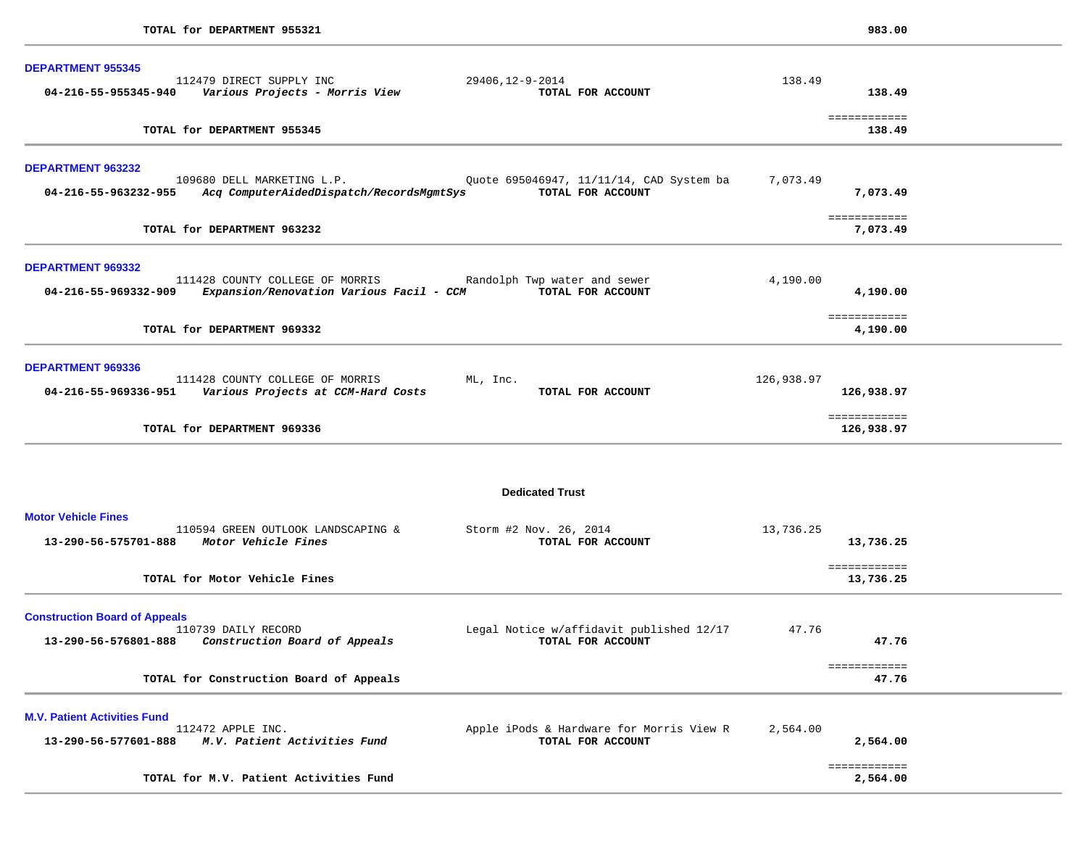| <b>DEPARTMENT 955345</b><br>112479 DIRECT SUPPLY INC<br>29406,12-9-2014                                                                                                                     | 138.49                                 |
|---------------------------------------------------------------------------------------------------------------------------------------------------------------------------------------------|----------------------------------------|
| 04-216-55-955345-940<br>Various Projects - Morris View<br>TOTAL FOR ACCOUNT                                                                                                                 | 138.49                                 |
| TOTAL for DEPARTMENT 955345                                                                                                                                                                 | ============<br>138.49                 |
| <b>DEPARTMENT 963232</b><br>109680 DELL MARKETING L.P.<br>Quote 695046947, 11/11/14, CAD System ba<br>Acq ComputerAidedDispatch/RecordsMgmtSys<br>TOTAL FOR ACCOUNT<br>04-216-55-963232-955 | 7,073.49<br>7,073.49                   |
| TOTAL for DEPARTMENT 963232                                                                                                                                                                 | ============<br>7,073.49               |
| DEPARTMENT 969332<br>111428 COUNTY COLLEGE OF MORRIS<br>Randolph Twp water and sewer<br>Expansion/Renovation Various Facil - CCM<br>TOTAL FOR ACCOUNT<br>04-216-55-969332-909               | 4,190.00<br>4,190.00                   |
| TOTAL for DEPARTMENT 969332                                                                                                                                                                 | ============<br>4,190.00               |
| DEPARTMENT 969336<br>111428 COUNTY COLLEGE OF MORRIS<br>ML, Inc.<br>Various Projects at CCM-Hard Costs<br>04-216-55-969336-951<br>TOTAL FOR ACCOUNT                                         | 126,938.97<br>126,938.97               |
| TOTAL for DEPARTMENT 969336                                                                                                                                                                 | ============<br>126,938.97             |
| <b>Dedicated Trust</b>                                                                                                                                                                      |                                        |
| <b>Motor Vehicle Fines</b><br>110594 GREEN OUTLOOK LANDSCAPING &<br>Storm #2 Nov. 26, 2014<br>Motor Vehicle Fines<br>TOTAL FOR ACCOUNT<br>13-290-56-575701-888                              | 13,736.25<br>13,736.25<br>============ |
| TOTAL for Motor Vehicle Fines                                                                                                                                                               | 13,736.25                              |
| <b>Construction Board of Appeals</b><br>110739 DAILY RECORD<br>Legal Notice w/affidavit published 12/17<br>TOTAL FOR ACCOUNT<br>13-290-56-576801-888<br>Construction Board of Appeals       | 47.76<br>47.76                         |
| TOTAL for Construction Board of Appeals                                                                                                                                                     | ============<br>47.76                  |
| <b>M.V. Patient Activities Fund</b><br>112472 APPLE INC.<br>Apple iPods & Hardware for Morris View R<br>13-290-56-577601-888<br>M.V. Patient Activities Fund<br>TOTAL FOR ACCOUNT           | 2,564.00<br>2,564.00                   |
|                                                                                                                                                                                             | ============                           |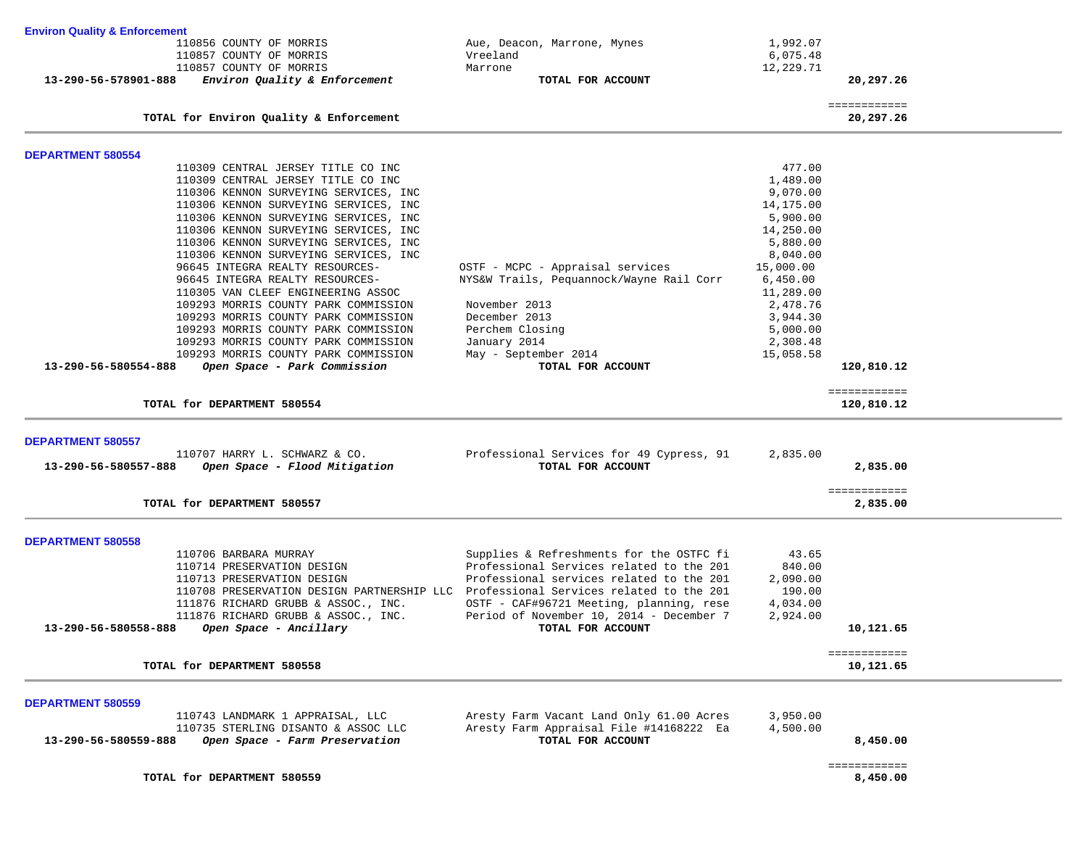| <b>Environ Quality &amp; Enforcement</b> |                                                                                     |                                                                                      |                      |                           |  |
|------------------------------------------|-------------------------------------------------------------------------------------|--------------------------------------------------------------------------------------|----------------------|---------------------------|--|
|                                          | 110856 COUNTY OF MORRIS                                                             | Aue, Deacon, Marrone, Mynes                                                          | 1,992.07             |                           |  |
|                                          | 110857 COUNTY OF MORRIS                                                             | Vreeland                                                                             | 6,075.48             |                           |  |
|                                          | 110857 COUNTY OF MORRIS                                                             | Marrone                                                                              | 12,229.71            |                           |  |
| 13-290-56-578901-888                     | Environ Quality & Enforcement                                                       | TOTAL FOR ACCOUNT                                                                    |                      | 20,297.26                 |  |
|                                          |                                                                                     |                                                                                      |                      | ============              |  |
|                                          | TOTAL for Environ Quality & Enforcement                                             |                                                                                      |                      | 20,297.26                 |  |
| <b>DEPARTMENT 580554</b>                 |                                                                                     |                                                                                      |                      |                           |  |
|                                          | 110309 CENTRAL JERSEY TITLE CO INC                                                  |                                                                                      | 477.00               |                           |  |
|                                          | 110309 CENTRAL JERSEY TITLE CO INC                                                  |                                                                                      | 1,489.00             |                           |  |
|                                          | 110306 KENNON SURVEYING SERVICES, INC                                               |                                                                                      | 9,070.00             |                           |  |
|                                          | 110306 KENNON SURVEYING SERVICES, INC                                               |                                                                                      | 14,175.00            |                           |  |
|                                          | 110306 KENNON SURVEYING SERVICES, INC                                               |                                                                                      | 5,900.00             |                           |  |
|                                          | 110306 KENNON SURVEYING SERVICES, INC                                               |                                                                                      | 14,250.00            |                           |  |
|                                          | 110306 KENNON SURVEYING SERVICES, INC                                               |                                                                                      | 5,880.00             |                           |  |
|                                          | 110306 KENNON SURVEYING SERVICES, INC                                               |                                                                                      | 8,040.00             |                           |  |
|                                          | 96645 INTEGRA REALTY RESOURCES-                                                     | OSTF - MCPC - Appraisal services                                                     | 15,000.00            |                           |  |
|                                          | 96645 INTEGRA REALTY RESOURCES-                                                     | NYS&W Trails, Pequannock/Wayne Rail Corr                                             | 6,450.00             |                           |  |
|                                          | 110305 VAN CLEEF ENGINEERING ASSOC                                                  |                                                                                      | 11,289.00            |                           |  |
|                                          | 109293 MORRIS COUNTY PARK COMMISSION                                                | November 2013                                                                        | 2,478.76             |                           |  |
|                                          | 109293 MORRIS COUNTY PARK COMMISSION<br>109293 MORRIS COUNTY PARK COMMISSION        | December 2013<br>Perchem Closing                                                     | 3,944.30<br>5,000.00 |                           |  |
|                                          | 109293 MORRIS COUNTY PARK COMMISSION                                                | January 2014                                                                         | 2,308.48             |                           |  |
|                                          | 109293 MORRIS COUNTY PARK COMMISSION                                                | May - September 2014                                                                 | 15,058.58            |                           |  |
| 13-290-56-580554-888                     | Open Space - Park Commission                                                        | TOTAL FOR ACCOUNT                                                                    |                      | 120,810.12                |  |
|                                          |                                                                                     |                                                                                      |                      | ============              |  |
|                                          | TOTAL for DEPARTMENT 580554                                                         |                                                                                      |                      | 120,810.12                |  |
|                                          |                                                                                     |                                                                                      |                      |                           |  |
| <b>DEPARTMENT 580557</b>                 | 110707 HARRY L. SCHWARZ & CO.                                                       | Professional Services for 49 Cypress, 91                                             | 2,835.00             |                           |  |
| 13-290-56-580557-888                     | Open Space - Flood Mitigation                                                       | TOTAL FOR ACCOUNT                                                                    |                      | 2,835.00                  |  |
|                                          |                                                                                     |                                                                                      |                      |                           |  |
|                                          | TOTAL for DEPARTMENT 580557                                                         |                                                                                      |                      | ============<br>2,835.00  |  |
|                                          |                                                                                     |                                                                                      |                      |                           |  |
| <b>DEPARTMENT 580558</b>                 |                                                                                     |                                                                                      |                      |                           |  |
|                                          | 110706 BARBARA MURRAY                                                               | Supplies & Refreshments for the OSTFC fi                                             | 43.65                |                           |  |
|                                          | 110714 PRESERVATION DESIGN                                                          | Professional Services related to the 201                                             | 840.00               |                           |  |
|                                          | 110713 PRESERVATION DESIGN                                                          | Professional services related to the 201                                             | 2,090.00             |                           |  |
|                                          | 110708 PRESERVATION DESIGN PARTNERSHIP LLC Professional Services related to the 201 |                                                                                      | 190.00<br>4,034.00   |                           |  |
|                                          | 111876 RICHARD GRUBB & ASSOC., INC.<br>111876 RICHARD GRUBB & ASSOC., INC.          | OSTF - CAF#96721 Meeting, planning, rese<br>Period of November 10, 2014 - December 7 | 2,924.00             |                           |  |
| 13-290-56-580558-888                     | Open Space - Ancillary                                                              | TOTAL FOR ACCOUNT                                                                    |                      | 10,121.65                 |  |
|                                          |                                                                                     |                                                                                      |                      |                           |  |
|                                          | TOTAL for DEPARTMENT 580558                                                         |                                                                                      |                      | ============<br>10,121.65 |  |
|                                          |                                                                                     |                                                                                      |                      |                           |  |
| <b>DEPARTMENT 580559</b>                 |                                                                                     |                                                                                      |                      |                           |  |
|                                          | 110743 LANDMARK 1 APPRAISAL, LLC                                                    | Aresty Farm Vacant Land Only 61.00 Acres                                             | 3,950.00             |                           |  |
|                                          | 110735 STERLING DISANTO & ASSOC LLC                                                 | Aresty Farm Appraisal File #14168222 Ea                                              | 4,500.00             |                           |  |
| 13-290-56-580559-888                     | Open Space - Farm Preservation                                                      | TOTAL FOR ACCOUNT                                                                    |                      | 8,450.00                  |  |
|                                          |                                                                                     |                                                                                      |                      | ============              |  |
|                                          | TOTAL for DEPARTMENT 580559                                                         |                                                                                      |                      | 8,450.00                  |  |
|                                          |                                                                                     |                                                                                      |                      |                           |  |